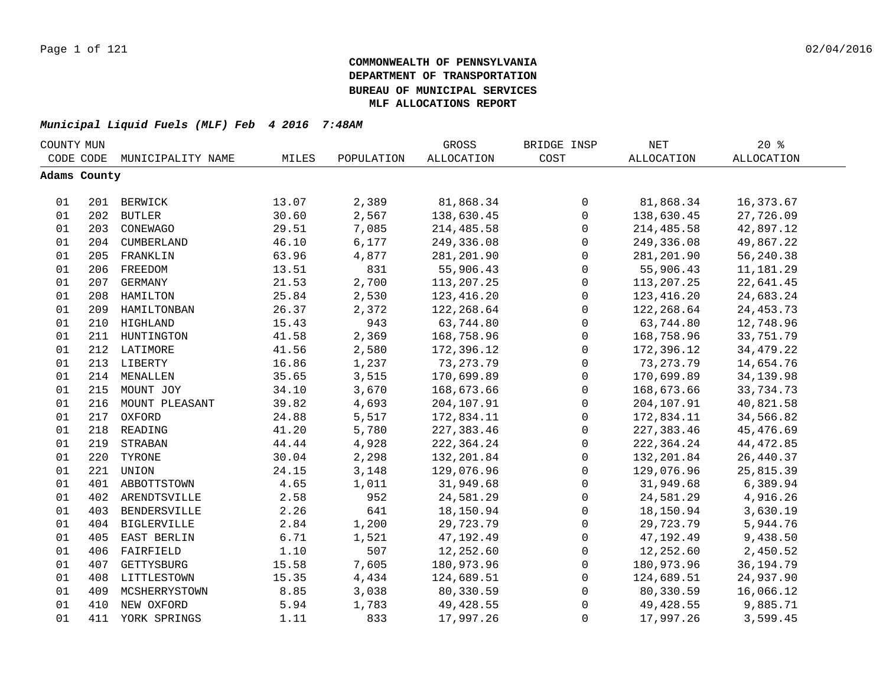| COUNTY MUN |              |                     |       |            | GROSS             | BRIDGE INSP  | $\operatorname{NET}$ | 20%         |  |
|------------|--------------|---------------------|-------|------------|-------------------|--------------|----------------------|-------------|--|
|            | CODE CODE    | MUNICIPALITY NAME   | MILES | POPULATION | <b>ALLOCATION</b> | COST         | <b>ALLOCATION</b>    | ALLOCATION  |  |
|            | Adams County |                     |       |            |                   |              |                      |             |  |
|            |              |                     |       |            |                   |              |                      |             |  |
| 01         |              | 201 BERWICK         | 13.07 | 2,389      | 81,868.34         | 0            | 81,868.34            | 16,373.67   |  |
| 01         | 202          | BUTLER              | 30.60 | 2,567      | 138,630.45        | $\mathsf{O}$ | 138,630.45           | 27,726.09   |  |
| 01         | 203          | CONEWAGO            | 29.51 | 7,085      | 214,485.58        | 0            | 214,485.58           | 42,897.12   |  |
| 01         |              | 204 CUMBERLAND      | 46.10 | 6,177      | 249,336.08        | 0            | 249,336.08           | 49,867.22   |  |
| 01         | 205          | FRANKLIN            | 63.96 | 4,877      | 281, 201.90       | 0            | 281,201.90           | 56,240.38   |  |
| 01         | 206          | FREEDOM             | 13.51 | 831        | 55,906.43         | 0            | 55,906.43            | 11,181.29   |  |
| 01         | 207          | GERMANY             | 21.53 | 2,700      | 113,207.25        | 0            | 113,207.25           | 22,641.45   |  |
| 01         | 208          | HAMILTON            | 25.84 | 2,530      | 123, 416.20       | $\mathsf{O}$ | 123,416.20           | 24,683.24   |  |
| 01         | 209          | HAMILTONBAN         | 26.37 | 2,372      | 122,268.64        | $\mathsf{O}$ | 122,268.64           | 24, 453. 73 |  |
| 01         | 210          | HIGHLAND            | 15.43 | 943        | 63,744.80         | $\mathsf{O}$ | 63,744.80            | 12,748.96   |  |
| 01         | 211          | HUNTINGTON          | 41.58 | 2,369      | 168,758.96        | $\mathsf{O}$ | 168,758.96           | 33,751.79   |  |
| 01         |              | 212 LATIMORE        | 41.56 | 2,580      | 172,396.12        | $\mathsf{O}$ | 172,396.12           | 34, 479.22  |  |
| 01         |              | 213 LIBERTY         | 16.86 | 1,237      | 73, 273. 79       | $\mathsf 0$  | 73, 273. 79          | 14,654.76   |  |
| 01         |              | 214 MENALLEN        | 35.65 | 3,515      | 170,699.89        | $\mathsf 0$  | 170,699.89           | 34, 139.98  |  |
| 01         |              | 215 MOUNT JOY       | 34.10 | 3,670      | 168,673.66        | $\mathsf 0$  | 168,673.66           | 33,734.73   |  |
| 01         |              | 216 MOUNT PLEASANT  | 39.82 | 4,693      | 204,107.91        | $\mathsf 0$  | 204,107.91           | 40,821.58   |  |
| 01         |              | 217 OXFORD          | 24.88 | 5,517      | 172,834.11        | $\mathsf 0$  | 172,834.11           | 34,566.82   |  |
| 01         |              | 218 READING         | 41.20 | 5,780      | 227, 383.46       | $\mathsf 0$  | 227, 383.46          | 45,476.69   |  |
| 01         |              | 219 STRABAN         | 44.44 | 4,928      | 222,364.24        | $\mathsf{O}$ | 222,364.24           | 44, 472.85  |  |
| 01         |              | 220 TYRONE          | 30.04 | 2,298      | 132,201.84        | $\mathsf{O}$ | 132, 201.84          | 26,440.37   |  |
| 01         |              | 221 UNION           | 24.15 | 3,148      | 129,076.96        | 0            | 129,076.96           | 25,815.39   |  |
| 01         |              | 401 ABBOTTSTOWN     | 4.65  | 1,011      | 31,949.68         | $\mathbf 0$  | 31,949.68            | 6,389.94    |  |
| 01         | 402          | ARENDTSVILLE        | 2.58  | 952        | 24,581.29         | $\mathbf 0$  | 24,581.29            | 4,916.26    |  |
| 01         | 403          | <b>BENDERSVILLE</b> | 2.26  | 641        | 18,150.94         | 0            | 18,150.94            | 3,630.19    |  |
| 01         | 404          | <b>BIGLERVILLE</b>  | 2.84  | 1,200      | 29,723.79         | $\mathbf 0$  | 29,723.79            | 5,944.76    |  |
| 01         | 405          | EAST BERLIN         | 6.71  | 1,521      | 47,192.49         | 0            | 47,192.49            | 9,438.50    |  |
| 01         | 406          | FAIRFIELD           | 1.10  | 507        | 12,252.60         | 0            | 12,252.60            | 2,450.52    |  |
| 01         | 407          | GETTYSBURG          | 15.58 | 7,605      | 180,973.96        | 0            | 180,973.96           | 36, 194. 79 |  |
| 01         | 408          | LITTLESTOWN         | 15.35 | 4,434      | 124,689.51        | $\mathbf 0$  | 124,689.51           | 24,937.90   |  |
| 01         | 409          | MCSHERRYSTOWN       | 8.85  | 3,038      | 80,330.59         | $\mathsf 0$  | 80,330.59            | 16,066.12   |  |
| 01         | 410          | NEW OXFORD          | 5.94  | 1,783      | 49, 428.55        | $\mathsf 0$  | 49,428.55            | 9,885.71    |  |
| 01         |              | 411 YORK SPRINGS    | 1.11  | 833        | 17,997.26         | $\mathbf 0$  | 17,997.26            | 3,599.45    |  |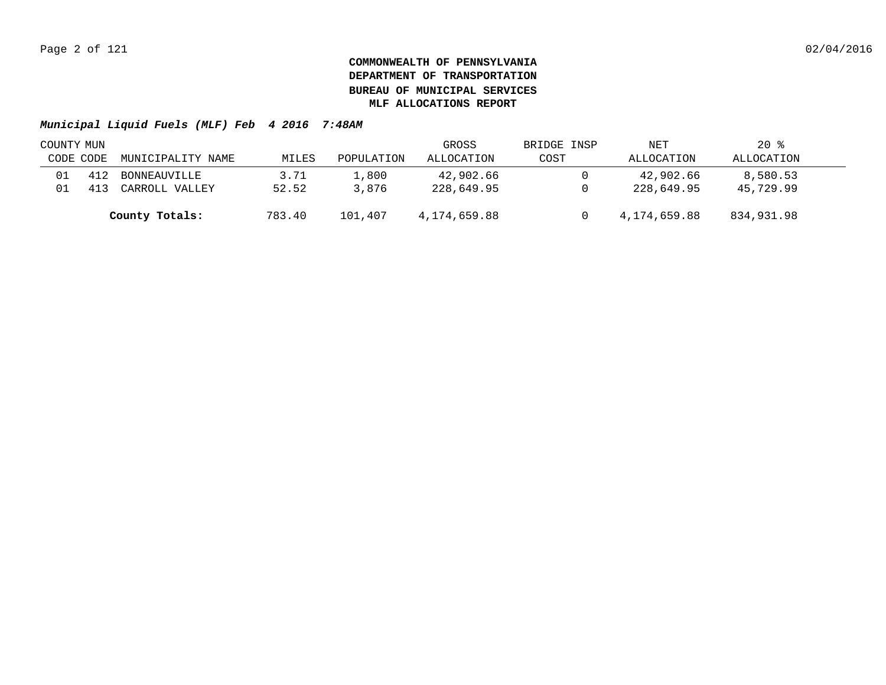| COUNTY MUN |     |                   |        |            | GROSS        | BRIDGE INSP | NET          | $20*$      |  |
|------------|-----|-------------------|--------|------------|--------------|-------------|--------------|------------|--|
| CODE CODE  |     | MUNICIPALITY NAME | MILES  | POPULATION | ALLOCATION   | COST        | ALLOCATION   | ALLOCATION |  |
|            | 412 | BONNEAUVILLE      | 3.71   | 1,800      | 42,902.66    |             | 42,902.66    | 8,580.53   |  |
|            |     | CARROLL VALLEY    | 52.52  | 3,876      | 228,649.95   |             | 228,649.95   | 45,729.99  |  |
|            |     | County Totals:    | 783.40 | 101,407    | 4,174,659.88 |             | 4,174,659.88 | 834,931.98 |  |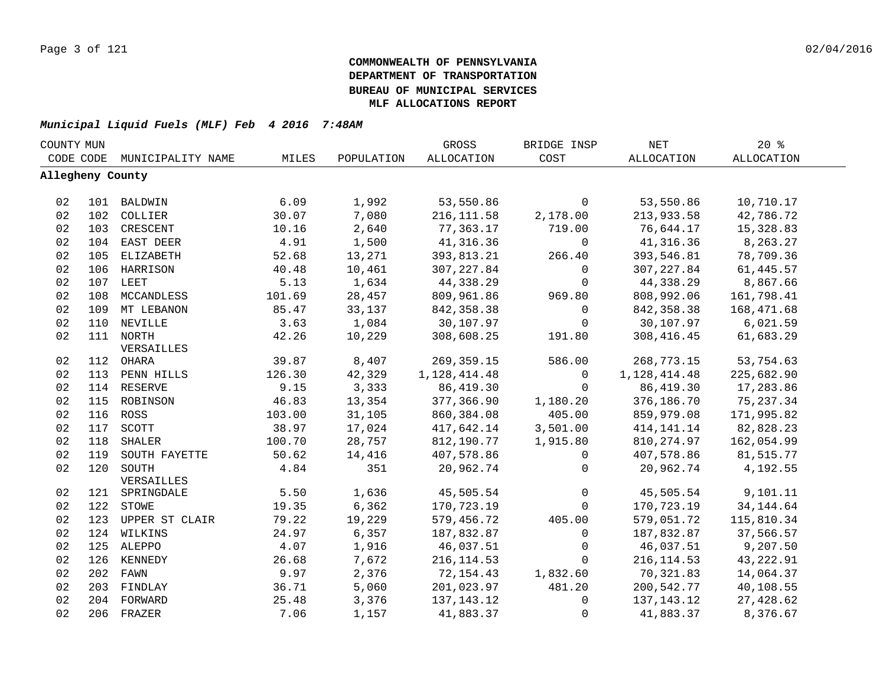| COUNTY MUN       |     |                    |        |            | GROSS          | BRIDGE INSP  | <b>NET</b>     | 20%               |  |
|------------------|-----|--------------------|--------|------------|----------------|--------------|----------------|-------------------|--|
| CODE CODE        |     | MUNICIPALITY NAME  | MILES  | POPULATION | ALLOCATION     | COST         | ALLOCATION     | <b>ALLOCATION</b> |  |
| Allegheny County |     |                    |        |            |                |              |                |                   |  |
|                  |     |                    |        |            |                |              |                |                   |  |
| 02               |     | 101 BALDWIN        | 6.09   | 1,992      | 53,550.86      | $\mathbf 0$  | 53,550.86      | 10,710.17         |  |
| 02               |     | 102 COLLIER        | 30.07  | 7,080      | 216, 111.58    | 2,178.00     | 213,933.58     | 42,786.72         |  |
| 02               | 103 | CRESCENT           | 10.16  | 2,640      | 77,363.17      | 719.00       | 76,644.17      | 15,328.83         |  |
| 02               |     | 104 EAST DEER      | 4.91   | 1,500      | 41,316.36      | $\mathbf 0$  | 41,316.36      | 8,263.27          |  |
| 02               | 105 | ELIZABETH          | 52.68  | 13,271     | 393,813.21     | 266.40       | 393,546.81     | 78,709.36         |  |
| 02               | 106 | HARRISON           | 40.48  | 10,461     | 307, 227.84    | 0            | 307, 227.84    | 61,445.57         |  |
| 02               | 107 | LEET               | 5.13   | 1,634      | 44,338.29      | $\mathbf 0$  | 44,338.29      | 8,867.66          |  |
| 02               | 108 | MCCANDLESS         | 101.69 | 28,457     | 809,961.86     | 969.80       | 808,992.06     | 161,798.41        |  |
| 02               | 109 | MT LEBANON         | 85.47  | 33,137     | 842,358.38     | $\mathbf 0$  | 842,358.38     | 168,471.68        |  |
| 02               | 110 | NEVILLE            | 3.63   | 1,084      | 30,107.97      | $\Omega$     | 30,107.97      | 6,021.59          |  |
| 02               |     | 111 NORTH          | 42.26  | 10,229     | 308,608.25     | 191.80       | 308,416.45     | 61,683.29         |  |
|                  |     | VERSAILLES         |        |            |                |              |                |                   |  |
| 02               |     | 112 OHARA          | 39.87  | 8,407      | 269, 359. 15   | 586.00       | 268,773.15     | 53,754.63         |  |
| 02               |     | 113 PENN HILLS     | 126.30 | 42,329     | 1, 128, 414.48 | $\mathbf{0}$ | 1, 128, 414.48 | 225,682.90        |  |
| 02               |     | 114 RESERVE        | 9.15   | 3,333      | 86,419.30      | $\Omega$     | 86,419.30      | 17,283.86         |  |
| 02               |     | 115 ROBINSON       | 46.83  | 13,354     | 377,366.90     | 1,180.20     | 376,186.70     | 75,237.34         |  |
| 02               |     | 116 ROSS           | 103.00 | 31,105     | 860, 384.08    | 405.00       | 859,979.08     | 171,995.82        |  |
| 02               |     | 117 SCOTT          | 38.97  | 17,024     | 417,642.14     | 3,501.00     | 414,141.14     | 82,828.23         |  |
| 02               |     | 118 SHALER         | 100.70 | 28,757     | 812,190.77     | 1,915.80     | 810,274.97     | 162,054.99        |  |
| 02               |     | 119 SOUTH FAYETTE  | 50.62  | 14,416     | 407,578.86     | 0            | 407,578.86     | 81,515.77         |  |
| 02               |     | 120 SOUTH          | 4.84   | 351        | 20,962.74      | $\mathbf 0$  | 20,962.74      | 4,192.55          |  |
|                  |     | VERSAILLES         |        |            |                |              |                |                   |  |
| 02               |     | 121 SPRINGDALE     | 5.50   | 1,636      | 45,505.54      | $\mathsf 0$  | 45,505.54      | 9,101.11          |  |
| 02               |     | 122 STOWE          | 19.35  | 6,362      | 170,723.19     | $\mathbf 0$  | 170,723.19     | 34, 144.64        |  |
| 02               |     | 123 UPPER ST CLAIR | 79.22  | 19,229     | 579,456.72     | 405.00       | 579,051.72     | 115,810.34        |  |
| 02               |     | 124 WILKINS        | 24.97  | 6,357      | 187,832.87     | $\mathbf 0$  | 187,832.87     | 37,566.57         |  |
| 02               |     | 125 ALEPPO         | 4.07   | 1,916      | 46,037.51      | 0            | 46,037.51      | 9,207.50          |  |
| 02               |     | 126 KENNEDY        | 26.68  | 7,672      | 216, 114.53    | $\mathbf 0$  | 216, 114.53    | 43,222.91         |  |
| 02               |     | 202 FAWN           | 9.97   | 2,376      | 72,154.43      | 1,832.60     | 70,321.83      | 14,064.37         |  |
| 02               |     | 203 FINDLAY        | 36.71  | 5,060      | 201,023.97     | 481.20       | 200,542.77     | 40,108.55         |  |
| 02               |     | 204 FORWARD        | 25.48  | 3,376      | 137, 143. 12   | 0            | 137,143.12     | 27,428.62         |  |
| 02               |     | 206 FRAZER         | 7.06   | 1,157      | 41,883.37      | 0            | 41,883.37      | 8,376.67          |  |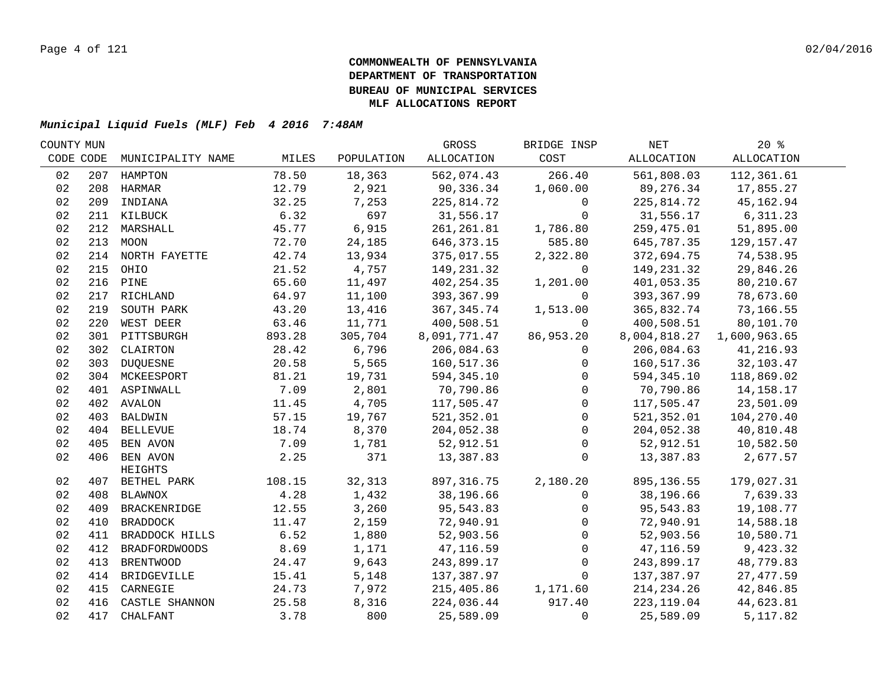| COUNTY MUN |                  |                                                                                                                                                                                                                                                                                                                                                                                                                                                                      |            | GROSS        | BRIDGE INSP  | NET          | 20%          |                                                         |
|------------|------------------|----------------------------------------------------------------------------------------------------------------------------------------------------------------------------------------------------------------------------------------------------------------------------------------------------------------------------------------------------------------------------------------------------------------------------------------------------------------------|------------|--------------|--------------|--------------|--------------|---------------------------------------------------------|
| CODE CODE  |                  | MILES                                                                                                                                                                                                                                                                                                                                                                                                                                                                | POPULATION | ALLOCATION   | COST         | ALLOCATION   | ALLOCATION   |                                                         |
| 207        |                  | 78.50                                                                                                                                                                                                                                                                                                                                                                                                                                                                | 18,363     | 562,074.43   | 266.40       | 561,808.03   | 112,361.61   |                                                         |
|            |                  | 12.79                                                                                                                                                                                                                                                                                                                                                                                                                                                                | 2,921      | 90,336.34    | 1,060.00     | 89,276.34    | 17,855.27    |                                                         |
| 209        |                  | 32.25                                                                                                                                                                                                                                                                                                                                                                                                                                                                | 7,253      | 225,814.72   | $\mathbf 0$  | 225,814.72   | 45,162.94    |                                                         |
|            |                  | 6.32                                                                                                                                                                                                                                                                                                                                                                                                                                                                 | 697        | 31,556.17    | $\mathbf 0$  | 31,556.17    | 6,311.23     |                                                         |
|            |                  | 45.77                                                                                                                                                                                                                                                                                                                                                                                                                                                                | 6,915      | 261, 261.81  | 1,786.80     | 259,475.01   | 51,895.00    |                                                         |
|            |                  | 72.70                                                                                                                                                                                                                                                                                                                                                                                                                                                                | 24,185     | 646, 373. 15 | 585.80       |              | 129, 157. 47 |                                                         |
|            |                  | 42.74                                                                                                                                                                                                                                                                                                                                                                                                                                                                | 13,934     | 375,017.55   | 2,322.80     | 372,694.75   | 74,538.95    |                                                         |
|            |                  | 21.52                                                                                                                                                                                                                                                                                                                                                                                                                                                                | 4,757      | 149, 231.32  | 0            | 149,231.32   | 29,846.26    |                                                         |
|            |                  | 65.60                                                                                                                                                                                                                                                                                                                                                                                                                                                                | 11,497     | 402, 254.35  | 1,201.00     | 401,053.35   | 80,210.67    |                                                         |
| 217        | RICHLAND         | 64.97                                                                                                                                                                                                                                                                                                                                                                                                                                                                | 11,100     | 393,367.99   | $\mathbf{0}$ | 393,367.99   | 78,673.60    |                                                         |
| 219        | SOUTH PARK       | 43.20                                                                                                                                                                                                                                                                                                                                                                                                                                                                | 13,416     | 367, 345.74  | 1,513.00     | 365,832.74   | 73,166.55    |                                                         |
| 220        | WEST DEER        | 63.46                                                                                                                                                                                                                                                                                                                                                                                                                                                                | 11,771     | 400,508.51   | $\Omega$     | 400,508.51   | 80,101.70    |                                                         |
|            |                  | 893.28                                                                                                                                                                                                                                                                                                                                                                                                                                                               | 305,704    | 8,091,771.47 | 86,953.20    |              | 1,600,963.65 |                                                         |
|            | CLAIRTON         | 28.42                                                                                                                                                                                                                                                                                                                                                                                                                                                                | 6,796      | 206,084.63   | $\mathbf 0$  | 206,084.63   | 41,216.93    |                                                         |
|            | DUQUESNE         | 20.58                                                                                                                                                                                                                                                                                                                                                                                                                                                                | 5,565      | 160,517.36   | $\Omega$     | 160,517.36   | 32,103.47    |                                                         |
|            |                  | 81.21                                                                                                                                                                                                                                                                                                                                                                                                                                                                | 19,731     | 594, 345.10  | $\mathbf 0$  | 594,345.10   | 118,869.02   |                                                         |
|            |                  | 7.09                                                                                                                                                                                                                                                                                                                                                                                                                                                                 | 2,801      | 70,790.86    | $\mathbf 0$  | 70,790.86    | 14,158.17    |                                                         |
|            |                  | 11.45                                                                                                                                                                                                                                                                                                                                                                                                                                                                | 4,705      | 117,505.47   | $\mathbf 0$  | 117,505.47   | 23,501.09    |                                                         |
|            |                  | 57.15                                                                                                                                                                                                                                                                                                                                                                                                                                                                | 19,767     | 521,352.01   | $\mathbf{0}$ | 521,352.01   | 104,270.40   |                                                         |
|            |                  | 18.74                                                                                                                                                                                                                                                                                                                                                                                                                                                                | 8,370      | 204,052.38   | $\mathbf 0$  | 204,052.38   | 40,810.48    |                                                         |
|            |                  | 7.09                                                                                                                                                                                                                                                                                                                                                                                                                                                                 | 1,781      | 52,912.51    | 0            | 52,912.51    | 10,582.50    |                                                         |
|            |                  | 2.25                                                                                                                                                                                                                                                                                                                                                                                                                                                                 | 371        | 13,387.83    | $\Omega$     | 13,387.83    | 2,677.57     |                                                         |
|            |                  | 108.15                                                                                                                                                                                                                                                                                                                                                                                                                                                               | 32,313     | 897,316.75   | 2,180.20     | 895,136.55   | 179,027.31   |                                                         |
|            |                  | 4.28                                                                                                                                                                                                                                                                                                                                                                                                                                                                 | 1,432      | 38,196.66    | 0            | 38,196.66    | 7,639.33     |                                                         |
|            |                  | 12.55                                                                                                                                                                                                                                                                                                                                                                                                                                                                | 3,260      | 95,543.83    | $\mathbf 0$  | 95,543.83    | 19,108.77    |                                                         |
|            |                  | 11.47                                                                                                                                                                                                                                                                                                                                                                                                                                                                | 2,159      | 72,940.91    | $\Omega$     | 72,940.91    | 14,588.18    |                                                         |
|            |                  | 6.52                                                                                                                                                                                                                                                                                                                                                                                                                                                                 | 1,880      | 52,903.56    | $\Omega$     | 52,903.56    | 10,580.71    |                                                         |
| 412        | BRADFORDWOODS    | 8.69                                                                                                                                                                                                                                                                                                                                                                                                                                                                 | 1,171      | 47,116.59    | $\Omega$     | 47, 116.59   | 9,423.32     |                                                         |
| 413        | <b>BRENTWOOD</b> | 24.47                                                                                                                                                                                                                                                                                                                                                                                                                                                                |            | 243,899.17   | $\Omega$     | 243,899.17   | 48,779.83    |                                                         |
|            |                  | 15.41                                                                                                                                                                                                                                                                                                                                                                                                                                                                | 5,148      | 137,387.97   | $\Omega$     |              | 27, 477.59   |                                                         |
|            | CARNEGIE         | 24.73                                                                                                                                                                                                                                                                                                                                                                                                                                                                | 7,972      | 215,405.86   | 1,171.60     | 214, 234. 26 | 42,846.85    |                                                         |
|            |                  | 25.58                                                                                                                                                                                                                                                                                                                                                                                                                                                                | 8,316      | 224,036.44   | 917.40       |              | 44,623.81    |                                                         |
|            |                  | 3.78                                                                                                                                                                                                                                                                                                                                                                                                                                                                 | 800        | 25,589.09    | $\mathbf 0$  | 25,589.09    | 5,117.82     |                                                         |
|            |                  | MUNICIPALITY NAME<br>HAMPTON<br>208 HARMAR<br>INDIANA<br>211 KILBUCK<br>212 MARSHALL<br>213 MOON<br>214 NORTH FAYETTE<br>215 OHIO<br>216 PINE<br>301 PITTSBURGH<br>302<br>303<br>304 MCKEESPORT<br>401 ASPINWALL<br>402 AVALON<br>403 BALDWIN<br>404 BELLEVUE<br>405 BEN AVON<br>406 BEN AVON<br>HEIGHTS<br>407 BETHEL PARK<br>408 BLAWNOX<br>409 BRACKENRIDGE<br>410 BRADDOCK<br>411 BRADDOCK HILLS<br>414 BRIDGEVILLE<br>415<br>416 CASTLE SHANNON<br>417 CHALFANT |            |              | 9,643        |              |              | 645,787.35<br>8,004,818.27<br>137,387.97<br>223, 119.04 |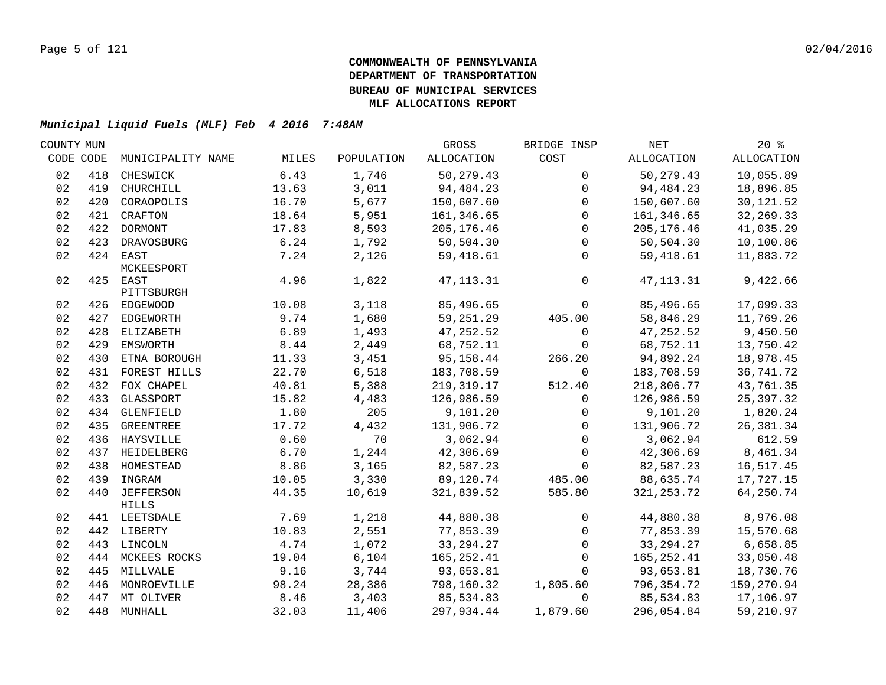| COUNTY MUN |     |                   |       |            | GROSS       | BRIDGE INSP  | NET         | $20*$      |  |
|------------|-----|-------------------|-------|------------|-------------|--------------|-------------|------------|--|
| CODE CODE  |     | MUNICIPALITY NAME | MILES | POPULATION | ALLOCATION  | COST         | ALLOCATION  | ALLOCATION |  |
| 02         | 418 | CHESWICK          | 6.43  | 1,746      | 50,279.43   | $\mathbf 0$  | 50,279.43   | 10,055.89  |  |
| 02         | 419 | CHURCHILL         | 13.63 | 3,011      | 94,484.23   | $\mathbf 0$  | 94,484.23   | 18,896.85  |  |
| 02         | 420 | CORAOPOLIS        | 16.70 | 5,677      | 150,607.60  | $\mathbf{0}$ | 150,607.60  | 30,121.52  |  |
| 02         |     | 421 CRAFTON       | 18.64 | 5,951      | 161,346.65  | $\mathbf 0$  | 161,346.65  | 32,269.33  |  |
| 02         |     | 422 DORMONT       | 17.83 | 8,593      | 205,176.46  | $\Omega$     | 205,176.46  | 41,035.29  |  |
| 02         |     | 423 DRAVOSBURG    | 6.24  | 1,792      | 50,504.30   | $\mathbf 0$  | 50,504.30   | 10,100.86  |  |
| 02         |     | 424 EAST          | 7.24  | 2,126      | 59,418.61   | $\mathbf 0$  | 59,418.61   | 11,883.72  |  |
|            |     | MCKEESPORT        |       |            |             |              |             |            |  |
| 02         |     | 425 EAST          | 4.96  | 1,822      | 47, 113. 31 | $\mathbf 0$  | 47, 113. 31 | 9,422.66   |  |
|            |     | PITTSBURGH        |       |            |             |              |             |            |  |
| 02         |     | 426 EDGEWOOD      | 10.08 | 3,118      | 85,496.65   | $\mathbf 0$  | 85,496.65   | 17,099.33  |  |
| 02         |     | 427 EDGEWORTH     | 9.74  | 1,680      | 59,251.29   | 405.00       | 58,846.29   | 11,769.26  |  |
| 02         |     | 428 ELIZABETH     | 6.89  | 1,493      | 47,252.52   | $\mathsf{O}$ | 47, 252.52  | 9,450.50   |  |
| 02         |     | 429 EMSWORTH      | 8.44  | 2,449      | 68,752.11   | 0            | 68,752.11   | 13,750.42  |  |
| 02         | 430 | ETNA BOROUGH      | 11.33 | 3,451      | 95,158.44   | 266.20       | 94,892.24   | 18,978.45  |  |
| 02         |     | 431 FOREST HILLS  | 22.70 | 6,518      | 183,708.59  | $\Omega$     | 183,708.59  | 36,741.72  |  |
| 02         | 432 | FOX CHAPEL        | 40.81 | 5,388      | 219,319.17  | 512.40       | 218,806.77  | 43,761.35  |  |
| 02         | 433 | GLASSPORT         | 15.82 | 4,483      | 126,986.59  | $\Omega$     | 126,986.59  | 25,397.32  |  |
| 02         |     | 434 GLENFIELD     | 1.80  | 205        | 9,101.20    | $\mathbf{0}$ | 9,101.20    | 1,820.24   |  |
| 02         | 435 | GREENTREE         | 17.72 | 4,432      | 131,906.72  | $\Omega$     | 131,906.72  | 26, 381.34 |  |
| 02         |     | 436 HAYSVILLE     | 0.60  | 70         | 3,062.94    | $\Omega$     | 3,062.94    | 612.59     |  |
| 02         |     | 437 HEIDELBERG    | 6.70  | 1,244      | 42,306.69   | $\mathbf 0$  | 42,306.69   | 8,461.34   |  |
| 02         |     | 438 HOMESTEAD     | 8.86  | 3,165      | 82,587.23   | $\Omega$     | 82,587.23   | 16,517.45  |  |
| 02         |     | 439 INGRAM        | 10.05 | 3,330      | 89,120.74   | 485.00       | 88,635.74   | 17,727.15  |  |
| 02         |     | 440 JEFFERSON     | 44.35 | 10,619     | 321,839.52  | 585.80       | 321, 253.72 | 64,250.74  |  |
|            |     | HILLS             |       |            |             |              |             |            |  |
| 02         |     | 441 LEETSDALE     | 7.69  | 1,218      | 44,880.38   | $\mathsf{O}$ | 44,880.38   | 8,976.08   |  |
| 02         |     | 442 LIBERTY       | 10.83 | 2,551      | 77,853.39   | $\mathsf{O}$ | 77,853.39   | 15,570.68  |  |
| 02         |     | 443 LINCOLN       | 4.74  | 1,072      | 33,294.27   | $\mathbf 0$  | 33, 294. 27 | 6,658.85   |  |
| 02         |     | 444 MCKEES ROCKS  | 19.04 | 6,104      | 165,252.41  | $\Omega$     | 165,252.41  | 33,050.48  |  |
| 02         |     | 445 MILLVALE      | 9.16  | 3,744      | 93,653.81   | $\mathbf 0$  | 93,653.81   | 18,730.76  |  |
| 02         |     | 446 MONROEVILLE   | 98.24 | 28,386     | 798,160.32  | 1,805.60     | 796,354.72  | 159,270.94 |  |
| 02         |     | 447 MT OLIVER     | 8.46  | 3,403      | 85,534.83   | $\mathbf 0$  | 85,534.83   | 17,106.97  |  |
| 02         |     | 448 MUNHALL       | 32.03 | 11,406     | 297,934.44  | 1,879.60     | 296,054.84  | 59,210.97  |  |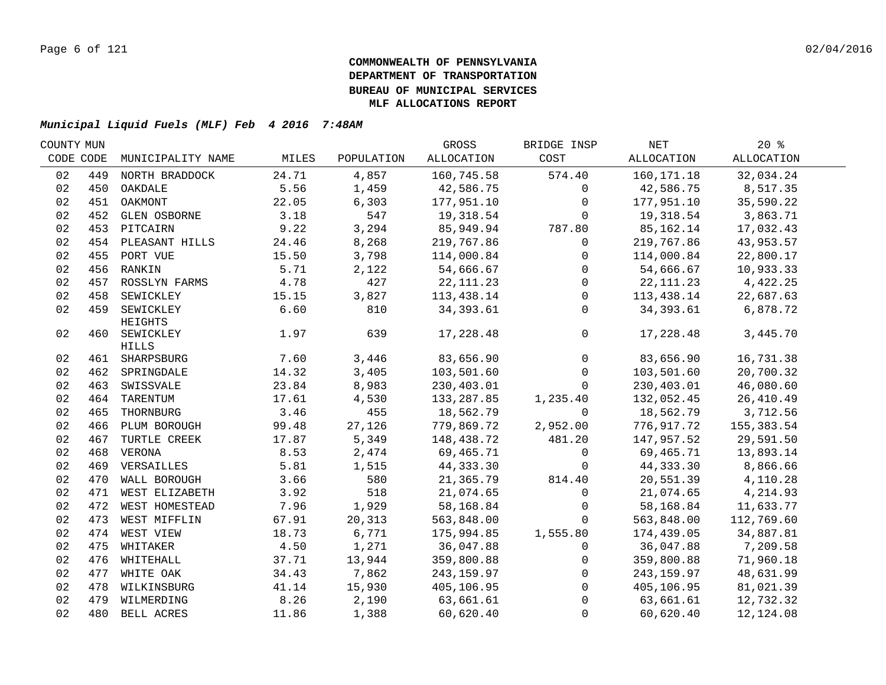| COUNTY MUN |     |                    |       |            | GROSS      | BRIDGE INSP    | NET               | $20*$             |  |
|------------|-----|--------------------|-------|------------|------------|----------------|-------------------|-------------------|--|
| CODE CODE  |     | MUNICIPALITY NAME  | MILES | POPULATION | ALLOCATION | COST           | <b>ALLOCATION</b> | <b>ALLOCATION</b> |  |
| 02         | 449 | NORTH BRADDOCK     | 24.71 | 4,857      | 160,745.58 | 574.40         | 160,171.18        | 32,034.24         |  |
| 02         | 450 | OAKDALE            | 5.56  | 1,459      | 42,586.75  | $\mathbf 0$    | 42,586.75         | 8,517.35          |  |
| 02         | 451 | OAKMONT            | 22.05 | 6,303      | 177,951.10 | $\mathbf 0$    | 177,951.10        | 35,590.22         |  |
| 02         |     | 452 GLEN OSBORNE   | 3.18  | 547        | 19,318.54  | $\mathbf 0$    | 19,318.54         | 3,863.71          |  |
| 02         |     | 453 PITCAIRN       | 9.22  | 3,294      | 85,949.94  | 787.80         | 85,162.14         | 17,032.43         |  |
| 02         |     | 454 PLEASANT HILLS | 24.46 | 8,268      | 219,767.86 | 0              | 219,767.86        | 43,953.57         |  |
| 02         |     | 455 PORT VUE       | 15.50 | 3,798      | 114,000.84 | $\mathsf{O}$   | 114,000.84        | 22,800.17         |  |
| 02         |     | 456 RANKIN         | 5.71  | 2,122      | 54,666.67  | $\overline{0}$ | 54,666.67         | 10,933.33         |  |
| 02         | 457 | ROSSLYN FARMS      | 4.78  | 427        | 22, 111.23 | $\overline{0}$ | 22, 111.23        | 4,422.25          |  |
| 02         | 458 | SEWICKLEY          | 15.15 | 3,827      | 113,438.14 | $\overline{0}$ | 113,438.14        | 22,687.63         |  |
| 02         | 459 | SEWICKLEY          | 6.60  | 810        | 34, 393.61 | $\Omega$       | 34,393.61         | 6,878.72          |  |
|            |     | HEIGHTS            |       |            |            |                |                   |                   |  |
| 02         |     | 460 SEWICKLEY      | 1.97  | 639        | 17,228.48  | $\overline{0}$ | 17,228.48         | 3,445.70          |  |
|            |     | HILLS              |       |            |            |                |                   |                   |  |
| 02         |     | 461 SHARPSBURG     | 7.60  | 3,446      | 83,656.90  | $\mathbf 0$    | 83,656.90         | 16,731.38         |  |
| 02         |     | 462 SPRINGDALE     | 14.32 | 3,405      | 103,501.60 | $\overline{0}$ | 103,501.60        | 20,700.32         |  |
| 02         | 463 | SWISSVALE          | 23.84 | 8,983      | 230,403.01 | $\mathbf{0}$   | 230,403.01        | 46,080.60         |  |
| 02         | 464 | TARENTUM           | 17.61 | 4,530      | 133,287.85 | 1,235.40       | 132,052.45        | 26, 410.49        |  |
| 02         | 465 | THORNBURG          | 3.46  | 455        | 18,562.79  | $\mathbf 0$    | 18,562.79         | 3,712.56          |  |
| 02         |     | 466 PLUM BOROUGH   | 99.48 | 27,126     | 779,869.72 | 2,952.00       | 776,917.72        | 155,383.54        |  |
| 02         | 467 | TURTLE CREEK       | 17.87 | 5,349      | 148,438.72 | 481.20         | 147,957.52        | 29,591.50         |  |
| 02         |     | 468 VERONA         | 8.53  | 2,474      | 69,465.71  | $\mathbf 0$    | 69,465.71         | 13,893.14         |  |
| 02         |     | 469 VERSAILLES     | 5.81  | 1,515      | 44, 333.30 | 0              | 44,333.30         | 8,866.66          |  |
| 02         |     | 470 WALL BOROUGH   | 3.66  | 580        | 21,365.79  | 814.40         | 20,551.39         | 4,110.28          |  |
| 02         |     | 471 WEST ELIZABETH | 3.92  | 518        | 21,074.65  | 0              | 21,074.65         | 4,214.93          |  |
| 02         |     | 472 WEST HOMESTEAD | 7.96  | 1,929      | 58,168.84  | $\mathbf 0$    | 58,168.84         | 11,633.77         |  |
| 02         |     | 473 WEST MIFFLIN   | 67.91 | 20,313     | 563,848.00 | $\mathbf{0}$   | 563,848.00        | 112,769.60        |  |
| 02         |     | 474 WEST VIEW      | 18.73 | 6,771      | 175,994.85 | 1,555.80       | 174,439.05        | 34,887.81         |  |
| 02         |     | 475 WHITAKER       | 4.50  | 1,271      | 36,047.88  | $\mathbf{0}$   | 36,047.88         | 7,209.58          |  |
| 02         |     | 476 WHITEHALL      | 37.71 | 13,944     | 359,800.88 | $\mathsf{O}$   | 359,800.88        | 71,960.18         |  |
| 02         |     | 477 WHITE OAK      | 34.43 | 7,862      | 243,159.97 | $\mathsf{O}$   | 243,159.97        | 48,631.99         |  |
| 02         |     | 478 WILKINSBURG    | 41.14 | 15,930     | 405,106.95 | $\mathbf 0$    | 405,106.95        | 81,021.39         |  |
| 02         |     | 479 WILMERDING     | 8.26  | 2,190      | 63,661.61  | $\Omega$       | 63,661.61         | 12,732.32         |  |
| 02         |     | 480 BELL ACRES     | 11.86 | 1,388      | 60,620.40  | $\mathbf{0}$   | 60,620.40         | 12,124.08         |  |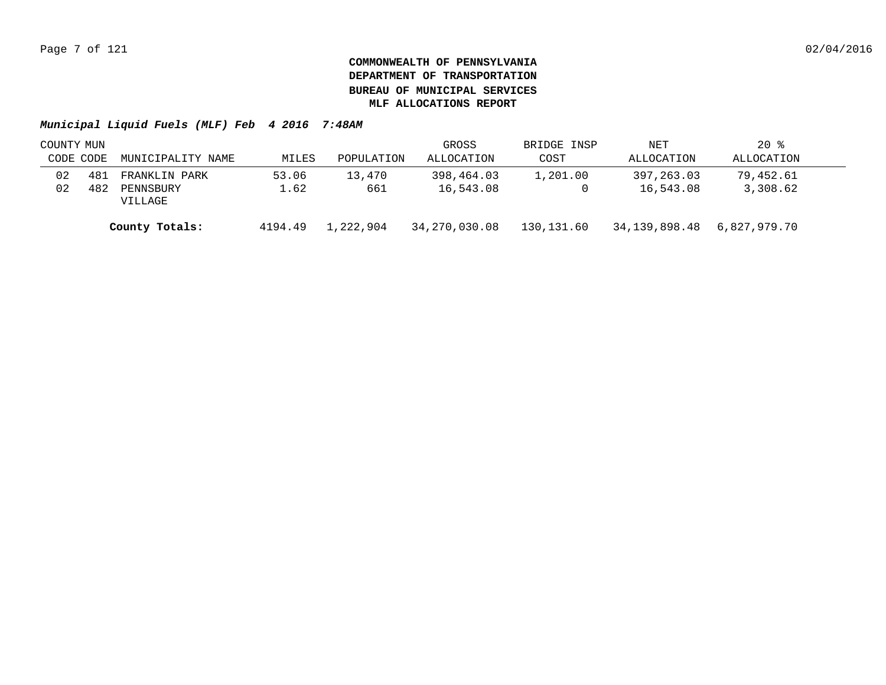|           | COUNTY MUN |                      |         |            | GROSS         | BRIDGE INSP | NET           | $20*$        |  |
|-----------|------------|----------------------|---------|------------|---------------|-------------|---------------|--------------|--|
| CODE CODE |            | MUNICIPALITY NAME    | MILES   | POPULATION | ALLOCATION    | COST        | ALLOCATION    | ALLOCATION   |  |
| 02        | 481        | FRANKLIN PARK        | 53.06   | 13,470     | 398,464.03    | 1,201.00    | 397,263.03    | 79,452.61    |  |
| 02        | 482        | PENNSBURY<br>VILLAGE | 1.62    | 661        | 16,543.08     | O           | 16,543.08     | 3,308.62     |  |
|           |            | County Totals:       | 4194.49 | 1,222,904  | 34,270,030.08 | 130,131.60  | 34,139,898.48 | 6,827,979.70 |  |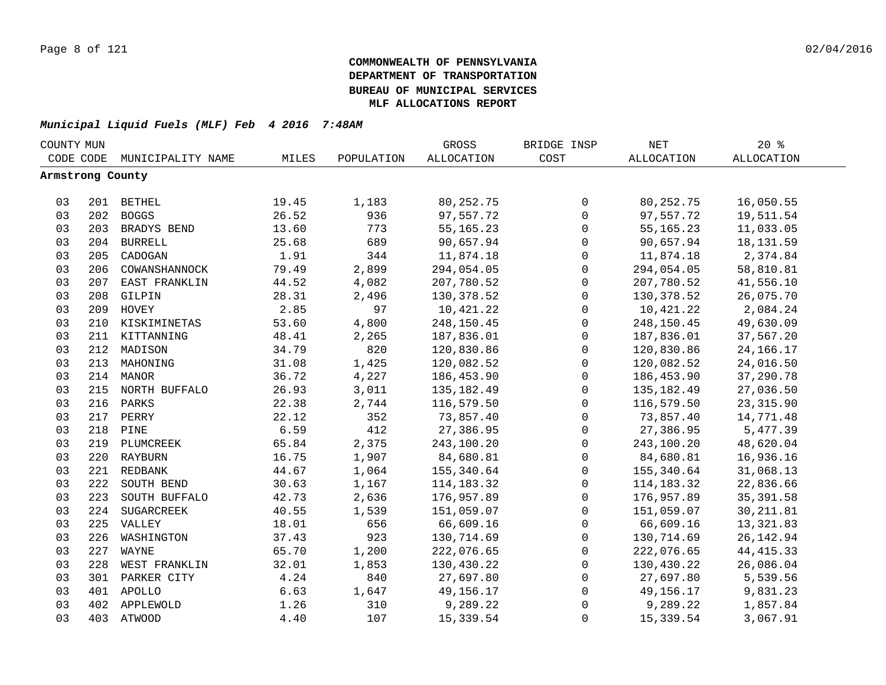| COUNTY MUN       |     |                   |       |            | GROSS             | BRIDGE INSP         | $\operatorname{NET}$ | $20*$             |  |
|------------------|-----|-------------------|-------|------------|-------------------|---------------------|----------------------|-------------------|--|
| CODE CODE        |     | MUNICIPALITY NAME | MILES | POPULATION | <b>ALLOCATION</b> | COST                | <b>ALLOCATION</b>    | <b>ALLOCATION</b> |  |
| Armstrong County |     |                   |       |            |                   |                     |                      |                   |  |
|                  |     |                   |       |            |                   |                     |                      |                   |  |
| 03               |     | 201 BETHEL        | 19.45 | 1,183      | 80, 252. 75       | 0                   | 80, 252. 75          | 16,050.55         |  |
| 03               |     | 202 BOGGS         | 26.52 | 936        | 97,557.72         | $\mathsf{O}\xspace$ | 97,557.72            | 19,511.54         |  |
| 03               |     | 203 BRADYS BEND   | 13.60 | 773        | 55, 165. 23       | $\mathsf 0$         | 55, 165. 23          | 11,033.05         |  |
| 03               |     | 204 BURRELL       | 25.68 | 689        | 90,657.94         | $\mathsf{O}\xspace$ | 90,657.94            | 18, 131.59        |  |
| 03               | 205 | CADOGAN           | 1.91  | 344        | 11,874.18         | $\mathbf 0$         | 11,874.18            | 2,374.84          |  |
| 03               | 206 | COWANSHANNOCK     | 79.49 | 2,899      | 294,054.05        | $\mathbf 0$         | 294,054.05           | 58,810.81         |  |
| 03               | 207 | EAST FRANKLIN     | 44.52 | 4,082      | 207,780.52        | $\mathbf 0$         | 207,780.52           | 41,556.10         |  |
| 03               | 208 | GILPIN            | 28.31 | 2,496      | 130,378.52        | $\mathbf 0$         | 130,378.52           | 26,075.70         |  |
| 03               | 209 | HOVEY             | 2.85  | 97         | 10,421.22         | $\mathbf 0$         | 10,421.22            | 2,084.24          |  |
| 03               | 210 | KISKIMINETAS      | 53.60 | 4,800      | 248,150.45        | $\mathsf{O}$        | 248,150.45           | 49,630.09         |  |
| 03               |     | 211 KITTANNING    | 48.41 | 2,265      | 187,836.01        | $\mathsf{O}$        | 187,836.01           | 37,567.20         |  |
| 03               | 212 | MADISON           | 34.79 | 820        | 120,830.86        | $\mathsf{O}\xspace$ | 120,830.86           | 24, 166. 17       |  |
| 03               | 213 | MAHONING          | 31.08 | 1,425      | 120,082.52        | $\mathsf 0$         | 120,082.52           | 24,016.50         |  |
| 03               | 214 | <b>MANOR</b>      | 36.72 | 4,227      | 186,453.90        | $\mathsf 0$         | 186,453.90           | 37,290.78         |  |
| 03               |     | 215 NORTH BUFFALO | 26.93 | 3,011      | 135, 182. 49      | $\mathbf 0$         | 135, 182.49          | 27,036.50         |  |
| 03               | 216 | PARKS             | 22.38 | 2,744      | 116,579.50        | $\mathsf 0$         | 116,579.50           | 23, 315.90        |  |
| 03               |     | 217 PERRY         | 22.12 | 352        | 73,857.40         | 0                   | 73,857.40            | 14,771.48         |  |
| 03               | 218 | PINE              | 6.59  | 412        | 27,386.95         | $\mathsf{O}\xspace$ | 27,386.95            | 5,477.39          |  |
| 03               |     | 219 PLUMCREEK     | 65.84 | 2,375      | 243,100.20        | $\mathsf{O}\xspace$ | 243,100.20           | 48,620.04         |  |
| 03               |     | 220 RAYBURN       | 16.75 | 1,907      | 84,680.81         | 0                   | 84,680.81            | 16,936.16         |  |
| 03               |     | 221 REDBANK       | 44.67 | 1,064      | 155,340.64        | $\mathsf{O}$        | 155,340.64           | 31,068.13         |  |
| 03               | 222 | SOUTH BEND        | 30.63 | 1,167      | 114, 183. 32      | $\mathbf 0$         | 114,183.32           | 22,836.66         |  |
| 03               | 223 | SOUTH BUFFALO     | 42.73 | 2,636      | 176,957.89        | $\mathbf 0$         | 176,957.89           | 35, 391.58        |  |
| 03               | 224 | SUGARCREEK        | 40.55 | 1,539      | 151,059.07        | $\mathsf{O}$        | 151,059.07           | 30, 211.81        |  |
| 03               |     | 225 VALLEY        | 18.01 | 656        | 66,609.16         | $\mathbf 0$         | 66,609.16            | 13, 321.83        |  |
| 03               | 226 | WASHINGTON        | 37.43 | 923        | 130,714.69        | $\mathbf 0$         | 130,714.69           | 26, 142.94        |  |
| 03               | 227 | WAYNE             | 65.70 | 1,200      | 222,076.65        | $\mathsf{O}$        | 222,076.65           | 44, 415.33        |  |
| 03               | 228 | WEST FRANKLIN     | 32.01 | 1,853      | 130,430.22        | $\mathsf{O}$        | 130,430.22           | 26,086.04         |  |
| 03               | 301 | PARKER CITY       | 4.24  | 840        | 27,697.80         | $\mathsf{O}$        | 27,697.80            | 5,539.56          |  |
| 03               |     | 401 APOLLO        | 6.63  | 1,647      | 49,156.17         | 0                   | 49,156.17            | 9,831.23          |  |
| 03               | 402 | APPLEWOLD         | 1.26  | 310        | 9,289.22          | 0                   | 9,289.22             | 1,857.84          |  |
| 03               |     | 403 ATWOOD        | 4.40  | 107        | 15,339.54         | $\mathsf 0$         | 15,339.54            | 3,067.91          |  |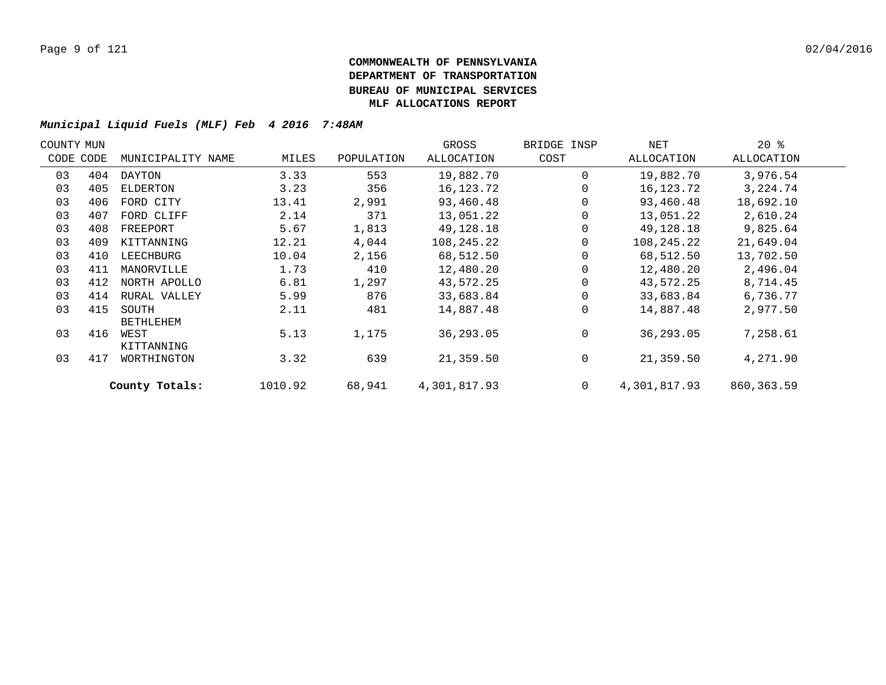| COUNTY MUN |           |                    |         |            | GROSS        | BRIDGE INSP    | NET          | $20*$       |  |
|------------|-----------|--------------------|---------|------------|--------------|----------------|--------------|-------------|--|
|            | CODE CODE | MUNICIPALITY NAME  | MILES   | POPULATION | ALLOCATION   | COST           | ALLOCATION   | ALLOCATION  |  |
| 03         | 404       | DAYTON             | 3.33    | 553        | 19,882.70    | $\Omega$       | 19,882.70    | 3,976.54    |  |
| 03         | 405       | ELDERTON           | 3.23    | 356        | 16,123.72    | 0              | 16,123.72    | 3,224.74    |  |
| 03         | 406       | FORD CITY          | 13.41   | 2,991      | 93,460.48    | 0              | 93,460.48    | 18,692.10   |  |
| 03         | 407       | FORD CLIFF         | 2.14    | 371        | 13,051.22    |                | 13,051.22    | 2,610.24    |  |
| 03         | 408       | FREEPORT           | 5.67    | 1,813      | 49,128.18    | 0              | 49,128.18    | 9,825.64    |  |
| 03         | 409       | KITTANNING         | 12.21   | 4,044      | 108,245.22   | 0              | 108,245.22   | 21,649.04   |  |
| 03         | 410       | LEECHBURG          | 10.04   | 2,156      | 68,512.50    | 0              | 68,512.50    | 13,702.50   |  |
| 03         | 411       | MANORVILLE         | 1.73    | 410        | 12,480.20    |                | 12,480.20    | 2,496.04    |  |
| 03         | 412       | NORTH APOLLO       | 6.81    | 1,297      | 43,572.25    |                | 43,572.25    | 8,714.45    |  |
| 03         | 414       | RURAL VALLEY       | 5.99    | 876        | 33,683.84    |                | 33,683.84    | 6,736.77    |  |
| 03         | 415       | SOUTH              | 2.11    | 481        | 14,887.48    | $\Omega$       | 14,887.48    | 2,977.50    |  |
| 03         |           | <b>BETHLEHEM</b>   |         | 1,175      |              | 0              |              |             |  |
|            | 416       | WEST<br>KITTANNING | 5.13    |            | 36,293.05    |                | 36,293.05    | 7,258.61    |  |
| 03         | 417       | WORTHINGTON        | 3.32    | 639        | 21,359.50    | 0              | 21,359.50    | 4,271.90    |  |
|            |           | County Totals:     | 1010.92 | 68,941     | 4,301,817.93 | $\overline{0}$ | 4,301,817.93 | 860, 363.59 |  |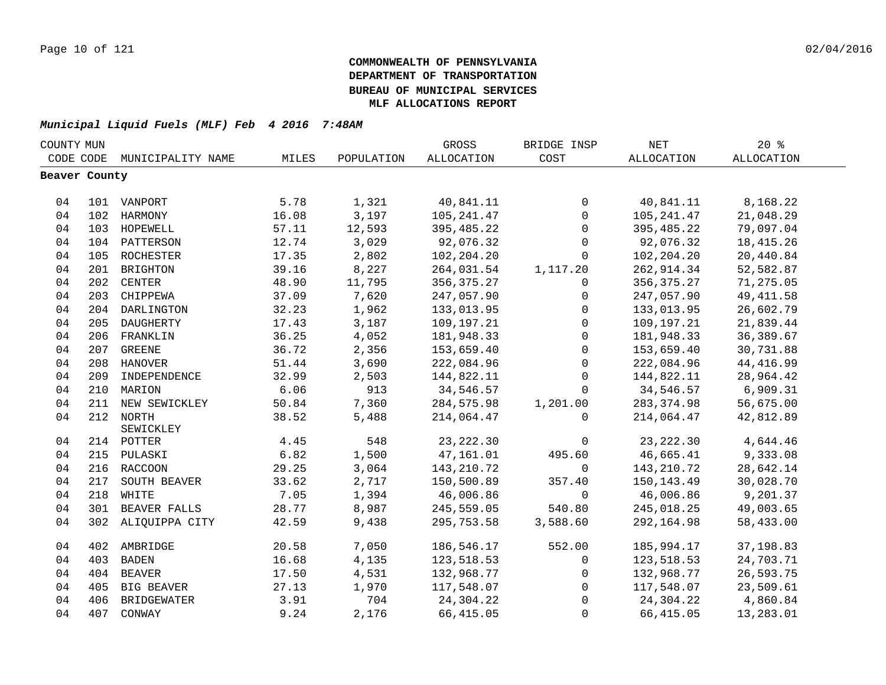| CODE CODE<br><b>ALLOCATION</b><br>COST<br>ALLOCATION<br><b>ALLOCATION</b><br>MUNICIPALITY NAME<br>MILES<br>POPULATION<br>Beaver County<br>5.78<br>1,321<br>40,841.11<br>0<br>40,841.11<br>8,168.22<br>04<br>101 VANPORT<br>16.08<br>3,197<br>105, 241.47<br>$\mathbf 0$<br>105, 241.47<br>04<br>102 HARMONY<br>21,048.29<br>12,593<br>04<br>103 HOPEWELL<br>57.11<br>395,485.22<br>$\mathsf{O}$<br>395, 485.22<br>79,097.04<br>04<br>12.74<br>3,029<br>92,076.32<br>92,076.32<br>18, 415. 26<br>104 PATTERSON<br>$\mathbf 0$<br>04<br>17.35<br>2,802<br>105<br>ROCHESTER<br>102,204.20<br>102,204.20<br>20,440.84<br>$\mathbf 0$<br>04<br>39.16<br>8,227<br>1,117.20<br>201<br><b>BRIGHTON</b><br>264,031.54<br>262,914.34<br>52,582.87<br>04<br><b>CENTER</b><br>48.90<br>11,795<br>356, 375. 27<br>356, 375. 27<br>71,275.05<br>202<br>$\mathbf 0$<br>04<br>203<br>CHIPPEWA<br>37.09<br>7,620<br>247,057.90<br>247,057.90<br>49, 411.58<br>$\mathbf 0$<br>04<br>DARLINGTON<br>32.23<br>1,962<br>$\mathbf 0$<br>26,602.79<br>204<br>133,013.95<br>133,013.95<br>04<br>17.43<br>3,187<br>109,197.21<br>205<br>DAUGHERTY<br>$\mathbf 0$<br>109,197.21<br>21,839.44<br>04<br>36.25<br>4,052<br>206 FRANKLIN<br>181,948.33<br>$\mathbf 0$<br>181,948.33<br>36, 389.67<br>36.72<br>2,356<br>04<br>207 GREENE<br>153,659.40<br>$\mathbf 0$<br>153,659.40<br>30,731.88<br>04<br>51.44<br>3,690<br>222,084.96<br>222,084.96<br>44, 416.99<br>208 HANOVER<br>$\mathbf 0$<br>04<br>2,503<br>144,822.11<br>144,822.11<br>28,964.42<br>209 INDEPENDENCE<br>32.99<br>0<br>6.06<br>913<br>34,546.57<br>34,546.57<br>6,909.31<br>04<br>210 MARION<br>$\mathbf 0$<br>04<br>56,675.00<br>211 NEW SEWICKLEY<br>50.84<br>7,360<br>284,575.98<br>1,201.00<br>283, 374.98<br>04<br>212 NORTH<br>38.52<br>5,488<br>214,064.47<br>214,064.47<br>42,812.89<br>$\Omega$<br>SEWICKLEY<br>04<br>214 POTTER<br>4.45<br>548<br>23, 222.30<br>$\mathbf 0$<br>23, 222.30<br>4,644.46<br>6.82<br>1,500<br>47,161.01<br>46,665.41<br>9,333.08<br>04<br>495.60<br>215 PULASKI<br>143, 210.72<br>28,642.14<br>04<br>216 RACCOON<br>29.25<br>3,064<br>143, 210.72<br>$\mathbf 0$<br>04<br>2,717<br>150,500.89<br>357.40<br>150, 143. 49<br>217<br>SOUTH BEAVER<br>33.62<br>30,028.70<br>04<br>WHITE<br>46,006.86<br>218<br>7.05<br>1,394<br>46,006.86<br>9,201.37<br>$\mathbf{0}$<br>04<br>BEAVER FALLS<br>301<br>28.77<br>8,987<br>245,559.05<br>540.80<br>245,018.25<br>49,003.65<br>04<br>302 ALIQUIPPA CITY<br>42.59<br>9,438<br>295,753.58<br>3,588.60<br>292,164.98<br>58,433.00<br>7,050<br>04<br>20.58<br>186,546.17<br>552.00<br>185,994.17<br>37,198.83<br>402 AMBRIDGE<br>16.68<br>04<br>403<br><b>BADEN</b><br>4,135<br>123,518.53<br>123,518.53<br>24,703.71<br>$\mathbf 0$<br>04<br>17.50<br>4,531<br>132,968.77<br>132,968.77<br>404<br><b>BEAVER</b><br>26,593.75<br>$\mathbf 0$<br>04<br>27.13<br>1,970<br>117,548.07<br>23,509.61<br>405<br>BIG BEAVER<br>$\Omega$<br>117,548.07<br>04<br>3.91<br>704<br>24,304.22<br>406<br><b>BRIDGEWATER</b><br>$\Omega$<br>24,304.22<br>4,860.84 |    | COUNTY MUN |        |      |       | GROSS      | BRIDGE INSP | <b>NET</b> | $20*$     |
|---------------------------------------------------------------------------------------------------------------------------------------------------------------------------------------------------------------------------------------------------------------------------------------------------------------------------------------------------------------------------------------------------------------------------------------------------------------------------------------------------------------------------------------------------------------------------------------------------------------------------------------------------------------------------------------------------------------------------------------------------------------------------------------------------------------------------------------------------------------------------------------------------------------------------------------------------------------------------------------------------------------------------------------------------------------------------------------------------------------------------------------------------------------------------------------------------------------------------------------------------------------------------------------------------------------------------------------------------------------------------------------------------------------------------------------------------------------------------------------------------------------------------------------------------------------------------------------------------------------------------------------------------------------------------------------------------------------------------------------------------------------------------------------------------------------------------------------------------------------------------------------------------------------------------------------------------------------------------------------------------------------------------------------------------------------------------------------------------------------------------------------------------------------------------------------------------------------------------------------------------------------------------------------------------------------------------------------------------------------------------------------------------------------------------------------------------------------------------------------------------------------------------------------------------------------------------------------------------------------------------------------------------------------------------------------------------------------------------------------------------------------------------------------------------------------------------------------------------------------------------------------------------------------------------------------------------------------------------------------------------------------------------------------------------------------------|----|------------|--------|------|-------|------------|-------------|------------|-----------|
|                                                                                                                                                                                                                                                                                                                                                                                                                                                                                                                                                                                                                                                                                                                                                                                                                                                                                                                                                                                                                                                                                                                                                                                                                                                                                                                                                                                                                                                                                                                                                                                                                                                                                                                                                                                                                                                                                                                                                                                                                                                                                                                                                                                                                                                                                                                                                                                                                                                                                                                                                                                                                                                                                                                                                                                                                                                                                                                                                                                                                                                                     |    |            |        |      |       |            |             |            |           |
|                                                                                                                                                                                                                                                                                                                                                                                                                                                                                                                                                                                                                                                                                                                                                                                                                                                                                                                                                                                                                                                                                                                                                                                                                                                                                                                                                                                                                                                                                                                                                                                                                                                                                                                                                                                                                                                                                                                                                                                                                                                                                                                                                                                                                                                                                                                                                                                                                                                                                                                                                                                                                                                                                                                                                                                                                                                                                                                                                                                                                                                                     |    |            |        |      |       |            |             |            |           |
|                                                                                                                                                                                                                                                                                                                                                                                                                                                                                                                                                                                                                                                                                                                                                                                                                                                                                                                                                                                                                                                                                                                                                                                                                                                                                                                                                                                                                                                                                                                                                                                                                                                                                                                                                                                                                                                                                                                                                                                                                                                                                                                                                                                                                                                                                                                                                                                                                                                                                                                                                                                                                                                                                                                                                                                                                                                                                                                                                                                                                                                                     |    |            |        |      |       |            |             |            |           |
|                                                                                                                                                                                                                                                                                                                                                                                                                                                                                                                                                                                                                                                                                                                                                                                                                                                                                                                                                                                                                                                                                                                                                                                                                                                                                                                                                                                                                                                                                                                                                                                                                                                                                                                                                                                                                                                                                                                                                                                                                                                                                                                                                                                                                                                                                                                                                                                                                                                                                                                                                                                                                                                                                                                                                                                                                                                                                                                                                                                                                                                                     |    |            |        |      |       |            |             |            |           |
|                                                                                                                                                                                                                                                                                                                                                                                                                                                                                                                                                                                                                                                                                                                                                                                                                                                                                                                                                                                                                                                                                                                                                                                                                                                                                                                                                                                                                                                                                                                                                                                                                                                                                                                                                                                                                                                                                                                                                                                                                                                                                                                                                                                                                                                                                                                                                                                                                                                                                                                                                                                                                                                                                                                                                                                                                                                                                                                                                                                                                                                                     |    |            |        |      |       |            |             |            |           |
|                                                                                                                                                                                                                                                                                                                                                                                                                                                                                                                                                                                                                                                                                                                                                                                                                                                                                                                                                                                                                                                                                                                                                                                                                                                                                                                                                                                                                                                                                                                                                                                                                                                                                                                                                                                                                                                                                                                                                                                                                                                                                                                                                                                                                                                                                                                                                                                                                                                                                                                                                                                                                                                                                                                                                                                                                                                                                                                                                                                                                                                                     |    |            |        |      |       |            |             |            |           |
|                                                                                                                                                                                                                                                                                                                                                                                                                                                                                                                                                                                                                                                                                                                                                                                                                                                                                                                                                                                                                                                                                                                                                                                                                                                                                                                                                                                                                                                                                                                                                                                                                                                                                                                                                                                                                                                                                                                                                                                                                                                                                                                                                                                                                                                                                                                                                                                                                                                                                                                                                                                                                                                                                                                                                                                                                                                                                                                                                                                                                                                                     |    |            |        |      |       |            |             |            |           |
|                                                                                                                                                                                                                                                                                                                                                                                                                                                                                                                                                                                                                                                                                                                                                                                                                                                                                                                                                                                                                                                                                                                                                                                                                                                                                                                                                                                                                                                                                                                                                                                                                                                                                                                                                                                                                                                                                                                                                                                                                                                                                                                                                                                                                                                                                                                                                                                                                                                                                                                                                                                                                                                                                                                                                                                                                                                                                                                                                                                                                                                                     |    |            |        |      |       |            |             |            |           |
|                                                                                                                                                                                                                                                                                                                                                                                                                                                                                                                                                                                                                                                                                                                                                                                                                                                                                                                                                                                                                                                                                                                                                                                                                                                                                                                                                                                                                                                                                                                                                                                                                                                                                                                                                                                                                                                                                                                                                                                                                                                                                                                                                                                                                                                                                                                                                                                                                                                                                                                                                                                                                                                                                                                                                                                                                                                                                                                                                                                                                                                                     |    |            |        |      |       |            |             |            |           |
|                                                                                                                                                                                                                                                                                                                                                                                                                                                                                                                                                                                                                                                                                                                                                                                                                                                                                                                                                                                                                                                                                                                                                                                                                                                                                                                                                                                                                                                                                                                                                                                                                                                                                                                                                                                                                                                                                                                                                                                                                                                                                                                                                                                                                                                                                                                                                                                                                                                                                                                                                                                                                                                                                                                                                                                                                                                                                                                                                                                                                                                                     |    |            |        |      |       |            |             |            |           |
|                                                                                                                                                                                                                                                                                                                                                                                                                                                                                                                                                                                                                                                                                                                                                                                                                                                                                                                                                                                                                                                                                                                                                                                                                                                                                                                                                                                                                                                                                                                                                                                                                                                                                                                                                                                                                                                                                                                                                                                                                                                                                                                                                                                                                                                                                                                                                                                                                                                                                                                                                                                                                                                                                                                                                                                                                                                                                                                                                                                                                                                                     |    |            |        |      |       |            |             |            |           |
|                                                                                                                                                                                                                                                                                                                                                                                                                                                                                                                                                                                                                                                                                                                                                                                                                                                                                                                                                                                                                                                                                                                                                                                                                                                                                                                                                                                                                                                                                                                                                                                                                                                                                                                                                                                                                                                                                                                                                                                                                                                                                                                                                                                                                                                                                                                                                                                                                                                                                                                                                                                                                                                                                                                                                                                                                                                                                                                                                                                                                                                                     |    |            |        |      |       |            |             |            |           |
|                                                                                                                                                                                                                                                                                                                                                                                                                                                                                                                                                                                                                                                                                                                                                                                                                                                                                                                                                                                                                                                                                                                                                                                                                                                                                                                                                                                                                                                                                                                                                                                                                                                                                                                                                                                                                                                                                                                                                                                                                                                                                                                                                                                                                                                                                                                                                                                                                                                                                                                                                                                                                                                                                                                                                                                                                                                                                                                                                                                                                                                                     |    |            |        |      |       |            |             |            |           |
|                                                                                                                                                                                                                                                                                                                                                                                                                                                                                                                                                                                                                                                                                                                                                                                                                                                                                                                                                                                                                                                                                                                                                                                                                                                                                                                                                                                                                                                                                                                                                                                                                                                                                                                                                                                                                                                                                                                                                                                                                                                                                                                                                                                                                                                                                                                                                                                                                                                                                                                                                                                                                                                                                                                                                                                                                                                                                                                                                                                                                                                                     |    |            |        |      |       |            |             |            |           |
|                                                                                                                                                                                                                                                                                                                                                                                                                                                                                                                                                                                                                                                                                                                                                                                                                                                                                                                                                                                                                                                                                                                                                                                                                                                                                                                                                                                                                                                                                                                                                                                                                                                                                                                                                                                                                                                                                                                                                                                                                                                                                                                                                                                                                                                                                                                                                                                                                                                                                                                                                                                                                                                                                                                                                                                                                                                                                                                                                                                                                                                                     |    |            |        |      |       |            |             |            |           |
|                                                                                                                                                                                                                                                                                                                                                                                                                                                                                                                                                                                                                                                                                                                                                                                                                                                                                                                                                                                                                                                                                                                                                                                                                                                                                                                                                                                                                                                                                                                                                                                                                                                                                                                                                                                                                                                                                                                                                                                                                                                                                                                                                                                                                                                                                                                                                                                                                                                                                                                                                                                                                                                                                                                                                                                                                                                                                                                                                                                                                                                                     |    |            |        |      |       |            |             |            |           |
|                                                                                                                                                                                                                                                                                                                                                                                                                                                                                                                                                                                                                                                                                                                                                                                                                                                                                                                                                                                                                                                                                                                                                                                                                                                                                                                                                                                                                                                                                                                                                                                                                                                                                                                                                                                                                                                                                                                                                                                                                                                                                                                                                                                                                                                                                                                                                                                                                                                                                                                                                                                                                                                                                                                                                                                                                                                                                                                                                                                                                                                                     |    |            |        |      |       |            |             |            |           |
|                                                                                                                                                                                                                                                                                                                                                                                                                                                                                                                                                                                                                                                                                                                                                                                                                                                                                                                                                                                                                                                                                                                                                                                                                                                                                                                                                                                                                                                                                                                                                                                                                                                                                                                                                                                                                                                                                                                                                                                                                                                                                                                                                                                                                                                                                                                                                                                                                                                                                                                                                                                                                                                                                                                                                                                                                                                                                                                                                                                                                                                                     |    |            |        |      |       |            |             |            |           |
|                                                                                                                                                                                                                                                                                                                                                                                                                                                                                                                                                                                                                                                                                                                                                                                                                                                                                                                                                                                                                                                                                                                                                                                                                                                                                                                                                                                                                                                                                                                                                                                                                                                                                                                                                                                                                                                                                                                                                                                                                                                                                                                                                                                                                                                                                                                                                                                                                                                                                                                                                                                                                                                                                                                                                                                                                                                                                                                                                                                                                                                                     |    |            |        |      |       |            |             |            |           |
|                                                                                                                                                                                                                                                                                                                                                                                                                                                                                                                                                                                                                                                                                                                                                                                                                                                                                                                                                                                                                                                                                                                                                                                                                                                                                                                                                                                                                                                                                                                                                                                                                                                                                                                                                                                                                                                                                                                                                                                                                                                                                                                                                                                                                                                                                                                                                                                                                                                                                                                                                                                                                                                                                                                                                                                                                                                                                                                                                                                                                                                                     |    |            |        |      |       |            |             |            |           |
|                                                                                                                                                                                                                                                                                                                                                                                                                                                                                                                                                                                                                                                                                                                                                                                                                                                                                                                                                                                                                                                                                                                                                                                                                                                                                                                                                                                                                                                                                                                                                                                                                                                                                                                                                                                                                                                                                                                                                                                                                                                                                                                                                                                                                                                                                                                                                                                                                                                                                                                                                                                                                                                                                                                                                                                                                                                                                                                                                                                                                                                                     |    |            |        |      |       |            |             |            |           |
|                                                                                                                                                                                                                                                                                                                                                                                                                                                                                                                                                                                                                                                                                                                                                                                                                                                                                                                                                                                                                                                                                                                                                                                                                                                                                                                                                                                                                                                                                                                                                                                                                                                                                                                                                                                                                                                                                                                                                                                                                                                                                                                                                                                                                                                                                                                                                                                                                                                                                                                                                                                                                                                                                                                                                                                                                                                                                                                                                                                                                                                                     |    |            |        |      |       |            |             |            |           |
|                                                                                                                                                                                                                                                                                                                                                                                                                                                                                                                                                                                                                                                                                                                                                                                                                                                                                                                                                                                                                                                                                                                                                                                                                                                                                                                                                                                                                                                                                                                                                                                                                                                                                                                                                                                                                                                                                                                                                                                                                                                                                                                                                                                                                                                                                                                                                                                                                                                                                                                                                                                                                                                                                                                                                                                                                                                                                                                                                                                                                                                                     |    |            |        |      |       |            |             |            |           |
|                                                                                                                                                                                                                                                                                                                                                                                                                                                                                                                                                                                                                                                                                                                                                                                                                                                                                                                                                                                                                                                                                                                                                                                                                                                                                                                                                                                                                                                                                                                                                                                                                                                                                                                                                                                                                                                                                                                                                                                                                                                                                                                                                                                                                                                                                                                                                                                                                                                                                                                                                                                                                                                                                                                                                                                                                                                                                                                                                                                                                                                                     |    |            |        |      |       |            |             |            |           |
|                                                                                                                                                                                                                                                                                                                                                                                                                                                                                                                                                                                                                                                                                                                                                                                                                                                                                                                                                                                                                                                                                                                                                                                                                                                                                                                                                                                                                                                                                                                                                                                                                                                                                                                                                                                                                                                                                                                                                                                                                                                                                                                                                                                                                                                                                                                                                                                                                                                                                                                                                                                                                                                                                                                                                                                                                                                                                                                                                                                                                                                                     |    |            |        |      |       |            |             |            |           |
|                                                                                                                                                                                                                                                                                                                                                                                                                                                                                                                                                                                                                                                                                                                                                                                                                                                                                                                                                                                                                                                                                                                                                                                                                                                                                                                                                                                                                                                                                                                                                                                                                                                                                                                                                                                                                                                                                                                                                                                                                                                                                                                                                                                                                                                                                                                                                                                                                                                                                                                                                                                                                                                                                                                                                                                                                                                                                                                                                                                                                                                                     |    |            |        |      |       |            |             |            |           |
|                                                                                                                                                                                                                                                                                                                                                                                                                                                                                                                                                                                                                                                                                                                                                                                                                                                                                                                                                                                                                                                                                                                                                                                                                                                                                                                                                                                                                                                                                                                                                                                                                                                                                                                                                                                                                                                                                                                                                                                                                                                                                                                                                                                                                                                                                                                                                                                                                                                                                                                                                                                                                                                                                                                                                                                                                                                                                                                                                                                                                                                                     |    |            |        |      |       |            |             |            |           |
|                                                                                                                                                                                                                                                                                                                                                                                                                                                                                                                                                                                                                                                                                                                                                                                                                                                                                                                                                                                                                                                                                                                                                                                                                                                                                                                                                                                                                                                                                                                                                                                                                                                                                                                                                                                                                                                                                                                                                                                                                                                                                                                                                                                                                                                                                                                                                                                                                                                                                                                                                                                                                                                                                                                                                                                                                                                                                                                                                                                                                                                                     |    |            |        |      |       |            |             |            |           |
|                                                                                                                                                                                                                                                                                                                                                                                                                                                                                                                                                                                                                                                                                                                                                                                                                                                                                                                                                                                                                                                                                                                                                                                                                                                                                                                                                                                                                                                                                                                                                                                                                                                                                                                                                                                                                                                                                                                                                                                                                                                                                                                                                                                                                                                                                                                                                                                                                                                                                                                                                                                                                                                                                                                                                                                                                                                                                                                                                                                                                                                                     |    |            |        |      |       |            |             |            |           |
|                                                                                                                                                                                                                                                                                                                                                                                                                                                                                                                                                                                                                                                                                                                                                                                                                                                                                                                                                                                                                                                                                                                                                                                                                                                                                                                                                                                                                                                                                                                                                                                                                                                                                                                                                                                                                                                                                                                                                                                                                                                                                                                                                                                                                                                                                                                                                                                                                                                                                                                                                                                                                                                                                                                                                                                                                                                                                                                                                                                                                                                                     |    |            |        |      |       |            |             |            |           |
|                                                                                                                                                                                                                                                                                                                                                                                                                                                                                                                                                                                                                                                                                                                                                                                                                                                                                                                                                                                                                                                                                                                                                                                                                                                                                                                                                                                                                                                                                                                                                                                                                                                                                                                                                                                                                                                                                                                                                                                                                                                                                                                                                                                                                                                                                                                                                                                                                                                                                                                                                                                                                                                                                                                                                                                                                                                                                                                                                                                                                                                                     |    |            |        |      |       |            |             |            |           |
|                                                                                                                                                                                                                                                                                                                                                                                                                                                                                                                                                                                                                                                                                                                                                                                                                                                                                                                                                                                                                                                                                                                                                                                                                                                                                                                                                                                                                                                                                                                                                                                                                                                                                                                                                                                                                                                                                                                                                                                                                                                                                                                                                                                                                                                                                                                                                                                                                                                                                                                                                                                                                                                                                                                                                                                                                                                                                                                                                                                                                                                                     |    |            |        |      |       |            |             |            |           |
|                                                                                                                                                                                                                                                                                                                                                                                                                                                                                                                                                                                                                                                                                                                                                                                                                                                                                                                                                                                                                                                                                                                                                                                                                                                                                                                                                                                                                                                                                                                                                                                                                                                                                                                                                                                                                                                                                                                                                                                                                                                                                                                                                                                                                                                                                                                                                                                                                                                                                                                                                                                                                                                                                                                                                                                                                                                                                                                                                                                                                                                                     |    |            |        |      |       |            |             |            |           |
|                                                                                                                                                                                                                                                                                                                                                                                                                                                                                                                                                                                                                                                                                                                                                                                                                                                                                                                                                                                                                                                                                                                                                                                                                                                                                                                                                                                                                                                                                                                                                                                                                                                                                                                                                                                                                                                                                                                                                                                                                                                                                                                                                                                                                                                                                                                                                                                                                                                                                                                                                                                                                                                                                                                                                                                                                                                                                                                                                                                                                                                                     | 04 | 407        | CONWAY | 9.24 | 2,176 | 66, 415.05 | 0           | 66,415.05  | 13,283.01 |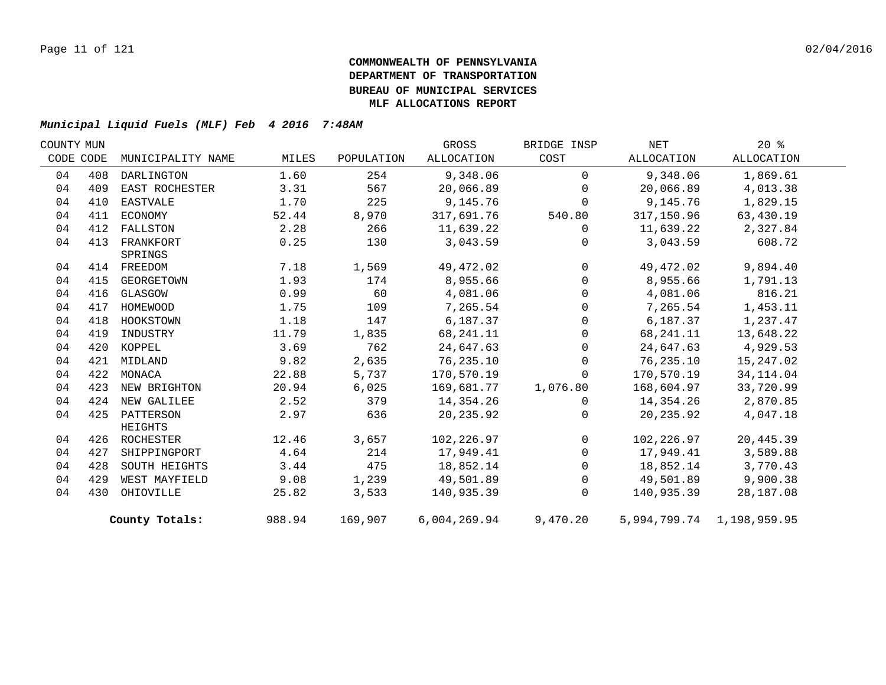| COUNTY MUN |           |                   |        |            | GROSS        | BRIDGE INSP  | NET         | $20*$                     |  |
|------------|-----------|-------------------|--------|------------|--------------|--------------|-------------|---------------------------|--|
|            | CODE CODE | MUNICIPALITY NAME | MILES  | POPULATION | ALLOCATION   | COST         | ALLOCATION  | ALLOCATION                |  |
| 04         | 408       | DARLINGTON        | 1.60   | 254        | 9,348.06     | $\Omega$     | 9,348.06    | 1,869.61                  |  |
| 04         | 409       | EAST ROCHESTER    | 3.31   | 567        | 20,066.89    | $\Omega$     | 20,066.89   | 4,013.38                  |  |
| 04         | 410       | EASTVALE          | 1.70   | 225        | 9,145.76     | $\Omega$     | 9,145.76    | 1,829.15                  |  |
| 04         | 411       | ECONOMY           | 52.44  | 8,970      | 317,691.76   | 540.80       | 317,150.96  | 63,430.19                 |  |
| 04         | 412       | FALLSTON          | 2.28   | 266        | 11,639.22    | $\Omega$     | 11,639.22   | 2,327.84                  |  |
| 04         | 413       | FRANKFORT         | 0.25   | 130        | 3,043.59     | $\Omega$     | 3,043.59    | 608.72                    |  |
|            |           | SPRINGS           |        |            |              |              |             |                           |  |
| 04         |           | 414 FREEDOM       | 7.18   | 1,569      | 49,472.02    | $\Omega$     | 49,472.02   | 9,894.40                  |  |
| 04         | 415       | GEORGETOWN        | 1.93   | 174        | 8,955.66     | $\Omega$     | 8,955.66    | 1,791.13                  |  |
| 04         | 416       | GLASGOW           | 0.99   | 60         | 4,081.06     | $\mathbf{0}$ | 4,081.06    | 816.21                    |  |
| 04         | 417       | HOMEWOOD          | 1.75   | 109        | 7,265.54     | $\Omega$     | 7,265.54    | 1,453.11                  |  |
| 04         | 418       | HOOKSTOWN         | 1.18   | 147        | 6,187.37     | $\Omega$     | 6,187.37    | 1,237.47                  |  |
| 04         | 419       | INDUSTRY          | 11.79  | 1,835      | 68, 241. 11  | $\Omega$     | 68, 241. 11 | 13,648.22                 |  |
| 04         | 420       | KOPPEL            | 3.69   | 762        | 24,647.63    | $\mathbf 0$  | 24,647.63   | 4,929.53                  |  |
| 04         | 421       | MIDLAND           | 9.82   | 2,635      | 76,235.10    | $\Omega$     | 76,235.10   | 15, 247.02                |  |
| 04         | 422       | MONACA            | 22.88  | 5,737      | 170,570.19   | $\Omega$     | 170,570.19  | 34, 114.04                |  |
| 04         | 423       | NEW BRIGHTON      | 20.94  | 6,025      | 169,681.77   | 1,076.80     | 168,604.97  | 33,720.99                 |  |
| 04         | 424       | NEW GALILEE       | 2.52   | 379        | 14,354.26    | $\Omega$     | 14,354.26   | 2,870.85                  |  |
| 04         | 425       | PATTERSON         | 2.97   | 636        | 20,235.92    | $\Omega$     | 20,235.92   | 4,047.18                  |  |
|            |           | HEIGHTS           |        |            |              |              |             |                           |  |
| 04         |           | 426 ROCHESTER     | 12.46  | 3,657      | 102,226.97   | $\Omega$     | 102,226.97  | 20,445.39                 |  |
| 04         | 427       | SHIPPINGPORT      | 4.64   | 214        | 17,949.41    | $\Omega$     | 17,949.41   | 3,589.88                  |  |
| 04         | 428       | SOUTH HEIGHTS     | 3.44   | 475        | 18,852.14    | $\mathbf 0$  | 18,852.14   | 3,770.43                  |  |
| 04         | 429       | WEST MAYFIELD     | 9.08   | 1,239      | 49,501.89    | $\mathbf{0}$ | 49,501.89   | 9,900.38                  |  |
| 04         | 430       | OHIOVILLE         | 25.82  | 3,533      | 140,935.39   | $\mathbf 0$  | 140,935.39  | 28,187.08                 |  |
|            |           | County Totals:    | 988.94 | 169,907    | 6,004,269.94 | 9,470.20     |             | 5,994,799.74 1,198,959.95 |  |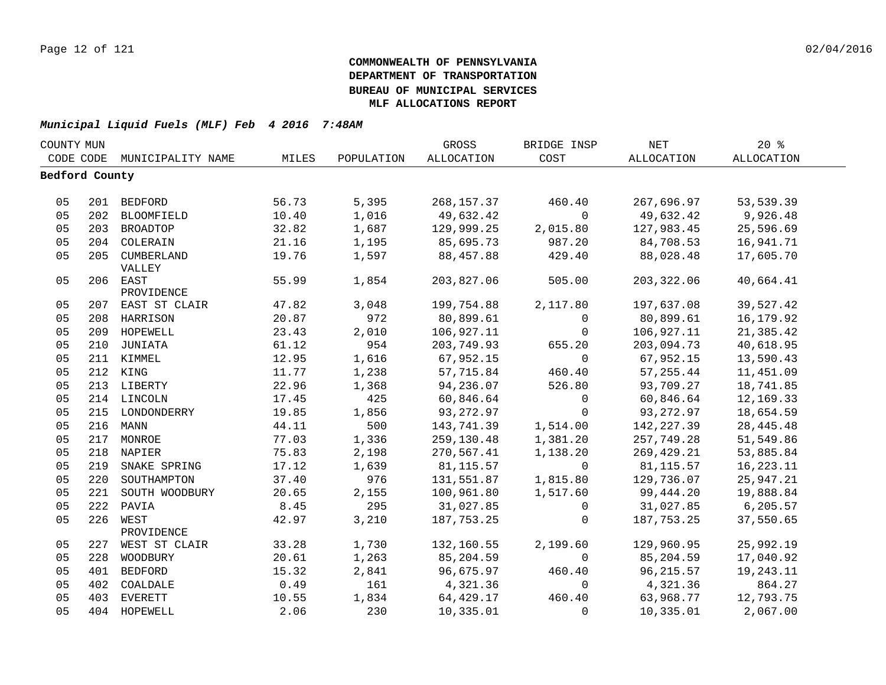|                | COUNTY MUN |                             |       |            | GROSS      | BRIDGE INSP  | <b>NET</b> | $20*$       |  |
|----------------|------------|-----------------------------|-------|------------|------------|--------------|------------|-------------|--|
|                |            | CODE CODE MUNICIPALITY NAME | MILES | POPULATION | ALLOCATION | COST         | ALLOCATION | ALLOCATION  |  |
| Bedford County |            |                             |       |            |            |              |            |             |  |
|                |            |                             |       |            |            |              |            |             |  |
| 05             |            | 201 BEDFORD                 | 56.73 | 5,395      | 268,157.37 | 460.40       | 267,696.97 | 53,539.39   |  |
| 05             |            | 202 BLOOMFIELD              | 10.40 | 1,016      | 49,632.42  | $\Omega$     | 49,632.42  | 9,926.48    |  |
| 05             |            | 203 BROADTOP                | 32.82 | 1,687      | 129,999.25 | 2,015.80     | 127,983.45 | 25,596.69   |  |
| 05             |            | 204 COLERAIN                | 21.16 | 1,195      | 85,695.73  | 987.20       | 84,708.53  | 16,941.71   |  |
| 05             |            | 205 CUMBERLAND              | 19.76 | 1,597      | 88,457.88  | 429.40       | 88,028.48  | 17,605.70   |  |
|                |            | VALLEY                      |       |            |            |              |            |             |  |
| 05             |            | 206 EAST                    | 55.99 | 1,854      | 203,827.06 | 505.00       | 203,322.06 | 40,664.41   |  |
|                |            | PROVIDENCE                  |       |            |            |              |            |             |  |
| 05             |            | 207 EAST ST CLAIR           | 47.82 | 3,048      | 199,754.88 | 2,117.80     | 197,637.08 | 39,527.42   |  |
| 05             |            | 208 HARRISON                | 20.87 | 972        | 80,899.61  | $\mathbf 0$  | 80,899.61  | 16,179.92   |  |
| 05             |            | 209 HOPEWELL                | 23.43 | 2,010      | 106,927.11 | $\mathbf 0$  | 106,927.11 | 21,385.42   |  |
| 05             |            | 210 JUNIATA                 | 61.12 | 954        | 203,749.93 | 655.20       | 203,094.73 | 40,618.95   |  |
| 05             |            | 211 KIMMEL                  | 12.95 | 1,616      | 67,952.15  | $\Omega$     | 67,952.15  | 13,590.43   |  |
| 05             |            | 212 KING                    | 11.77 | 1,238      | 57,715.84  | 460.40       | 57, 255.44 | 11,451.09   |  |
| 05             |            | 213 LIBERTY                 | 22.96 | 1,368      | 94,236.07  | 526.80       | 93,709.27  | 18,741.85   |  |
| 05             |            | 214 LINCOLN                 | 17.45 | 425        | 60,846.64  | $\mathbf 0$  | 60,846.64  | 12,169.33   |  |
| 05             |            | 215 LONDONDERRY             | 19.85 | 1,856      | 93, 272.97 | $\Omega$     | 93, 272.97 | 18,654.59   |  |
| 05             |            | 216 MANN                    | 44.11 | 500        | 143,741.39 | 1,514.00     | 142,227.39 | 28, 445. 48 |  |
| 05             |            | 217 MONROE                  | 77.03 | 1,336      | 259,130.48 | 1,381.20     | 257,749.28 | 51,549.86   |  |
| 05             |            | 218 NAPIER                  | 75.83 | 2,198      | 270,567.41 | 1,138.20     | 269,429.21 | 53,885.84   |  |
| 05             | 219        | SNAKE SPRING                | 17.12 | 1,639      | 81,115.57  | $\Omega$     | 81, 115.57 | 16, 223. 11 |  |
| 05             | 220        | SOUTHAMPTON                 | 37.40 | 976        | 131,551.87 | 1,815.80     | 129,736.07 | 25,947.21   |  |
| 05             | 221        | SOUTH WOODBURY              | 20.65 | 2,155      | 100,961.80 | 1,517.60     | 99,444.20  | 19,888.84   |  |
| 05             | 222        | PAVIA                       | 8.45  | 295        | 31,027.85  | $\mathbf{0}$ | 31,027.85  | 6, 205.57   |  |
| 05             | 226        | WEST                        | 42.97 | 3,210      | 187,753.25 | $\Omega$     | 187,753.25 | 37,550.65   |  |
|                |            | PROVIDENCE                  |       |            |            |              |            |             |  |
| 05             |            | 227 WEST ST CLAIR           | 33.28 | 1,730      | 132,160.55 | 2,199.60     | 129,960.95 | 25,992.19   |  |
| 05             | 228        | WOODBURY                    | 20.61 | 1,263      | 85,204.59  | $\Omega$     | 85,204.59  | 17,040.92   |  |
| 05             |            | 401 BEDFORD                 | 15.32 | 2,841      | 96,675.97  | 460.40       | 96, 215.57 | 19,243.11   |  |
| 05             | 402        | COALDALE                    | 0.49  | 161        | 4,321.36   | $\mathbf{0}$ | 4,321.36   | 864.27      |  |
| 05             | 403        | <b>EVERETT</b>              | 10.55 | 1,834      | 64,429.17  | 460.40       | 63,968.77  | 12,793.75   |  |
| 05             |            | 404 HOPEWELL                | 2.06  | 230        | 10,335.01  | $\Omega$     | 10,335.01  | 2,067.00    |  |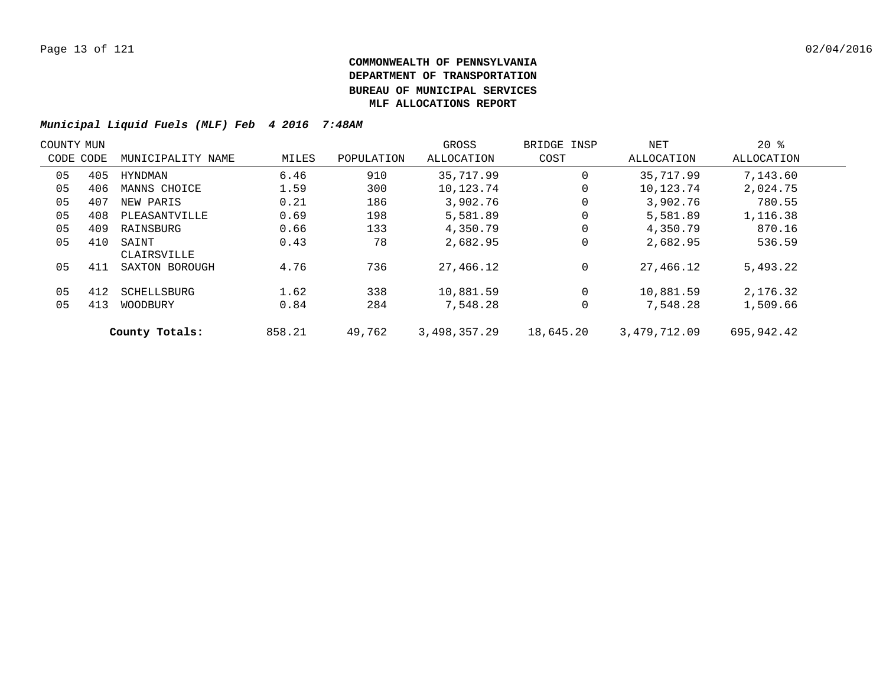| COUNTY MUN |     |                      |        |            | GROSS        | BRIDGE INSP | NET             | $20*$      |  |
|------------|-----|----------------------|--------|------------|--------------|-------------|-----------------|------------|--|
| CODE CODE  |     | MUNICIPALITY NAME    | MILES  | POPULATION | ALLOCATION   | COST        | ALLOCATION      | ALLOCATION |  |
| 05         | 405 | HYNDMAN              | 6.46   | 910        | 35,717.99    | 0           | 35,717.99       | 7,143.60   |  |
| 05         | 406 | MANNS CHOICE         | 1.59   | 300        | 10,123.74    | 0           | 10,123.74       | 2,024.75   |  |
| 05         | 407 | NEW PARIS            | 0.21   | 186        | 3,902.76     | 0           | 3,902.76        | 780.55     |  |
| 05         | 408 | PLEASANTVILLE        | 0.69   | 198        | 5,581.89     | 0           | 5,581.89        | 1,116.38   |  |
| 05         | 409 | RAINSBURG            | 0.66   | 133        | 4,350.79     | 0           | 4,350.79        | 870.16     |  |
| 05         | 410 | SAINT<br>CLAIRSVILLE | 0.43   | 78         | 2,682.95     | 0           | 2,682.95        | 536.59     |  |
| 05         | 411 | SAXTON BOROUGH       | 4.76   | 736        | 27,466.12    | 0           | 27,466.12       | 5,493.22   |  |
| 05         | 412 | SCHELLSBURG          | 1.62   | 338        | 10,881.59    | 0           | 10,881.59       | 2,176.32   |  |
| 05         | 413 | WOODBURY             | 0.84   | 284        | 7,548.28     | 0           | 7,548.28        | 1,509.66   |  |
|            |     | County Totals:       | 858.21 | 49,762     | 3,498,357.29 | 18,645.20   | 3, 479, 712, 09 | 695,942.42 |  |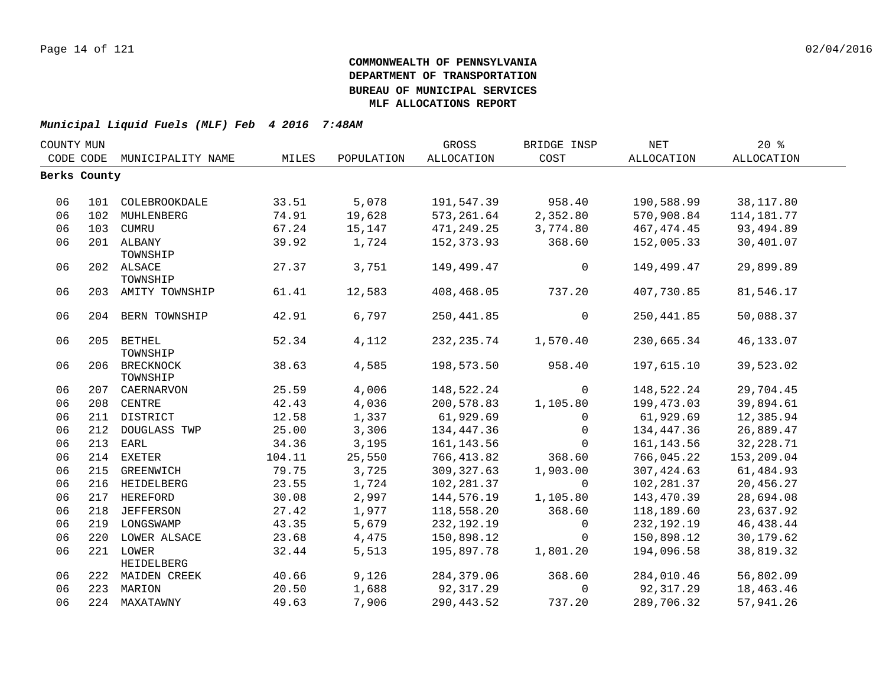| COUNTY MUN |              |                             |        |            | GROSS        | BRIDGE INSP    | <b>NET</b>   | 20%        |  |
|------------|--------------|-----------------------------|--------|------------|--------------|----------------|--------------|------------|--|
|            |              | CODE CODE MUNICIPALITY NAME | MILES  | POPULATION | ALLOCATION   | COST           | ALLOCATION   | ALLOCATION |  |
|            | Berks County |                             |        |            |              |                |              |            |  |
|            |              |                             |        |            |              |                |              |            |  |
| 06         |              | 101 COLEBROOKDALE           | 33.51  | 5,078      | 191,547.39   | 958.40         | 190,588.99   | 38,117.80  |  |
| 06         |              | 102 MUHLENBERG              | 74.91  | 19,628     | 573,261.64   | 2,352.80       | 570,908.84   | 114,181.77 |  |
| 06         |              | 103 CUMRU                   | 67.24  | 15,147     | 471,249.25   | 3,774.80       | 467,474.45   | 93,494.89  |  |
| 06         |              | 201 ALBANY                  | 39.92  | 1,724      | 152,373.93   | 368.60         | 152,005.33   | 30,401.07  |  |
|            |              | TOWNSHIP                    |        |            |              |                |              |            |  |
| 06         |              | 202 ALSACE                  | 27.37  | 3,751      | 149,499.47   | $\mathbf{0}$   | 149,499.47   | 29,899.89  |  |
|            |              | TOWNSHIP                    |        |            |              |                |              |            |  |
| 06         |              | 203 AMITY TOWNSHIP          | 61.41  | 12,583     | 408,468.05   | 737.20         | 407,730.85   | 81,546.17  |  |
| 06         |              | 204 BERN TOWNSHIP           | 42.91  | 6,797      | 250, 441.85  | $\mathsf{O}$   | 250, 441.85  | 50,088.37  |  |
|            |              |                             |        |            |              |                |              |            |  |
| 06         |              | 205 BETHEL                  | 52.34  | 4,112      | 232, 235.74  | 1,570.40       | 230,665.34   | 46,133.07  |  |
| 06         |              | TOWNSHIP                    | 38.63  | 4,585      |              | 958.40         |              |            |  |
|            |              | 206 BRECKNOCK<br>TOWNSHIP   |        |            | 198,573.50   |                | 197,615.10   | 39,523.02  |  |
| 06         |              | 207 CAERNARVON              | 25.59  | 4,006      | 148,522.24   | $\overline{0}$ | 148,522.24   | 29,704.45  |  |
| 06         |              | 208 CENTRE                  | 42.43  | 4,036      | 200,578.83   | 1,105.80       | 199,473.03   | 39,894.61  |  |
| 06         |              | 211 DISTRICT                | 12.58  | 1,337      | 61,929.69    | $\mathbf 0$    | 61,929.69    | 12,385.94  |  |
| 06         | 212          | DOUGLASS TWP                | 25.00  | 3,306      | 134,447.36   | $\overline{0}$ | 134,447.36   | 26,889.47  |  |
| 06         | 213          | EARL                        | 34.36  | 3,195      | 161,143.56   | $\Omega$       | 161,143.56   | 32, 228.71 |  |
| 06         | 214          | EXETER                      | 104.11 | 25,550     | 766,413.82   | 368.60         | 766,045.22   | 153,209.04 |  |
| 06         | 215          | GREENWICH                   | 79.75  | 3,725      | 309,327.63   | 1,903.00       | 307,424.63   | 61,484.93  |  |
| 06         |              | 216 HEIDELBERG              | 23.55  | 1,724      | 102,281.37   | $\Omega$       | 102,281.37   | 20,456.27  |  |
| 06         |              | 217 HEREFORD                | 30.08  | 2,997      | 144,576.19   | 1,105.80       | 143,470.39   | 28,694.08  |  |
| 06         |              | 218 JEFFERSON               | 27.42  | 1,977      | 118,558.20   | 368.60         | 118,189.60   | 23,637.92  |  |
| 06         |              | 219 LONGSWAMP               | 43.35  | 5,679      | 232, 192. 19 | $\mathbf 0$    | 232, 192. 19 | 46, 438.44 |  |
| 06         |              | 220 LOWER ALSACE            | 23.68  | 4,475      | 150,898.12   | $\mathbf 0$    | 150,898.12   | 30,179.62  |  |
| 06         |              | 221 LOWER                   | 32.44  | 5,513      | 195,897.78   | 1,801.20       | 194,096.58   | 38,819.32  |  |
|            |              | <b>HEIDELBERG</b>           |        |            |              |                |              |            |  |
| 06         |              | 222 MAIDEN CREEK            | 40.66  | 9,126      | 284,379.06   | 368.60         | 284,010.46   | 56,802.09  |  |
| 06         |              | 223 MARION                  | 20.50  | 1,688      | 92,317.29    | $\overline{0}$ | 92,317.29    | 18,463.46  |  |
| 06         |              | 224 MAXATAWNY               | 49.63  | 7,906      | 290,443.52   | 737.20         | 289,706.32   | 57,941.26  |  |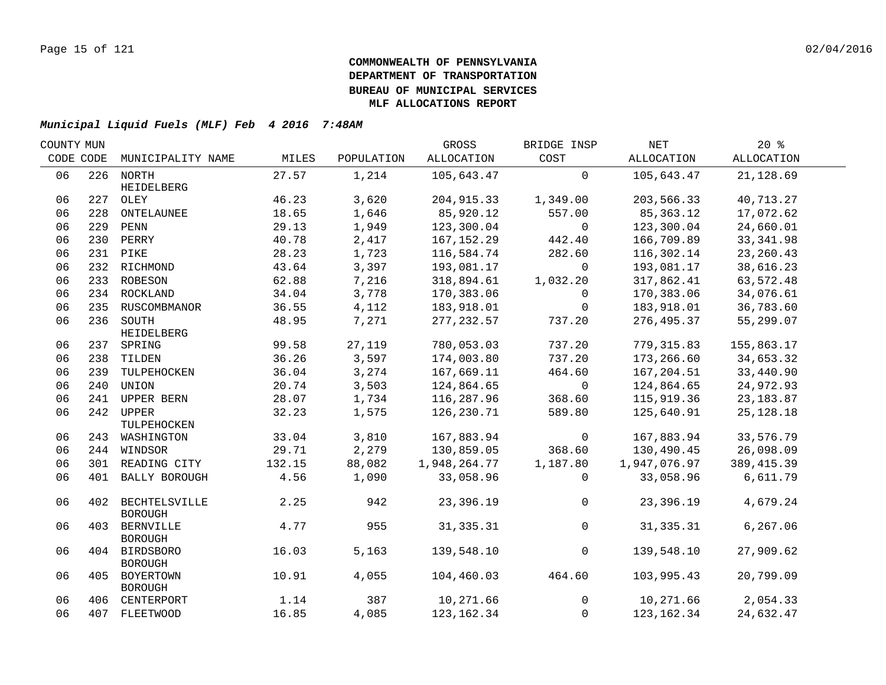| COUNTY MUN |           |                                     |        |            | GROSS        | BRIDGE INSP    | NET          | 20%                |  |
|------------|-----------|-------------------------------------|--------|------------|--------------|----------------|--------------|--------------------|--|
|            | CODE CODE | MUNICIPALITY NAME                   | MILES  | POPULATION | ALLOCATION   | COST           | ALLOCATION   | ALLOCATION         |  |
| 06         |           | 226 NORTH                           | 27.57  | 1,214      | 105,643.47   | $\mathbf 0$    | 105,643.47   | 21,128.69          |  |
| 06         |           | HEIDELBERG<br>227 OLEY              | 46.23  | 3,620      | 204,915.33   | 1,349.00       | 203,566.33   | 40,713.27          |  |
| 06         | 228       | ONTELAUNEE                          | 18.65  | 1,646      | 85,920.12    | 557.00         | 85,363.12    | 17,072.62          |  |
| 06         |           | 229 PENN                            | 29.13  | 1,949      | 123,300.04   | $\overline{0}$ | 123,300.04   | 24,660.01          |  |
| 06         |           | 230 PERRY                           | 40.78  | 2,417      | 167,152.29   | 442.40         | 166,709.89   | 33, 341.98         |  |
| 06         |           | 231 PIKE                            | 28.23  | 1,723      | 116,584.74   | 282.60         | 116,302.14   | 23, 260.43         |  |
| 06         |           | 232 RICHMOND                        | 43.64  | 3,397      | 193,081.17   | $\Omega$       | 193,081.17   | 38,616.23          |  |
| 06         |           | 233 ROBESON                         | 62.88  | 7,216      | 318,894.61   | 1,032.20       | 317,862.41   | 63,572.48          |  |
| 06         |           | 234 ROCKLAND                        | 34.04  | 3,778      | 170,383.06   | $\overline{0}$ | 170,383.06   | 34,076.61          |  |
| 06         |           | 235 RUSCOMBMANOR                    | 36.55  | 4,112      | 183,918.01   | $\overline{0}$ | 183,918.01   | 36,783.60          |  |
| 06         |           | 236 SOUTH                           | 48.95  | 7,271      | 277, 232.57  | 737.20         | 276,495.37   | 55,299.07          |  |
|            |           | HEIDELBERG                          |        |            |              |                |              |                    |  |
| 06         |           | 237 SPRING                          | 99.58  | 27,119     | 780,053.03   | 737.20         | 779,315.83   | 155,863.17         |  |
| 06         |           | 238 TILDEN                          | 36.26  | 3,597      | 174,003.80   | 737.20         | 173,266.60   | 34,653.32          |  |
| 06         |           | 239 TULPEHOCKEN                     | 36.04  | 3,274      | 167,669.11   | 464.60         | 167,204.51   | 33,440.90          |  |
| 06         | 240       | UNION                               | 20.74  | 3,503      | 124,864.65   | $\overline{0}$ | 124,864.65   | 24,972.93          |  |
| 06         | 241       | UPPER BERN                          | 28.07  | 1,734      | 116,287.96   | 368.60         | 115,919.36   | 23, 183.87         |  |
| 06         |           | 242 UPPER                           | 32.23  | 1,575      | 126,230.71   | 589.80         | 125,640.91   | 25, 128. 18        |  |
|            |           | TULPEHOCKEN                         |        |            |              |                |              |                    |  |
| 06         |           | 243 WASHINGTON                      | 33.04  | 3,810      | 167,883.94   | $\overline{0}$ | 167,883.94   | 33,576.79          |  |
| 06         |           | 244 WINDSOR                         | 29.71  | 2,279      | 130,859.05   | 368.60         | 130,490.45   | 26,098.09          |  |
| 06         |           | 301 READING CITY                    | 132.15 | 88,082     | 1,948,264.77 | 1,187.80       | 1,947,076.97 | 389, 415.39        |  |
| 06         |           | 401 BALLY BOROUGH                   | 4.56   | 1,090      | 33,058.96    | $\Omega$       | 33,058.96    | 6,611.79           |  |
| 06         |           | 402 BECHTELSVILLE<br><b>BOROUGH</b> | 2.25   | 942        | 23,396.19    | $\overline{0}$ | 23,396.19    | 4,679.24           |  |
| 06         | 403       | BERNVILLE<br><b>BOROUGH</b>         | 4.77   | 955        | 31, 335.31   | $\mathsf 0$    | 31, 335.31   | 6,267.06           |  |
| 06         |           | 404 BIRDSBORO<br><b>BOROUGH</b>     | 16.03  | 5,163      | 139,548.10   | $\overline{0}$ | 139,548.10   | 27,909.62          |  |
| 06         |           | 405 BOYERTOWN<br><b>BOROUGH</b>     | 10.91  | 4,055      | 104,460.03   | 464.60         | 103,995.43   | 20,799.09          |  |
| 06         |           | 406 CENTERPORT                      | 1.14   | 387        | 10,271.66    | $\overline{0}$ |              | 10,271.66 2,054.33 |  |
| 06         |           | 407 FLEETWOOD                       | 16.85  | 4,085      | 123,162.34   | $\overline{0}$ | 123, 162.34  | 24,632.47          |  |
|            |           |                                     |        |            |              |                |              |                    |  |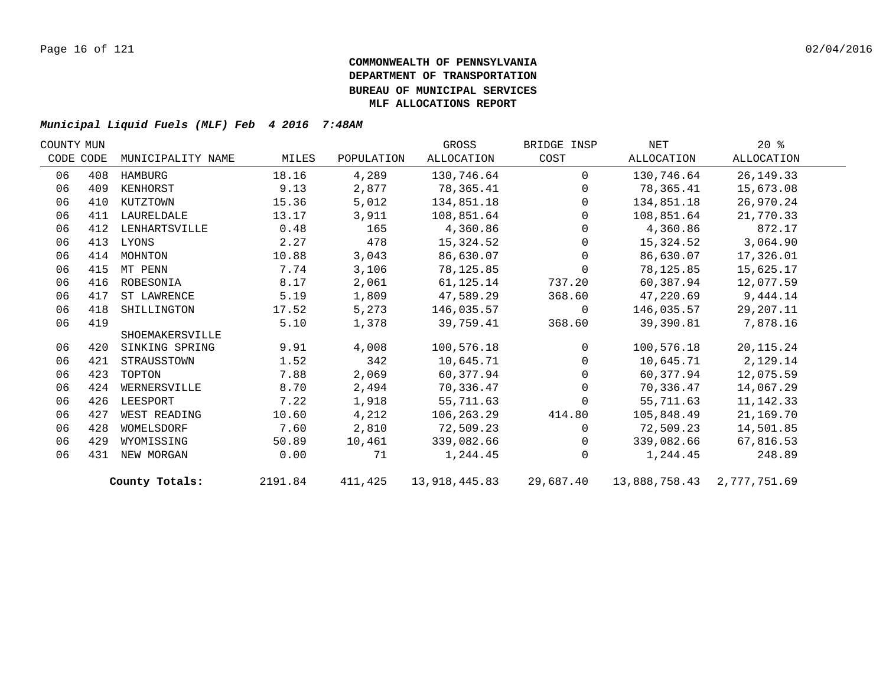| COUNTY MUN |     |                   |         |            | GROSS         | BRIDGE INSP  | NET                                    | $20*$       |  |
|------------|-----|-------------------|---------|------------|---------------|--------------|----------------------------------------|-------------|--|
| CODE CODE  |     | MUNICIPALITY NAME | MILES   | POPULATION | ALLOCATION    | COST         | ALLOCATION                             | ALLOCATION  |  |
| 06         | 408 | HAMBURG           | 18.16   | 4,289      | 130,746.64    | $\Omega$     | 130,746.64                             | 26, 149. 33 |  |
| 06         | 409 | KENHORST          | 9.13    | 2,877      | 78,365.41     | $\Omega$     | 78,365.41                              | 15,673.08   |  |
| 06         | 410 | KUTZTOWN          | 15.36   | 5,012      | 134,851.18    | $\Omega$     | 134,851.18                             | 26,970.24   |  |
| 06         | 411 | LAURELDALE        | 13.17   | 3,911      | 108,851.64    | $\Omega$     | 108,851.64                             | 21,770.33   |  |
| 06         | 412 | LENHARTSVILLE     | 0.48    | 165        | 4,360.86      | $\mathbf 0$  | 4,360.86                               | 872.17      |  |
| 06         | 413 | LYONS             | 2.27    | 478        | 15,324.52     | $\mathbf{0}$ | 15,324.52                              | 3,064.90    |  |
| 06         | 414 | MOHNTON           | 10.88   | 3,043      | 86,630.07     | $\mathbf 0$  | 86,630.07                              | 17,326.01   |  |
| 06         | 415 | MT PENN           | 7.74    | 3,106      | 78,125.85     | $\mathbf 0$  | 78,125.85                              | 15,625.17   |  |
| 06         | 416 | ROBESONIA         | 8.17    | 2,061      | 61,125.14     | 737.20       | 60,387.94                              | 12,077.59   |  |
| 06         | 417 | ST LAWRENCE       | 5.19    | 1,809      | 47,589.29     | 368.60       | 47,220.69                              | 9,444.14    |  |
| 06         | 418 | SHILLINGTON       | 17.52   | 5,273      | 146,035.57    | $\Omega$     | 146,035.57                             | 29,207.11   |  |
| 06         | 419 |                   | 5.10    | 1,378      | 39,759.41     | 368.60       | 39,390.81                              | 7,878.16    |  |
|            |     | SHOEMAKERSVILLE   |         |            |               |              |                                        |             |  |
| 06         | 420 | SINKING SPRING    | 9.91    | 4,008      | 100,576.18    | $\Omega$     | 100,576.18                             | 20, 115. 24 |  |
| 06         | 421 | STRAUSSTOWN       | 1.52    | 342        | 10,645.71     | $\Omega$     | 10,645.71                              | 2,129.14    |  |
| 06         | 423 | TOPTON            | 7.88    | 2,069      | 60,377.94     | $\mathbf 0$  | 60,377.94                              | 12,075.59   |  |
| 06         | 424 | WERNERSVILLE      | 8.70    | 2,494      | 70,336.47     | $\Omega$     | 70,336.47                              | 14,067.29   |  |
| 06         | 426 | LEESPORT          | 7.22    | 1,918      | 55,711.63     | $\Omega$     | 55,711.63                              | 11,142.33   |  |
| 06         | 427 | WEST READING      | 10.60   | 4,212      | 106,263.29    | 414.80       | 105,848.49                             | 21,169.70   |  |
| 06         | 428 | WOMELSDORF        | 7.60    | 2,810      | 72,509.23     | $\Omega$     | 72,509.23                              | 14,501.85   |  |
| 06         | 429 | WYOMISSING        | 50.89   | 10,461     | 339,082.66    | $\Omega$     | 339,082.66                             | 67,816.53   |  |
| 06         | 431 | NEW MORGAN        | 0.00    | 71         | 1,244.45      | $\Omega$     | 1,244.45                               | 248.89      |  |
|            |     | County Totals:    | 2191.84 | 411,425    | 13,918,445.83 |              | 29,687.40  13,888,758.43  2,777,751.69 |             |  |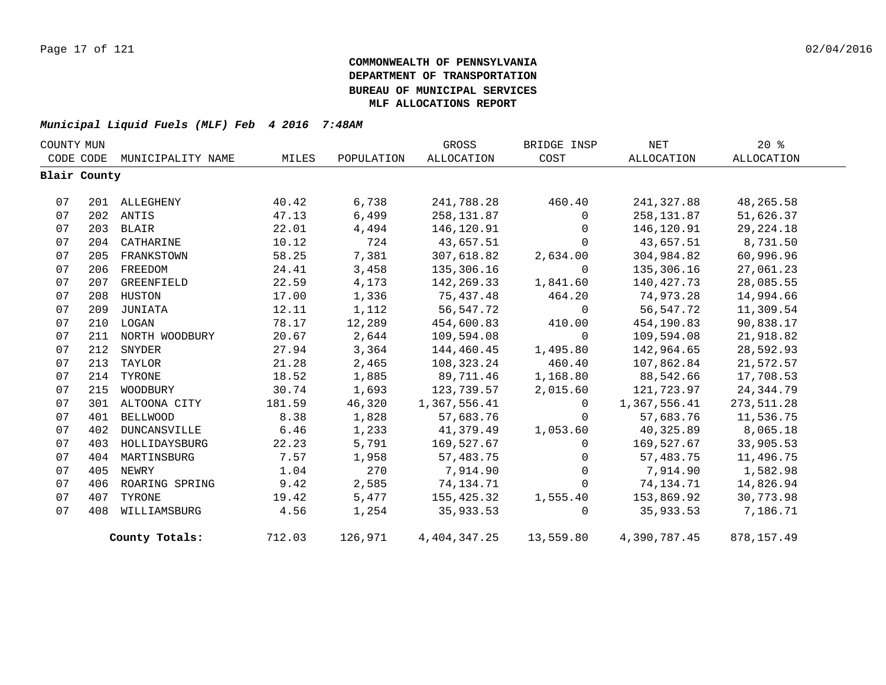| COUNTY MUN |              |                    |        |            | GROSS             | BRIDGE INSP | <b>NET</b>   | $20*$       |  |
|------------|--------------|--------------------|--------|------------|-------------------|-------------|--------------|-------------|--|
|            | CODE CODE    | MUNICIPALITY NAME  | MILES  | POPULATION | <b>ALLOCATION</b> | COST        | ALLOCATION   | ALLOCATION  |  |
|            | Blair County |                    |        |            |                   |             |              |             |  |
|            |              |                    |        |            |                   |             |              |             |  |
| 07         |              | 201 ALLEGHENY      | 40.42  | 6,738      | 241,788.28        | 460.40      | 241,327.88   | 48,265.58   |  |
| 07         |              | 202 ANTIS          | 47.13  | 6,499      | 258,131.87        | $\Omega$    | 258,131.87   | 51,626.37   |  |
| 07         |              | 203 BLAIR          | 22.01  | 4,494      | 146,120.91        | $\Omega$    | 146,120.91   | 29, 224. 18 |  |
| 07         |              | 204 CATHARINE      | 10.12  | 724        | 43,657.51         | $\Omega$    | 43,657.51    | 8,731.50    |  |
| 07         | 205          | FRANKSTOWN         | 58.25  | 7,381      | 307,618.82        | 2,634.00    | 304,984.82   | 60,996.96   |  |
| 07         | 206          | FREEDOM            | 24.41  | 3,458      | 135,306.16        | $\Omega$    | 135,306.16   | 27,061.23   |  |
| 07         |              | 207 GREENFIELD     | 22.59  | 4,173      | 142,269.33        | 1,841.60    | 140,427.73   | 28,085.55   |  |
| 07         |              | 208 HUSTON         | 17.00  | 1,336      | 75,437.48         | 464.20      | 74,973.28    | 14,994.66   |  |
| 07         |              | 209 JUNIATA        | 12.11  | 1,112      | 56,547.72         | $\mathbf 0$ | 56,547.72    | 11,309.54   |  |
| 07         |              | 210 LOGAN          | 78.17  | 12,289     | 454,600.83        | 410.00      | 454,190.83   | 90,838.17   |  |
| 07         |              | 211 NORTH WOODBURY | 20.67  | 2,644      | 109,594.08        | $\Omega$    | 109,594.08   | 21,918.82   |  |
| 07         |              | 212 SNYDER         | 27.94  | 3,364      | 144,460.45        | 1,495.80    | 142,964.65   | 28,592.93   |  |
| 07         |              | 213 TAYLOR         | 21.28  | 2,465      | 108,323.24        | 460.40      | 107,862.84   | 21,572.57   |  |
| 07         |              | 214 TYRONE         | 18.52  | 1,885      | 89,711.46         | 1,168.80    | 88,542.66    | 17,708.53   |  |
| 07         | 215          | WOODBURY           | 30.74  | 1,693      | 123,739.57        | 2,015.60    | 121,723.97   | 24,344.79   |  |
| 07         |              | 301 ALTOONA CITY   | 181.59 | 46,320     | 1,367,556.41      | 0           | 1,367,556.41 | 273, 511.28 |  |
| 07         | 401          | BELLWOOD           | 8.38   | 1,828      | 57,683.76         | $\Omega$    | 57,683.76    | 11,536.75   |  |
| 07         | 402          | DUNCANSVILLE       | 6.46   | 1,233      | 41,379.49         | 1,053.60    | 40,325.89    | 8,065.18    |  |
| 07         | 403          | HOLLIDAYSBURG      | 22.23  | 5,791      | 169,527.67        | $\Omega$    | 169,527.67   | 33,905.53   |  |
| 07         | 404          | MARTINSBURG        | 7.57   | 1,958      | 57,483.75         | $\mathbf 0$ | 57,483.75    | 11,496.75   |  |
| 07         |              | 405 NEWRY          | 1.04   | 270        | 7,914.90          | $\Omega$    | 7,914.90     | 1,582.98    |  |
| 07         | 406          | ROARING SPRING     | 9.42   | 2,585      | 74,134.71         | $\mathbf 0$ | 74,134.71    | 14,826.94   |  |
| 07         | 407          | TYRONE             | 19.42  | 5,477      | 155,425.32        | 1,555.40    | 153,869.92   | 30,773.98   |  |
| 07         | 408          | WILLIAMSBURG       | 4.56   | 1,254      | 35,933.53         | $\Omega$    | 35,933.53    | 7,186.71    |  |
|            |              | County Totals:     | 712.03 | 126,971    | 4,404,347.25      | 13,559.80   | 4,390,787.45 | 878, 157.49 |  |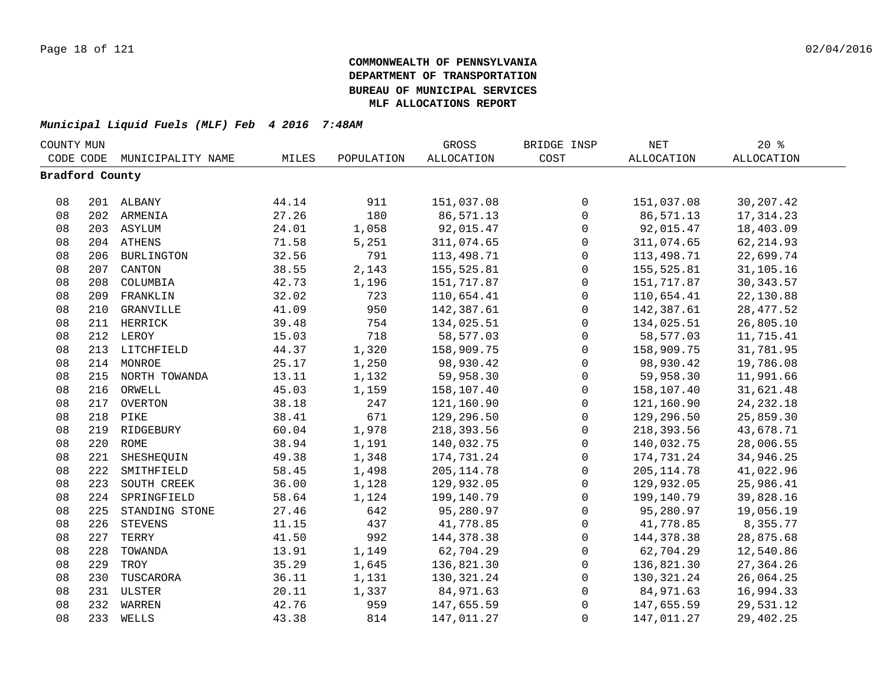| COUNTY MUN      |     |                   |       |            | GROSS             | BRIDGE INSP  | NET         | 20%               |  |
|-----------------|-----|-------------------|-------|------------|-------------------|--------------|-------------|-------------------|--|
| CODE CODE       |     | MUNICIPALITY NAME | MILES | POPULATION | <b>ALLOCATION</b> | COST         | ALLOCATION  | <b>ALLOCATION</b> |  |
| Bradford County |     |                   |       |            |                   |              |             |                   |  |
|                 |     |                   |       |            |                   |              |             |                   |  |
| 08              |     | 201 ALBANY        | 44.14 | 911        | 151,037.08        | 0            | 151,037.08  | 30, 207.42        |  |
| 08              |     | 202 ARMENIA       | 27.26 | 180        | 86,571.13         | $\mathsf 0$  | 86,571.13   | 17, 314.23        |  |
| 08              |     | 203 ASYLUM        | 24.01 | 1,058      | 92,015.47         | $\mathsf 0$  | 92,015.47   | 18,403.09         |  |
| 08              |     | 204 ATHENS        | 71.58 | 5,251      | 311,074.65        | $\mathsf 0$  | 311,074.65  | 62, 214.93        |  |
| 08              |     | 206 BURLINGTON    | 32.56 | 791        | 113,498.71        | $\mathsf{O}$ | 113,498.71  | 22,699.74         |  |
| 08              | 207 | CANTON            | 38.55 | 2,143      | 155,525.81        | $\mathbf 0$  | 155,525.81  | 31,105.16         |  |
| 08              | 208 | COLUMBIA          | 42.73 | 1,196      | 151,717.87        | $\mathbf 0$  | 151,717.87  | 30, 343.57        |  |
| 08              | 209 | FRANKLIN          | 32.02 | 723        | 110,654.41        | $\mathbf 0$  | 110,654.41  | 22,130.88         |  |
| 08              | 210 | GRANVILLE         | 41.09 | 950        | 142,387.61        | $\mathbf 0$  | 142,387.61  | 28, 477.52        |  |
| 08              |     | 211 HERRICK       | 39.48 | 754        | 134,025.51        | $\mathbf 0$  | 134,025.51  | 26,805.10         |  |
| 08              |     | 212 LEROY         | 15.03 | 718        | 58,577.03         | $\mathbf 0$  | 58,577.03   | 11,715.41         |  |
| 08              |     | 213 LITCHFIELD    | 44.37 | 1,320      | 158,909.75        | $\mathbf 0$  | 158,909.75  | 31,781.95         |  |
| 08              |     | 214 MONROE        | 25.17 | 1,250      | 98,930.42         | $\mathbf 0$  | 98,930.42   | 19,786.08         |  |
| 08              |     | 215 NORTH TOWANDA | 13.11 | 1,132      | 59,958.30         | $\mathsf 0$  | 59,958.30   | 11,991.66         |  |
| 08              |     | 216 ORWELL        | 45.03 | 1,159      | 158,107.40        | $\mathbf 0$  | 158,107.40  | 31,621.48         |  |
| 08              |     | 217 OVERTON       | 38.18 | 247        | 121,160.90        | $\mathbf 0$  | 121,160.90  | 24, 232. 18       |  |
| 08              |     | 218 PIKE          | 38.41 | 671        | 129,296.50        | $\mathbf 0$  | 129,296.50  | 25,859.30         |  |
| 08              |     | 219 RIDGEBURY     | 60.04 | 1,978      | 218, 393.56       | $\mathbf 0$  | 218, 393.56 | 43,678.71         |  |
| 08              |     | 220 ROME          | 38.94 | 1,191      | 140,032.75        | $\mathbf 0$  | 140,032.75  | 28,006.55         |  |
| 08              |     | 221 SHESHEQUIN    | 49.38 | 1,348      | 174,731.24        | $\mathbf 0$  | 174,731.24  | 34,946.25         |  |
| 08              | 222 | SMITHFIELD        | 58.45 | 1,498      | 205, 114.78       | $\mathbf 0$  | 205, 114.78 | 41,022.96         |  |
| 08              | 223 | SOUTH CREEK       | 36.00 | 1,128      | 129,932.05        | $\mathbf 0$  | 129,932.05  | 25,986.41         |  |
| 08              | 224 | SPRINGFIELD       | 58.64 | 1,124      | 199,140.79        | $\mathbf{0}$ | 199,140.79  | 39,828.16         |  |
| 08              | 225 | STANDING STONE    | 27.46 | 642        | 95,280.97         | $\mathbf 0$  | 95,280.97   | 19,056.19         |  |
| 08              | 226 | <b>STEVENS</b>    | 11.15 | 437        | 41,778.85         | $\mathbf 0$  | 41,778.85   | 8,355.77          |  |
| 08              | 227 | TERRY             | 41.50 | 992        | 144,378.38        | $\mathbf 0$  | 144,378.38  | 28,875.68         |  |
| 08              | 228 | TOWANDA           | 13.91 | 1,149      | 62,704.29         | $\mathbf 0$  | 62,704.29   | 12,540.86         |  |
| 08              | 229 | TROY              | 35.29 | 1,645      | 136,821.30        | $\mathbf 0$  | 136,821.30  | 27,364.26         |  |
| 08              | 230 | TUSCARORA         | 36.11 | 1,131      | 130,321.24        | $\mathbf 0$  | 130,321.24  | 26,064.25         |  |
| 08              |     | 231 ULSTER        | 20.11 | 1,337      | 84,971.63         | $\mathbf 0$  | 84,971.63   | 16,994.33         |  |
| 08              |     | 232 WARREN        | 42.76 | 959        | 147,655.59        | $\mathsf 0$  | 147,655.59  | 29,531.12         |  |
| 08              | 233 | WELLS             | 43.38 | 814        | 147,011.27        | $\mathbf{0}$ | 147,011.27  | 29,402.25         |  |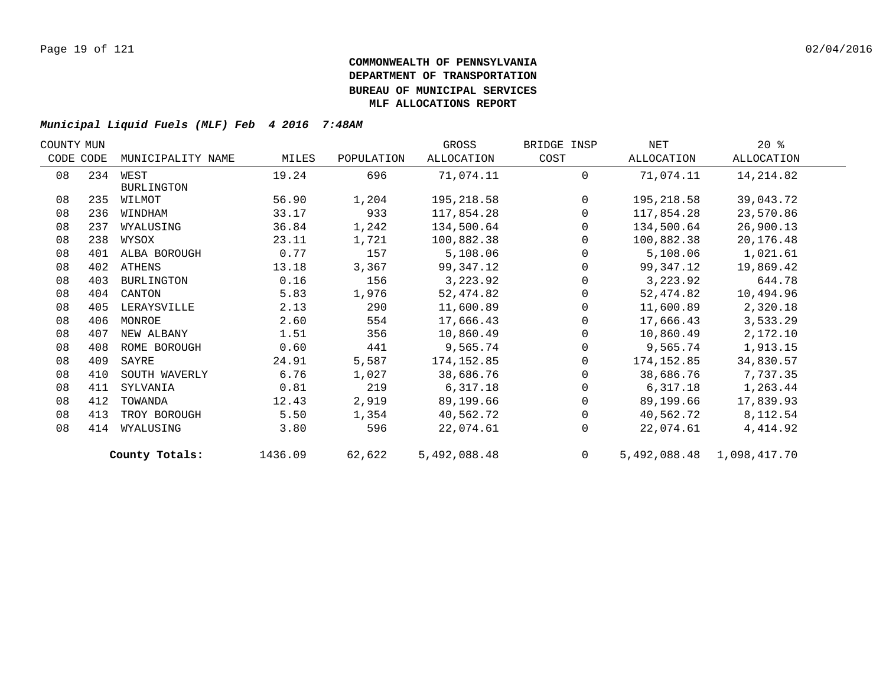| COUNTY MUN |           |                   |         |            | GROSS        | BRIDGE INSP    | NET        | $20*$                     |  |
|------------|-----------|-------------------|---------|------------|--------------|----------------|------------|---------------------------|--|
|            | CODE CODE | MUNICIPALITY NAME | MILES   | POPULATION | ALLOCATION   | COST           | ALLOCATION | ALLOCATION                |  |
| 08         |           | 234 WEST          | 19.24   | 696        | 71,074.11    | $\Omega$       | 71,074.11  | 14, 214.82                |  |
|            |           | <b>BURLINGTON</b> |         |            |              |                |            |                           |  |
| 08         | 235       | WILMOT            | 56.90   | 1,204      | 195,218.58   | $\Omega$       | 195,218.58 | 39,043.72                 |  |
| 08         | 236       | WINDHAM           | 33.17   | 933        | 117,854.28   | $\Omega$       | 117,854.28 | 23,570.86                 |  |
| 08         | 237       | WYALUSING         | 36.84   | 1,242      | 134,500.64   | $\Omega$       | 134,500.64 | 26,900.13                 |  |
| 08         | 238       | WYSOX             | 23.11   | 1,721      | 100,882.38   | $\Omega$       | 100,882.38 | 20,176.48                 |  |
| 08         | 401       | ALBA BOROUGH      | 0.77    | 157        | 5,108.06     | $\Omega$       | 5,108.06   | 1,021.61                  |  |
| 08         |           | 402 ATHENS        | 13.18   | 3,367      | 99, 347. 12  | $\Omega$       | 99,347.12  | 19,869.42                 |  |
| 08         | 403       | BURLINGTON        | 0.16    | 156        | 3,223.92     | $\Omega$       | 3,223.92   | 644.78                    |  |
| 08         | 404       | CANTON            | 5.83    | 1,976      | 52, 474.82   | $\Omega$       | 52,474.82  | 10,494.96                 |  |
| 08         | 405       | LERAYSVILLE       | 2.13    | 290        | 11,600.89    |                | 11,600.89  | 2,320.18                  |  |
| 08         | 406       | MONROE            | 2.60    | 554        | 17,666.43    | 0              | 17,666.43  | 3,533.29                  |  |
| 08         | 407       | NEW ALBANY        | 1.51    | 356        | 10,860.49    |                | 10,860.49  | 2,172.10                  |  |
| 08         | 408       | ROME BOROUGH      | 0.60    | 441        | 9,565.74     | $\mathbf 0$    | 9,565.74   | 1,913.15                  |  |
| 08         | 409       | SAYRE             | 24.91   | 5,587      | 174,152.85   | $\Omega$       | 174,152.85 | 34,830.57                 |  |
| 08         | 410       | SOUTH WAVERLY     | 6.76    | 1,027      | 38,686.76    | $\Omega$       | 38,686.76  | 7,737.35                  |  |
| 08         | 411       | SYLVANIA          | 0.81    | 219        | 6,317.18     | $\Omega$       | 6,317.18   | 1,263.44                  |  |
| 08         | 412       | TOWANDA           | 12.43   | 2,919      | 89,199.66    | $\Omega$       | 89,199.66  | 17,839.93                 |  |
| 08         | 413       | TROY BOROUGH      | 5.50    | 1,354      | 40,562.72    | $\Omega$       | 40,562.72  | 8,112.54                  |  |
| 08         | 414       | WYALUSING         | 3.80    | 596        | 22,074.61    | $\Omega$       | 22,074.61  | 4,414.92                  |  |
|            |           | County Totals:    | 1436.09 | 62,622     | 5,492,088.48 | $\overline{0}$ |            | 5,492,088.48 1,098,417.70 |  |
|            |           |                   |         |            |              |                |            |                           |  |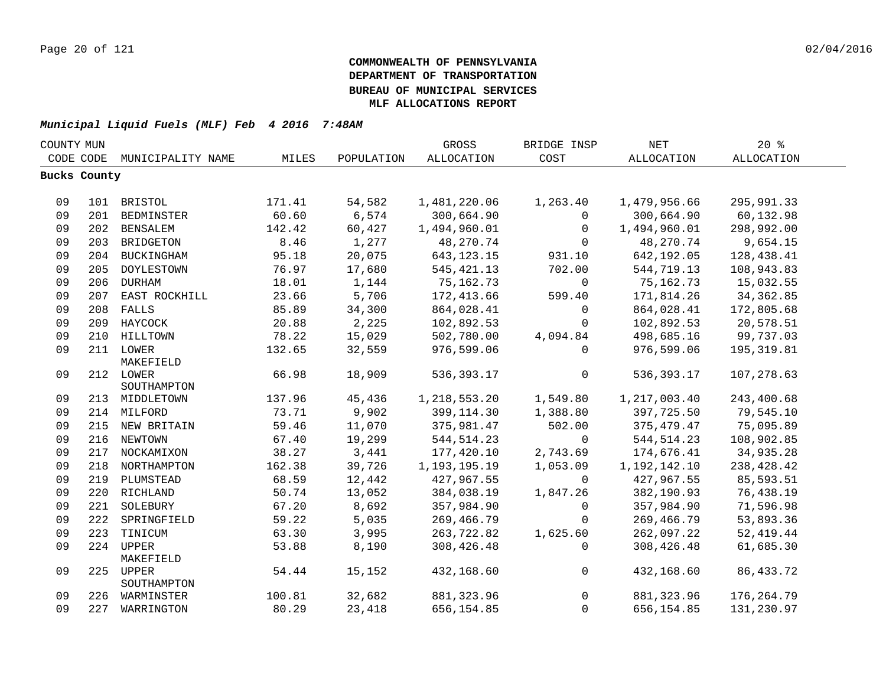| COUNTY MUN |              |                   |        |            | GROSS           | BRIDGE INSP  | <b>NET</b>   | 20%         |  |
|------------|--------------|-------------------|--------|------------|-----------------|--------------|--------------|-------------|--|
|            | CODE CODE    | MUNICIPALITY NAME | MILES  | POPULATION | ALLOCATION      | COST         | ALLOCATION   | ALLOCATION  |  |
|            | Bucks County |                   |        |            |                 |              |              |             |  |
|            |              |                   |        |            |                 |              |              |             |  |
| 09         |              | 101 BRISTOL       | 171.41 | 54,582     | 1,481,220.06    | 1,263.40     | 1,479,956.66 | 295,991.33  |  |
| 09         |              | 201 BEDMINSTER    | 60.60  | 6,574      | 300,664.90      | 0            | 300,664.90   | 60,132.98   |  |
| 09         |              | 202 BENSALEM      | 142.42 | 60,427     | 1,494,960.01    | $\mathbf 0$  | 1,494,960.01 | 298,992.00  |  |
| 09         |              | 203 BRIDGETON     | 8.46   | 1,277      | 48,270.74       | $\Omega$     | 48,270.74    | 9,654.15    |  |
| 09         |              | 204 BUCKINGHAM    | 95.18  | 20,075     | 643, 123. 15    | 931.10       | 642,192.05   | 128,438.41  |  |
| 09         | 205          | DOYLESTOWN        | 76.97  | 17,680     | 545, 421.13     | 702.00       | 544,719.13   | 108,943.83  |  |
| 09         | 206          | <b>DURHAM</b>     | 18.01  | 1,144      | 75,162.73       | $\mathbf 0$  | 75,162.73    | 15,032.55   |  |
| 09         | 207          | EAST ROCKHILL     | 23.66  | 5,706      | 172, 413.66     | 599.40       | 171,814.26   | 34, 362.85  |  |
| 09         |              | 208 FALLS         | 85.89  | 34,300     | 864,028.41      | 0            | 864,028.41   | 172,805.68  |  |
| 09         |              | 209 HAYCOCK       | 20.88  | 2,225      | 102,892.53      | $\mathbf 0$  | 102,892.53   | 20,578.51   |  |
| 09         |              | 210 HILLTOWN      | 78.22  | 15,029     | 502,780.00      | 4,094.84     | 498,685.16   | 99,737.03   |  |
| 09         |              | 211 LOWER         | 132.65 | 32,559     | 976,599.06      | $\Omega$     | 976,599.06   | 195, 319.81 |  |
|            |              | MAKEFIELD         |        |            |                 |              |              |             |  |
| 09         |              | 212 LOWER         | 66.98  | 18,909     | 536, 393. 17    | $\mathsf{O}$ | 536, 393. 17 | 107,278.63  |  |
|            |              | SOUTHAMPTON       |        |            |                 |              |              |             |  |
| 09         |              | 213 MIDDLETOWN    | 137.96 | 45,436     | 1,218,553.20    | 1,549.80     | 1,217,003.40 | 243,400.68  |  |
| 09         |              | 214 MILFORD       | 73.71  | 9,902      | 399, 114.30     | 1,388.80     | 397,725.50   | 79,545.10   |  |
| 09         |              | 215 NEW BRITAIN   | 59.46  | 11,070     | 375,981.47      | 502.00       | 375, 479.47  | 75,095.89   |  |
| 09         |              | 216 NEWTOWN       | 67.40  | 19,299     | 544, 514.23     | 0            | 544,514.23   | 108,902.85  |  |
| 09         |              | 217 NOCKAMIXON    | 38.27  | 3,441      | 177,420.10      | 2,743.69     | 174,676.41   | 34,935.28   |  |
| 09         |              | 218 NORTHAMPTON   | 162.38 | 39,726     | 1, 193, 195. 19 | 1,053.09     | 1,192,142.10 | 238, 428.42 |  |
| 09         | 219          | PLUMSTEAD         | 68.59  | 12,442     | 427,967.55      | $\mathbf 0$  | 427,967.55   | 85,593.51   |  |
| 09         |              | 220 RICHLAND      | 50.74  | 13,052     | 384,038.19      | 1,847.26     | 382,190.93   | 76,438.19   |  |
| 09         | 221          | SOLEBURY          | 67.20  | 8,692      | 357,984.90      | $\mathbf 0$  | 357,984.90   | 71,596.98   |  |
| 09         | 222          | SPRINGFIELD       | 59.22  | 5,035      | 269,466.79      | $\Omega$     | 269,466.79   | 53,893.36   |  |
| 09         |              | 223 TINICUM       | 63.30  | 3,995      | 263,722.82      | 1,625.60     | 262,097.22   | 52, 419.44  |  |
| 09         |              | 224 UPPER         | 53.88  | 8,190      | 308,426.48      | 0            | 308,426.48   | 61,685.30   |  |
|            |              | MAKEFIELD         |        |            |                 |              |              |             |  |
| 09         |              | 225 UPPER         | 54.44  | 15,152     | 432,168.60      | $\mathsf{O}$ | 432,168.60   | 86, 433. 72 |  |
|            |              | SOUTHAMPTON       |        |            |                 |              |              |             |  |
| 09         |              | 226 WARMINSTER    | 100.81 | 32,682     | 881, 323.96     | 0            | 881, 323.96  | 176, 264.79 |  |
| 09         | 227          | WARRINGTON        | 80.29  | 23,418     | 656,154.85      | $\mathbf 0$  | 656, 154.85  | 131,230.97  |  |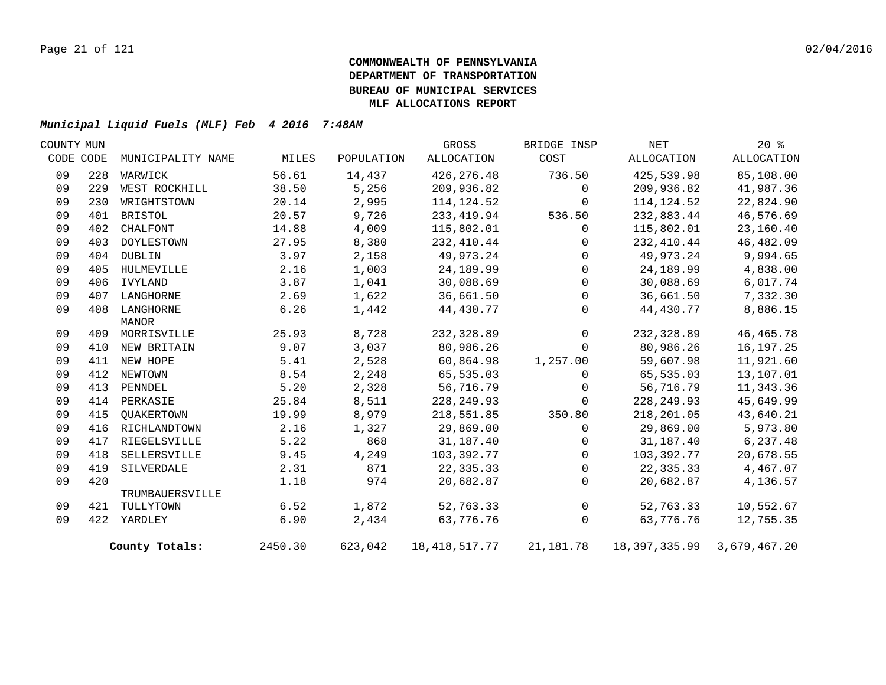| COUNTY MUN |           |                   |         |            | GROSS         | BRIDGE INSP  | NET                            | 20%         |  |
|------------|-----------|-------------------|---------|------------|---------------|--------------|--------------------------------|-------------|--|
|            | CODE CODE | MUNICIPALITY NAME | MILES   | POPULATION | ALLOCATION    | COST         | ALLOCATION                     | ALLOCATION  |  |
| 09         | 228       | WARWICK           | 56.61   | 14,437     | 426, 276. 48  | 736.50       | 425,539.98                     | 85,108.00   |  |
| 09         | 229       | WEST ROCKHILL     | 38.50   | 5,256      | 209,936.82    | 0            | 209,936.82                     | 41,987.36   |  |
| 09         | 230       | WRIGHTSTOWN       | 20.14   | 2,995      | 114, 124.52   | $\Omega$     | 114, 124.52                    | 22,824.90   |  |
| 09         | 401       | BRISTOL           | 20.57   | 9,726      | 233, 419.94   | 536.50       | 232,883.44                     | 46,576.69   |  |
| 09         | 402       | CHALFONT          | 14.88   | 4,009      | 115,802.01    | $\mathbf{0}$ | 115,802.01                     | 23,160.40   |  |
| 09         | 403       | DOYLESTOWN        | 27.95   | 8,380      | 232,410.44    | $\Omega$     | 232,410.44                     | 46,482.09   |  |
| 09         | 404       | DUBLIN            | 3.97    | 2,158      | 49,973.24     | $\Omega$     | 49,973.24                      | 9,994.65    |  |
| 09         | 405       | HULMEVILLE        | 2.16    | 1,003      | 24,189.99     | $\Omega$     | 24,189.99                      | 4,838.00    |  |
| 09         | 406       | IVYLAND           | 3.87    | 1,041      | 30,088.69     | $\Omega$     | 30,088.69                      | 6,017.74    |  |
| 09         | 407       | LANGHORNE         | 2.69    | 1,622      | 36,661.50     | $\mathbf 0$  | 36,661.50                      | 7,332.30    |  |
| 09         |           | 408 LANGHORNE     | 6.26    | 1,442      | 44,430.77     | $\Omega$     | 44,430.77                      | 8,886.15    |  |
|            |           | MANOR             |         |            |               |              |                                |             |  |
| 09         |           | 409 MORRISVILLE   | 25.93   | 8,728      | 232,328.89    | $\mathbf{0}$ | 232,328.89                     | 46, 465. 78 |  |
| 09         |           | 410 NEW BRITAIN   | 9.07    | 3,037      | 80,986.26     | $\Omega$     | 80,986.26                      | 16, 197. 25 |  |
| 09         |           | 411 NEW HOPE      | 5.41    | 2,528      | 60,864.98     | 1,257.00     | 59,607.98                      | 11,921.60   |  |
| 09         |           | 412 NEWTOWN       | 8.54    | 2,248      | 65,535.03     | $\Omega$     | 65,535.03                      | 13,107.01   |  |
| 09         | 413       | PENNDEL           | 5.20    | 2,328      | 56,716.79     | $\Omega$     | 56,716.79                      | 11,343.36   |  |
| 09         |           | 414 PERKASIE      | 25.84   | 8,511      | 228,249.93    | $\Omega$     | 228, 249.93                    | 45,649.99   |  |
| 09         | 415       | QUAKERTOWN        | 19.99   | 8,979      | 218,551.85    | 350.80       | 218,201.05                     | 43,640.21   |  |
| 09         | 416       | RICHLANDTOWN      | 2.16    | 1,327      | 29,869.00     | $\mathbf 0$  | 29,869.00                      | 5,973.80    |  |
| 09         | 417       | RIEGELSVILLE      | 5.22    | 868        | 31,187.40     | $\Omega$     | 31,187.40                      | 6,237.48    |  |
| 09         | 418       | SELLERSVILLE      | 9.45    | 4,249      | 103,392.77    | $\Omega$     | 103,392.77                     | 20,678.55   |  |
| 09         | 419       | SILVERDALE        | 2.31    | 871        | 22,335.33     | $\mathbf 0$  | 22,335.33                      | 4,467.07    |  |
| 09         | 420       |                   | 1.18    | 974        | 20,682.87     | $\mathbf{0}$ | 20,682.87                      | 4,136.57    |  |
|            |           | TRUMBAUERSVILLE   |         |            |               |              |                                |             |  |
| 09         | 421       | TULLYTOWN         | 6.52    | 1,872      | 52,763.33     | $\mathsf{O}$ | 52,763.33                      | 10,552.67   |  |
| 09         |           | 422 YARDLEY       | 6.90    | 2,434      | 63,776.76     | $\mathbf 0$  | 63,776.76                      | 12,755.35   |  |
|            |           | County Totals:    | 2450.30 | 623,042    | 18,418,517.77 | 21,181.78    | 18, 397, 335.99 3, 679, 467.20 |             |  |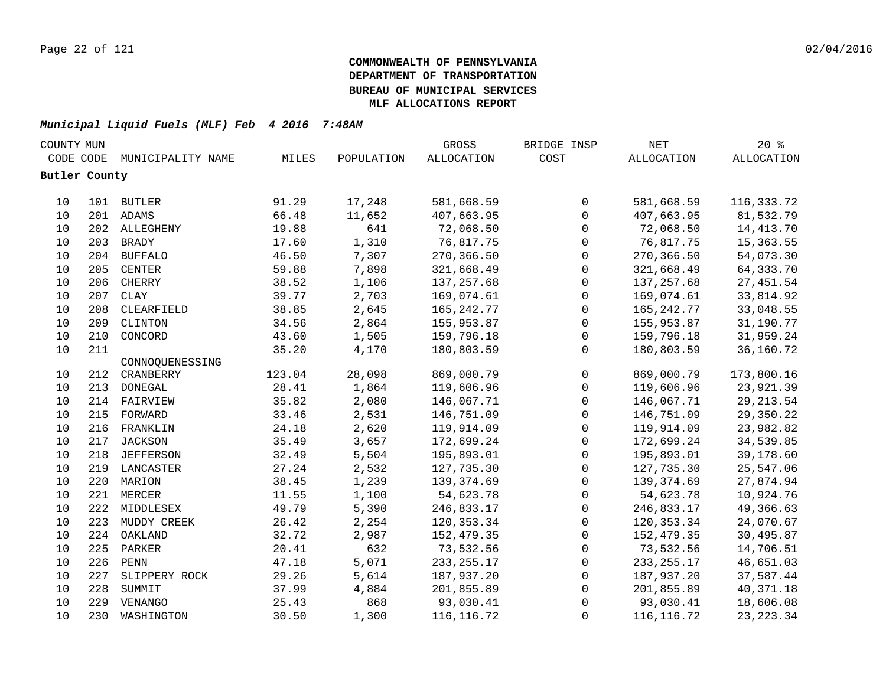| COUNTY MUN    |     |                   |        |            | <b>GROSS</b>      | BRIDGE INSP         | NET          | 20%               |  |
|---------------|-----|-------------------|--------|------------|-------------------|---------------------|--------------|-------------------|--|
| CODE CODE     |     | MUNICIPALITY NAME | MILES  | POPULATION | <b>ALLOCATION</b> | COST                | ALLOCATION   | <b>ALLOCATION</b> |  |
| Butler County |     |                   |        |            |                   |                     |              |                   |  |
|               |     |                   |        |            |                   |                     |              |                   |  |
| 10            |     | 101 BUTLER        | 91.29  | 17,248     | 581,668.59        | $\mathbf 0$         | 581,668.59   | 116,333.72        |  |
| 10            |     | 201 ADAMS         | 66.48  | 11,652     | 407,663.95        | $\mathsf{O}$        | 407,663.95   | 81,532.79         |  |
| 10            |     | 202 ALLEGHENY     | 19.88  | 641        | 72,068.50         | 0                   | 72,068.50    | 14, 413.70        |  |
| 10            | 203 | BRADY             | 17.60  | 1,310      | 76,817.75         | $\mathsf{O}$        | 76,817.75    | 15,363.55         |  |
| 10            | 204 | <b>BUFFALO</b>    | 46.50  | 7,307      | 270,366.50        | $\mathsf{O}$        | 270,366.50   | 54,073.30         |  |
| 10            | 205 | <b>CENTER</b>     | 59.88  | 7,898      | 321,668.49        | $\mathsf{O}$        | 321,668.49   | 64, 333. 70       |  |
| 10            | 206 | CHERRY            | 38.52  | 1,106      | 137, 257.68       | $\mathsf{O}$        | 137, 257.68  | 27, 451.54        |  |
| 10            | 207 | <b>CLAY</b>       | 39.77  | 2,703      | 169,074.61        | $\mathsf{O}$        | 169,074.61   | 33,814.92         |  |
| 10            | 208 | CLEARFIELD        | 38.85  | 2,645      | 165,242.77        | $\mathsf{O}$        | 165,242.77   | 33,048.55         |  |
| 10            | 209 | CLINTON           | 34.56  | 2,864      | 155,953.87        | $\mathsf{O}$        | 155,953.87   | 31,190.77         |  |
| $10$          | 210 | CONCORD           | 43.60  | 1,505      | 159,796.18        | $\mathsf{O}$        | 159,796.18   | 31,959.24         |  |
| 10            | 211 |                   | 35.20  | 4,170      | 180,803.59        | $\Omega$            | 180,803.59   | 36,160.72         |  |
|               |     | CONNOQUENESSING   |        |            |                   |                     |              |                   |  |
| 10            | 212 | CRANBERRY         | 123.04 | 28,098     | 869,000.79        | $\mathsf{O}$        | 869,000.79   | 173,800.16        |  |
| 10            | 213 | DONEGAL           | 28.41  | 1,864      | 119,606.96        | $\mathsf{O}$        | 119,606.96   | 23,921.39         |  |
| 10            | 214 | FAIRVIEW          | 35.82  | 2,080      | 146,067.71        | $\mathsf{O}$        | 146,067.71   | 29, 213.54        |  |
| 10            | 215 | FORWARD           | 33.46  | 2,531      | 146,751.09        | $\mathsf{O}$        | 146,751.09   | 29,350.22         |  |
| 10            | 216 | FRANKLIN          | 24.18  | 2,620      | 119,914.09        | $\mathsf 0$         | 119,914.09   | 23,982.82         |  |
| 10            | 217 | JACKSON           | 35.49  | 3,657      | 172,699.24        | $\mathsf{O}$        | 172,699.24   | 34,539.85         |  |
| 10            |     | 218 JEFFERSON     | 32.49  | 5,504      | 195,893.01        | $\mathsf{O}$        | 195,893.01   | 39,178.60         |  |
| 10            |     | 219 LANCASTER     | 27.24  | 2,532      | 127,735.30        | 0                   | 127,735.30   | 25,547.06         |  |
| 10            |     | 220 MARION        | 38.45  | 1,239      | 139,374.69        | $\mathsf{O}\xspace$ | 139, 374.69  | 27,874.94         |  |
| $10$          |     | 221 MERCER        | 11.55  | 1,100      | 54,623.78         | $\mathsf{O}$        | 54,623.78    | 10,924.76         |  |
| 10            |     | 222 MIDDLESEX     | 49.79  | 5,390      | 246,833.17        | 0                   | 246,833.17   | 49,366.63         |  |
| 10            | 223 | MUDDY CREEK       | 26.42  | 2,254      | 120, 353. 34      | 0                   | 120, 353. 34 | 24,070.67         |  |
| 10            | 224 | OAKLAND           | 32.72  | 2,987      | 152,479.35        | 0                   | 152,479.35   | 30,495.87         |  |
| 10            | 225 | PARKER            | 20.41  | 632        | 73,532.56         | $\mathsf{O}$        | 73,532.56    | 14,706.51         |  |
| 10            | 226 | ${\tt PENN}$      | 47.18  | 5,071      | 233, 255. 17      | 0                   | 233, 255. 17 | 46,651.03         |  |
| 10            | 227 | SLIPPERY ROCK     | 29.26  | 5,614      | 187,937.20        | $\mathsf{O}$        | 187,937.20   | 37,587.44         |  |
| 10            | 228 | SUMMIT            | 37.99  | 4,884      | 201,855.89        | 0                   | 201,855.89   | 40, 371.18        |  |
| 10            | 229 | VENANGO           | 25.43  | 868        | 93,030.41         | $\mathbf 0$         | 93,030.41    | 18,606.08         |  |
| 10            | 230 | WASHINGTON        | 30.50  | 1,300      | 116, 116.72       | $\mathbf 0$         | 116, 116.72  | 23, 223. 34       |  |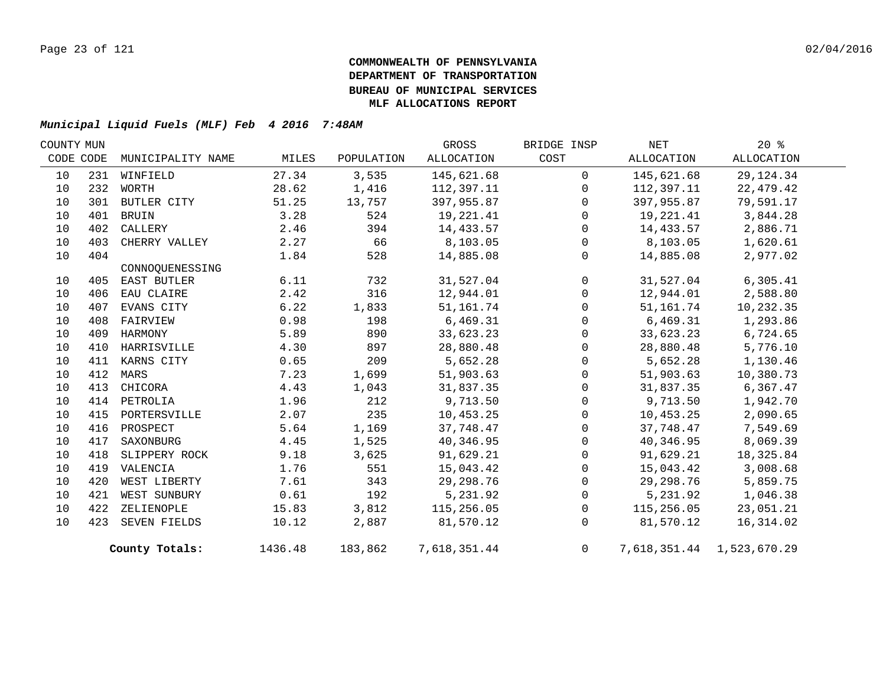| COUNTY MUN |           |                   |         |            | GROSS        | BRIDGE INSP    | NET        | 20%                       |  |
|------------|-----------|-------------------|---------|------------|--------------|----------------|------------|---------------------------|--|
|            | CODE CODE | MUNICIPALITY NAME | MILES   | POPULATION | ALLOCATION   | COST           | ALLOCATION | ALLOCATION                |  |
| 10         |           | 231 WINFIELD      | 27.34   | 3,535      | 145,621.68   | $\mathbf 0$    | 145,621.68 | 29, 124.34                |  |
| 10         | 232       | WORTH             | 28.62   | 1,416      | 112,397.11   | $\Omega$       | 112,397.11 | 22,479.42                 |  |
| 10         | 301       | BUTLER CITY       | 51.25   | 13,757     | 397,955.87   | $\Omega$       | 397,955.87 | 79,591.17                 |  |
| 10         | 401       | <b>BRUIN</b>      | 3.28    | 524        | 19,221.41    | $\Omega$       | 19,221.41  | 3,844.28                  |  |
| 10         | 402       | CALLERY           | 2.46    | 394        | 14,433.57    | $\Omega$       | 14,433.57  | 2,886.71                  |  |
| 10         | 403       | CHERRY VALLEY     | 2.27    | 66         | 8,103.05     | $\Omega$       | 8,103.05   | 1,620.61                  |  |
| 10         | 404       |                   | 1.84    | 528        | 14,885.08    | 0              | 14,885.08  | 2,977.02                  |  |
|            |           | CONNOQUENESSING   |         |            |              |                |            |                           |  |
| 10         |           | 405 EAST BUTLER   | 6.11    | 732        | 31,527.04    | $\mathbf 0$    | 31,527.04  | 6, 305.41                 |  |
| 10         | 406       | EAU CLAIRE        | 2.42    | 316        | 12,944.01    | $\mathbf 0$    | 12,944.01  | 2,588.80                  |  |
| 10         | 407       | EVANS CITY        | 6.22    | 1,833      | 51,161.74    | $\Omega$       | 51,161.74  | 10,232.35                 |  |
| 10         | 408       | FAIRVIEW          | 0.98    | 198        | 6,469.31     | $\Omega$       | 6,469.31   | 1,293.86                  |  |
| 10         | 409       | HARMONY           | 5.89    | 890        | 33,623.23    | $\Omega$       | 33,623.23  | 6,724.65                  |  |
| 10         |           | 410 HARRISVILLE   | 4.30    | 897        | 28,880.48    | 0              | 28,880.48  | 5,776.10                  |  |
| 10         |           | 411 KARNS CITY    | 0.65    | 209        | 5,652.28     | 0              | 5,652.28   | 1,130.46                  |  |
| 10         | 412       | MARS              | 7.23    | 1,699      | 51,903.63    | $\mathbf{0}$   | 51,903.63  | 10,380.73                 |  |
| 10         | 413       | CHICORA           | 4.43    | 1,043      | 31,837.35    | $\Omega$       | 31,837.35  | 6,367.47                  |  |
| 10         |           | 414 PETROLIA      | 1.96    | 212        | 9,713.50     | $\Omega$       | 9,713.50   | 1,942.70                  |  |
| 10         |           | 415 PORTERSVILLE  | 2.07    | 235        | 10,453.25    | 0              | 10,453.25  | 2,090.65                  |  |
| 10         |           | 416 PROSPECT      | 5.64    | 1,169      | 37,748.47    | 0              | 37,748.47  | 7,549.69                  |  |
| 10         | 417       | SAXONBURG         | 4.45    | 1,525      | 40,346.95    | $\mathbf{0}$   | 40,346.95  | 8,069.39                  |  |
| 10         | 418       | SLIPPERY ROCK     | 9.18    | 3,625      | 91,629.21    | $\Omega$       | 91,629.21  | 18,325.84                 |  |
| 10         | 419       | VALENCIA          | 1.76    | 551        | 15,043.42    | $\Omega$       | 15,043.42  | 3,008.68                  |  |
| 10         | 420       | WEST LIBERTY      | 7.61    | 343        | 29,298.76    | 0              | 29, 298.76 | 5,859.75                  |  |
| 10         | 421       | WEST SUNBURY      | 0.61    | 192        | 5,231.92     | $\mathbf 0$    | 5,231.92   | 1,046.38                  |  |
| 10         | 422       | ZELIENOPLE        | 15.83   | 3,812      | 115,256.05   | 0              | 115,256.05 | 23,051.21                 |  |
| 10         |           | 423 SEVEN FIELDS  | 10.12   | 2,887      | 81,570.12    | $\mathbf{0}$   | 81,570.12  | 16,314.02                 |  |
|            |           | County Totals:    | 1436.48 | 183,862    | 7,618,351.44 | $\overline{0}$ |            | 7,618,351.44 1,523,670.29 |  |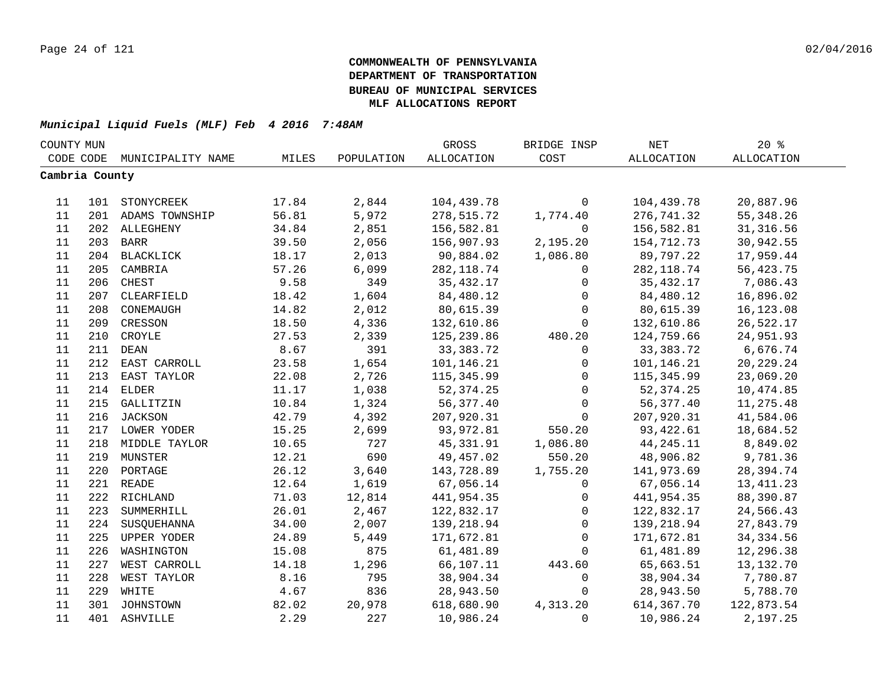| COUNTY MUN     |     |                    |       |            | GROSS             | BRIDGE INSP  | $\operatorname{NET}$ | 20%               |  |
|----------------|-----|--------------------|-------|------------|-------------------|--------------|----------------------|-------------------|--|
| CODE CODE      |     | MUNICIPALITY NAME  | MILES | POPULATION | <b>ALLOCATION</b> | COST         | ALLOCATION           | <b>ALLOCATION</b> |  |
| Cambria County |     |                    |       |            |                   |              |                      |                   |  |
|                |     |                    |       |            |                   |              |                      |                   |  |
| 11             |     | 101 STONYCREEK     | 17.84 | 2,844      | 104,439.78        | $\mathbf 0$  | 104,439.78           | 20,887.96         |  |
| 11             |     | 201 ADAMS TOWNSHIP | 56.81 | 5,972      | 278,515.72        | 1,774.40     | 276,741.32           | 55, 348.26        |  |
| 11             |     | 202 ALLEGHENY      | 34.84 | 2,851      | 156,582.81        | $\mathsf{O}$ | 156,582.81           | 31, 316.56        |  |
| 11             |     | 203 BARR           | 39.50 | 2,056      | 156,907.93        | 2,195.20     | 154,712.73           | 30,942.55         |  |
| 11             |     | 204 BLACKLICK      | 18.17 | 2,013      | 90,884.02         | 1,086.80     | 89,797.22            | 17,959.44         |  |
| 11             | 205 | CAMBRIA            | 57.26 | 6,099      | 282, 118.74       | $\mathbf 0$  | 282, 118.74          | 56, 423. 75       |  |
| 11             | 206 | CHEST              | 9.58  | 349        | 35,432.17         | $\mathbf 0$  | 35,432.17            | 7,086.43          |  |
| 11             | 207 | CLEARFIELD         | 18.42 | 1,604      | 84,480.12         | $\mathbf 0$  | 84,480.12            | 16,896.02         |  |
| 11             | 208 | CONEMAUGH          | 14.82 | 2,012      | 80,615.39         | $\mathbf 0$  | 80,615.39            | 16, 123.08        |  |
| 11             | 209 | CRESSON            | 18.50 | 4,336      | 132,610.86        | $\mathbf 0$  | 132,610.86           | 26,522.17         |  |
| 11             | 210 | CROYLE             | 27.53 | 2,339      | 125,239.86        | 480.20       | 124,759.66           | 24,951.93         |  |
| 11             | 211 | <b>DEAN</b>        | 8.67  | 391        | 33, 383. 72       | $\mathbf 0$  | 33, 383. 72          | 6,676.74          |  |
| 11             | 212 | EAST CARROLL       | 23.58 | 1,654      | 101,146.21        | 0            | 101,146.21           | 20, 229. 24       |  |
| 11             | 213 | EAST TAYLOR        | 22.08 | 2,726      | 115,345.99        | $\mathbf 0$  | 115,345.99           | 23,069.20         |  |
| 11             |     | 214 ELDER          | 11.17 | 1,038      | 52, 374.25        | $\mathbf 0$  | 52, 374.25           | 10,474.85         |  |
| 11             |     | 215 GALLITZIN      | 10.84 | 1,324      | 56, 377.40        | $\mathsf 0$  | 56,377.40            | 11,275.48         |  |
| 11             |     | 216 JACKSON        | 42.79 | 4,392      | 207,920.31        | $\mathbf{0}$ | 207,920.31           | 41,584.06         |  |
| 11             |     | 217 LOWER YODER    | 15.25 | 2,699      | 93,972.81         | 550.20       | 93,422.61            | 18,684.52         |  |
| 11             |     | 218 MIDDLE TAYLOR  | 10.65 | 727        | 45, 331.91        | 1,086.80     | 44, 245. 11          | 8,849.02          |  |
| 11             |     | 219 MUNSTER        | 12.21 | 690        | 49,457.02         | 550.20       | 48,906.82            | 9,781.36          |  |
| 11             |     | 220 PORTAGE        | 26.12 | 3,640      | 143,728.89        | 1,755.20     | 141,973.69           | 28, 394. 74       |  |
| 11             |     | 221 READE          | 12.64 | 1,619      | 67,056.14         | $\mathbf 0$  | 67,056.14            | 13, 411. 23       |  |
| 11             |     | 222 RICHLAND       | 71.03 | 12,814     | 441,954.35        | $\mathbf 0$  | 441,954.35           | 88,390.87         |  |
| 11             | 223 | SUMMERHILL         | 26.01 | 2,467      | 122,832.17        | $\mathbf 0$  | 122,832.17           | 24,566.43         |  |
| 11             | 224 | SUSQUEHANNA        | 34.00 | 2,007      | 139,218.94        | $\mathbf 0$  | 139,218.94           | 27,843.79         |  |
| 11             | 225 | UPPER YODER        | 24.89 | 5,449      | 171,672.81        | $\mathbf 0$  | 171,672.81           | 34, 334.56        |  |
| 11             | 226 | WASHINGTON         | 15.08 | 875        | 61,481.89         | $\Omega$     | 61,481.89            | 12,296.38         |  |
| 11             | 227 | WEST CARROLL       | 14.18 | 1,296      | 66,107.11         | 443.60       | 65,663.51            | 13, 132. 70       |  |
| 11             | 228 | WEST TAYLOR        | 8.16  | 795        | 38,904.34         | 0            | 38,904.34            | 7,780.87          |  |
| 11             | 229 | WHITE              | 4.67  | 836        | 28,943.50         | $\mathbf 0$  | 28,943.50            | 5,788.70          |  |
| 11             | 301 | JOHNSTOWN          | 82.02 | 20,978     | 618,680.90        | 4,313.20     | 614,367.70           | 122,873.54        |  |
| 11             |     | 401 ASHVILLE       | 2.29  | 227        | 10,986.24         | $\Omega$     | 10,986.24            | 2,197.25          |  |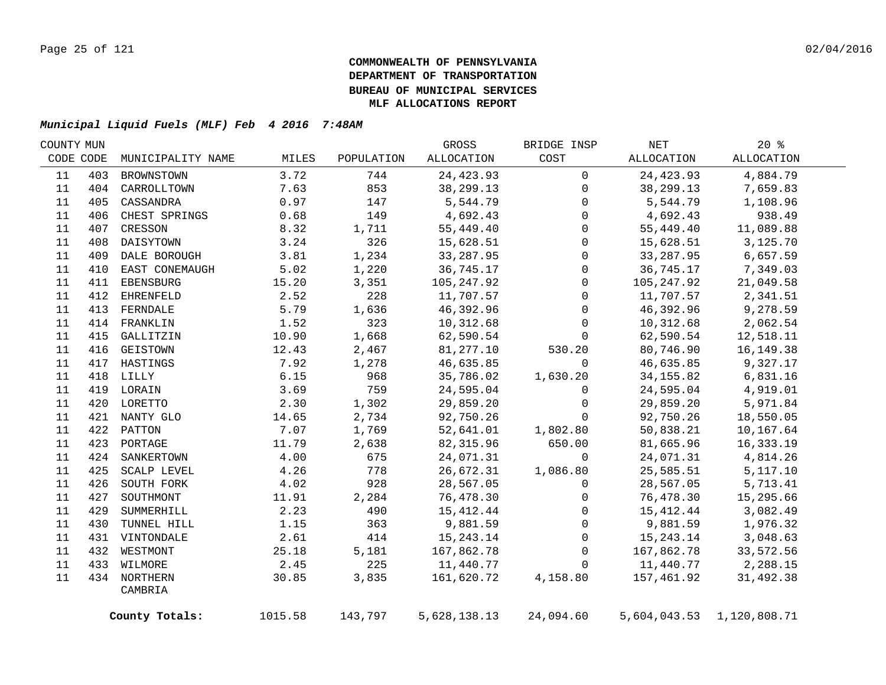|     |                         |                                                                                                                                                                                                                                                                                                                                      |            | GROSS        | BRIDGE INSP    | NET        | $20*$             |                                                                                                       |
|-----|-------------------------|--------------------------------------------------------------------------------------------------------------------------------------------------------------------------------------------------------------------------------------------------------------------------------------------------------------------------------------|------------|--------------|----------------|------------|-------------------|-------------------------------------------------------------------------------------------------------|
|     | MUNICIPALITY NAME       | MILES                                                                                                                                                                                                                                                                                                                                | POPULATION | ALLOCATION   | COST           | ALLOCATION | <b>ALLOCATION</b> |                                                                                                       |
| 403 | BROWNSTOWN              | 3.72                                                                                                                                                                                                                                                                                                                                 | 744        | 24, 423.93   | $\overline{0}$ | 24,423.93  | 4,884.79          |                                                                                                       |
|     |                         | 7.63                                                                                                                                                                                                                                                                                                                                 | 853        | 38,299.13    | $\mathbf 0$    | 38,299.13  | 7,659.83          |                                                                                                       |
| 405 | CASSANDRA               | 0.97                                                                                                                                                                                                                                                                                                                                 | 147        | 5,544.79     | $\mathsf{O}$   | 5,544.79   | 1,108.96          |                                                                                                       |
| 406 | CHEST SPRINGS           | 0.68                                                                                                                                                                                                                                                                                                                                 | 149        | 4,692.43     | $\mathbf 0$    | 4,692.43   | 938.49            |                                                                                                       |
|     | CRESSON                 | 8.32                                                                                                                                                                                                                                                                                                                                 | 1,711      | 55,449.40    | $\mathsf{O}$   | 55,449.40  | 11,089.88         |                                                                                                       |
|     |                         | 3.24                                                                                                                                                                                                                                                                                                                                 | 326        | 15,628.51    | $\mathsf{O}$   | 15,628.51  | 3,125.70          |                                                                                                       |
|     |                         | 3.81                                                                                                                                                                                                                                                                                                                                 | 1,234      | 33,287.95    | $\mathsf{O}$   | 33,287.95  | 6,657.59          |                                                                                                       |
| 410 |                         | 5.02                                                                                                                                                                                                                                                                                                                                 | 1,220      | 36,745.17    | $\mathsf{O}$   | 36,745.17  | 7,349.03          |                                                                                                       |
| 411 | EBENSBURG               | 15.20                                                                                                                                                                                                                                                                                                                                | 3,351      | 105, 247.92  | $\overline{0}$ | 105,247.92 | 21,049.58         |                                                                                                       |
| 412 | EHRENFELD               | 2.52                                                                                                                                                                                                                                                                                                                                 | 228        | 11,707.57    | $\overline{0}$ | 11,707.57  | 2,341.51          |                                                                                                       |
| 413 | FERNDALE                | 5.79                                                                                                                                                                                                                                                                                                                                 | 1,636      | 46,392.96    | $\overline{0}$ | 46,392.96  | 9,278.59          |                                                                                                       |
|     |                         | 1.52                                                                                                                                                                                                                                                                                                                                 | 323        | 10,312.68    | $\mathbf 0$    | 10,312.68  | 2,062.54          |                                                                                                       |
| 415 | GALLITZIN               | 10.90                                                                                                                                                                                                                                                                                                                                | 1,668      | 62,590.54    | 0              | 62,590.54  | 12,518.11         |                                                                                                       |
| 416 | GEISTOWN                | 12.43                                                                                                                                                                                                                                                                                                                                | 2,467      | 81,277.10    | 530.20         | 80,746.90  | 16, 149. 38       |                                                                                                       |
|     |                         | 7.92                                                                                                                                                                                                                                                                                                                                 | 1,278      | 46,635.85    | $\mathbf 0$    | 46,635.85  | 9,327.17          |                                                                                                       |
|     |                         | 6.15                                                                                                                                                                                                                                                                                                                                 | 968        | 35,786.02    | 1,630.20       | 34, 155.82 | 6,831.16          |                                                                                                       |
|     |                         | 3.69                                                                                                                                                                                                                                                                                                                                 | 759        | 24,595.04    | $\mathbf 0$    | 24,595.04  | 4,919.01          |                                                                                                       |
|     |                         | 2.30                                                                                                                                                                                                                                                                                                                                 | 1,302      | 29,859.20    | 0              | 29,859.20  | 5,971.84          |                                                                                                       |
|     |                         | 14.65                                                                                                                                                                                                                                                                                                                                | 2,734      | 92,750.26    | $\mathbf 0$    | 92,750.26  | 18,550.05         |                                                                                                       |
|     |                         | 7.07                                                                                                                                                                                                                                                                                                                                 | 1,769      | 52,641.01    | 1,802.80       | 50,838.21  | 10,167.64         |                                                                                                       |
|     |                         | 11.79                                                                                                                                                                                                                                                                                                                                | 2,638      | 82, 315.96   | 650.00         | 81,665.96  | 16,333.19         |                                                                                                       |
|     |                         | 4.00                                                                                                                                                                                                                                                                                                                                 | 675        | 24,071.31    | $\mathbf 0$    | 24,071.31  | 4,814.26          |                                                                                                       |
|     |                         | 4.26                                                                                                                                                                                                                                                                                                                                 | 778        | 26,672.31    | 1,086.80       | 25,585.51  | 5,117.10          |                                                                                                       |
| 426 | SOUTH FORK              | 4.02                                                                                                                                                                                                                                                                                                                                 | 928        | 28,567.05    | $\mathbf 0$    |            | 5,713.41          |                                                                                                       |
| 427 | SOUTHMONT               | 11.91                                                                                                                                                                                                                                                                                                                                | 2,284      | 76,478.30    | 0              | 76,478.30  | 15,295.66         |                                                                                                       |
|     | SUMMERHILL              | 2.23                                                                                                                                                                                                                                                                                                                                 | 490        | 15, 412.44   | $\mathsf{O}$   | 15,412.44  | 3,082.49          |                                                                                                       |
| 430 | TUNNEL HILL             | 1.15                                                                                                                                                                                                                                                                                                                                 | 363        | 9,881.59     | $\mathbf 0$    |            | 1,976.32          |                                                                                                       |
|     |                         | 2.61                                                                                                                                                                                                                                                                                                                                 | 414        | 15,243.14    | 0              |            | 3,048.63          |                                                                                                       |
|     |                         | 25.18                                                                                                                                                                                                                                                                                                                                | 5,181      | 167,862.78   | $\mathbf 0$    |            | 33,572.56         |                                                                                                       |
|     |                         | 2.45                                                                                                                                                                                                                                                                                                                                 | 225        | 11,440.77    | $\mathbf 0$    |            |                   |                                                                                                       |
|     |                         | 30.85                                                                                                                                                                                                                                                                                                                                | 3,835      | 161,620.72   | 4,158.80       | 157,461.92 | 31,492.38         |                                                                                                       |
|     | CAMBRIA                 |                                                                                                                                                                                                                                                                                                                                      |            |              |                |            |                   |                                                                                                       |
|     |                         | 1015.58                                                                                                                                                                                                                                                                                                                              | 143,797    | 5,628,138.13 | 24,094.60      |            |                   |                                                                                                       |
|     | COUNTY MUN<br>CODE CODE | 404 CARROLLTOWN<br>407<br>408 DAISYTOWN<br>409 DALE BOROUGH<br>EAST CONEMAUGH<br>414 FRANKLIN<br>417 HASTINGS<br>418 LILLY<br>419 LORAIN<br>420 LORETTO<br>421 NANTY GLO<br>422 PATTON<br>423 PORTAGE<br>424 SANKERTOWN<br>425 SCALP LEVEL<br>429<br>431 VINTONDALE<br>432 WESTMONT<br>433 WILMORE<br>434 NORTHERN<br>County Totals: |            |              |                |            |                   | 28,567.05<br>9,881.59<br>15, 243. 14<br>167,862.78<br>11,440.77 2,288.15<br>5,604,043.53 1,120,808.71 |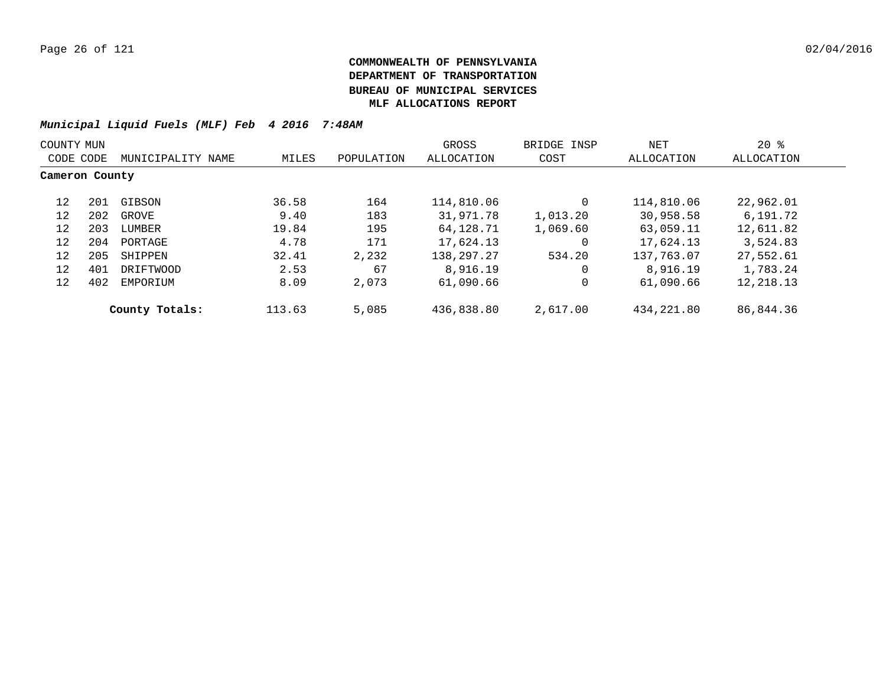|                | COUNTY MUN |                   |        |            | GROSS      | BRIDGE INSP | NET        | $20*$      |
|----------------|------------|-------------------|--------|------------|------------|-------------|------------|------------|
| CODE CODE      |            | MUNICIPALITY NAME | MILES  | POPULATION | ALLOCATION | COST        | ALLOCATION | ALLOCATION |
| Cameron County |            |                   |        |            |            |             |            |            |
| 12             | 201        | GIBSON            | 36.58  | 164        | 114,810.06 |             | 114,810.06 | 22,962.01  |
| 12             | 202        | GROVE             | 9.40   | 183        | 31,971.78  | 1,013.20    | 30,958.58  | 6,191.72   |
| 12             | 203        | LUMBER            | 19.84  | 195        | 64,128.71  | 1,069.60    | 63,059.11  | 12,611.82  |
| 12             | 204        | PORTAGE           | 4.78   | 171        | 17,624.13  | 0           | 17,624.13  | 3,524.83   |
| 12             | 205        | SHIPPEN           | 32.41  | 2,232      | 138,297.27 | 534.20      | 137,763.07 | 27,552.61  |
| 12             | 401        | DRIFTWOOD         | 2.53   | 67         | 8,916.19   | 0           | 8,916.19   | 1,783.24   |
| 12             | 402        | EMPORIUM          | 8.09   | 2,073      | 61,090.66  | 0           | 61,090.66  | 12,218.13  |
|                |            | County Totals:    | 113.63 | 5,085      | 436,838.80 | 2,617.00    | 434,221.80 | 86,844.36  |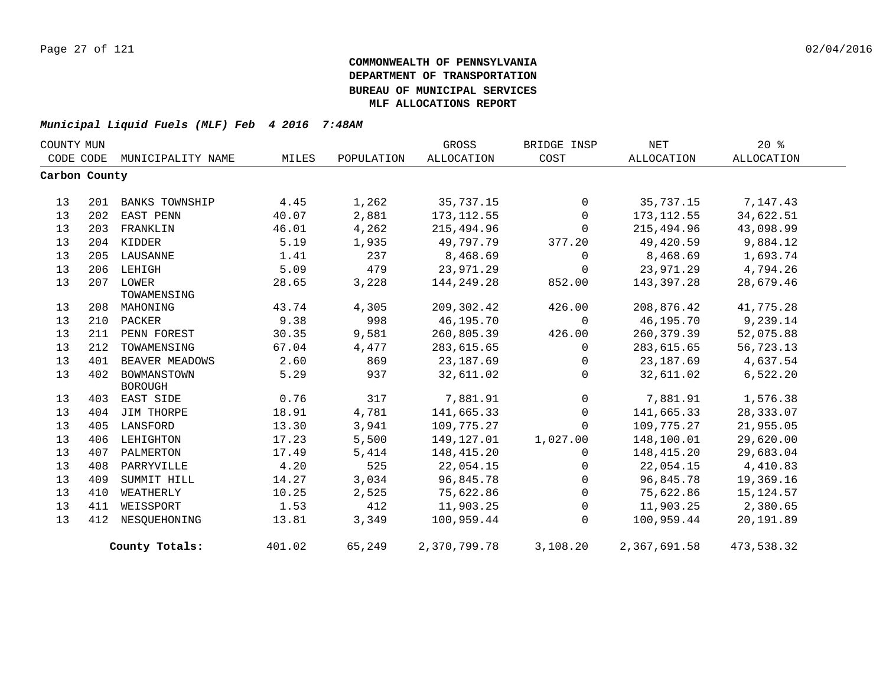| COUNTY MUN    |     |                   |        |            | GROSS             | BRIDGE INSP | NET          | $20*$              |  |
|---------------|-----|-------------------|--------|------------|-------------------|-------------|--------------|--------------------|--|
| CODE CODE     |     | MUNICIPALITY NAME | MILES  | POPULATION | <b>ALLOCATION</b> | COST        | ALLOCATION   | ALLOCATION         |  |
| Carbon County |     |                   |        |            |                   |             |              |                    |  |
|               |     |                   |        |            |                   |             |              |                    |  |
| 13            | 201 | BANKS TOWNSHIP    | 4.45   | 1,262      | 35,737.15         | $\Omega$    | 35,737.15    | 7,147.43           |  |
| 13            | 202 | EAST PENN         | 40.07  | 2,881      | 173, 112.55       | $\mathbf 0$ | 173, 112.55  | 34,622.51          |  |
| 13            | 203 | FRANKLIN          | 46.01  | 4,262      | 215,494.96        | $\mathbf 0$ | 215,494.96   | 43,098.99          |  |
| 13            |     | 204 KIDDER        | 5.19   | 1,935      | 49,797.79         | 377.20      | 49,420.59    | 9,884.12           |  |
| 13            |     | 205 LAUSANNE      | 1.41   | 237        | 8,468.69          | $\Omega$    | 8,468.69     | 1,693.74           |  |
| 13            |     | 206 LEHIGH        | 5.09   | 479        | 23,971.29         | $\mathbf 0$ |              | 23,971.29 4,794.26 |  |
| 13            |     | 207 LOWER         | 28.65  | 3,228      | 144,249.28        | 852.00      | 143,397.28   | 28,679.46          |  |
|               |     | TOWAMENSING       |        |            |                   |             |              |                    |  |
| 13            |     | 208 MAHONING      | 43.74  | 4,305      | 209,302.42        | 426.00      | 208,876.42   | 41,775.28          |  |
| 13            | 210 | PACKER            | 9.38   | 998        | 46,195.70         | $\Omega$    | 46,195.70    | 9,239.14           |  |
| 13            | 211 | PENN FOREST       | 30.35  | 9,581      | 260,805.39        | 426.00      | 260, 379.39  | 52,075.88          |  |
| 13            | 212 | TOWAMENSING       | 67.04  | 4,477      | 283,615.65        | $\Omega$    | 283,615.65   | 56,723.13          |  |
| 13            | 401 | BEAVER MEADOWS    | 2.60   | 869        | 23,187.69         | $\mathbf 0$ | 23,187.69    | 4,637.54           |  |
| 13            | 402 | BOWMANSTOWN       | 5.29   | 937        | 32,611.02         | $\Omega$    | 32,611.02    | 6,522.20           |  |
|               |     | <b>BOROUGH</b>    |        |            |                   |             |              |                    |  |
| 13            | 403 | EAST SIDE         | 0.76   | 317        | 7,881.91          | $\mathbf 0$ | 7,881.91     | 1,576.38           |  |
| 13            |     | 404 JIM THORPE    | 18.91  | 4,781      | 141,665.33        | $\mathbf 0$ | 141,665.33   | 28,333.07          |  |
| 13            | 405 | LANSFORD          | 13.30  | 3,941      | 109,775.27        | $\Omega$    | 109,775.27   | 21,955.05          |  |
| 13            | 406 | LEHIGHTON         | 17.23  | 5,500      | 149,127.01        | 1,027.00    | 148,100.01   | 29,620.00          |  |
| 13            | 407 | PALMERTON         | 17.49  | 5,414      | 148,415.20        | $\Omega$    | 148,415.20   | 29,683.04          |  |
| 13            | 408 | PARRYVILLE        | 4.20   | 525        | 22,054.15         | 0           | 22,054.15    | 4,410.83           |  |
| 13            | 409 | SUMMIT HILL       | 14.27  | 3,034      | 96,845.78         | $\Omega$    | 96,845.78    | 19,369.16          |  |
| 13            | 410 | WEATHERLY         | 10.25  | 2,525      | 75,622.86         | $\mathbf 0$ | 75,622.86    | 15, 124.57         |  |
| 13            | 411 | WEISSPORT         | 1.53   | 412        | 11,903.25         | $\mathbf 0$ | 11,903.25    | 2,380.65           |  |
| 13            | 412 | NESOUEHONING      | 13.81  | 3,349      | 100,959.44        | $\Omega$    | 100,959.44   | 20,191.89          |  |
|               |     | County Totals:    | 401.02 | 65,249     | 2,370,799.78      | 3,108.20    | 2,367,691.58 | 473,538.32         |  |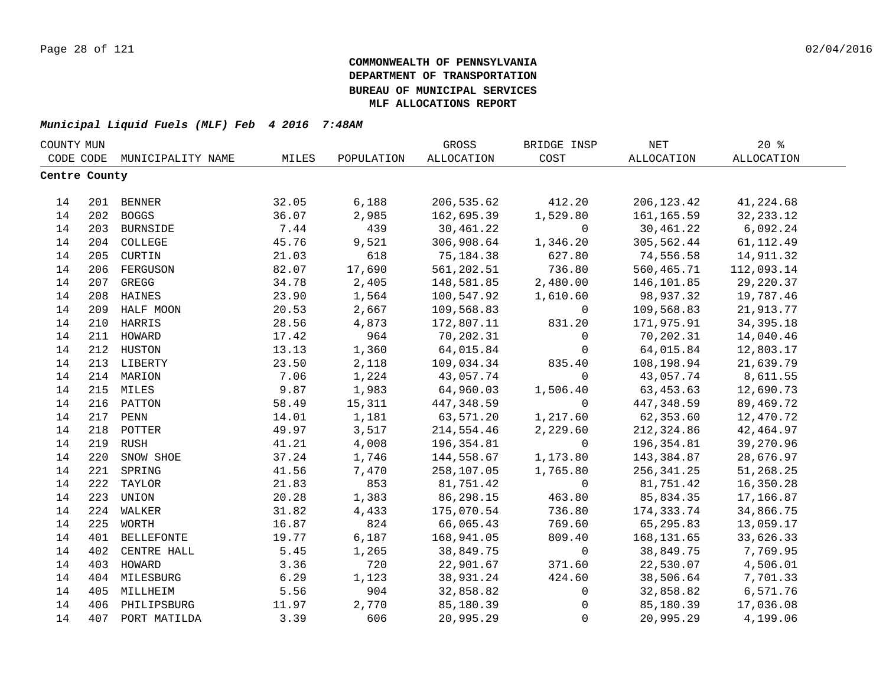| COUNTY MUN    |     |                             |       |            | GROSS      | BRIDGE INSP    | NET        | 20%         |  |
|---------------|-----|-----------------------------|-------|------------|------------|----------------|------------|-------------|--|
|               |     | CODE CODE MUNICIPALITY NAME | MILES | POPULATION | ALLOCATION | COST           | ALLOCATION | ALLOCATION  |  |
| Centre County |     |                             |       |            |            |                |            |             |  |
|               |     |                             |       |            |            |                |            |             |  |
| 14            |     | 201 BENNER                  | 32.05 | 6,188      | 206,535.62 | 412.20         | 206,123.42 | 41,224.68   |  |
| 14            |     | 202 BOGGS                   | 36.07 | 2,985      | 162,695.39 | 1,529.80       | 161,165.59 | 32, 233. 12 |  |
| 14            |     | 203 BURNSIDE                | 7.44  | 439        | 30,461.22  | $\mathbf 0$    | 30,461.22  | 6,092.24    |  |
| 14            |     | 204 COLLEGE                 | 45.76 | 9,521      | 306,908.64 | 1,346.20       | 305,562.44 | 61, 112.49  |  |
| 14            | 205 | CURTIN                      | 21.03 | 618        | 75,184.38  | 627.80         | 74,556.58  | 14,911.32   |  |
| 14            | 206 | FERGUSON                    | 82.07 | 17,690     | 561,202.51 | 736.80         | 560,465.71 | 112,093.14  |  |
| 14            | 207 | GREGG                       | 34.78 | 2,405      | 148,581.85 | 2,480.00       | 146,101.85 | 29,220.37   |  |
| 14            | 208 | HAINES                      | 23.90 | 1,564      | 100,547.92 | 1,610.60       | 98,937.32  | 19,787.46   |  |
| 14            | 209 | HALF MOON                   | 20.53 | 2,667      | 109,568.83 | $\overline{0}$ | 109,568.83 | 21,913.77   |  |
| 14            | 210 | HARRIS                      | 28.56 | 4,873      | 172,807.11 | 831.20         | 171,975.91 | 34, 395. 18 |  |
| 14            | 211 | HOWARD                      | 17.42 | 964        | 70,202.31  | $\mathbf 0$    | 70,202.31  | 14,040.46   |  |
| 14            |     | 212 HUSTON                  | 13.13 | 1,360      | 64,015.84  | $\mathbf 0$    | 64,015.84  | 12,803.17   |  |
| 14            |     | 213 LIBERTY                 | 23.50 | 2,118      | 109,034.34 | 835.40         | 108,198.94 | 21,639.79   |  |
| 14            |     | 214 MARION                  | 7.06  | 1,224      | 43,057.74  | $\mathbf 0$    | 43,057.74  | 8,611.55    |  |
| 14            |     | 215 MILES                   | 9.87  | 1,983      | 64,960.03  | 1,506.40       | 63,453.63  | 12,690.73   |  |
| 14            |     | 216 PATTON                  | 58.49 | 15,311     | 447,348.59 | $\Omega$       | 447,348.59 | 89,469.72   |  |
| 14            |     | 217 PENN                    | 14.01 | 1,181      | 63,571.20  | 1,217.60       | 62,353.60  | 12,470.72   |  |
| 14            | 218 | POTTER                      | 49.97 | 3,517      | 214,554.46 | 2,229.60       | 212,324.86 | 42,464.97   |  |
| 14            | 219 | RUSH                        | 41.21 | 4,008      | 196,354.81 | $\overline{0}$ | 196,354.81 | 39,270.96   |  |
| 14            | 220 | SNOW SHOE                   | 37.24 | 1,746      | 144,558.67 | 1,173.80       | 143,384.87 | 28,676.97   |  |
| 14            | 221 | SPRING                      | 41.56 | 7,470      | 258,107.05 | 1,765.80       | 256,341.25 | 51,268.25   |  |
| 14            | 222 | TAYLOR                      | 21.83 | 853        | 81,751.42  | $\mathsf{O}$   | 81,751.42  | 16,350.28   |  |
| 14            | 223 | UNION                       | 20.28 | 1,383      | 86,298.15  | 463.80         | 85,834.35  | 17,166.87   |  |
| 14            | 224 | WALKER                      | 31.82 | 4,433      | 175,070.54 | 736.80         | 174,333.74 | 34,866.75   |  |
| 14            | 225 | WORTH                       | 16.87 | 824        | 66,065.43  | 769.60         | 65,295.83  | 13,059.17   |  |
| 14            | 401 | <b>BELLEFONTE</b>           | 19.77 | 6,187      | 168,941.05 | 809.40         | 168,131.65 | 33,626.33   |  |
| 14            | 402 | CENTRE HALL                 | 5.45  | 1,265      | 38,849.75  | $\overline{0}$ | 38,849.75  | 7,769.95    |  |
| 14            | 403 | HOWARD                      | 3.36  | 720        | 22,901.67  | 371.60         | 22,530.07  | 4,506.01    |  |
| 14            |     | 404 MILESBURG               | 6.29  | 1,123      | 38,931.24  | 424.60         | 38,506.64  | 7,701.33    |  |
| 14            | 405 | MILLHEIM                    | 5.56  | 904        | 32,858.82  | $\overline{0}$ | 32,858.82  | 6,571.76    |  |
| 14            | 406 | PHILIPSBURG                 | 11.97 | 2,770      | 85,180.39  | 0              | 85,180.39  | 17,036.08   |  |
| 14            | 407 | PORT MATILDA                | 3.39  | 606        | 20,995.29  | $\mathsf{O}$   | 20,995.29  | 4,199.06    |  |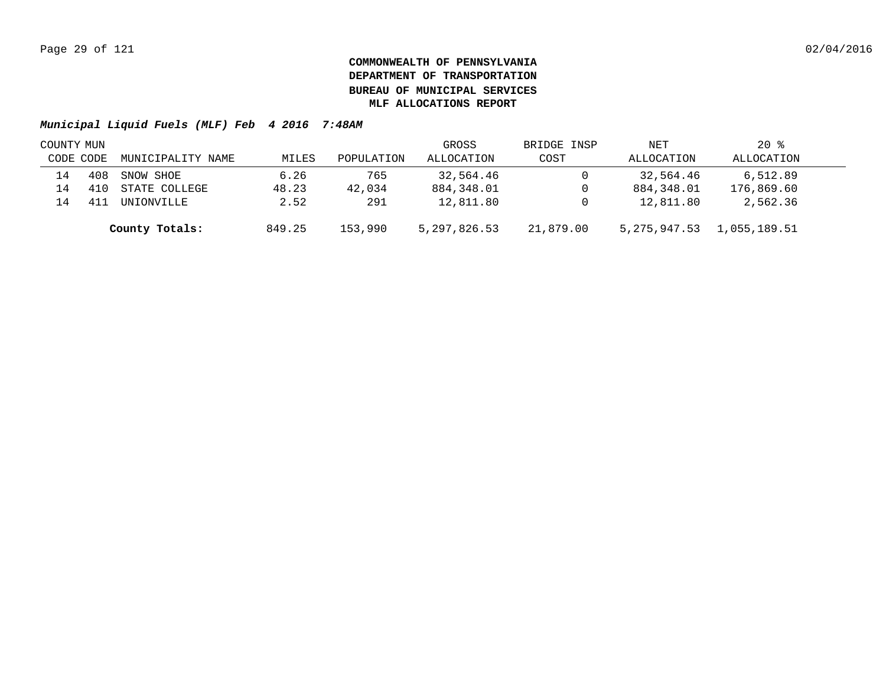| COUNTY MUN |     |                   |        |            | GROSS        | BRIDGE INSP | NET          | $20*$        |  |
|------------|-----|-------------------|--------|------------|--------------|-------------|--------------|--------------|--|
| CODE CODE  |     | MUNICIPALITY NAME | MILES  | POPULATION | ALLOCATION   | COST        | ALLOCATION   | ALLOCATION   |  |
| 14         | 408 | SNOW SHOE         | 6.26   | 765        | 32,564.46    |             | 32,564.46    | 6,512.89     |  |
|            | 410 | STATE COLLEGE     | 48.23  | 42,034     | 884,348.01   |             | 884,348.01   | 176,869.60   |  |
| 14         |     | <b>UNIONVILLE</b> | 2.52   | 291        | 12,811.80    |             | 12,811.80    | 2,562.36     |  |
|            |     | County Totals:    | 849.25 | 153,990    | 5,297,826.53 | 21,879.00   | 5,275,947.53 | 1,055,189.51 |  |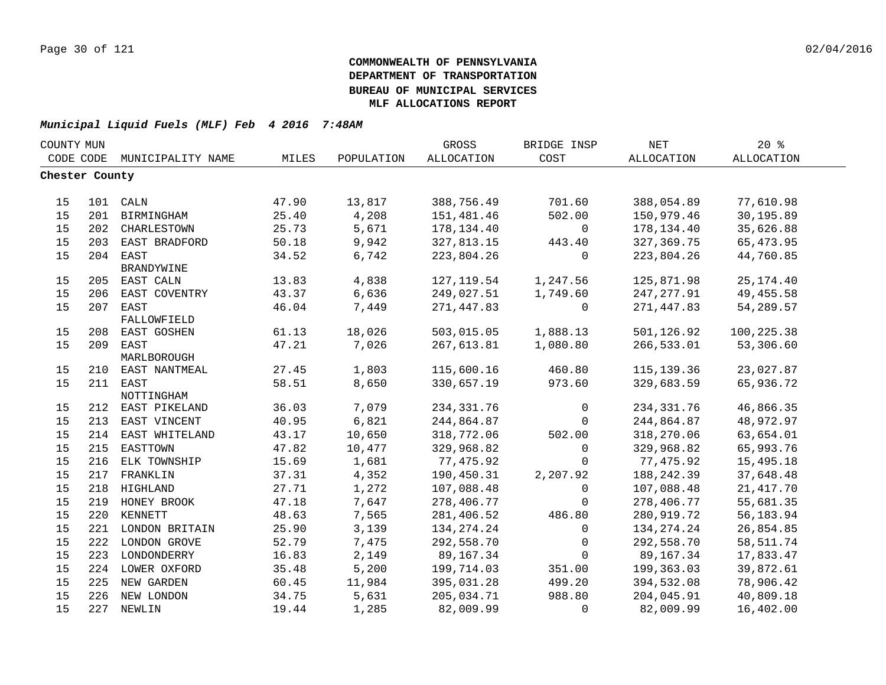| COUNTY MUN     |     |                        |       |            | GROSS        | BRIDGE INSP | <b>NET</b>   | 20%         |  |
|----------------|-----|------------------------|-------|------------|--------------|-------------|--------------|-------------|--|
| CODE CODE      |     | MUNICIPALITY NAME      | MILES | POPULATION | ALLOCATION   | COST        | ALLOCATION   | ALLOCATION  |  |
| Chester County |     |                        |       |            |              |             |              |             |  |
|                |     |                        |       |            |              |             |              |             |  |
| 15             |     | 101 CALN               | 47.90 | 13,817     | 388,756.49   | 701.60      | 388,054.89   | 77,610.98   |  |
| 15             |     | 201 BIRMINGHAM         | 25.40 | 4,208      | 151,481.46   | 502.00      | 150,979.46   | 30,195.89   |  |
| 15             |     | 202 CHARLESTOWN        | 25.73 | 5,671      | 178,134.40   | $\mathbf 0$ | 178,134.40   | 35,626.88   |  |
| 15             | 203 | EAST BRADFORD          | 50.18 | 9,942      | 327,813.15   | 443.40      | 327, 369.75  | 65, 473.95  |  |
| 15             |     | 204 EAST               | 34.52 | 6,742      | 223,804.26   | $\mathbf 0$ | 223,804.26   | 44,760.85   |  |
|                |     | BRANDYWINE             |       |            |              |             |              |             |  |
| 15             |     | 205 EAST CALN          | 13.83 | 4,838      | 127,119.54   | 1,247.56    | 125,871.98   | 25, 174. 40 |  |
| 15             | 206 | EAST COVENTRY          | 43.37 | 6,636      | 249,027.51   | 1,749.60    | 247, 277.91  | 49,455.58   |  |
| 15             |     | 207 EAST               | 46.04 | 7,449      | 271,447.83   | 0           | 271,447.83   | 54,289.57   |  |
|                |     | FALLOWFIELD            |       |            |              |             |              |             |  |
| 15             | 208 | EAST GOSHEN            | 61.13 | 18,026     | 503,015.05   | 1,888.13    | 501,126.92   | 100, 225.38 |  |
| 15             |     | 209 EAST               | 47.21 | 7,026      | 267,613.81   | 1,080.80    | 266,533.01   | 53,306.60   |  |
|                |     | MARLBOROUGH            |       |            |              |             |              |             |  |
| 15             |     | 210 EAST NANTMEAL      | 27.45 | 1,803      | 115,600.16   | 460.80      | 115,139.36   | 23,027.87   |  |
| 15             |     | 211 EAST<br>NOTTINGHAM | 58.51 | 8,650      | 330,657.19   | 973.60      | 329,683.59   | 65,936.72   |  |
| 15             |     | 212 EAST PIKELAND      | 36.03 | 7,079      | 234, 331. 76 | 0           | 234, 331. 76 | 46,866.35   |  |
| 15             | 213 | EAST VINCENT           | 40.95 | 6,821      | 244,864.87   | $\mathbf 0$ | 244,864.87   | 48,972.97   |  |
| 15             | 214 | EAST WHITELAND         | 43.17 | 10,650     | 318,772.06   | 502.00      | 318,270.06   | 63,654.01   |  |
| 15             | 215 | EASTTOWN               | 47.82 | 10,477     | 329,968.82   | $\mathbf 0$ | 329,968.82   | 65,993.76   |  |
| 15             | 216 | ELK TOWNSHIP           | 15.69 | 1,681      | 77,475.92    | $\Omega$    | 77,475.92    | 15,495.18   |  |
| 15             | 217 | FRANKLIN               | 37.31 | 4,352      | 190,450.31   | 2,207.92    | 188,242.39   | 37,648.48   |  |
| 15             | 218 | HIGHLAND               | 27.71 | 1,272      | 107,088.48   | 0           | 107,088.48   | 21, 417.70  |  |
| 15             | 219 | HONEY BROOK            | 47.18 | 7,647      | 278,406.77   | $\Omega$    | 278,406.77   | 55,681.35   |  |
| 15             | 220 | KENNETT                | 48.63 | 7,565      | 281,406.52   | 486.80      | 280,919.72   | 56,183.94   |  |
| 15             |     | 221 LONDON BRITAIN     | 25.90 | 3,139      | 134, 274. 24 | $\mathbf 0$ | 134, 274. 24 | 26,854.85   |  |
| 15             |     | 222 LONDON GROVE       | 52.79 | 7,475      | 292,558.70   | $\mathbf 0$ | 292,558.70   | 58, 511.74  |  |
| 15             |     | 223 LONDONDERRY        | 16.83 | 2,149      | 89,167.34    | $\mathbf 0$ | 89,167.34    | 17,833.47   |  |
| 15             |     | 224 LOWER OXFORD       | 35.48 | 5,200      | 199,714.03   | 351.00      | 199,363.03   | 39,872.61   |  |
| 15             |     | 225 NEW GARDEN         | 60.45 | 11,984     | 395,031.28   | 499.20      | 394,532.08   | 78,906.42   |  |
| 15             |     | 226 NEW LONDON         | 34.75 | 5,631      | 205,034.71   | 988.80      | 204,045.91   | 40,809.18   |  |
| 15             |     | 227 NEWLIN             | 19.44 | 1,285      | 82,009.99    | $\mathbf 0$ | 82,009.99    | 16,402.00   |  |
|                |     |                        |       |            |              |             |              |             |  |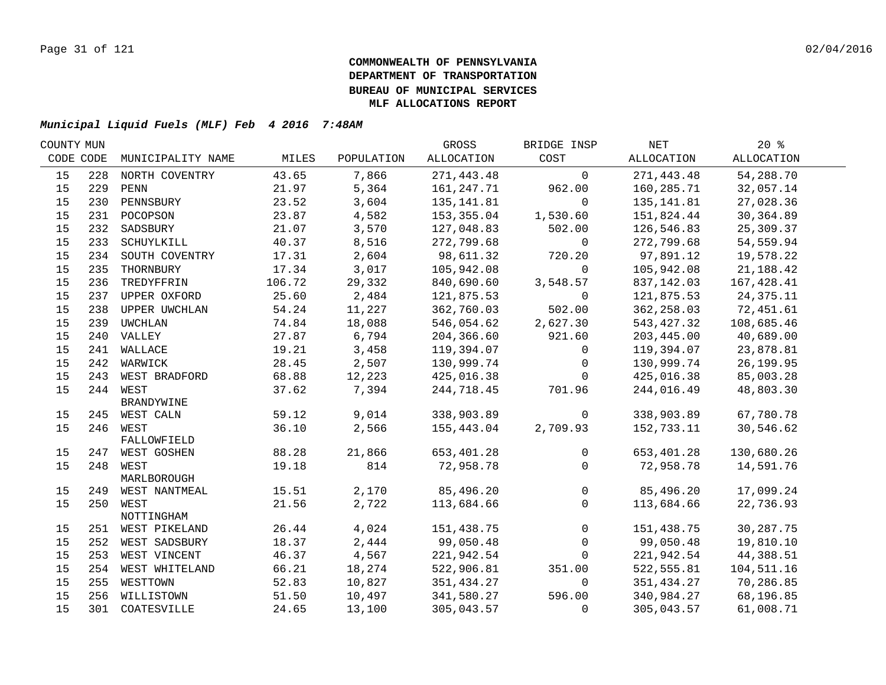| COUNTY MUN |     |                             |                |               | GROSS                   | BRIDGE INSP   | NET                     | $20*$                   |  |
|------------|-----|-----------------------------|----------------|---------------|-------------------------|---------------|-------------------------|-------------------------|--|
| CODE CODE  |     | MUNICIPALITY NAME           | MILES          | POPULATION    | ALLOCATION              | COST          | ALLOCATION              | ALLOCATION              |  |
| 15         |     | 228 NORTH COVENTRY          | 43.65          | 7,866         | 271,443.48              | $\mathbf 0$   | 271,443.48              | 54,288.70               |  |
| 15         | 229 | PENN                        | 21.97          | 5,364         | 161,247.71              | 962.00        | 160,285.71              | 32,057.14               |  |
| 15         | 230 | PENNSBURY                   | 23.52          | 3,604         | 135,141.81              | $\mathbf 0$   | 135,141.81              | 27,028.36               |  |
| 15         |     | 231 POCOPSON                | 23.87          | 4,582         | 153,355.04              | 1,530.60      | 151,824.44              | 30,364.89               |  |
| 15         |     | 232 SADSBURY                | 21.07          | 3,570         | 127,048.83              | 502.00        | 126,546.83              | 25,309.37               |  |
| 15         |     | 233 SCHUYLKILL              | 40.37          | 8,516         | 272,799.68              | $\mathbf 0$   | 272,799.68              | 54,559.94               |  |
| 15         |     | 234 SOUTH COVENTRY          | 17.31          | 2,604         | 98,611.32               | 720.20        | 97,891.12               | 19,578.22               |  |
| 15         | 235 | THORNBURY                   | 17.34          | 3,017         | 105,942.08              | $\mathbf 0$   | 105,942.08              | 21,188.42               |  |
| 15         | 236 | TREDYFFRIN                  | 106.72         | 29,332        | 840,690.60              | 3,548.57      | 837,142.03              | 167,428.41              |  |
| 15         |     | 237 UPPER OXFORD            | 25.60          | 2,484         | 121,875.53              | 0             | 121,875.53              | 24, 375. 11             |  |
| 15         | 238 | UPPER UWCHLAN               | 54.24          | 11,227        | 362,760.03              | 502.00        | 362,258.03              | 72,451.61               |  |
| 15         | 239 | UWCHLAN                     | 74.84          | 18,088        | 546,054.62              | 2,627.30      | 543, 427.32             | 108,685.46              |  |
| 15         |     | 240 VALLEY                  | 27.87          | 6,794         | 204,366.60              | 921.60        | 203, 445.00             | 40,689.00               |  |
| 15         |     | 241 WALLACE                 | 19.21          | 3,458         | 119,394.07              | $\mathsf{O}$  | 119,394.07              | 23,878.81               |  |
| 15         |     | 242 WARWICK                 | 28.45          | 2,507         | 130,999.74              | $\mathbf 0$   | 130,999.74              | 26,199.95               |  |
| 15         |     | 243 WEST BRADFORD           | 68.88          | 12,223        | 425,016.38              | $\mathbf 0$   | 425,016.38              | 85,003.28               |  |
| 15         |     | 244 WEST                    | 37.62          | 7,394         | 244,718.45              | 701.96        | 244,016.49              | 48,803.30               |  |
|            |     | BRANDYWINE                  |                |               |                         |               |                         |                         |  |
| 15         |     | 245 WEST CALN               | 59.12          | 9,014         | 338,903.89              | $\mathbf 0$   | 338,903.89              | 67,780.78               |  |
| 15         |     | 246 WEST                    | 36.10          | 2,566         | 155,443.04              | 2,709.93      | 152,733.11              | 30,546.62               |  |
|            |     | FALLOWFIELD                 |                |               |                         |               |                         |                         |  |
| 15<br>15   |     | 247 WEST GOSHEN<br>248 WEST | 88.28<br>19.18 | 21,866<br>814 | 653,401.28<br>72,958.78 | 0<br>$\Omega$ | 653,401.28<br>72,958.78 | 130,680.26<br>14,591.76 |  |
|            |     | MARLBOROUGH                 |                |               |                         |               |                         |                         |  |
| 15         |     | 249 WEST NANTMEAL           | 15.51          | 2,170         | 85,496.20               | $\mathbf 0$   | 85,496.20               | 17,099.24               |  |
| 15         |     | 250 WEST                    | 21.56          | 2,722         | 113,684.66              | $\mathbf 0$   | 113,684.66              | 22,736.93               |  |
|            |     | NOTTINGHAM                  |                |               |                         |               |                         |                         |  |
| 15         |     | 251 WEST PIKELAND           | 26.44          | 4,024         | 151,438.75              | $\mathbf 0$   | 151,438.75              | 30,287.75               |  |
| 15         |     | 252 WEST SADSBURY           | 18.37          | 2,444         | 99,050.48               | $\mathsf{O}$  | 99,050.48               | 19,810.10               |  |
| 15         |     | 253 WEST VINCENT            | 46.37          | 4,567         | 221,942.54              | $\mathbf 0$   | 221,942.54              | 44,388.51               |  |
| 15         |     | 254 WEST WHITELAND          | 66.21          | 18,274        | 522,906.81              | 351.00        | 522,555.81              | 104,511.16              |  |
| 15         |     | 255 WESTTOWN                | 52.83          | 10,827        | 351,434.27              | $\mathbf 0$   | 351,434.27              | 70,286.85               |  |
| 15         |     | 256 WILLISTOWN              | 51.50          | 10,497        | 341,580.27              | 596.00        | 340,984.27              | 68,196.85               |  |
| 15         |     | 301 COATESVILLE             | 24.65          | 13,100        | 305,043.57              | $\mathbf 0$   | 305,043.57              | 61,008.71               |  |
|            |     |                             |                |               |                         |               |                         |                         |  |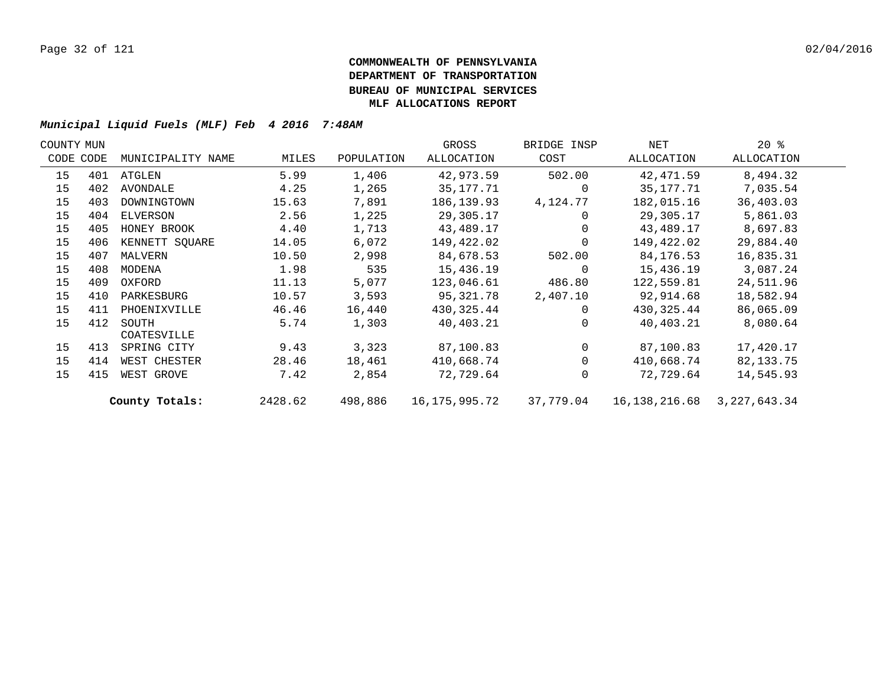| COUNTY MUN |     |                   |         |            | GROSS         | BRIDGE INSP    | NET           | $20*$        |  |
|------------|-----|-------------------|---------|------------|---------------|----------------|---------------|--------------|--|
| CODE CODE  |     | MUNICIPALITY NAME | MILES   | POPULATION | ALLOCATION    | COST           | ALLOCATION    | ALLOCATION   |  |
| 15         |     | 401 ATGLEN        | 5.99    | 1,406      | 42,973.59     | 502.00         | 42,471.59     | 8,494.32     |  |
| 15         | 402 | AVONDALE          | 4.25    | 1,265      | 35,177.71     | $\mathbf{0}$   | 35,177.71     | 7,035.54     |  |
| 15         | 403 | DOWNINGTOWN       | 15.63   | 7,891      | 186,139.93    | 4,124.77       | 182,015.16    | 36,403.03    |  |
| 15         | 404 | ELVERSON          | 2.56    | 1,225      | 29,305.17     | 0              | 29,305.17     | 5,861.03     |  |
| 15         | 405 | HONEY BROOK       | 4.40    | 1,713      | 43,489.17     | $\overline{0}$ | 43,489.17     | 8,697.83     |  |
| 15         | 406 | KENNETT SOUARE    | 14.05   | 6,072      | 149,422.02    | $\Omega$       | 149,422.02    | 29,884.40    |  |
| 15         | 407 | MALVERN           | 10.50   | 2,998      | 84,678.53     | 502.00         | 84,176.53     | 16,835.31    |  |
| 15         | 408 | MODENA            | 1.98    | 535        | 15,436.19     | $\mathbf{0}$   | 15,436.19     | 3,087.24     |  |
| 15         | 409 | OXFORD            | 11.13   | 5,077      | 123,046.61    | 486.80         | 122,559.81    | 24,511.96    |  |
| 15         | 410 | PARKESBURG        | 10.57   | 3,593      | 95,321.78     | 2,407.10       | 92,914.68     | 18,582.94    |  |
| 15         | 411 | PHOENIXVILLE      | 46.46   | 16,440     | 430,325.44    | $\mathbf{0}$   | 430,325.44    | 86,065.09    |  |
| 15         | 412 | SOUTH             | 5.74    | 1,303      | 40,403.21     | $\Omega$       | 40,403.21     | 8,080.64     |  |
|            |     | COATESVILLE       |         |            |               |                |               |              |  |
| 15         | 413 | SPRING CITY       | 9.43    | 3,323      | 87,100.83     | $\mathbf 0$    | 87,100.83     | 17,420.17    |  |
| 15         | 414 | WEST CHESTER      | 28.46   | 18,461     | 410,668.74    | $\Omega$       | 410,668.74    | 82,133.75    |  |
| 15         | 415 | WEST GROVE        | 7.42    | 2,854      | 72,729.64     | $\Omega$       | 72,729.64     | 14,545.93    |  |
|            |     | County Totals:    | 2428.62 | 498,886    | 16,175,995.72 | 37,779.04      | 16,138,216.68 | 3,227,643.34 |  |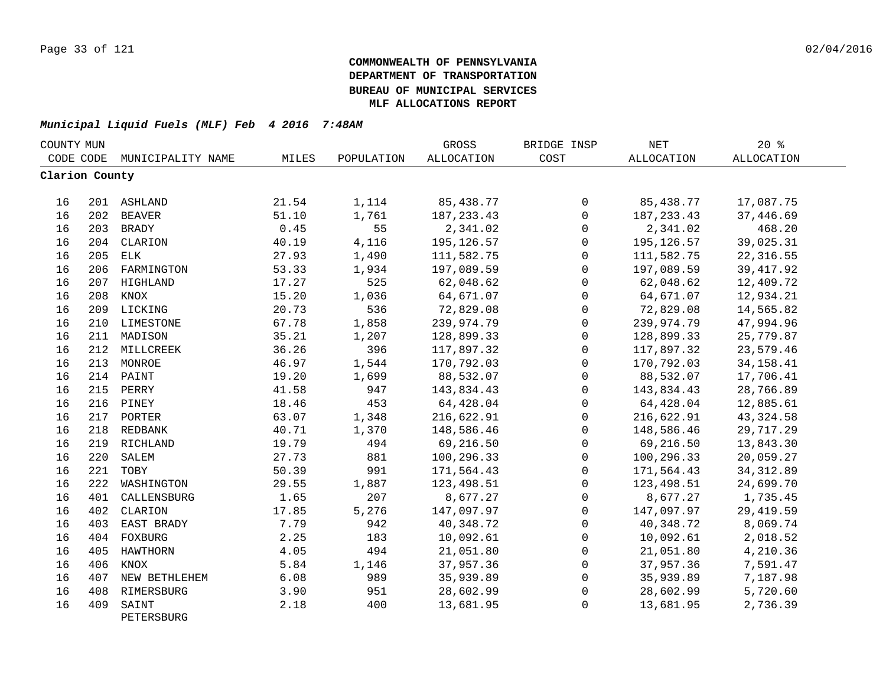|                | COUNTY MUN |                     |       |            | GROSS       | BRIDGE INSP  | <b>NET</b>        | 20%         |  |
|----------------|------------|---------------------|-------|------------|-------------|--------------|-------------------|-------------|--|
| CODE CODE      |            | MUNICIPALITY NAME   | MILES | POPULATION | ALLOCATION  | COST         | <b>ALLOCATION</b> | ALLOCATION  |  |
| Clarion County |            |                     |       |            |             |              |                   |             |  |
| 16             |            | 201 ASHLAND         | 21.54 | 1,114      | 85,438.77   | 0            | 85,438.77         | 17,087.75   |  |
| 16             | 202        | <b>BEAVER</b>       | 51.10 | 1,761      | 187, 233.43 | $\mathsf{O}$ | 187, 233.43       | 37,446.69   |  |
| 16             | 203        | BRADY               | 0.45  | 55         | 2,341.02    | 0            | 2,341.02          | 468.20      |  |
| 16             | 204        | CLARION             | 40.19 | 4,116      | 195, 126.57 | 0            | 195,126.57        | 39,025.31   |  |
| 16             | 205        | ELK                 | 27.93 | 1,490      | 111,582.75  | $\mathsf{O}$ | 111,582.75        | 22, 316.55  |  |
|                | 206        |                     |       |            | 197,089.59  |              |                   |             |  |
| 16             |            | FARMINGTON          | 53.33 | 1,934      |             | $\mathbf 0$  | 197,089.59        | 39, 417.92  |  |
| 16             | 207        | HIGHLAND            | 17.27 | 525        | 62,048.62   | $\Omega$     | 62,048.62         | 12,409.72   |  |
| 16             | 208        | KNOX                | 15.20 | 1,036      | 64,671.07   | $\mathbf 0$  | 64,671.07         | 12,934.21   |  |
| 16             |            | 209 LICKING         | 20.73 | 536        | 72,829.08   | 0            | 72,829.08         | 14,565.82   |  |
| 16             |            | 210 LIMESTONE       | 67.78 | 1,858      | 239,974.79  | $\mathsf{O}$ | 239,974.79        | 47,994.96   |  |
| 16             |            | 211 MADISON         | 35.21 | 1,207      | 128,899.33  | $\mathsf{O}$ | 128,899.33        | 25,779.87   |  |
| 16             |            | 212 MILLCREEK       | 36.26 | 396        | 117,897.32  | $\mathbf 0$  | 117,897.32        | 23,579.46   |  |
| 16             |            | 213 MONROE          | 46.97 | 1,544      | 170,792.03  | $\mathbf 0$  | 170,792.03        | 34, 158. 41 |  |
| 16             |            | 214 PAINT           | 19.20 | 1,699      | 88,532.07   | 0            | 88,532.07         | 17,706.41   |  |
| 16             |            | 215 PERRY           | 41.58 | 947        | 143,834.43  | $\mathsf 0$  | 143,834.43        | 28,766.89   |  |
| 16             |            | 216 PINEY           | 18.46 | 453        | 64,428.04   | $\mathsf 0$  | 64,428.04         | 12,885.61   |  |
| 16             |            | 217 PORTER          | 63.07 | 1,348      | 216,622.91  | $\mathsf{O}$ | 216,622.91        | 43, 324.58  |  |
| 16             |            | 218 REDBANK         | 40.71 | 1,370      | 148,586.46  | $\mathbf 0$  | 148,586.46        | 29,717.29   |  |
| 16             |            | 219 RICHLAND        | 19.79 | 494        | 69,216.50   | $\mathbf 0$  | 69,216.50         | 13,843.30   |  |
| 16             |            | 220 SALEM           | 27.73 | 881        | 100,296.33  | $\mathbf 0$  | 100,296.33        | 20,059.27   |  |
| 16             | 221        | TOBY                | 50.39 | 991        | 171,564.43  | $\mathbf 0$  | 171,564.43        | 34, 312.89  |  |
| 16             | 222        | WASHINGTON          | 29.55 | 1,887      | 123,498.51  | $\mathbf 0$  | 123,498.51        | 24,699.70   |  |
| 16             | 401        | CALLENSBURG         | 1.65  | 207        | 8,677.27    | $\mathbf 0$  | 8,677.27          | 1,735.45    |  |
| 16             | 402        | CLARION             | 17.85 | 5,276      | 147,097.97  | $\mathbf 0$  | 147,097.97        | 29, 419.59  |  |
| 16             | 403        | EAST BRADY          | 7.79  | 942        | 40,348.72   | $\mathbf 0$  | 40,348.72         | 8,069.74    |  |
| 16             | 404        | FOXBURG             | 2.25  | 183        | 10,092.61   | $\mathsf{O}$ | 10,092.61         | 2,018.52    |  |
| 16             | 405        | HAWTHORN            | 4.05  | 494        | 21,051.80   | $\mathsf{O}$ | 21,051.80         | 4,210.36    |  |
| 16             | 406        | KNOX                | 5.84  | 1,146      | 37,957.36   | $\mathsf{O}$ | 37,957.36         | 7,591.47    |  |
| 16             |            | 407 NEW BETHLEHEM   | 6.08  | 989        | 35,939.89   | 0            | 35,939.89         | 7,187.98    |  |
| 16             | 408        | RIMERSBURG          | 3.90  | 951        | 28,602.99   | 0            | 28,602.99         | 5,720.60    |  |
| 16             | 409        | SAINT<br>PETERSBURG | 2.18  | 400        | 13,681.95   | $\mathbf 0$  | 13,681.95         | 2,736.39    |  |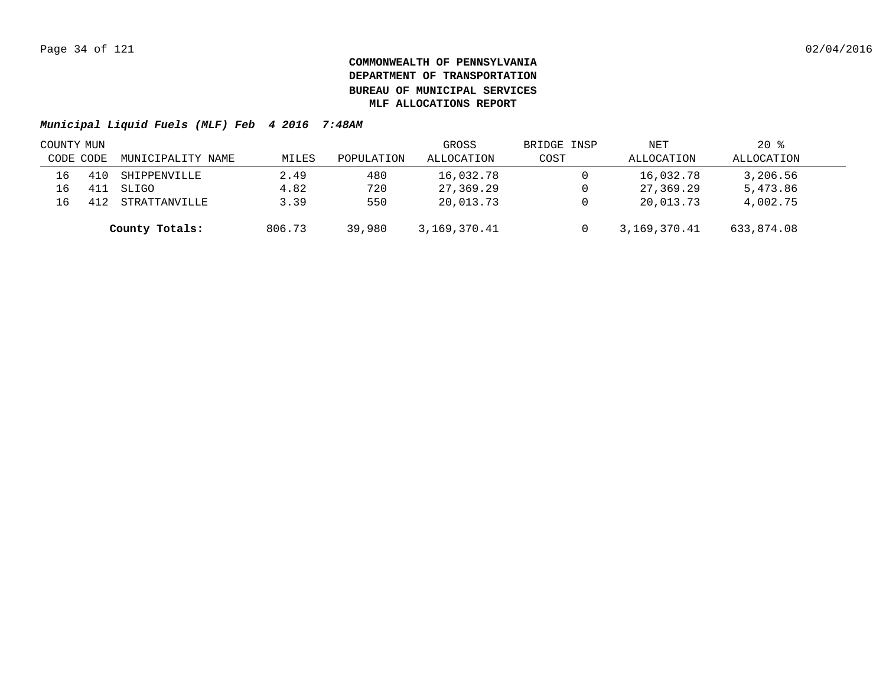| COUNTY MUN |           |                   |        |            | GROSS        | BRIDGE INSP | NET          | $20*$      |  |
|------------|-----------|-------------------|--------|------------|--------------|-------------|--------------|------------|--|
|            | CODE CODE | MUNICIPALITY NAME | MILES  | POPULATION | ALLOCATION   | COST        | ALLOCATION   | ALLOCATION |  |
| 16         |           | SHIPPENVILLE      | 2.49   | 480        | 16,032.78    |             | 16,032.78    | 3,206.56   |  |
| 16         |           | SLIGO             | 4.82   | 720        | 27,369.29    |             | 27,369.29    | 5,473.86   |  |
| 16         |           | STRATTANVILLE     | 3.39   | 550        | 20,013.73    |             | 20,013.73    | 4,002.75   |  |
|            |           | County Totals:    | 806.73 | 39,980     | 3,169,370.41 |             | 3,169,370.41 | 633,874.08 |  |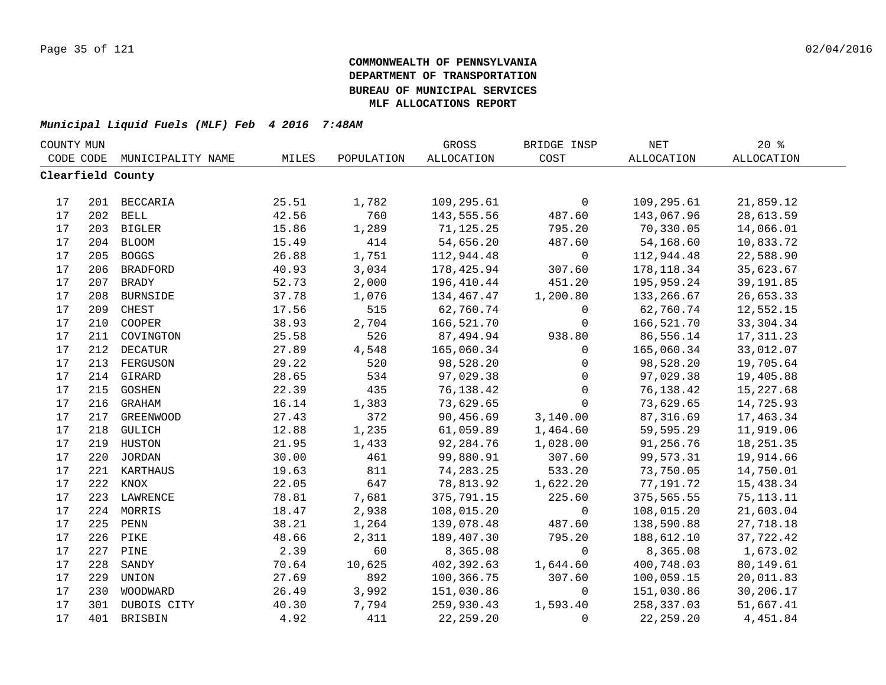| COUNTY MUN |     |                   |       |            | GROSS      | BRIDGE INSP  | $\operatorname{NET}$ | 20%               |  |
|------------|-----|-------------------|-------|------------|------------|--------------|----------------------|-------------------|--|
| CODE CODE  |     | MUNICIPALITY NAME | MILES | POPULATION | ALLOCATION | COST         | ALLOCATION           | <b>ALLOCATION</b> |  |
|            |     | Clearfield County |       |            |            |              |                      |                   |  |
|            |     |                   |       |            |            |              |                      |                   |  |
| 17         |     | 201 BECCARIA      | 25.51 | 1,782      | 109,295.61 | $\mathbf 0$  | 109,295.61           | 21,859.12         |  |
| 17         |     | 202 BELL          | 42.56 | 760        | 143,555.56 | 487.60       | 143,067.96           | 28,613.59         |  |
| 17         |     | 203 BIGLER        | 15.86 | 1,289      | 71,125.25  | 795.20       | 70,330.05            | 14,066.01         |  |
| 17         |     | 204 BLOOM         | 15.49 | 414        | 54,656.20  | 487.60       | 54,168.60            | 10,833.72         |  |
| 17         | 205 | <b>BOGGS</b>      | 26.88 | 1,751      | 112,944.48 | $\mathsf{O}$ | 112,944.48           | 22,588.90         |  |
| 17         | 206 | <b>BRADFORD</b>   | 40.93 | 3,034      | 178,425.94 | 307.60       | 178,118.34           | 35,623.67         |  |
| $17$       | 207 | <b>BRADY</b>      | 52.73 | 2,000      | 196,410.44 | 451.20       | 195,959.24           | 39, 191.85        |  |
| 17         | 208 | <b>BURNSIDE</b>   | 37.78 | 1,076      | 134,467.47 | 1,200.80     | 133,266.67           | 26,653.33         |  |
| 17         | 209 | CHEST             | 17.56 | 515        | 62,760.74  | $\mathbf 0$  | 62,760.74            | 12,552.15         |  |
| 17         | 210 | COOPER            | 38.93 | 2,704      | 166,521.70 | $\mathbf 0$  | 166,521.70           | 33, 304.34        |  |
| 17         | 211 | COVINGTON         | 25.58 | 526        | 87,494.94  | 938.80       | 86,556.14            | 17,311.23         |  |
| 17         | 212 | <b>DECATUR</b>    | 27.89 | 4,548      | 165,060.34 | $\mathbf 0$  | 165,060.34           | 33,012.07         |  |
| 17         | 213 | FERGUSON          | 29.22 | 520        | 98,528.20  | $\mathbf 0$  | 98,528.20            | 19,705.64         |  |
| 17         |     | 214 GIRARD        | 28.65 | 534        | 97,029.38  | $\mathbf 0$  | 97,029.38            | 19,405.88         |  |
| 17         |     | 215 GOSHEN        | 22.39 | 435        | 76,138.42  | 0            | 76,138.42            | 15,227.68         |  |
| 17         |     | 216 GRAHAM        | 16.14 | 1,383      | 73,629.65  | $\mathbf 0$  | 73,629.65            | 14,725.93         |  |
| 17         |     | 217 GREENWOOD     | 27.43 | 372        | 90,456.69  | 3,140.00     | 87,316.69            | 17,463.34         |  |
| 17         |     | 218 GULICH        | 12.88 | 1,235      | 61,059.89  | 1,464.60     | 59,595.29            | 11,919.06         |  |
| 17         |     | 219 HUSTON        | 21.95 | 1,433      | 92,284.76  | 1,028.00     | 91,256.76            | 18, 251.35        |  |
| 17         |     | 220 JORDAN        | 30.00 | 461        | 99,880.91  | 307.60       | 99,573.31            | 19,914.66         |  |
| 17         |     | 221 KARTHAUS      | 19.63 | 811        | 74,283.25  | 533.20       | 73,750.05            | 14,750.01         |  |
| 17         | 222 | KNOX              | 22.05 | 647        | 78,813.92  | 1,622.20     | 77,191.72            | 15,438.34         |  |
| 17         | 223 | LAWRENCE          | 78.81 | 7,681      | 375,791.15 | 225.60       | 375,565.55           | 75, 113. 11       |  |
| 17         | 224 | MORRIS            | 18.47 | 2,938      | 108,015.20 | $\mathbf 0$  | 108,015.20           | 21,603.04         |  |
| 17         | 225 | PENN              | 38.21 | 1,264      | 139,078.48 | 487.60       | 138,590.88           | 27,718.18         |  |
| 17         | 226 | PIKE              | 48.66 | 2,311      | 189,407.30 | 795.20       | 188,612.10           | 37,722.42         |  |
| 17         | 227 | PINE              | 2.39  | 60         | 8,365.08   | $\mathbf 0$  | 8,365.08             | 1,673.02          |  |
| 17         | 228 | SANDY             | 70.64 | 10,625     | 402,392.63 | 1,644.60     | 400,748.03           | 80,149.61         |  |
| 17         | 229 | UNION             | 27.69 | 892        | 100,366.75 | 307.60       | 100,059.15           | 20,011.83         |  |
| 17         | 230 | WOODWARD          | 26.49 | 3,992      | 151,030.86 | $\mathsf{O}$ | 151,030.86           | 30,206.17         |  |
| 17         |     | 301 DUBOIS CITY   | 40.30 | 7,794      | 259,930.43 | 1,593.40     | 258,337.03           | 51,667.41         |  |
| 17         |     | 401 BRISBIN       | 4.92  | 411        | 22, 259.20 | $\Omega$     | 22, 259.20           | 4,451.84          |  |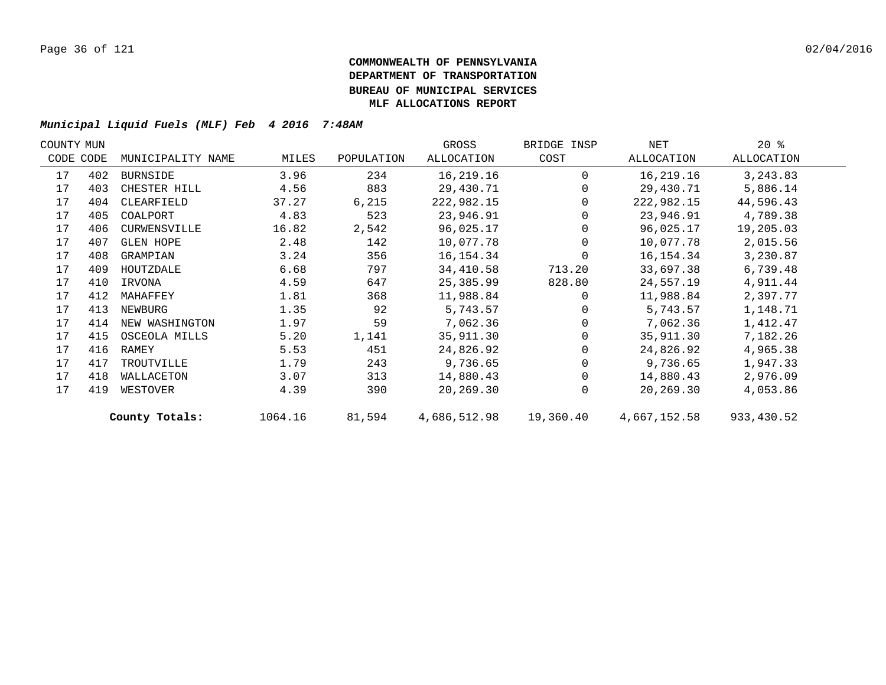| COUNTY MUN |                   |                |            | GROSS        | BRIDGE INSP | NET          | $20*$      |  |
|------------|-------------------|----------------|------------|--------------|-------------|--------------|------------|--|
| CODE CODE  | MUNICIPALITY NAME | MILES          | POPULATION | ALLOCATION   | COST        | ALLOCATION   | ALLOCATION |  |
| 402        | BURNSIDE          | 3.96           | 234        | 16,219.16    | $\Omega$    | 16,219.16    | 3, 243.83  |  |
| 403        | CHESTER HILL      | 4.56           | 883        | 29,430.71    | $\Omega$    | 29,430.71    | 5,886.14   |  |
| 404        | CLEARFIELD        | 37.27          | 6,215      | 222,982.15   |             | 222,982.15   | 44,596.43  |  |
| 405        | COALPORT          | 4.83           | 523        | 23,946.91    |             | 23,946.91    | 4,789.38   |  |
| 406        | CURWENSVILLE      | 16.82          | 2,542      | 96,025.17    |             | 96,025.17    | 19,205.03  |  |
| 407        | <b>GLEN HOPE</b>  | 2.48           | 142        | 10,077.78    |             | 10,077.78    | 2,015.56   |  |
| 408        | GRAMPIAN          | 3.24           | 356        | 16,154.34    |             | 16,154.34    | 3,230.87   |  |
| 409        | HOUTZDALE         | 6.68           | 797        | 34,410.58    | 713.20      | 33,697.38    | 6,739.48   |  |
| 410        | IRVONA            | 4.59           | 647        | 25,385.99    | 828.80      | 24,557.19    | 4,911.44   |  |
| 412        | MAHAFFEY          | 1.81           | 368        | 11,988.84    | $\Omega$    | 11,988.84    | 2,397.77   |  |
| 413        | NEWBURG           | 1.35           | 92         | 5,743.57     |             | 5,743.57     | 1,148.71   |  |
| 414        | NEW WASHINGTON    | 1.97           | 59         | 7,062.36     |             | 7,062.36     | 1,412.47   |  |
| 415        | OSCEOLA MILLS     | 5.20           | 1,141      | 35,911.30    |             | 35,911.30    | 7,182.26   |  |
| 416        | RAMEY             | 5.53           | 451        | 24,826.92    |             | 24,826.92    | 4,965.38   |  |
| 417        | TROUTVILLE        | 1.79           | 243        | 9,736.65     |             | 9,736.65     | 1,947.33   |  |
| 418        | WALLACETON        | 3.07           | 313        | 14,880.43    | $\Omega$    | 14,880.43    | 2,976.09   |  |
| 419        | WESTOVER          | 4.39           | 390        | 20,269.30    | $\mathbf 0$ | 20,269.30    | 4,053.86   |  |
|            |                   | 1064.16        | 81,594     | 4,686,512.98 | 19,360.40   | 4,667,152.58 | 933,430.52 |  |
|            |                   | County Totals: |            |              |             |              |            |  |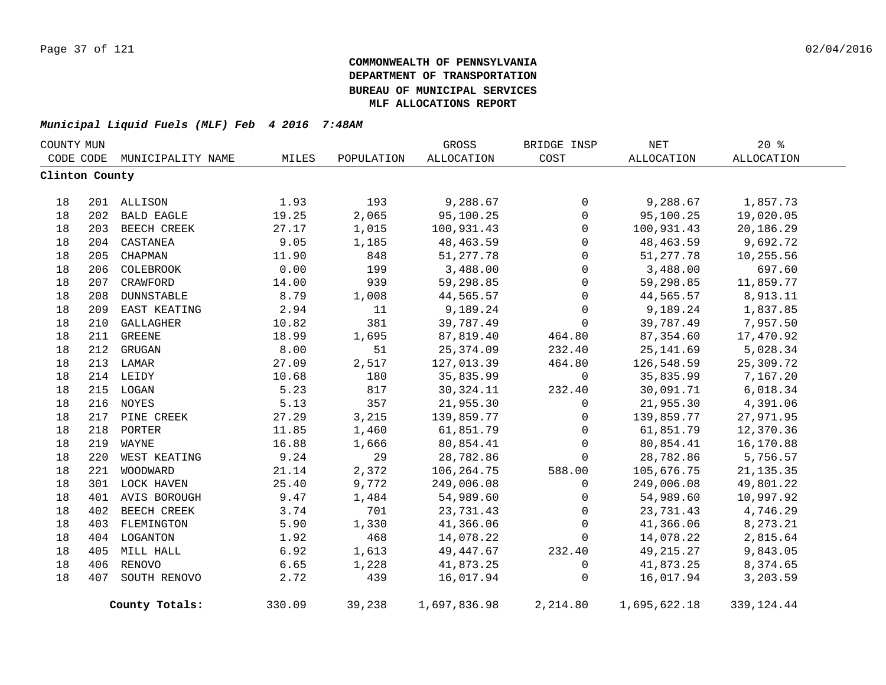| COUNTY MUN     |     |                   |        |            | GROSS        | BRIDGE INSP  | NET               | 20%               |  |
|----------------|-----|-------------------|--------|------------|--------------|--------------|-------------------|-------------------|--|
| CODE CODE      |     | MUNICIPALITY NAME | MILES  | POPULATION | ALLOCATION   | COST         | <b>ALLOCATION</b> | <b>ALLOCATION</b> |  |
| Clinton County |     |                   |        |            |              |              |                   |                   |  |
| 18             |     | 201 ALLISON       | 1.93   | 193        | 9,288.67     | 0            | 9,288.67          | 1,857.73          |  |
| 18             |     | 202 BALD EAGLE    | 19.25  | 2,065      | 95,100.25    | $\mathbf 0$  | 95,100.25         | 19,020.05         |  |
| 18             |     | 203 BEECH CREEK   | 27.17  | 1,015      | 100,931.43   | $\mathbf 0$  | 100,931.43        | 20,186.29         |  |
| 18             |     | 204 CASTANEA      | 9.05   | 1,185      | 48, 463.59   | $\mathbf{0}$ | 48, 463.59        | 9,692.72          |  |
| 18             | 205 | CHAPMAN           | 11.90  | 848        | 51, 277.78   | 0            | 51, 277.78        | 10,255.56         |  |
| 18             | 206 | COLEBROOK         | 0.00   | 199        | 3,488.00     | 0            | 3,488.00          | 697.60            |  |
| 18             |     | 207 CRAWFORD      | 14.00  | 939        | 59,298.85    | $\mathbf{0}$ | 59,298.85         | 11,859.77         |  |
| 18             |     | 208 DUNNSTABLE    | 8.79   | 1,008      | 44,565.57    | 0            | 44,565.57         | 8,913.11          |  |
| 18             |     | 209 EAST KEATING  | 2.94   | 11         | 9,189.24     | $\mathsf 0$  | 9,189.24          | 1,837.85          |  |
| 18             |     | 210 GALLAGHER     | 10.82  | 381        | 39,787.49    | $\mathbf 0$  | 39,787.49         | 7,957.50          |  |
| 18             |     | 211 GREENE        | 18.99  | 1,695      | 87,819.40    | 464.80       | 87,354.60         | 17,470.92         |  |
| 18             |     | 212 GRUGAN        | 8.00   | 51         | 25,374.09    | 232.40       | 25, 141.69        | 5,028.34          |  |
| $18\,$         |     | 213 LAMAR         | 27.09  | 2,517      | 127,013.39   | 464.80       | 126,548.59        | 25,309.72         |  |
| 18             |     | 214 LEIDY         | 10.68  | 180        | 35,835.99    | $\mathbf 0$  | 35,835.99         | 7,167.20          |  |
| $18\,$         |     | 215 LOGAN         | 5.23   | 817        | 30, 324. 11  | 232.40       | 30,091.71         | 6,018.34          |  |
| $18\,$         |     | 216 NOYES         | 5.13   | 357        | 21,955.30    | 0            | 21,955.30         | 4,391.06          |  |
| $18\,$         |     | 217 PINE CREEK    | 27.29  | 3,215      | 139,859.77   | 0            | 139,859.77        | 27,971.95         |  |
| 18             | 218 | PORTER            | 11.85  | 1,460      | 61,851.79    | $\mathbf 0$  | 61,851.79         | 12,370.36         |  |
| 18             | 219 | WAYNE             | 16.88  | 1,666      | 80,854.41    | $\mathbf 0$  | 80,854.41         | 16,170.88         |  |
| 18             | 220 | WEST KEATING      | 9.24   | 29         | 28,782.86    | 0            | 28,782.86         | 5,756.57          |  |
| 18             | 221 | <b>WOODWARD</b>   | 21.14  | 2,372      | 106, 264. 75 | 588.00       | 105,676.75        | 21, 135. 35       |  |
| 18             |     | 301 LOCK HAVEN    | 25.40  | 9,772      | 249,006.08   | $\mathbf{0}$ | 249,006.08        | 49,801.22         |  |
| 18             |     | 401 AVIS BOROUGH  | 9.47   | 1,484      | 54,989.60    | 0            | 54,989.60         | 10,997.92         |  |
| 18             |     | 402 BEECH CREEK   | 3.74   | 701        | 23,731.43    | 0            | 23,731.43         | 4,746.29          |  |
| 18             |     | 403 FLEMINGTON    | 5.90   | 1,330      | 41,366.06    | 0            | 41,366.06         | 8,273.21          |  |
| 18             |     | 404 LOGANTON      | 1.92   | 468        | 14,078.22    | 0            | 14,078.22         | 2,815.64          |  |
| 18             |     | 405 MILL HALL     | 6.92   | 1,613      | 49,447.67    | 232.40       | 49, 215. 27       | 9,843.05          |  |
| 18             |     | 406 RENOVO        | 6.65   | 1,228      | 41,873.25    | 0            | 41,873.25         | 8,374.65          |  |
| 18             |     | 407 SOUTH RENOVO  | 2.72   | 439        | 16,017.94    | 0            | 16,017.94         | 3,203.59          |  |
|                |     | County Totals:    | 330.09 | 39,238     | 1,697,836.98 | 2,214.80     | 1,695,622.18      | 339, 124.44       |  |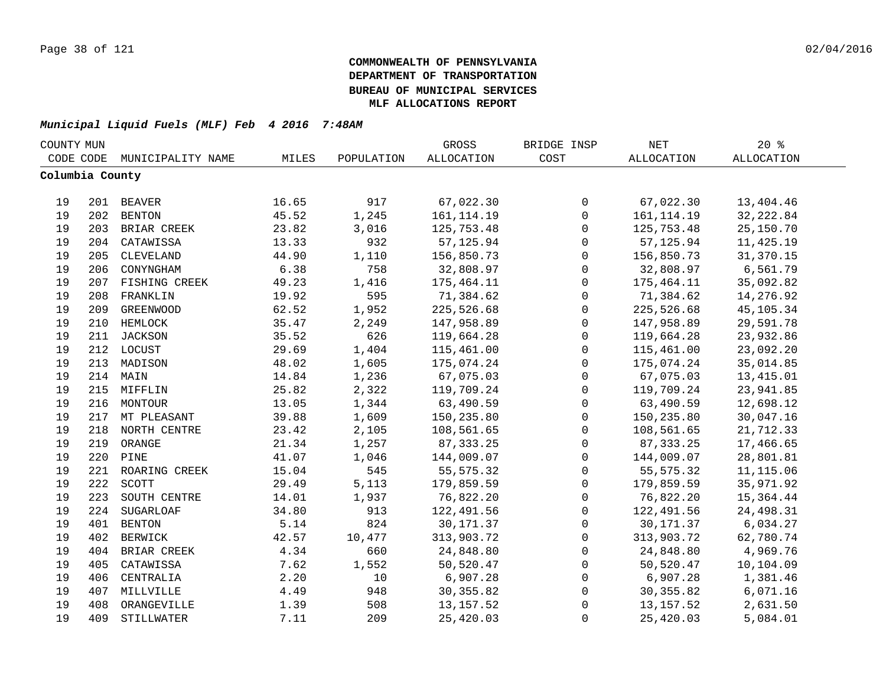| COUNTY MUN      |     |                             |       |            | GROSS        | BRIDGE INSP         | NET          | 20%        |  |
|-----------------|-----|-----------------------------|-------|------------|--------------|---------------------|--------------|------------|--|
|                 |     | CODE CODE MUNICIPALITY NAME | MILES | POPULATION | ALLOCATION   | COST                | ALLOCATION   | ALLOCATION |  |
| Columbia County |     |                             |       |            |              |                     |              |            |  |
|                 |     |                             |       |            |              |                     |              |            |  |
| 19              |     | 201 BEAVER                  | 16.65 | 917        | 67,022.30    | 0                   | 67,022.30    | 13,404.46  |  |
| 19              |     | 202 BENTON                  | 45.52 | 1,245      | 161, 114. 19 | $\mathsf{O}\xspace$ | 161, 114. 19 | 32, 222.84 |  |
| 19              |     | 203 BRIAR CREEK             | 23.82 | 3,016      | 125,753.48   | 0                   | 125,753.48   | 25,150.70  |  |
| 19              |     | 204 CATAWISSA               | 13.33 | 932        | 57, 125.94   | 0                   | 57,125.94    | 11,425.19  |  |
| 19              | 205 | CLEVELAND                   | 44.90 | 1,110      | 156,850.73   | $\mathbf 0$         | 156,850.73   | 31,370.15  |  |
| 19              | 206 | CONYNGHAM                   | 6.38  | 758        | 32,808.97    | $\mathbf 0$         | 32,808.97    | 6,561.79   |  |
| 19              | 207 | FISHING CREEK               | 49.23 | 1,416      | 175,464.11   | $\mathbf 0$         | 175,464.11   | 35,092.82  |  |
| 19              | 208 | FRANKLIN                    | 19.92 | 595        | 71,384.62    | $\mathbf 0$         | 71,384.62    | 14,276.92  |  |
| 19              | 209 | GREENWOOD                   | 62.52 | 1,952      | 225,526.68   | 0                   | 225,526.68   | 45,105.34  |  |
| 19              | 210 | HEMLOCK                     | 35.47 | 2,249      | 147,958.89   | $\mathbf 0$         | 147,958.89   | 29,591.78  |  |
| 19              | 211 | JACKSON                     | 35.52 | 626        | 119,664.28   | $\mathbf 0$         | 119,664.28   | 23,932.86  |  |
| 19              |     | 212 LOCUST                  | 29.69 | 1,404      | 115,461.00   | $\mathbf 0$         | 115,461.00   | 23,092.20  |  |
| 19              | 213 | MADISON                     | 48.02 | 1,605      | 175,074.24   | $\mathbf 0$         | 175,074.24   | 35,014.85  |  |
| 19              |     | 214 MAIN                    | 14.84 | 1,236      | 67,075.03    | 0                   | 67,075.03    | 13, 415.01 |  |
| 19              |     | 215 MIFFLIN                 | 25.82 | 2,322      | 119,709.24   | $\mathbf 0$         | 119,709.24   | 23,941.85  |  |
| 19              |     | 216 MONTOUR                 | 13.05 | 1,344      | 63,490.59    | 0                   | 63,490.59    | 12,698.12  |  |
| 19              |     | 217 MT PLEASANT             | 39.88 | 1,609      | 150,235.80   | 0                   | 150,235.80   | 30,047.16  |  |
| 19              |     | 218 NORTH CENTRE            | 23.42 | 2,105      | 108,561.65   | 0                   | 108,561.65   | 21,712.33  |  |
| 19              | 219 | ORANGE                      | 21.34 | 1,257      | 87, 333. 25  | 0                   | 87, 333. 25  | 17,466.65  |  |
| 19              | 220 | PINE                        | 41.07 | 1,046      | 144,009.07   | $\mathbf 0$         | 144,009.07   | 28,801.81  |  |
| 19              | 221 | ROARING CREEK               | 15.04 | 545        | 55, 575.32   | $\mathbf 0$         | 55, 575.32   | 11, 115.06 |  |
| 19              | 222 | SCOTT                       | 29.49 | 5,113      | 179,859.59   | $\mathbf 0$         | 179,859.59   | 35,971.92  |  |
| 19              | 223 | SOUTH CENTRE                | 14.01 | 1,937      | 76,822.20    | $\mathbf 0$         | 76,822.20    | 15,364.44  |  |
| 19              | 224 | <b>SUGARLOAF</b>            | 34.80 | 913        | 122,491.56   | $\mathbf 0$         | 122,491.56   | 24,498.31  |  |
| 19              | 401 | <b>BENTON</b>               | 5.14  | 824        | 30,171.37    | $\mathbf 0$         | 30,171.37    | 6,034.27   |  |
| 19              | 402 | BERWICK                     | 42.57 | 10,477     | 313,903.72   | $\mathbf 0$         | 313,903.72   | 62,780.74  |  |
| 19              | 404 | BRIAR CREEK                 | 4.34  | 660        | 24,848.80    | $\mathbf 0$         | 24,848.80    | 4,969.76   |  |
| 19              | 405 | CATAWISSA                   | 7.62  | 1,552      | 50,520.47    | 0                   | 50,520.47    | 10,104.09  |  |
| 19              | 406 | CENTRALIA                   | 2.20  | 10         | 6,907.28     | 0                   | 6,907.28     | 1,381.46   |  |
| 19              | 407 | MILLVILLE                   | 4.49  | 948        | 30, 355.82   | 0                   | 30,355.82    | 6,071.16   |  |
| 19              | 408 | ORANGEVILLE                 | 1.39  | 508        | 13, 157.52   | $\mathsf 0$         | 13, 157.52   | 2,631.50   |  |
| 19              | 409 | STILLWATER                  | 7.11  | 209        | 25,420.03    | $\mathbf 0$         | 25,420.03    | 5,084.01   |  |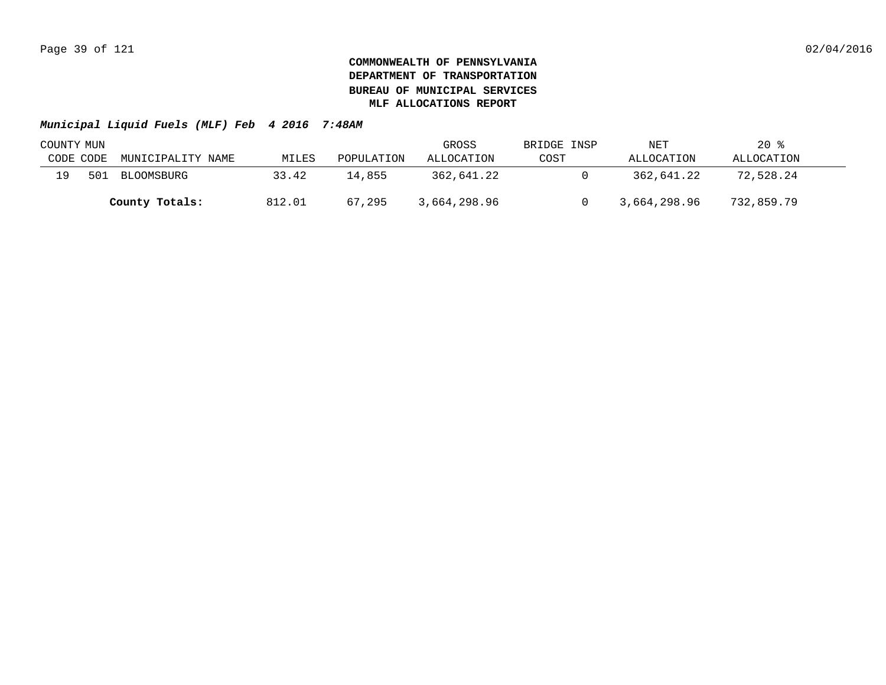| COUNTY MUN |     |                   |        |            | GROSS        | BRIDGE INSP | NET          | $20*$      |  |
|------------|-----|-------------------|--------|------------|--------------|-------------|--------------|------------|--|
| CODE CODE  |     | MUNICIPALITY NAME | MILES  | POPULATION | ALLOCATION   | COST        | ALLOCATION   | ALLOCATION |  |
| 19         | 501 | BLOOMSBURG        | 33.42  | 14,855     | 362,641.22   |             | 362,641.22   | 72,528.24  |  |
|            |     | County Totals:    | 812.01 | 67,295     | 3,664,298.96 |             | 3,664,298.96 | 732,859.79 |  |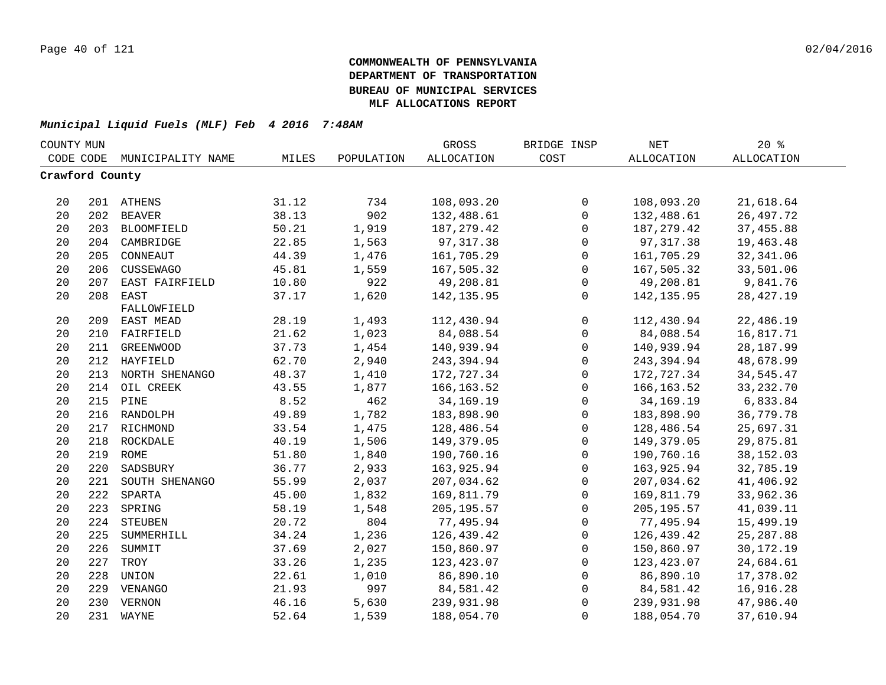| COUNTY MUN      |     |                    |       |            | GROSS             | BRIDGE INSP  | $\operatorname{NET}$ | 20%               |  |
|-----------------|-----|--------------------|-------|------------|-------------------|--------------|----------------------|-------------------|--|
| CODE CODE       |     | MUNICIPALITY NAME  | MILES | POPULATION | <b>ALLOCATION</b> | COST         | <b>ALLOCATION</b>    | <b>ALLOCATION</b> |  |
| Crawford County |     |                    |       |            |                   |              |                      |                   |  |
|                 |     |                    |       |            |                   |              |                      |                   |  |
| 20              |     | 201 ATHENS         | 31.12 | 734        | 108,093.20        | $\mathbf 0$  | 108,093.20           | 21,618.64         |  |
| 20              |     | 202 BEAVER         | 38.13 | 902        | 132,488.61        | $\mathsf 0$  | 132,488.61           | 26,497.72         |  |
| 20              |     | 203 BLOOMFIELD     | 50.21 | 1,919      | 187, 279.42       | $\mathbf 0$  | 187, 279.42          | 37,455.88         |  |
| 20              |     | 204 CAMBRIDGE      | 22.85 | 1,563      | 97, 317.38        | 0            | 97, 317.38           | 19,463.48         |  |
| 20              | 205 | CONNEAUT           | 44.39 | 1,476      | 161,705.29        | $\mathsf{O}$ | 161,705.29           | 32, 341.06        |  |
| 20              | 206 | CUSSEWAGO          | 45.81 | 1,559      | 167,505.32        | $\mathsf 0$  | 167,505.32           | 33,501.06         |  |
| 20              | 207 | EAST FAIRFIELD     | 10.80 | 922        | 49,208.81         | $\mathbf 0$  | 49,208.81            | 9,841.76          |  |
| 20              | 208 | EAST               | 37.17 | 1,620      | 142, 135.95       | $\mathbf 0$  | 142,135.95           | 28, 427. 19       |  |
|                 |     | FALLOWFIELD        |       |            |                   |              |                      |                   |  |
| 20              |     | 209 EAST MEAD      | 28.19 | 1,493      | 112,430.94        | 0            | 112,430.94           | 22,486.19         |  |
| 20              |     | 210 FAIRFIELD      | 21.62 | 1,023      | 84,088.54         | 0            | 84,088.54            | 16,817.71         |  |
| 20              | 211 | <b>GREENWOOD</b>   | 37.73 | 1,454      | 140,939.94        | $\mathsf{O}$ | 140,939.94           | 28, 187.99        |  |
| 20              |     | 212 HAYFIELD       | 62.70 | 2,940      | 243,394.94        | $\mathsf{O}$ | 243,394.94           | 48,678.99         |  |
| 20              |     | 213 NORTH SHENANGO | 48.37 | 1,410      | 172,727.34        | $\mathbf 0$  | 172,727.34           | 34,545.47         |  |
| 20              |     | 214 OIL CREEK      | 43.55 | 1,877      | 166, 163.52       | $\mathbf 0$  | 166, 163.52          | 33, 232. 70       |  |
| 20              | 215 | PINE               | 8.52  | 462        | 34, 169. 19       | 0            | 34, 169. 19          | 6,833.84          |  |
| 20              | 216 | RANDOLPH           | 49.89 | 1,782      | 183,898.90        | $\mathsf 0$  | 183,898.90           | 36,779.78         |  |
| 20              |     | 217 RICHMOND       | 33.54 | 1,475      | 128,486.54        | $\mathbf 0$  | 128,486.54           | 25,697.31         |  |
| 20              |     | 218 ROCKDALE       | 40.19 | 1,506      | 149,379.05        | $\mathsf 0$  | 149,379.05           | 29,875.81         |  |
| 20              |     | 219 ROME           | 51.80 | 1,840      | 190,760.16        | $\mathsf 0$  | 190,760.16           | 38,152.03         |  |
| 20              |     | 220 SADSBURY       | 36.77 | 2,933      | 163,925.94        | 0            | 163,925.94           | 32,785.19         |  |
| 20              |     | 221 SOUTH SHENANGO | 55.99 | 2,037      | 207,034.62        | $\mathsf 0$  | 207,034.62           | 41,406.92         |  |
| 20              |     | 222 SPARTA         | 45.00 | 1,832      | 169,811.79        | $\mathsf 0$  | 169,811.79           | 33,962.36         |  |
| 20              |     | 223 SPRING         | 58.19 | 1,548      | 205, 195.57       | $\mathbf 0$  | 205, 195.57          | 41,039.11         |  |
| 20              |     | 224 STEUBEN        | 20.72 | 804        | 77,495.94         | $\mathbf 0$  | 77,495.94            | 15,499.19         |  |
| 20              | 225 | SUMMERHILL         | 34.24 | 1,236      | 126,439.42        | $\mathbf 0$  | 126,439.42           | 25, 287.88        |  |
| 20              | 226 | SUMMIT             | 37.69 | 2,027      | 150,860.97        | $\mathsf{O}$ | 150,860.97           | 30,172.19         |  |
| 20              | 227 | TROY               | 33.26 | 1,235      | 123,423.07        | 0            | 123,423.07           | 24,684.61         |  |
| 20              |     | 228 UNION          | 22.61 | 1,010      | 86,890.10         | $\mathbf 0$  | 86,890.10            | 17,378.02         |  |
| 20              |     | 229 VENANGO        | 21.93 | 997        | 84,581.42         | 0            | 84,581.42            | 16,916.28         |  |
| 20              |     | 230 VERNON         | 46.16 | 5,630      | 239,931.98        | $\mathbf 0$  | 239,931.98           | 47,986.40         |  |
| 20              |     | 231 WAYNE          | 52.64 | 1,539      | 188,054.70        | $\mathbf 0$  | 188,054.70           | 37,610.94         |  |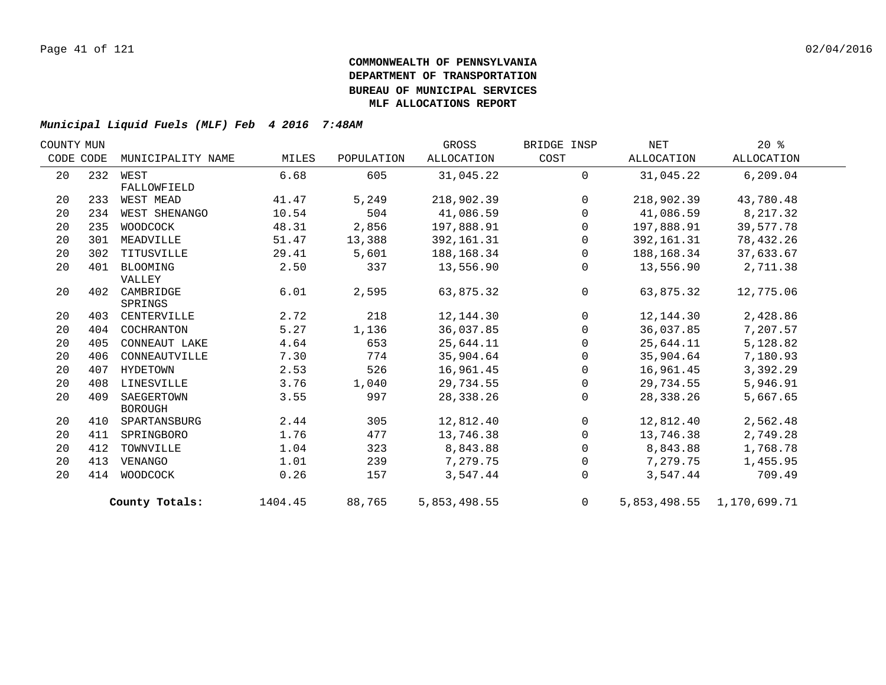| COUNTY MUN |     |                   |         |            | GROSS        | BRIDGE INSP  | NET         | $20*$                     |  |
|------------|-----|-------------------|---------|------------|--------------|--------------|-------------|---------------------------|--|
| CODE CODE  |     | MUNICIPALITY NAME | MILES   | POPULATION | ALLOCATION   | COST         | ALLOCATION  | ALLOCATION                |  |
| 20         |     | 232 WEST          | 6.68    | 605        | 31,045.22    | $\mathbf 0$  | 31,045.22   | 6, 209.04                 |  |
|            |     | FALLOWFIELD       |         |            |              |              |             |                           |  |
| 20         | 233 | WEST MEAD         | 41.47   | 5,249      | 218,902.39   | $\Omega$     | 218,902.39  | 43,780.48                 |  |
| 20         | 234 | WEST SHENANGO     | 10.54   | 504        | 41,086.59    | $\Omega$     | 41,086.59   | 8,217.32                  |  |
| 20         | 235 | WOODCOCK          | 48.31   | 2,856      | 197,888.91   | $\Omega$     | 197,888.91  | 39,577.78                 |  |
| 20         | 301 | MEADVILLE         | 51.47   | 13,388     | 392,161.31   | $\Omega$     | 392,161.31  | 78,432.26                 |  |
| 20         | 302 | TITUSVILLE        | 29.41   | 5,601      | 188,168.34   | $\Omega$     | 188,168.34  | 37,633.67                 |  |
| 20         | 401 | BLOOMING          | 2.50    | 337        | 13,556.90    | 0            | 13,556.90   | 2,711.38                  |  |
|            |     | VALLEY            |         |            |              |              |             |                           |  |
| 20         | 402 | CAMBRIDGE         | 6.01    | 2,595      | 63,875.32    | $\mathbf{0}$ | 63,875.32   | 12,775.06                 |  |
|            |     | SPRINGS           |         |            |              |              |             |                           |  |
| 20         | 403 | CENTERVILLE       | 2.72    | 218        | 12,144.30    | $\mathbf 0$  | 12,144.30   | 2,428.86                  |  |
| 20         | 404 | COCHRANTON        | 5.27    | 1,136      | 36,037.85    | $\Omega$     | 36,037.85   | 7,207.57                  |  |
| 20         | 405 | CONNEAUT LAKE     | 4.64    | 653        | 25,644.11    | $\Omega$     | 25,644.11   | 5,128.82                  |  |
| 20         | 406 | CONNEAUTVILLE     | 7.30    | 774        | 35,904.64    | $\mathbf 0$  | 35,904.64   | 7,180.93                  |  |
| 20         | 407 | HYDETOWN          | 2.53    | 526        | 16,961.45    | $\mathbf{0}$ | 16,961.45   | 3,392.29                  |  |
| 20         | 408 | LINESVILLE        | 3.76    | 1,040      | 29,734.55    | $\mathbf 0$  | 29,734.55   | 5,946.91                  |  |
| 20         | 409 | SAEGERTOWN        | 3.55    | 997        | 28,338.26    | $\mathbf 0$  | 28, 338. 26 | 5,667.65                  |  |
|            |     | <b>BOROUGH</b>    |         |            |              |              |             |                           |  |
| 20         | 410 | SPARTANSBURG      | 2.44    | 305        | 12,812.40    | $\mathbf 0$  | 12,812.40   | 2,562.48                  |  |
| 20         | 411 | SPRINGBORO        | 1.76    | 477        | 13,746.38    | $\Omega$     | 13,746.38   | 2,749.28                  |  |
| 20         | 412 | TOWNVILLE         | 1.04    | 323        | 8,843.88     | $\Omega$     | 8,843.88    | 1,768.78                  |  |
| 20         | 413 | VENANGO           | 1.01    | 239        | 7,279.75     | $\mathbf 0$  | 7,279.75    | 1,455.95                  |  |
| 20         | 414 | WOODCOCK          | 0.26    | 157        | 3,547.44     | $\mathsf 0$  | 3,547.44    | 709.49                    |  |
|            |     | County Totals:    | 1404.45 | 88,765     | 5,853,498.55 | 0            |             | 5,853,498.55 1,170,699.71 |  |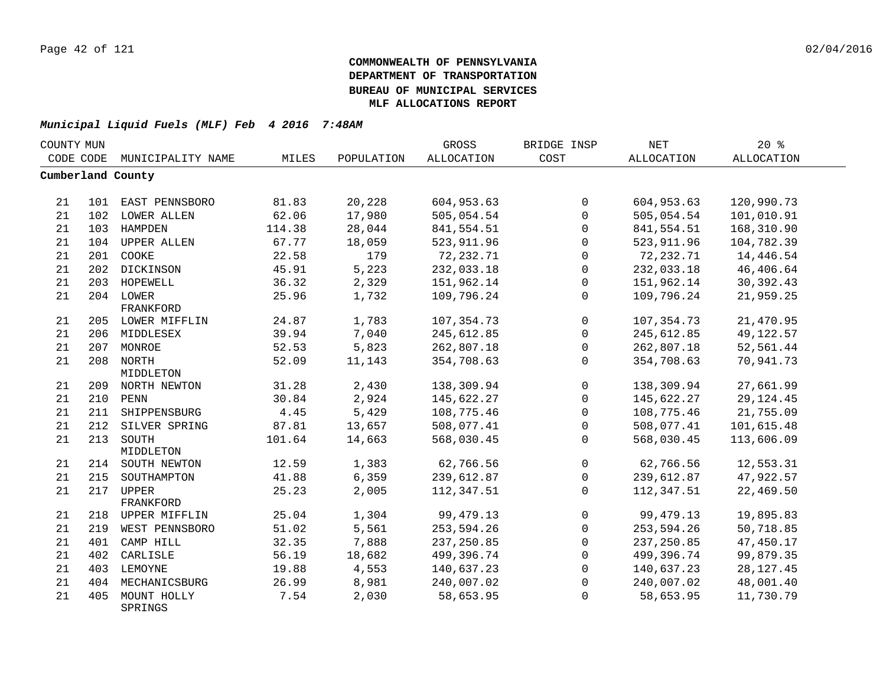| COUNTY MUN |     |                        |        |            | GROSS             | BRIDGE INSP  | NET         | 20%               |  |
|------------|-----|------------------------|--------|------------|-------------------|--------------|-------------|-------------------|--|
| CODE CODE  |     | MUNICIPALITY NAME      | MILES  | POPULATION | <b>ALLOCATION</b> | COST         | ALLOCATION  | <b>ALLOCATION</b> |  |
|            |     | Cumberland County      |        |            |                   |              |             |                   |  |
| 21         |     | 101 EAST PENNSBORO     | 81.83  | 20,228     | 604,953.63        | 0            | 604,953.63  | 120,990.73        |  |
| 21         |     | 102 LOWER ALLEN        | 62.06  | 17,980     | 505,054.54        | $\Omega$     | 505,054.54  | 101,010.91        |  |
| 21         | 103 | HAMPDEN                | 114.38 | 28,044     | 841,554.51        | $\Omega$     | 841,554.51  | 168,310.90        |  |
| 21         | 104 | <b>UPPER ALLEN</b>     | 67.77  | 18,059     | 523, 911.96       | $\Omega$     | 523, 911.96 | 104,782.39        |  |
| 21         | 201 | COOKE                  | 22.58  | 179        | 72,232.71         | $\mathbf 0$  | 72,232.71   | 14,446.54         |  |
| 21         | 202 | DICKINSON              | 45.91  | 5,223      | 232,033.18        | $\mathbf 0$  | 232,033.18  | 46,406.64         |  |
| 21         |     | 203 HOPEWELL           | 36.32  | 2,329      | 151,962.14        | 0            | 151,962.14  | 30,392.43         |  |
|            |     |                        |        | 1,732      |                   |              |             | 21,959.25         |  |
| 21         |     | 204 LOWER<br>FRANKFORD | 25.96  |            | 109,796.24        | 0            | 109,796.24  |                   |  |
| 21         |     | 205 LOWER MIFFLIN      | 24.87  | 1,783      | 107,354.73        | $\mathbf 0$  | 107, 354.73 | 21,470.95         |  |
| 21         |     | 206 MIDDLESEX          | 39.94  | 7,040      | 245,612.85        | $\mathbf 0$  | 245,612.85  | 49,122.57         |  |
| 21         |     | 207 MONROE             | 52.53  | 5,823      | 262,807.18        | $\mathsf{O}$ | 262,807.18  | 52,561.44         |  |
| 21         |     | 208 NORTH              | 52.09  | 11,143     | 354,708.63        | 0            | 354,708.63  | 70,941.73         |  |
|            |     | MIDDLETON              |        |            |                   |              |             |                   |  |
| 21         |     | 209 NORTH NEWTON       | 31.28  | 2,430      | 138,309.94        | $\mathsf{O}$ | 138,309.94  | 27,661.99         |  |
| 21         |     | 210 PENN               | 30.84  | 2,924      | 145,622.27        | $\mathbf 0$  | 145,622.27  | 29, 124. 45       |  |
| 21         |     | 211 SHIPPENSBURG       | 4.45   | 5,429      | 108,775.46        | $\Omega$     | 108,775.46  | 21,755.09         |  |
| 21         |     | 212 SILVER SPRING      | 87.81  | 13,657     | 508,077.41        | $\Omega$     | 508,077.41  | 101,615.48        |  |
| 21         |     | 213 SOUTH              | 101.64 | 14,663     | 568,030.45        | $\Omega$     | 568,030.45  | 113,606.09        |  |
|            |     | MIDDLETON              |        |            |                   |              |             |                   |  |
| 21         |     | 214 SOUTH NEWTON       | 12.59  | 1,383      | 62,766.56         | $\mathbf 0$  | 62,766.56   | 12,553.31         |  |
| 21         |     | 215 SOUTHAMPTON        | 41.88  | 6,359      | 239,612.87        | 0            | 239,612.87  | 47,922.57         |  |
| 21         |     | 217 UPPER              | 25.23  | 2,005      | 112,347.51        | $\mathbf 0$  | 112,347.51  | 22,469.50         |  |
|            |     | FRANKFORD              |        |            |                   |              |             |                   |  |
| 21         |     | 218 UPPER MIFFLIN      | 25.04  | 1,304      | 99, 479. 13       | $\mathbf 0$  | 99, 479. 13 | 19,895.83         |  |
| 21         |     | 219 WEST PENNSBORO     | 51.02  | 5,561      | 253,594.26        | 0            | 253,594.26  | 50,718.85         |  |
| 21         | 401 | CAMP HILL              | 32.35  | 7,888      | 237, 250.85       | $\mathbf 0$  | 237, 250.85 | 47,450.17         |  |
| 21         | 402 | CARLISLE               | 56.19  | 18,682     | 499,396.74        | $\mathbf 0$  | 499,396.74  | 99,879.35         |  |
| 21         |     | 403 LEMOYNE            | 19.88  | 4,553      | 140,637.23        | $\mathbf 0$  | 140,637.23  | 28, 127. 45       |  |
| 21         |     | 404 MECHANICSBURG      | 26.99  | 8,981      | 240,007.02        | 0            | 240,007.02  | 48,001.40         |  |
| 21         | 405 | MOUNT HOLLY<br>SPRINGS | 7.54   | 2,030      | 58,653.95         | $\Omega$     | 58,653.95   | 11,730.79         |  |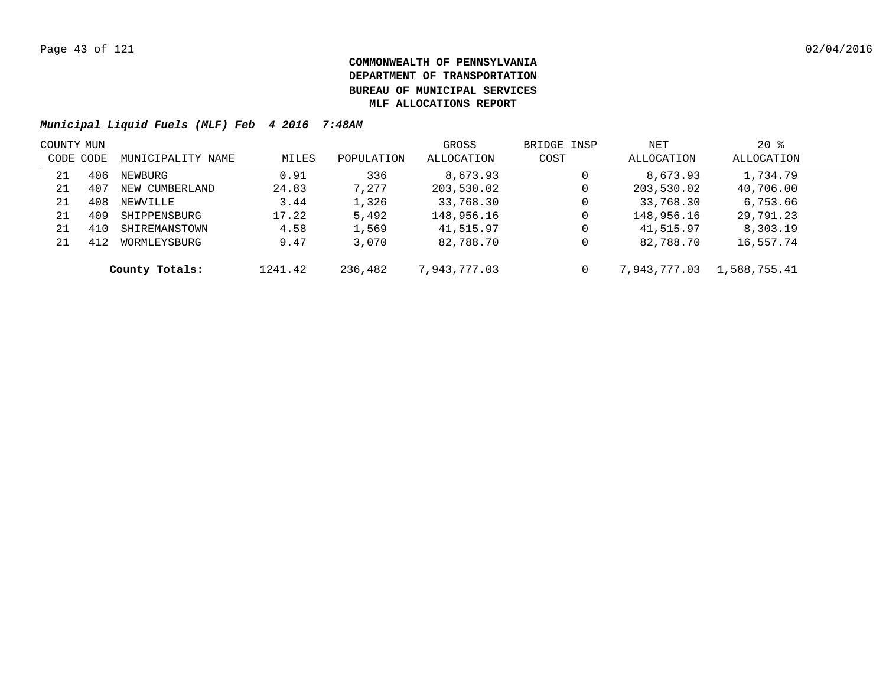| COUNTY MUN |     |                   |         |            | GROSS        | BRIDGE INSP | NET          | $20*$        |  |
|------------|-----|-------------------|---------|------------|--------------|-------------|--------------|--------------|--|
| CODE CODE  |     | MUNICIPALITY NAME | MILES   | POPULATION | ALLOCATION   | COST        | ALLOCATION   | ALLOCATION   |  |
| 21         | 406 | NEWBURG           | 0.91    | 336        | 8,673.93     | 0           | 8,673.93     | 1,734.79     |  |
| 21         | 407 | NEW CUMBERLAND    | 24.83   | 7,277      | 203,530.02   | 0           | 203,530.02   | 40,706.00    |  |
| 21         | 408 | NEWVILLE          | 3.44    | 1,326      | 33,768.30    | 0           | 33,768.30    | 6,753.66     |  |
| 21         | 409 | SHIPPENSBURG      | 17.22   | 5,492      | 148,956.16   | 0           | 148,956.16   | 29,791.23    |  |
| 21         |     | SHIREMANSTOWN     | 4.58    | 1,569      | 41,515.97    | 0           | 41,515.97    | 8,303.19     |  |
| 21         | 412 | WORMLEYSBURG      | 9.47    | 3,070      | 82,788.70    | 0           | 82,788.70    | 16,557.74    |  |
|            |     | County Totals:    | 1241.42 | 236,482    | 7,943,777.03 | 0           | 7,943,777.03 | 1,588,755.41 |  |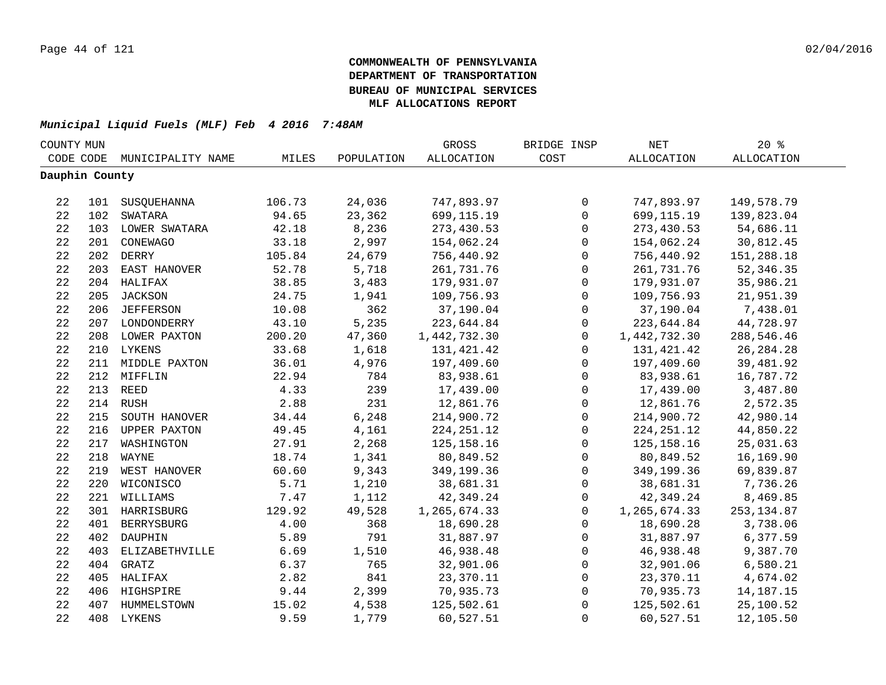| COUNTY MUN     |     |                   |        |            | GROSS             | BRIDGE INSP         | NET          | 20%               |  |
|----------------|-----|-------------------|--------|------------|-------------------|---------------------|--------------|-------------------|--|
| CODE CODE      |     | MUNICIPALITY NAME | MILES  | POPULATION | <b>ALLOCATION</b> | COST                | ALLOCATION   | <b>ALLOCATION</b> |  |
| Dauphin County |     |                   |        |            |                   |                     |              |                   |  |
|                |     |                   |        |            |                   |                     |              |                   |  |
| 22             |     | 101 SUSQUEHANNA   | 106.73 | 24,036     | 747,893.97        | $\mathbf 0$         | 747,893.97   | 149,578.79        |  |
| 22             |     | 102 SWATARA       | 94.65  | 23,362     | 699, 115.19       | $\mathsf{O}\xspace$ | 699, 115. 19 | 139,823.04        |  |
| 22             |     | 103 LOWER SWATARA | 42.18  | 8,236      | 273,430.53        | 0                   | 273,430.53   | 54,686.11         |  |
| 22             |     | 201 CONEWAGO      | 33.18  | 2,997      | 154,062.24        | $\mathbf 0$         | 154,062.24   | 30,812.45         |  |
| 22             |     | 202 DERRY         | 105.84 | 24,679     | 756,440.92        | 0                   | 756,440.92   | 151,288.18        |  |
| 22             |     | 203 EAST HANOVER  | 52.78  | 5,718      | 261,731.76        | $\mathsf{O}$        | 261,731.76   | 52, 346.35        |  |
| 22             |     | 204 HALIFAX       | 38.85  | 3,483      | 179,931.07        | $\mathsf{O}$        | 179,931.07   | 35,986.21         |  |
| 22             | 205 | JACKSON           | 24.75  | 1,941      | 109,756.93        | $\mathbf 0$         | 109,756.93   | 21,951.39         |  |
| 22             |     | 206 JEFFERSON     | 10.08  | 362        | 37,190.04         | $\mathsf{O}$        | 37,190.04    | 7,438.01          |  |
| 22             |     | 207 LONDONDERRY   | 43.10  | 5,235      | 223,644.84        | 0                   | 223,644.84   | 44,728.97         |  |
| 22             |     | 208 LOWER PAXTON  | 200.20 | 47,360     | 1,442,732.30      | $\mathbf 0$         | 1,442,732.30 | 288,546.46        |  |
| 22             |     | 210 LYKENS        | 33.68  | 1,618      | 131,421.42        | $\mathbf 0$         | 131,421.42   | 26, 284. 28       |  |
| 22             |     | 211 MIDDLE PAXTON | 36.01  | 4,976      | 197,409.60        | 0                   | 197,409.60   | 39,481.92         |  |
| 22             |     | 212 MIFFLIN       | 22.94  | 784        | 83,938.61         | 0                   | 83,938.61    | 16,787.72         |  |
| 22             |     | 213 REED          | 4.33   | 239        | 17,439.00         | 0                   | 17,439.00    | 3,487.80          |  |
| 22             |     | 214 RUSH          | 2.88   | 231        | 12,861.76         | $\mathsf 0$         | 12,861.76    | 2,572.35          |  |
| 22             |     | 215 SOUTH HANOVER | 34.44  | 6,248      | 214,900.72        | $\mathsf{O}\xspace$ | 214,900.72   | 42,980.14         |  |
| 22             |     | 216 UPPER PAXTON  | 49.45  | 4,161      | 224, 251.12       | $\mathbf 0$         | 224, 251.12  | 44,850.22         |  |
| 22             |     | 217 WASHINGTON    | 27.91  | 2,268      | 125,158.16        | $\mathbf 0$         | 125, 158. 16 | 25,031.63         |  |
| 22             |     | 218 WAYNE         | 18.74  | 1,341      | 80,849.52         | $\mathsf{O}$        | 80,849.52    | 16,169.90         |  |
| 22             |     | 219 WEST HANOVER  | 60.60  | 9,343      | 349,199.36        | $\mathsf{O}$        | 349,199.36   | 69,839.87         |  |
| 22             |     | 220 WICONISCO     | 5.71   | 1,210      | 38,681.31         | $\mathbf 0$         | 38,681.31    | 7,736.26          |  |
| 22             |     | 221 WILLIAMS      | 7.47   | 1,112      | 42,349.24         | $\mathsf{O}$        | 42,349.24    | 8,469.85          |  |
| 22             |     | 301 HARRISBURG    | 129.92 | 49,528     | 1,265,674.33      | $\mathbf 0$         | 1,265,674.33 | 253, 134.87       |  |
| 22             |     | 401 BERRYSBURG    | 4.00   | 368        | 18,690.28         | $\mathsf{O}$        | 18,690.28    | 3,738.06          |  |
| 22             |     | 402 DAUPHIN       | 5.89   | 791        | 31,887.97         | $\mathsf{O}$        | 31,887.97    | 6,377.59          |  |
| 22             | 403 | ELIZABETHVILLE    | 6.69   | 1,510      | 46,938.48         | 0                   | 46,938.48    | 9,387.70          |  |
| 22             |     | 404 GRATZ         | 6.37   | 765        | 32,901.06         | 0                   | 32,901.06    | 6,580.21          |  |
| 22             |     | 405 HALIFAX       | 2.82   | 841        | 23,370.11         | 0                   | 23,370.11    | 4,674.02          |  |
| 22             |     | 406 HIGHSPIRE     | 9.44   | 2,399      | 70,935.73         | 0                   | 70,935.73    | 14,187.15         |  |
| 22             |     | 407 HUMMELSTOWN   | 15.02  | 4,538      | 125,502.61        | $\mathsf 0$         | 125,502.61   | 25,100.52         |  |
| 22             |     | 408 LYKENS        | 9.59   | 1,779      | 60,527.51         | $\mathbf 0$         | 60,527.51    | 12,105.50         |  |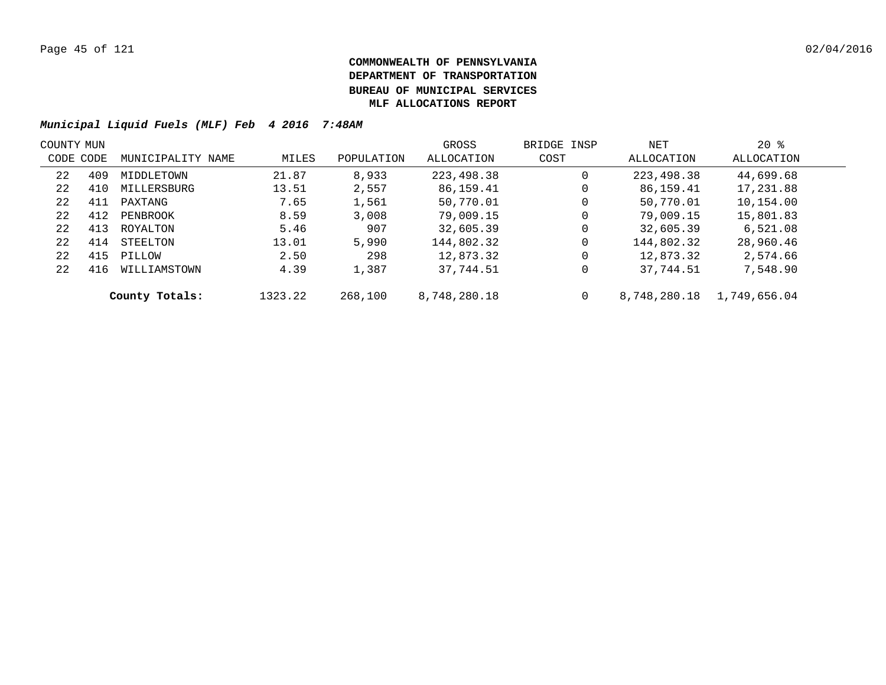| COUNTY MUN |           |                   |         |            | GROSS        | BRIDGE INSP | NET          | $20*$        |  |
|------------|-----------|-------------------|---------|------------|--------------|-------------|--------------|--------------|--|
|            | CODE CODE | MUNICIPALITY NAME | MILES   | POPULATION | ALLOCATION   | COST        | ALLOCATION   | ALLOCATION   |  |
| 22         | 409       | MIDDLETOWN        | 21.87   | 8,933      | 223,498.38   | 0           | 223,498.38   | 44,699.68    |  |
| 22         | 410       | MILLERSBURG       | 13.51   | 2,557      | 86,159.41    | 0           | 86,159.41    | 17,231.88    |  |
| 22         | 411       | PAXTANG           | 7.65    | 1,561      | 50,770.01    | 0           | 50,770.01    | 10,154.00    |  |
| 22         | 412       | PENBROOK          | 8.59    | 3,008      | 79,009.15    | 0           | 79,009.15    | 15,801.83    |  |
| 22         | 413       | ROYALTON          | 5.46    | 907        | 32,605.39    | 0           | 32,605.39    | 6,521.08     |  |
| 22         | 414       | STEELTON          | 13.01   | 5,990      | 144,802.32   | 0           | 144,802.32   | 28,960.46    |  |
| 22         | 415       | PILLOW            | 2.50    | 298        | 12,873.32    | 0           | 12,873.32    | 2,574.66     |  |
| 22         | 416       | WILLIAMSTOWN      | 4.39    | 1,387      | 37,744.51    | 0           | 37,744.51    | 7,548.90     |  |
|            |           | County Totals:    | 1323.22 | 268,100    | 8,748,280.18 |             | 8,748,280.18 | 1,749,656.04 |  |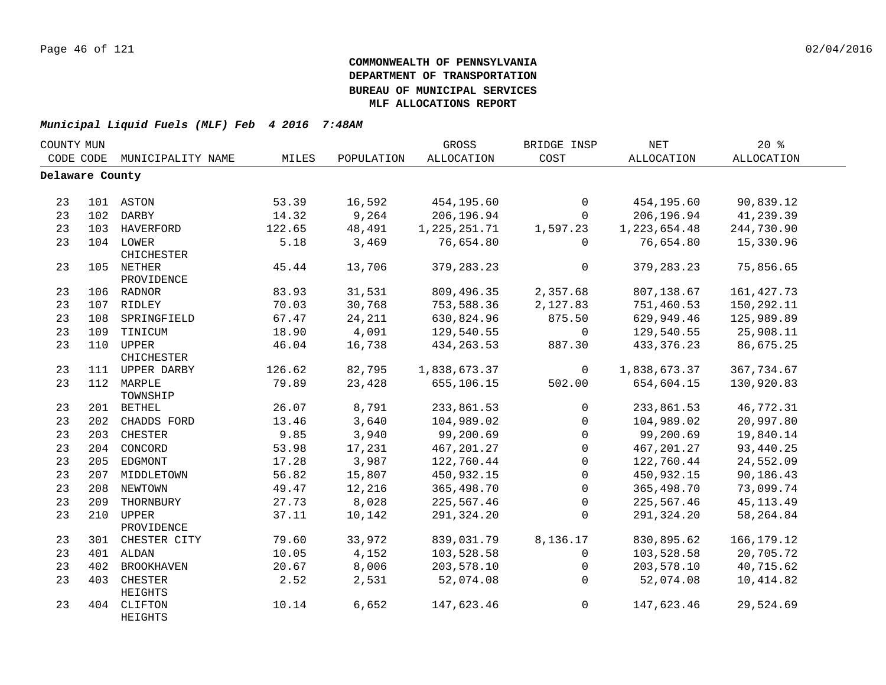| COUNTY MUN      |     |                        |        |            | GROSS             | BRIDGE INSP    | $\operatorname{NET}$ | 20%               |  |
|-----------------|-----|------------------------|--------|------------|-------------------|----------------|----------------------|-------------------|--|
| CODE CODE       |     | MUNICIPALITY NAME      | MILES  | POPULATION | <b>ALLOCATION</b> | COST           | ALLOCATION           | <b>ALLOCATION</b> |  |
| Delaware County |     |                        |        |            |                   |                |                      |                   |  |
|                 |     |                        |        |            |                   |                |                      |                   |  |
| 23              |     | 101 ASTON              | 53.39  | 16,592     | 454,195.60        | $\Omega$       | 454,195.60           | 90,839.12         |  |
| 23              |     | 102 DARBY              | 14.32  | 9,264      | 206,196.94        | $\mathbf 0$    | 206,196.94           | 41,239.39         |  |
| 23              |     | 103 HAVERFORD          | 122.65 | 48,491     | 1, 225, 251.71    | 1,597.23       | 1,223,654.48         | 244,730.90        |  |
| 23              |     | 104 LOWER              | 5.18   | 3,469      | 76,654.80         | $\mathbf{0}$   | 76,654.80            | 15,330.96         |  |
|                 |     | CHICHESTER             |        |            |                   |                |                      |                   |  |
| 23              |     | 105 NETHER             | 45.44  | 13,706     | 379, 283. 23      | $\mathbf 0$    | 379, 283. 23         | 75,856.65         |  |
|                 |     | PROVIDENCE             |        |            |                   |                |                      |                   |  |
| 23              |     | 106 RADNOR             | 83.93  | 31,531     | 809,496.35        | 2,357.68       | 807,138.67           | 161, 427. 73      |  |
| 23              |     | 107 RIDLEY             | 70.03  | 30,768     | 753,588.36        | 2,127.83       | 751,460.53           | 150,292.11        |  |
| 23              |     | 108 SPRINGFIELD        | 67.47  | 24,211     | 630,824.96        | 875.50         | 629,949.46           | 125,989.89        |  |
| 23              |     | 109 TINICUM            | 18.90  | 4,091      | 129,540.55        | $\mathsf{O}$   | 129,540.55           | 25,908.11         |  |
| 23              |     | 110 UPPER              | 46.04  | 16,738     | 434, 263.53       | 887.30         | 433, 376. 23         | 86,675.25         |  |
|                 |     | CHICHESTER             |        |            |                   |                |                      |                   |  |
| 23              |     | 111 UPPER DARBY        | 126.62 | 82,795     | 1,838,673.37      | $\overline{0}$ | 1,838,673.37         | 367,734.67        |  |
| 23              |     | 112 MARPLE<br>TOWNSHIP | 79.89  | 23,428     | 655,106.15        | 502.00         | 654,604.15           | 130,920.83        |  |
| 23              |     | 201 BETHEL             | 26.07  | 8,791      | 233,861.53        | $\mathbf 0$    | 233,861.53           | 46,772.31         |  |
| 23              |     | 202 CHADDS FORD        | 13.46  | 3,640      | 104,989.02        | $\mathbf 0$    | 104,989.02           | 20,997.80         |  |
| 23              |     | 203 CHESTER            | 9.85   | 3,940      | 99,200.69         | $\mathbf 0$    | 99,200.69            | 19,840.14         |  |
| 23              |     |                        |        | 17,231     |                   | $\mathbf 0$    |                      |                   |  |
|                 |     | 204 CONCORD            | 53.98  |            | 467, 201.27       |                | 467, 201.27          | 93,440.25         |  |
| 23              |     | 205 EDGMONT            | 17.28  | 3,987      | 122,760.44        | $\mathsf{O}$   | 122,760.44           | 24,552.09         |  |
| 23              |     | 207 MIDDLETOWN         | 56.82  | 15,807     | 450,932.15        | $\mathsf{O}$   | 450,932.15           | 90,186.43         |  |
| 23              |     | 208 NEWTOWN            | 49.47  | 12,216     | 365,498.70        | $\mathbf 0$    | 365,498.70           | 73,099.74         |  |
| 23              | 209 | THORNBURY              | 27.73  | 8,028      | 225,567.46        | $\mathbf 0$    | 225,567.46           | 45, 113. 49       |  |
| 23              | 210 | UPPER                  | 37.11  | 10,142     | 291,324.20        | $\mathbf 0$    | 291,324.20           | 58, 264.84        |  |
|                 |     | PROVIDENCE             |        |            |                   |                |                      |                   |  |
| 23              |     | 301 CHESTER CITY       | 79.60  | 33,972     | 839,031.79        | 8,136.17       | 830,895.62           | 166, 179. 12      |  |
| 23              |     | 401 ALDAN              | 10.05  | 4,152      | 103,528.58        | $\mathbf 0$    | 103,528.58           | 20,705.72         |  |
| 23              | 402 | <b>BROOKHAVEN</b>      | 20.67  | 8,006      | 203,578.10        | $\mathbf 0$    | 203,578.10           | 40,715.62         |  |
| 23              | 403 | CHESTER                | 2.52   | 2,531      | 52,074.08         | $\Omega$       | 52,074.08            | 10,414.82         |  |
|                 |     | HEIGHTS                |        |            |                   |                |                      |                   |  |
| 23              | 404 | CLIFTON<br>HEIGHTS     | 10.14  | 6,652      | 147,623.46        | $\mathsf{O}$   | 147,623.46           | 29,524.69         |  |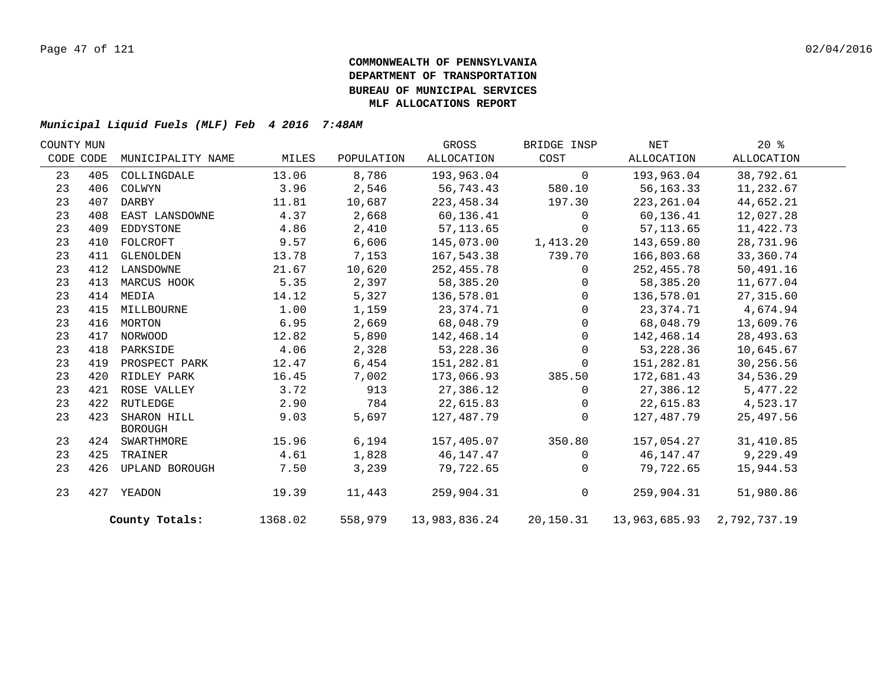| COUNTY MUN |     |                               |         |            | GROSS         | BRIDGE INSP  | NET                              | $20*$      |  |
|------------|-----|-------------------------------|---------|------------|---------------|--------------|----------------------------------|------------|--|
| CODE CODE  |     | MUNICIPALITY NAME             | MILES   | POPULATION | ALLOCATION    | COST         | ALLOCATION                       | ALLOCATION |  |
| 23         | 405 | COLLINGDALE                   | 13.06   | 8,786      | 193,963.04    | $\Omega$     | 193,963.04                       | 38,792.61  |  |
| 23         | 406 | COLWYN                        | 3.96    | 2,546      | 56,743.43     | 580.10       | 56, 163. 33                      | 11,232.67  |  |
| 23         | 407 | DARBY                         | 11.81   | 10,687     | 223, 458.34   | 197.30       | 223, 261.04                      | 44,652.21  |  |
| 23         | 408 | EAST LANSDOWNE                | 4.37    | 2,668      | 60,136.41     | $\Omega$     | 60,136.41                        | 12,027.28  |  |
| 23         | 409 | EDDYSTONE                     | 4.86    | 2,410      | 57, 113.65    | $\Omega$     | 57, 113.65                       | 11,422.73  |  |
| 23         | 410 | FOLCROFT                      | 9.57    | 6,606      | 145,073.00    | 1,413.20     | 143,659.80                       | 28,731.96  |  |
| 23         | 411 | GLENOLDEN                     | 13.78   | 7,153      | 167,543.38    | 739.70       | 166,803.68                       | 33,360.74  |  |
| 23         | 412 | LANSDOWNE                     | 21.67   | 10,620     | 252,455.78    | $\mathbf 0$  | 252,455.78                       | 50,491.16  |  |
| 23         | 413 | MARCUS HOOK                   | 5.35    | 2,397      | 58,385.20     | $\Omega$     | 58,385.20                        | 11,677.04  |  |
| 23         | 414 | MEDIA                         | 14.12   | 5,327      | 136,578.01    | $\Omega$     | 136,578.01                       | 27,315.60  |  |
| 23         | 415 | MILLBOURNE                    | 1.00    | 1,159      | 23, 374. 71   | $\Omega$     | 23, 374. 71                      | 4,674.94   |  |
| 23         |     | 416 MORTON                    | 6.95    | 2,669      | 68,048.79     | $\Omega$     | 68,048.79                        | 13,609.76  |  |
| 23         | 417 | NORWOOD                       | 12.82   | 5,890      | 142,468.14    | $\mathbf{0}$ | 142,468.14                       | 28,493.63  |  |
| 23         | 418 | PARKSIDE                      | 4.06    | 2,328      | 53, 228.36    | $\Omega$     | 53,228.36                        | 10,645.67  |  |
| 23         | 419 | PROSPECT PARK                 | 12.47   | 6,454      | 151,282.81    | $\mathbf 0$  | 151,282.81                       | 30,256.56  |  |
| 23         | 420 | RIDLEY PARK                   | 16.45   | 7,002      | 173,066.93    | 385.50       | 172,681.43                       | 34,536.29  |  |
| 23         | 421 | ROSE VALLEY                   | 3.72    | 913        | 27,386.12     | $\Omega$     | 27,386.12                        | 5,477.22   |  |
| 23         | 422 | RUTLEDGE                      | 2.90    | 784        | 22,615.83     | 0            | 22,615.83                        | 4,523.17   |  |
| 23         | 423 | SHARON HILL<br><b>BOROUGH</b> | 9.03    | 5,697      | 127,487.79    | $\Omega$     | 127,487.79                       | 25,497.56  |  |
| 23         |     | 424 SWARTHMORE                | 15.96   | 6,194      | 157,405.07    | 350.80       | 157,054.27                       | 31,410.85  |  |
| 23         | 425 | TRAINER                       | 4.61    | 1,828      | 46,147.47     | $\Omega$     | 46,147.47                        | 9,229.49   |  |
| 23         | 426 | UPLAND BOROUGH                | 7.50    | 3,239      | 79,722.65     | $\mathbf{0}$ | 79,722.65                        | 15,944.53  |  |
| 23         | 427 | YEADON                        | 19.39   | 11,443     | 259,904.31    | $\mathsf{O}$ | 259,904.31                       | 51,980.86  |  |
|            |     | County Totals:                | 1368.02 | 558,979    | 13,983,836.24 | 20,150.31    | 13, 963, 685. 93 2, 792, 737. 19 |            |  |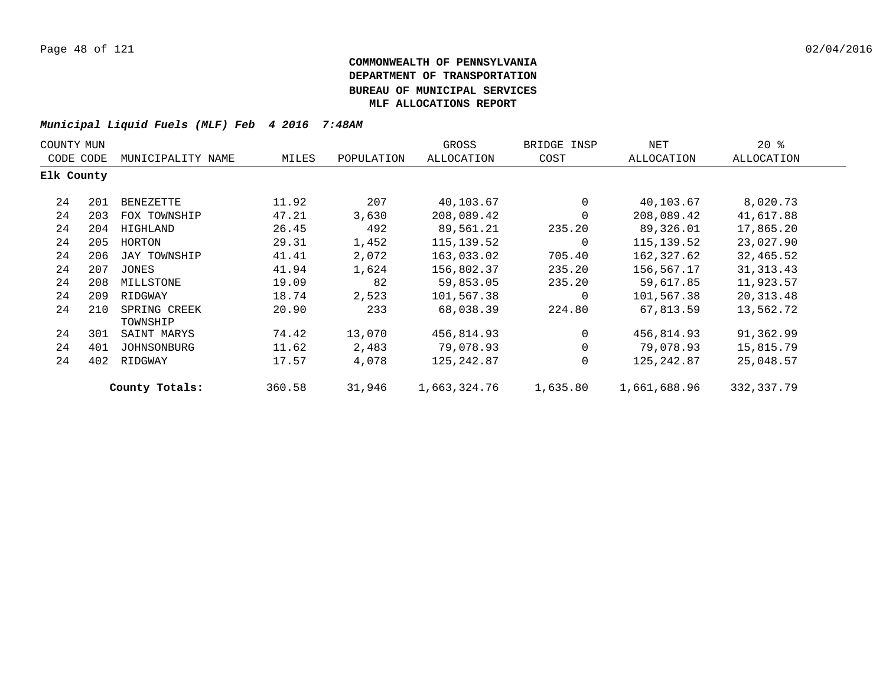| COUNTY MUN |     |                          |        |            | GROSS        | BRIDGE INSP | NET          | $20*$       |  |
|------------|-----|--------------------------|--------|------------|--------------|-------------|--------------|-------------|--|
| CODE CODE  |     | MUNICIPALITY NAME        | MILES  | POPULATION | ALLOCATION   | COST        | ALLOCATION   | ALLOCATION  |  |
| Elk County |     |                          |        |            |              |             |              |             |  |
| 24         | 201 | BENEZETTE                | 11.92  | 207        | 40,103.67    | 0           | 40,103.67    | 8,020.73    |  |
| 24         | 203 | FOX TOWNSHIP             | 47.21  | 3,630      | 208,089.42   | $\mathbf 0$ | 208,089.42   | 41,617.88   |  |
| 24         | 204 | HIGHLAND                 | 26.45  | 492        | 89,561.21    | 235.20      | 89,326.01    | 17,865.20   |  |
| 24         | 205 | HORTON                   | 29.31  | 1,452      | 115, 139.52  | 0           | 115, 139.52  | 23,027.90   |  |
| 24         | 206 | JAY TOWNSHIP             | 41.41  | 2,072      | 163,033.02   | 705.40      | 162,327.62   | 32,465.52   |  |
| 24         | 207 | JONES                    | 41.94  | 1,624      | 156,802.37   | 235.20      | 156,567.17   | 31, 313. 43 |  |
| 24         | 208 | MILLSTONE                | 19.09  | 82         | 59,853.05    | 235.20      | 59,617.85    | 11,923.57   |  |
| 24         | 209 | RIDGWAY                  | 18.74  | 2,523      | 101,567.38   | 0           | 101,567.38   | 20,313.48   |  |
| 24         | 210 | SPRING CREEK<br>TOWNSHIP | 20.90  | 233        | 68,038.39    | 224.80      | 67,813.59    | 13,562.72   |  |
| 24         | 301 | SAINT MARYS              | 74.42  | 13,070     | 456,814.93   | $\mathbf 0$ | 456,814.93   | 91,362.99   |  |
| 24         | 401 | JOHNSONBURG              | 11.62  | 2,483      | 79,078.93    | 0           | 79,078.93    | 15,815.79   |  |
| 24         | 402 | RIDGWAY                  | 17.57  | 4,078      | 125,242.87   | 0           | 125,242.87   | 25,048.57   |  |
|            |     | County Totals:           | 360.58 | 31,946     | 1,663,324.76 | 1,635.80    | 1,661,688.96 | 332,337.79  |  |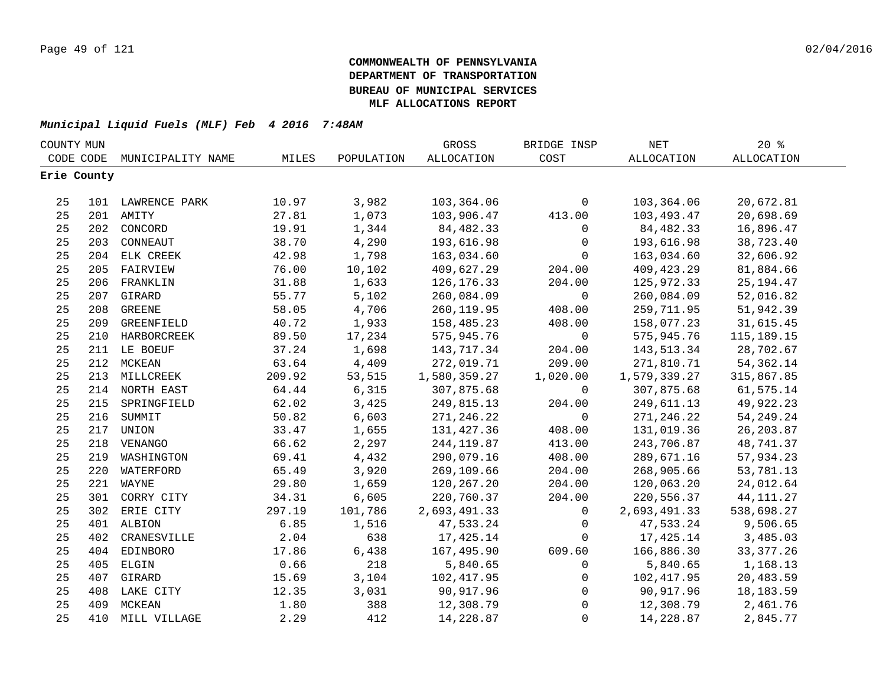| COUNTY MUN |             |                   |        |            | GROSS             | BRIDGE INSP  | NET          | 20%               |  |
|------------|-------------|-------------------|--------|------------|-------------------|--------------|--------------|-------------------|--|
| CODE CODE  |             | MUNICIPALITY NAME | MILES  | POPULATION | <b>ALLOCATION</b> | COST         | ALLOCATION   | <b>ALLOCATION</b> |  |
|            | Erie County |                   |        |            |                   |              |              |                   |  |
|            |             |                   |        |            |                   |              |              |                   |  |
| 25         |             | 101 LAWRENCE PARK | 10.97  | 3,982      | 103,364.06        | $\mathbf 0$  | 103,364.06   | 20,672.81         |  |
| 25         |             | 201 AMITY         | 27.81  | 1,073      | 103,906.47        | 413.00       | 103,493.47   | 20,698.69         |  |
| 25         |             | 202 CONCORD       | 19.91  | 1,344      | 84,482.33         | $\mathsf{O}$ | 84,482.33    | 16,896.47         |  |
| 25         |             | 203 CONNEAUT      | 38.70  | 4,290      | 193,616.98        | 0            | 193,616.98   | 38,723.40         |  |
| 25         |             | 204 ELK CREEK     | 42.98  | 1,798      | 163,034.60        | $\mathbf 0$  | 163,034.60   | 32,606.92         |  |
| 25         | 205         | FAIRVIEW          | 76.00  | 10,102     | 409,627.29        | 204.00       | 409,423.29   | 81,884.66         |  |
| 25         | 206         | FRANKLIN          | 31.88  | 1,633      | 126, 176. 33      | 204.00       | 125,972.33   | 25, 194. 47       |  |
| 25         | 207         | GIRARD            | 55.77  | 5,102      | 260,084.09        | $\mathbf 0$  | 260,084.09   | 52,016.82         |  |
| 25         | 208         | <b>GREENE</b>     | 58.05  | 4,706      | 260,119.95        | 408.00       | 259,711.95   | 51,942.39         |  |
| 25         | 209         | GREENFIELD        | 40.72  | 1,933      | 158,485.23        | 408.00       | 158,077.23   | 31,615.45         |  |
| 25         |             | 210 HARBORCREEK   | 89.50  | 17,234     | 575,945.76        | $\mathbf 0$  | 575,945.76   | 115,189.15        |  |
| 25         |             | 211 LE BOEUF      | 37.24  | 1,698      | 143,717.34        | 204.00       | 143,513.34   | 28,702.67         |  |
| 25         | 212         | MCKEAN            | 63.64  | 4,409      | 272,019.71        | 209.00       | 271,810.71   | 54, 362. 14       |  |
| 25         |             | 213 MILLCREEK     | 209.92 | 53,515     | 1,580,359.27      | 1,020.00     | 1,579,339.27 | 315,867.85        |  |
| 25         |             | 214 NORTH EAST    | 64.44  | 6,315      | 307,875.68        | $\mathbf 0$  | 307,875.68   | 61,575.14         |  |
| 25         |             | 215 SPRINGFIELD   | 62.02  | 3,425      | 249,815.13        | 204.00       | 249,611.13   | 49,922.23         |  |
| 25         |             | 216 SUMMIT        | 50.82  | 6,603      | 271, 246.22       | $\mathbf 0$  | 271, 246.22  | 54, 249. 24       |  |
| 25         |             | 217 UNION         | 33.47  | 1,655      | 131,427.36        | 408.00       | 131,019.36   | 26, 203.87        |  |
| 25         |             | 218 VENANGO       | 66.62  | 2,297      | 244, 119.87       | 413.00       | 243,706.87   | 48,741.37         |  |
| 25         |             | 219 WASHINGTON    | 69.41  | 4,432      | 290,079.16        | 408.00       | 289,671.16   | 57,934.23         |  |
| 25         | 220         | WATERFORD         | 65.49  | 3,920      | 269,109.66        | 204.00       | 268,905.66   | 53,781.13         |  |
| 25         |             | 221 WAYNE         | 29.80  | 1,659      | 120,267.20        | 204.00       | 120,063.20   | 24,012.64         |  |
| 25         |             | 301 CORRY CITY    | 34.31  | 6,605      | 220,760.37        | 204.00       | 220,556.37   | 44, 111. 27       |  |
| 25         | 302         | ERIE CITY         | 297.19 | 101,786    | 2,693,491.33      | $\mathbf 0$  | 2,693,491.33 | 538,698.27        |  |
| 25         |             | 401 ALBION        | 6.85   | 1,516      | 47,533.24         | $\mathbf 0$  | 47,533.24    | 9,506.65          |  |
| 25         | 402         | CRANESVILLE       | 2.04   | 638        | 17,425.14         | $\Omega$     | 17,425.14    | 3,485.03          |  |
| 25         | 404         | EDINBORO          | 17.86  | 6,438      | 167,495.90        | 609.60       | 166,886.30   | 33, 377. 26       |  |
| 25         | 405         | ELGIN             | 0.66   | 218        | 5,840.65          | $\mathbf{0}$ | 5,840.65     | 1,168.13          |  |
| 25         |             | 407 GIRARD        | 15.69  | 3,104      | 102,417.95        | $\mathbf 0$  | 102,417.95   | 20,483.59         |  |
| 25         |             | 408 LAKE CITY     | 12.35  | 3,031      | 90,917.96         | $\mathbf 0$  | 90,917.96    | 18, 183.59        |  |
| 25         | 409         | MCKEAN            | 1.80   | 388        | 12,308.79         | $\mathbf 0$  | 12,308.79    | 2,461.76          |  |
| 25         | 410         | MILL VILLAGE      | 2.29   | 412        | 14,228.87         | $\mathbf 0$  | 14,228.87    | 2,845.77          |  |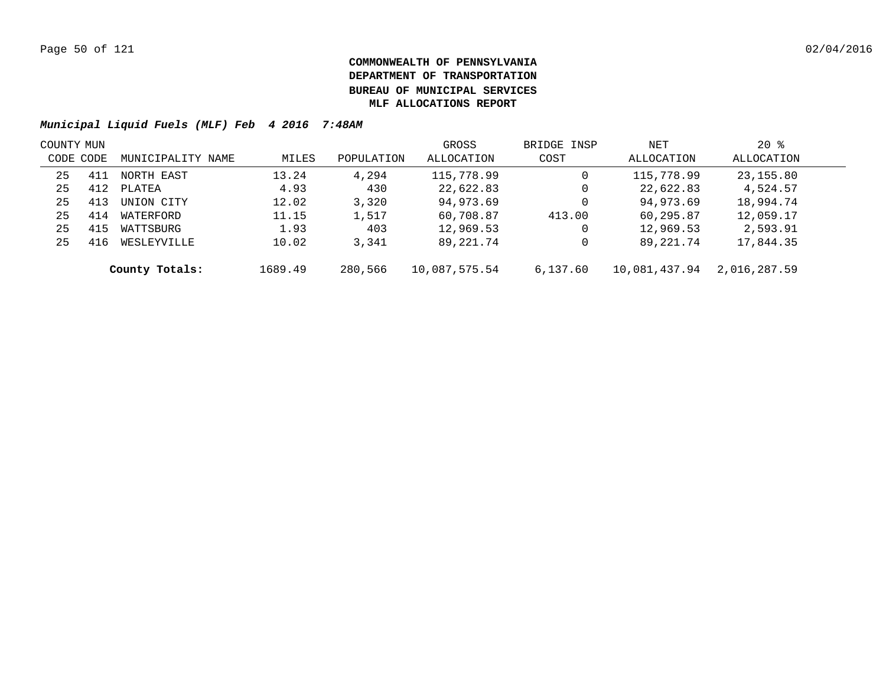| COUNTY MUN |     |                   |         |            | GROSS         | BRIDGE INSP | NET           | $20*$        |  |
|------------|-----|-------------------|---------|------------|---------------|-------------|---------------|--------------|--|
| CODE CODE  |     | MUNICIPALITY NAME | MILES   | POPULATION | ALLOCATION    | COST        | ALLOCATION    | ALLOCATION   |  |
| 25         | 411 | NORTH EAST        | 13.24   | 4,294      | 115,778.99    | 0           | 115,778.99    | 23,155.80    |  |
| 25         | 412 | PLATEA            | 4.93    | 430        | 22,622.83     | 0           | 22,622.83     | 4,524.57     |  |
| 25         | 413 | UNION CITY        | 12.02   | 3,320      | 94,973.69     | 0           | 94,973.69     | 18,994.74    |  |
| 25         | 414 | WATERFORD         | 11.15   | 1,517      | 60,708.87     | 413.00      | 60,295.87     | 12,059.17    |  |
| 25         | 415 | WATTSBURG         | 1.93    | 403        | 12,969.53     | 0           | 12,969.53     | 2,593.91     |  |
| 25         | 416 | WESLEYVILLE       | 10.02   | 3,341      | 89,221.74     | 0           | 89,221.74     | 17,844.35    |  |
|            |     | County Totals:    | 1689.49 | 280,566    | 10,087,575.54 | 6,137.60    | 10,081,437.94 | 2,016,287.59 |  |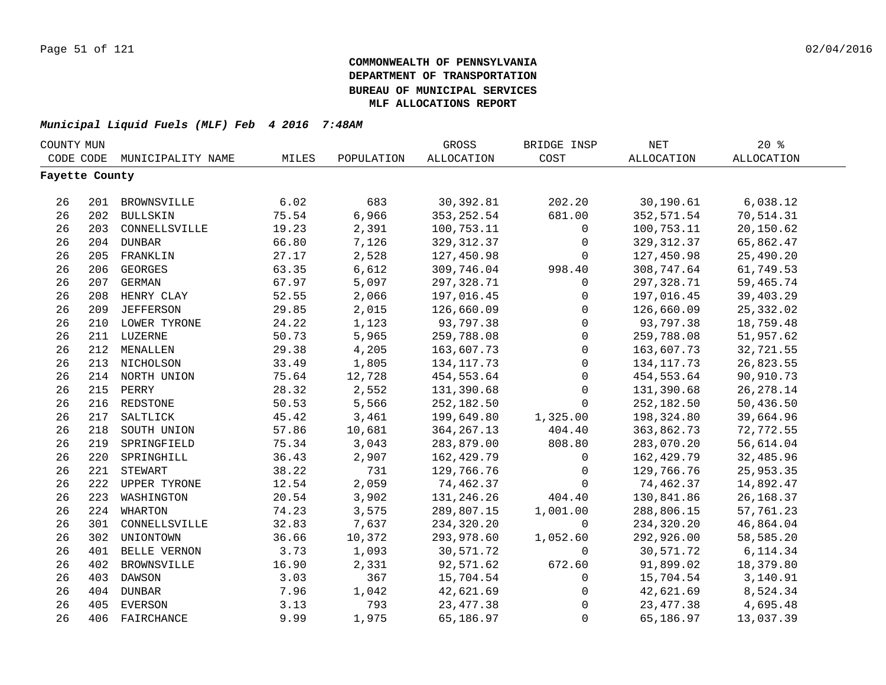| COUNTY MUN     |     |                   |       |            | GROSS             | BRIDGE INSP    | NET          | 20%               |  |
|----------------|-----|-------------------|-------|------------|-------------------|----------------|--------------|-------------------|--|
| CODE CODE      |     | MUNICIPALITY NAME | MILES | POPULATION | <b>ALLOCATION</b> | COST           | ALLOCATION   | <b>ALLOCATION</b> |  |
| Fayette County |     |                   |       |            |                   |                |              |                   |  |
|                |     |                   |       |            |                   |                |              |                   |  |
| 26             |     | 201 BROWNSVILLE   | 6.02  | 683        | 30,392.81         | 202.20         | 30,190.61    | 6,038.12          |  |
| 26             |     | 202 BULLSKIN      | 75.54 | 6,966      | 353, 252.54       | 681.00         | 352,571.54   | 70,514.31         |  |
| 26             |     | 203 CONNELLSVILLE | 19.23 | 2,391      | 100,753.11        | 0              | 100,753.11   | 20,150.62         |  |
| 26             |     | 204 DUNBAR        | 66.80 | 7,126      | 329, 312.37       | 0              | 329, 312.37  | 65,862.47         |  |
| 26             | 205 | FRANKLIN          | 27.17 | 2,528      | 127,450.98        | $\mathbf 0$    | 127,450.98   | 25,490.20         |  |
| 26             | 206 | <b>GEORGES</b>    | 63.35 | 6,612      | 309,746.04        | 998.40         | 308,747.64   | 61,749.53         |  |
| 26             | 207 | <b>GERMAN</b>     | 67.97 | 5,097      | 297,328.71        | $\mathbf 0$    | 297,328.71   | 59,465.74         |  |
| 26             | 208 | HENRY CLAY        | 52.55 | 2,066      | 197,016.45        | $\mathbf 0$    | 197,016.45   | 39,403.29         |  |
| 26             | 209 | <b>JEFFERSON</b>  | 29.85 | 2,015      | 126,660.09        | $\mathbf 0$    | 126,660.09   | 25,332.02         |  |
| 26             |     | 210 LOWER TYRONE  | 24.22 | 1,123      | 93,797.38         | $\mathbf 0$    | 93,797.38    | 18,759.48         |  |
| 26             |     | 211 LUZERNE       | 50.73 | 5,965      | 259,788.08        | $\mathsf{O}$   | 259,788.08   | 51,957.62         |  |
| 26             |     | 212 MENALLEN      | 29.38 | 4,205      | 163,607.73        | $\mathbf 0$    | 163,607.73   | 32,721.55         |  |
| 26             |     | 213 NICHOLSON     | 33.49 | 1,805      | 134, 117. 73      | $\overline{0}$ | 134, 117. 73 | 26,823.55         |  |
| 26             |     | 214 NORTH UNION   | 75.64 | 12,728     | 454,553.64        | $\mathsf 0$    | 454,553.64   | 90,910.73         |  |
| 26             |     | 215 PERRY         | 28.32 | 2,552      | 131,390.68        | $\mathbf 0$    | 131,390.68   | 26, 278.14        |  |
| 26             |     | 216 REDSTONE      | 50.53 | 5,566      | 252,182.50        | $\Omega$       | 252,182.50   | 50,436.50         |  |
| 26             | 217 | SALTLICK          | 45.42 | 3,461      | 199,649.80        | 1,325.00       | 198,324.80   | 39,664.96         |  |
| 26             | 218 | SOUTH UNION       | 57.86 | 10,681     | 364, 267. 13      | 404.40         | 363,862.73   | 72,772.55         |  |
| 26             | 219 | SPRINGFIELD       | 75.34 | 3,043      | 283,879.00        | 808.80         | 283,070.20   | 56,614.04         |  |
| 26             | 220 | SPRINGHILL        | 36.43 | 2,907      | 162,429.79        | $\mathbf 0$    | 162,429.79   | 32,485.96         |  |
| 26             | 221 | STEWART           | 38.22 | 731        | 129,766.76        | $\mathbf 0$    | 129,766.76   | 25,953.35         |  |
| 26             |     | 222 UPPER TYRONE  | 12.54 | 2,059      | 74,462.37         | $\mathbf 0$    | 74,462.37    | 14,892.47         |  |
| 26             | 223 | WASHINGTON        | 20.54 | 3,902      | 131,246.26        | 404.40         | 130,841.86   | 26, 168. 37       |  |
| 26             |     | 224 WHARTON       | 74.23 | 3,575      | 289,807.15        | 1,001.00       | 288,806.15   | 57,761.23         |  |
| 26             | 301 | CONNELLSVILLE     | 32.83 | 7,637      | 234,320.20        | $\mathbf 0$    | 234,320.20   | 46,864.04         |  |
| 26             | 302 | UNIONTOWN         | 36.66 | 10,372     | 293,978.60        | 1,052.60       | 292,926.00   | 58,585.20         |  |
| 26             | 401 | BELLE VERNON      | 3.73  | 1,093      | 30,571.72         | 0              | 30,571.72    | 6,114.34          |  |
| 26             | 402 | BROWNSVILLE       | 16.90 | 2,331      | 92,571.62         | 672.60         | 91,899.02    | 18,379.80         |  |
| 26             | 403 | DAWSON            | 3.03  | 367        | 15,704.54         | 0              | 15,704.54    | 3,140.91          |  |
| 26             | 404 | DUNBAR            | 7.96  | 1,042      | 42,621.69         | 0              | 42,621.69    | 8,524.34          |  |
| 26             | 405 | EVERSON           | 3.13  | 793        | 23, 477.38        | 0              | 23, 477.38   | 4,695.48          |  |
| 26             | 406 | FAIRCHANCE        | 9.99  | 1,975      | 65,186.97         | $\mathbf 0$    | 65,186.97    | 13,037.39         |  |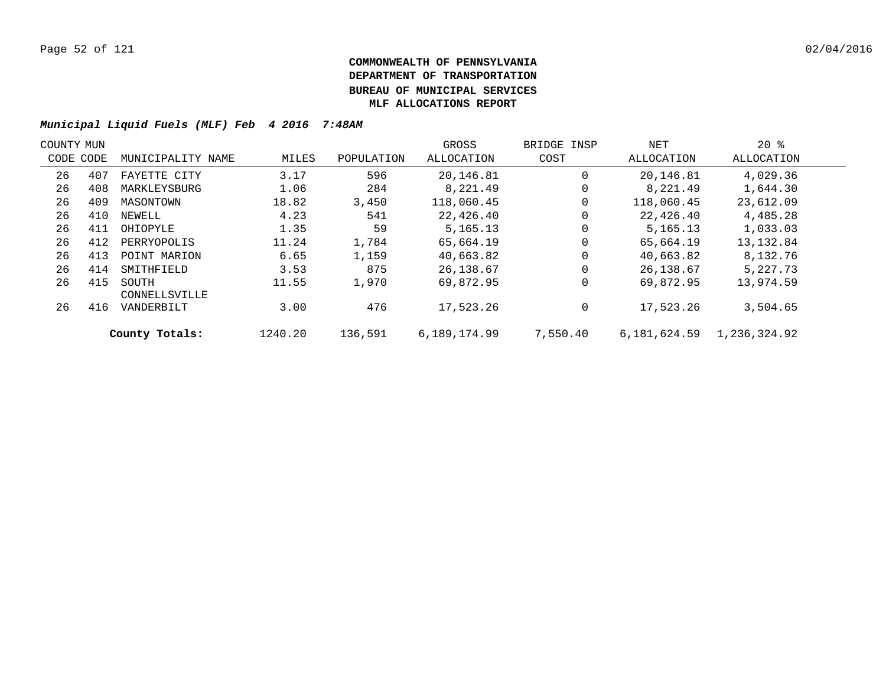|    | COUNTY MUN |                        |         |            | GROSS             | BRIDGE INSP | NET          | $20*$        |  |
|----|------------|------------------------|---------|------------|-------------------|-------------|--------------|--------------|--|
|    | CODE CODE  | MUNICIPALITY NAME      | MILES   | POPULATION | <b>ALLOCATION</b> | COST        | ALLOCATION   | ALLOCATION   |  |
| 26 | 407        | FAYETTE CITY           | 3.17    | 596        | 20,146.81         | $\Omega$    | 20,146.81    | 4,029.36     |  |
| 26 | 408        | MARKLEYSBURG           | 1.06    | 284        | 8,221.49          | 0           | 8,221.49     | 1,644.30     |  |
| 26 | 409        | MASONTOWN              | 18.82   | 3,450      | 118,060.45        | $\mathbf 0$ | 118,060.45   | 23,612.09    |  |
| 26 | 410        | NEWELL                 | 4.23    | 541        | 22,426.40         | 0           | 22,426.40    | 4,485.28     |  |
| 26 | 411        | OHIOPYLE               | 1.35    | 59         | 5, 165. 13        | $\mathbf 0$ | 5,165.13     | 1,033.03     |  |
| 26 | 412        | PERRYOPOLIS            | 11.24   | 1,784      | 65,664.19         | $\mathbf 0$ | 65,664.19    | 13, 132.84   |  |
| 26 | 413        | POINT MARION           | 6.65    | 1,159      | 40,663.82         | $\mathbf 0$ | 40,663.82    | 8,132.76     |  |
| 26 | 414        | SMITHFIELD             | 3.53    | 875        | 26,138.67         | $\Omega$    | 26,138.67    | 5,227.73     |  |
| 26 | 415        | SOUTH<br>CONNELLSVILLE | 11.55   | 1,970      | 69,872.95         | $\mathbf 0$ | 69,872.95    | 13,974.59    |  |
| 26 | 416        | VANDERBILT             | 3.00    | 476        | 17,523.26         | $\mathbf 0$ | 17,523.26    | 3,504.65     |  |
|    |            | County Totals:         | 1240.20 | 136,591    | 6,189,174.99      | 7,550.40    | 6,181,624.59 | 1,236,324.92 |  |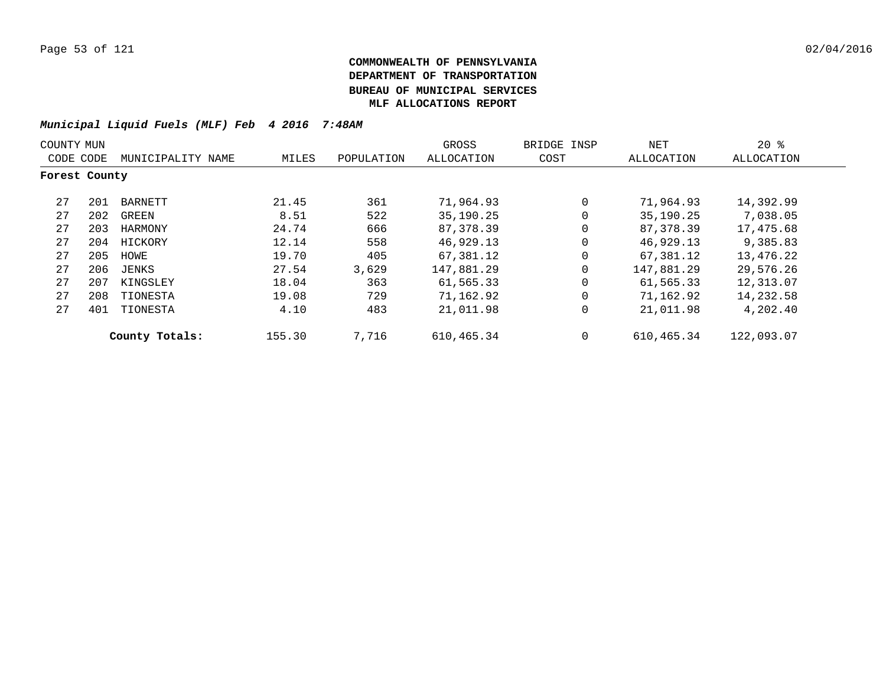| COUNTY MUN    |     |                   |        |            | GROSS      | BRIDGE INSP | NET        | $20*$      |
|---------------|-----|-------------------|--------|------------|------------|-------------|------------|------------|
| CODE CODE     |     | MUNICIPALITY NAME | MILES  | POPULATION | ALLOCATION | COST        | ALLOCATION | ALLOCATION |
| Forest County |     |                   |        |            |            |             |            |            |
| 27            | 201 | BARNETT           | 21.45  | 361        | 71,964.93  | $\mathbf 0$ | 71,964.93  | 14,392.99  |
| 27            | 202 | GREEN             | 8.51   | 522        | 35,190.25  | $\Omega$    | 35,190.25  | 7,038.05   |
| 27            | 203 | HARMONY           | 24.74  | 666        | 87, 378.39 | $\mathbf 0$ | 87,378.39  | 17,475.68  |
| 27            | 204 | HICKORY           | 12.14  | 558        | 46,929.13  | $\mathbf 0$ | 46,929.13  | 9,385.83   |
| 27            | 205 | HOWE              | 19.70  | 405        | 67,381.12  | $\mathbf 0$ | 67,381.12  | 13,476.22  |
| 27            | 206 | JENKS             | 27.54  | 3,629      | 147,881.29 | $\mathbf 0$ | 147,881.29 | 29,576.26  |
| 27            | 207 | KINGSLEY          | 18.04  | 363        | 61,565.33  | $\Omega$    | 61,565.33  | 12,313.07  |
| 27            | 208 | TIONESTA          | 19.08  | 729        | 71,162.92  | $\mathbf 0$ | 71,162.92  | 14,232.58  |
| 27            | 401 | TIONESTA          | 4.10   | 483        | 21,011.98  | 0           | 21,011.98  | 4,202.40   |
|               |     | County Totals:    | 155.30 | 7,716      | 610,465.34 | 0           | 610,465.34 | 122,093.07 |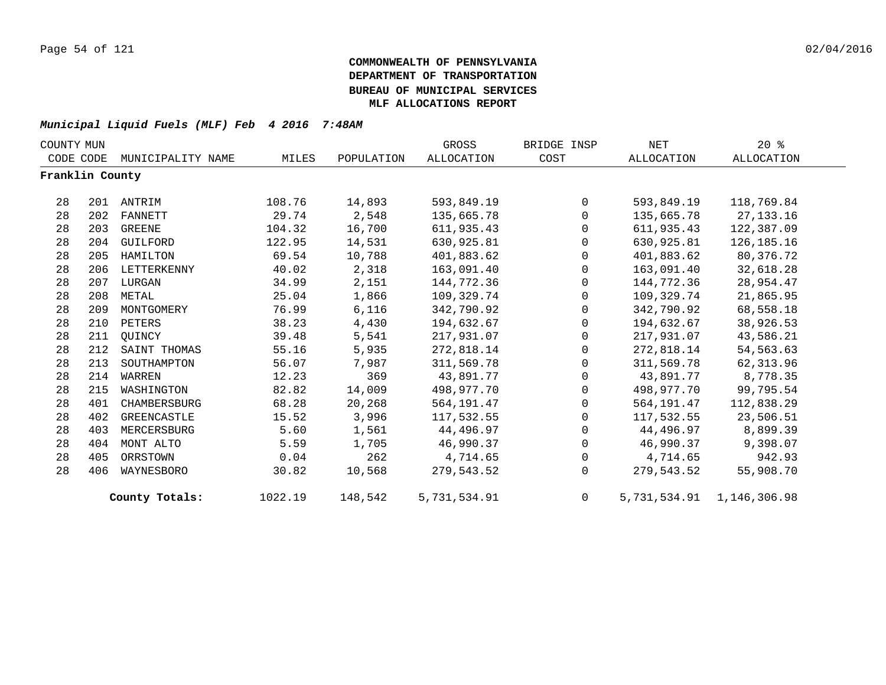| COUNTY MUN      |     |                   |         |            | GROSS        | BRIDGE INSP    | NET        | $20*$                     |  |
|-----------------|-----|-------------------|---------|------------|--------------|----------------|------------|---------------------------|--|
| CODE CODE       |     | MUNICIPALITY NAME | MILES   | POPULATION | ALLOCATION   | COST           | ALLOCATION | ALLOCATION                |  |
| Franklin County |     |                   |         |            |              |                |            |                           |  |
| 28              |     | 201 ANTRIM        | 108.76  | 14,893     | 593,849.19   | $\overline{0}$ | 593,849.19 | 118,769.84                |  |
| 28              | 202 | <b>FANNETT</b>    | 29.74   | 2,548      | 135,665.78   | $\mathbf{0}$   | 135,665.78 | 27, 133. 16               |  |
| 28              | 203 | GREENE            | 104.32  | 16,700     | 611,935.43   | $\mathbf{0}$   | 611,935.43 | 122,387.09                |  |
| 28              | 204 | GUILFORD          | 122.95  | 14,531     | 630,925.81   | $\Omega$       | 630,925.81 | 126,185.16                |  |
| 28              | 205 | HAMILTON          | 69.54   | 10,788     | 401,883.62   | $\overline{0}$ | 401,883.62 | 80,376.72                 |  |
| 28              | 206 | LETTERKENNY       | 40.02   | 2,318      | 163,091.40   | $\mathbf 0$    | 163,091.40 | 32,618.28                 |  |
| 28              | 207 | LURGAN            | 34.99   | 2,151      | 144,772.36   | 0              | 144,772.36 | 28,954.47                 |  |
| 28              | 208 | METAL             | 25.04   | 1,866      | 109,329.74   | $\Omega$       | 109,329.74 | 21,865.95                 |  |
| 28              | 209 | MONTGOMERY        | 76.99   | 6,116      | 342,790.92   | $\mathbf{0}$   | 342,790.92 | 68,558.18                 |  |
| 28              | 210 | PETERS            | 38.23   | 4,430      | 194,632.67   | $\mathsf{O}$   | 194,632.67 | 38,926.53                 |  |
| 28              | 211 | OUINCY            | 39.48   | 5,541      | 217,931.07   | $\mathbf{0}$   | 217,931.07 | 43,586.21                 |  |
| 28              | 212 | SAINT THOMAS      | 55.16   | 5,935      | 272,818.14   | $\mathbf{0}$   | 272,818.14 | 54,563.63                 |  |
| 28              | 213 | SOUTHAMPTON       | 56.07   | 7,987      | 311,569.78   | $\mathbf{0}$   | 311,569.78 | 62, 313.96                |  |
| 28              | 214 | WARREN            | 12.23   | 369        | 43,891.77    | $\mathbf{0}$   | 43,891.77  | 8,778.35                  |  |
| 28              | 215 | WASHINGTON        | 82.82   | 14,009     | 498,977.70   | $\mathsf{O}$   | 498,977.70 | 99,795.54                 |  |
| 28              | 401 | CHAMBERSBURG      | 68.28   | 20,268     | 564,191.47   | $\mathbf{0}$   | 564,191.47 | 112,838.29                |  |
| 28              | 402 | GREENCASTLE       | 15.52   | 3,996      | 117,532.55   | $\Omega$       | 117,532.55 | 23,506.51                 |  |
| 28              | 403 | MERCERSBURG       | 5.60    | 1,561      | 44,496.97    | $\mathbf 0$    | 44,496.97  | 8,899.39                  |  |
| 28              | 404 | MONT ALTO         | 5.59    | 1,705      | 46,990.37    | 0              | 46,990.37  | 9,398.07                  |  |
| 28              | 405 | ORRSTOWN          | 0.04    | 262        | 4,714.65     | $\mathbf 0$    | 4,714.65   | 942.93                    |  |
| 28              | 406 | WAYNESBORO        | 30.82   | 10,568     | 279,543.52   | $\Omega$       | 279,543.52 | 55,908.70                 |  |
|                 |     | County Totals:    | 1022.19 | 148,542    | 5,731,534.91 | $\overline{0}$ |            | 5,731,534.91 1,146,306.98 |  |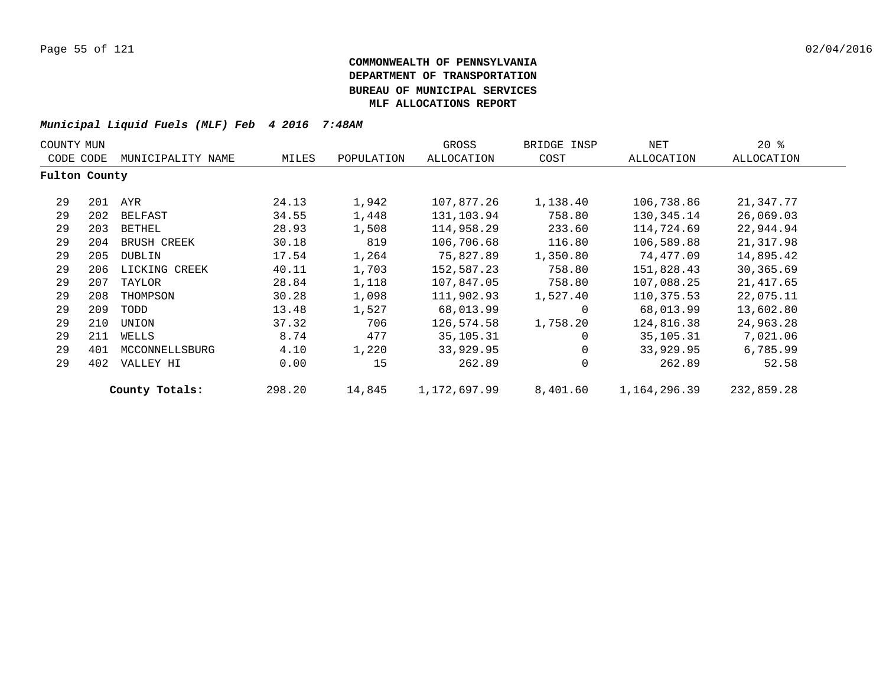| COUNTY MUN    |     |                   |        |            | GROSS        | BRIDGE INSP | NET          | $20*$      |  |
|---------------|-----|-------------------|--------|------------|--------------|-------------|--------------|------------|--|
| CODE CODE     |     | MUNICIPALITY NAME | MILES  | POPULATION | ALLOCATION   | COST        | ALLOCATION   | ALLOCATION |  |
| Fulton County |     |                   |        |            |              |             |              |            |  |
| 29            | 201 | AYR               | 24.13  | 1,942      | 107,877.26   | 1,138.40    | 106,738.86   | 21,347.77  |  |
| 29            | 202 | BELFAST           | 34.55  | 1,448      | 131,103.94   | 758.80      | 130,345.14   | 26,069.03  |  |
| 29            | 203 | BETHEL            | 28.93  | 1,508      | 114,958.29   | 233.60      | 114,724.69   | 22,944.94  |  |
| 29            | 204 | BRUSH CREEK       | 30.18  | 819        | 106,706.68   | 116.80      | 106,589.88   | 21,317.98  |  |
| 29            | 205 | DUBLIN            | 17.54  | 1,264      | 75,827.89    | 1,350.80    | 74,477.09    | 14,895.42  |  |
| 29            | 206 | LICKING CREEK     | 40.11  | 1,703      | 152,587.23   | 758.80      | 151,828.43   | 30,365.69  |  |
| 29            | 207 | TAYLOR            | 28.84  | 1,118      | 107,847.05   | 758.80      | 107,088.25   | 21, 417.65 |  |
| 29            | 208 | THOMPSON          | 30.28  | 1,098      | 111,902.93   | 1,527.40    | 110,375.53   | 22,075.11  |  |
| 29            | 209 | TODD              | 13.48  | 1,527      | 68,013.99    | 0           | 68,013.99    | 13,602.80  |  |
| 29            | 210 | UNION             | 37.32  | 706        | 126,574.58   | 1,758.20    | 124,816.38   | 24,963.28  |  |
| 29            | 211 | WELLS             | 8.74   | 477        | 35,105.31    | $\Omega$    | 35,105.31    | 7,021.06   |  |
| 29            | 401 | MCCONNELLSBURG    | 4.10   | 1,220      | 33,929.95    | $\Omega$    | 33,929.95    | 6,785.99   |  |
| 29            | 402 | VALLEY HI         | 0.00   | 15         | 262.89       | 0           | 262.89       | 52.58      |  |
|               |     | County Totals:    | 298.20 | 14,845     | 1,172,697.99 | 8,401.60    | 1,164,296.39 | 232,859.28 |  |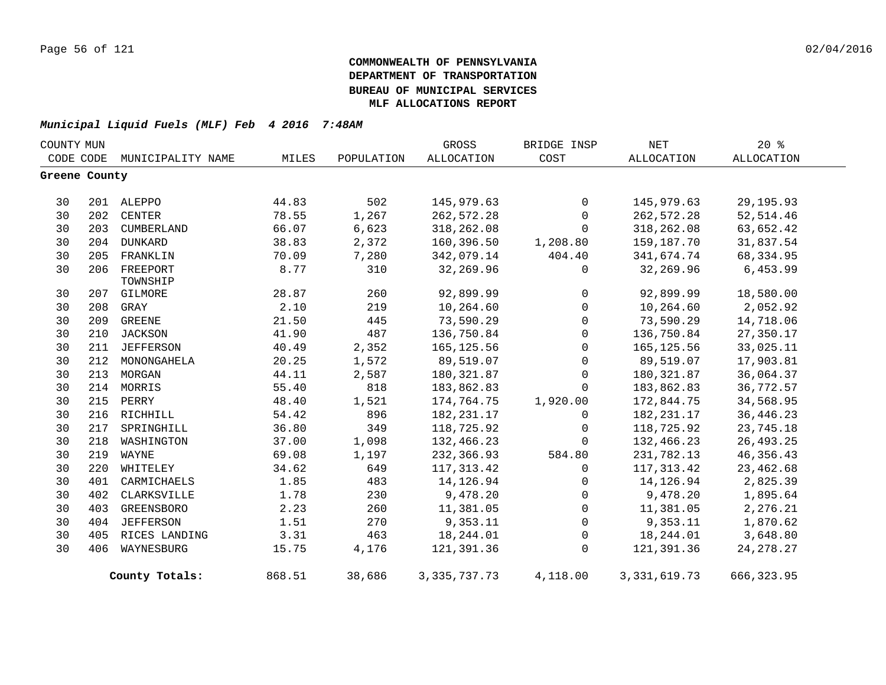| COUNTY MUN    |     |                             |        |            | GROSS           | BRIDGE INSP    | NET             | $20*$       |
|---------------|-----|-----------------------------|--------|------------|-----------------|----------------|-----------------|-------------|
|               |     | CODE CODE MUNICIPALITY NAME | MILES  | POPULATION | ALLOCATION      | COST           | ALLOCATION      | ALLOCATION  |
| Greene County |     |                             |        |            |                 |                |                 |             |
| 30            |     | 201 ALEPPO                  | 44.83  | 502        | 145,979.63      | 0              | 145,979.63      | 29, 195.93  |
| 30            |     | 202 CENTER                  | 78.55  | 1,267      | 262,572.28      | $\mathbf 0$    | 262,572.28      | 52, 514.46  |
| 30            | 203 | CUMBERLAND                  | 66.07  | 6,623      | 318,262.08      | $\mathbf 0$    | 318,262.08      | 63,652.42   |
| 30            | 204 | <b>DUNKARD</b>              | 38.83  | 2,372      | 160,396.50      | 1,208.80       | 159,187.70      | 31,837.54   |
| 30            | 205 | FRANKLIN                    | 70.09  | 7,280      | 342,079.14      | 404.40         | 341,674.74      | 68, 334.95  |
| 30            | 206 | FREEPORT<br>TOWNSHIP        | 8.77   | 310        | 32,269.96       | 0              | 32,269.96       | 6,453.99    |
| 30            | 207 | GILMORE                     | 28.87  | 260        | 92,899.99       | $\overline{0}$ | 92,899.99       | 18,580.00   |
| 30            | 208 | GRAY                        | 2.10   | 219        | 10,264.60       | 0              | 10,264.60       | 2,052.92    |
| 30            | 209 | GREENE                      | 21.50  | 445        | 73,590.29       | 0              | 73,590.29       | 14,718.06   |
| 30            | 210 | JACKSON                     | 41.90  | 487        | 136,750.84      | 0              | 136,750.84      | 27,350.17   |
| 30            | 211 | JEFFERSON                   | 40.49  | 2,352      | 165, 125.56     | 0              | 165,125.56      | 33,025.11   |
| 30            | 212 | MONONGAHELA                 | 20.25  | 1,572      | 89,519.07       | $\mathbf 0$    | 89,519.07       | 17,903.81   |
| 30            | 213 | MORGAN                      | 44.11  | 2,587      | 180,321.87      | $\mathbf 0$    | 180,321.87      | 36,064.37   |
| 30            |     | 214 MORRIS                  | 55.40  | 818        | 183,862.83      | $\mathbf 0$    | 183,862.83      | 36,772.57   |
| 30            |     | 215 PERRY                   | 48.40  | 1,521      | 174,764.75      | 1,920.00       | 172,844.75      | 34,568.95   |
| 30            | 216 | RICHHILL                    | 54.42  | 896        | 182, 231. 17    | $\Omega$       | 182, 231. 17    | 36, 446.23  |
| 30            | 217 | SPRINGHILL                  | 36.80  | 349        | 118,725.92      | $\mathbf 0$    | 118,725.92      | 23,745.18   |
| 30            | 218 | WASHINGTON                  | 37.00  | 1,098      | 132,466.23      | $\mathbf 0$    | 132,466.23      | 26, 493. 25 |
| 30            | 219 | WAYNE                       | 69.08  | 1,197      | 232,366.93      | 584.80         | 231,782.13      | 46, 356. 43 |
| 30            | 220 | WHITELEY                    | 34.62  | 649        | 117, 313.42     | $\mathbf 0$    | 117,313.42      | 23,462.68   |
| 30            | 401 | CARMICHAELS                 | 1.85   | 483        | 14,126.94       | 0              | 14,126.94       | 2,825.39    |
| 30            | 402 | CLARKSVILLE                 | 1.78   | 230        | 9,478.20        | $\mathsf{O}$   | 9,478.20        | 1,895.64    |
| 30            | 403 | GREENSBORO                  | 2.23   | 260        | 11,381.05       | $\mathsf{O}$   | 11,381.05       | 2,276.21    |
| 30            | 404 | <b>JEFFERSON</b>            | 1.51   | 270        | 9,353.11        | 0              | 9,353.11        | 1,870.62    |
| 30            | 405 | RICES LANDING               | 3.31   | 463        | 18,244.01       | 0              | 18,244.01       | 3,648.80    |
| 30            | 406 | WAYNESBURG                  | 15.75  | 4,176      | 121,391.36      | $\mathbf 0$    | 121,391.36      | 24, 278. 27 |
|               |     | County Totals:              | 868.51 | 38,686     | 3, 335, 737. 73 | 4,118.00       | 3, 331, 619. 73 | 666, 323.95 |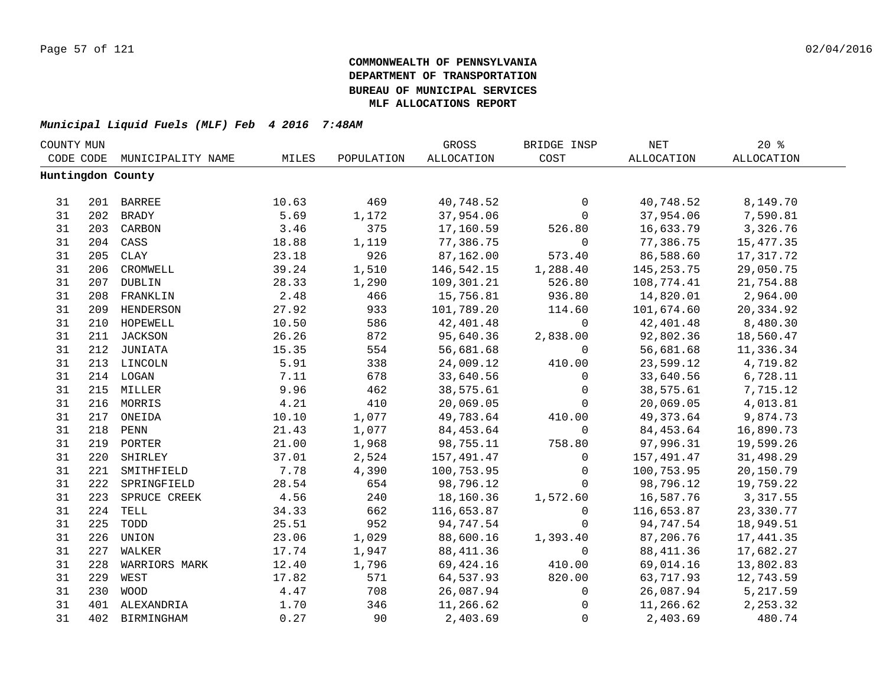| COUNTY MUN |     |                   |       |            | GROSS      | BRIDGE INSP  | $\operatorname{NET}$ | $20*$       |  |
|------------|-----|-------------------|-------|------------|------------|--------------|----------------------|-------------|--|
| CODE CODE  |     | MUNICIPALITY NAME | MILES | POPULATION | ALLOCATION | COST         | ALLOCATION           | ALLOCATION  |  |
|            |     | Huntingdon County |       |            |            |              |                      |             |  |
|            |     |                   |       |            |            |              |                      |             |  |
| 31         |     | 201 BARREE        | 10.63 | 469        | 40,748.52  | $\mathbf 0$  | 40,748.52            | 8,149.70    |  |
| 31         |     | 202 BRADY         | 5.69  | 1,172      | 37,954.06  | $\mathbf 0$  | 37,954.06            | 7,590.81    |  |
| 31         |     | 203 CARBON        | 3.46  | 375        | 17,160.59  | 526.80       | 16,633.79            | 3,326.76    |  |
| 31         |     | 204 CASS          | 18.88 | 1,119      | 77,386.75  | $\mathbf 0$  | 77,386.75            | 15, 477.35  |  |
| 31         | 205 | CLAY              | 23.18 | 926        | 87,162.00  | 573.40       | 86,588.60            | 17, 317. 72 |  |
| 31         | 206 | CROMWELL          | 39.24 | 1,510      | 146,542.15 | 1,288.40     | 145,253.75           | 29,050.75   |  |
| 31         |     | 207 DUBLIN        | 28.33 | 1,290      | 109,301.21 | 526.80       | 108,774.41           | 21,754.88   |  |
| 31         | 208 | FRANKLIN          | 2.48  | 466        | 15,756.81  | 936.80       | 14,820.01            | 2,964.00    |  |
| 31         | 209 | HENDERSON         | 27.92 | 933        | 101,789.20 | 114.60       | 101,674.60           | 20,334.92   |  |
| 31         | 210 | HOPEWELL          | 10.50 | 586        | 42,401.48  | $\mathbf 0$  | 42,401.48            | 8,480.30    |  |
| 31         |     | 211 JACKSON       | 26.26 | 872        | 95,640.36  | 2,838.00     | 92,802.36            | 18,560.47   |  |
| 31         |     | 212 JUNIATA       | 15.35 | 554        | 56,681.68  | $\mathbf 0$  | 56,681.68            | 11,336.34   |  |
| 31         |     | 213 LINCOLN       | 5.91  | 338        | 24,009.12  | 410.00       | 23,599.12            | 4,719.82    |  |
| 31         |     | 214 LOGAN         | 7.11  | 678        | 33,640.56  | $\mathbf 0$  | 33,640.56            | 6,728.11    |  |
| 31         |     | 215 MILLER        | 9.96  | 462        | 38,575.61  | 0            | 38,575.61            | 7,715.12    |  |
| 31         |     | 216 MORRIS        | 4.21  | 410        | 20,069.05  | $\mathbf 0$  | 20,069.05            | 4,013.81    |  |
| 31         |     | 217 ONEIDA        | 10.10 | 1,077      | 49,783.64  | 410.00       | 49,373.64            | 9,874.73    |  |
| 31         |     | 218 PENN          | 21.43 | 1,077      | 84,453.64  | $\mathsf{O}$ | 84,453.64            | 16,890.73   |  |
| 31         |     | 219 PORTER        | 21.00 | 1,968      | 98,755.11  | 758.80       | 97,996.31            | 19,599.26   |  |
| 31         | 220 | SHIRLEY           | 37.01 | 2,524      | 157,491.47 | $\mathbf 0$  | 157,491.47           | 31,498.29   |  |
| 31         | 221 | SMITHFIELD        | 7.78  | 4,390      | 100,753.95 | $\mathbf 0$  | 100,753.95           | 20,150.79   |  |
| 31         | 222 | SPRINGFIELD       | 28.54 | 654        | 98,796.12  | $\Omega$     | 98,796.12            | 19,759.22   |  |
| 31         | 223 | SPRUCE CREEK      | 4.56  | 240        | 18,160.36  | 1,572.60     | 16,587.76            | 3,317.55    |  |
| 31         | 224 | TELL              | 34.33 | 662        | 116,653.87 | $\mathbf 0$  | 116,653.87           | 23,330.77   |  |
| 31         | 225 | TODD              | 25.51 | 952        | 94,747.54  | $\mathbf 0$  | 94,747.54            | 18,949.51   |  |
| 31         | 226 | UNION             | 23.06 | 1,029      | 88,600.16  | 1,393.40     | 87,206.76            | 17,441.35   |  |
| 31         | 227 | WALKER            | 17.74 | 1,947      | 88,411.36  | $\mathbf 0$  | 88, 411.36           | 17,682.27   |  |
| 31         | 228 | WARRIORS MARK     | 12.40 | 1,796      | 69,424.16  | 410.00       | 69,014.16            | 13,802.83   |  |
| 31         | 229 | WEST              | 17.82 | 571        | 64,537.93  | 820.00       | 63,717.93            | 12,743.59   |  |
| 31         | 230 | <b>WOOD</b>       | 4.47  | 708        | 26,087.94  | 0            | 26,087.94            | 5,217.59    |  |
| 31         |     | 401 ALEXANDRIA    | 1.70  | 346        | 11,266.62  | $\mathsf{O}$ | 11,266.62            | 2,253.32    |  |
| 31         | 402 | BIRMINGHAM        | 0.27  | 90         | 2,403.69   | $\mathbf 0$  | 2,403.69             | 480.74      |  |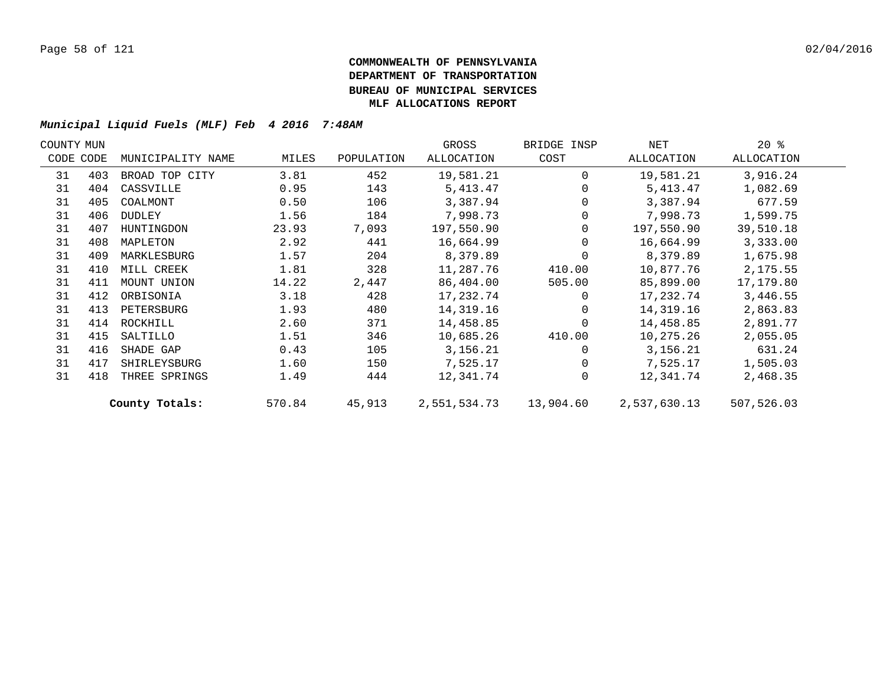| COUNTY MUN |           |                   |        |            | GROSS        | BRIDGE INSP | NET          | $20*$      |  |
|------------|-----------|-------------------|--------|------------|--------------|-------------|--------------|------------|--|
|            | CODE CODE | MUNICIPALITY NAME | MILES  | POPULATION | ALLOCATION   | COST        | ALLOCATION   | ALLOCATION |  |
| 31         | 403       | BROAD TOP CITY    | 3.81   | 452        | 19,581.21    | $\Omega$    | 19,581.21    | 3,916.24   |  |
| 31         | 404       | CASSVILLE         | 0.95   | 143        | 5,413.47     |             | 5,413.47     | 1,082.69   |  |
| 31         | 405       | COALMONT          | 0.50   | 106        | 3,387.94     |             | 3,387.94     | 677.59     |  |
| 31         | 406       | DUDLEY            | 1.56   | 184        | 7,998.73     |             | 7,998.73     | 1,599.75   |  |
| 31         | 407       | HUNTINGDON        | 23.93  | 7,093      | 197,550.90   |             | 197,550.90   | 39,510.18  |  |
| 31         | 408       | MAPLETON          | 2.92   | 441        | 16,664.99    |             | 16,664.99    | 3,333.00   |  |
| 31         | 409       | MARKLESBURG       | 1.57   | 204        | 8,379.89     |             | 8,379.89     | 1,675.98   |  |
| 31         | 410       | MILL CREEK        | 1.81   | 328        | 11,287.76    | 410.00      | 10,877.76    | 2,175.55   |  |
| 31         | 411       | MOUNT UNION       | 14.22  | 2,447      | 86,404.00    | 505.00      | 85,899.00    | 17,179.80  |  |
| 31         | 412       | ORBISONIA         | 3.18   | 428        | 17,232.74    | $\Omega$    | 17,232.74    | 3,446.55   |  |
| 31         | 413       | PETERSBURG        | 1.93   | 480        | 14,319.16    |             | 14,319.16    | 2,863.83   |  |
| 31         | 414       | ROCKHILL          | 2.60   | 371        | 14,458.85    | $\Omega$    | 14,458.85    | 2,891.77   |  |
| 31         | 415       | SALTILLO          | 1.51   | 346        | 10,685.26    | 410.00      | 10,275.26    | 2,055.05   |  |
| 31         | 416       | SHADE GAP         | 0.43   | 105        | 3,156.21     |             | 3,156.21     | 631.24     |  |
| 31         | 417       | SHIRLEYSBURG      | 1.60   | 150        | 7,525.17     |             | 7,525.17     | 1,505.03   |  |
| 31         | 418       | THREE SPRINGS     | 1.49   | 444        | 12,341.74    | $\Omega$    | 12,341.74    | 2,468.35   |  |
|            |           | County Totals:    | 570.84 | 45,913     | 2,551,534.73 | 13,904.60   | 2,537,630.13 | 507,526.03 |  |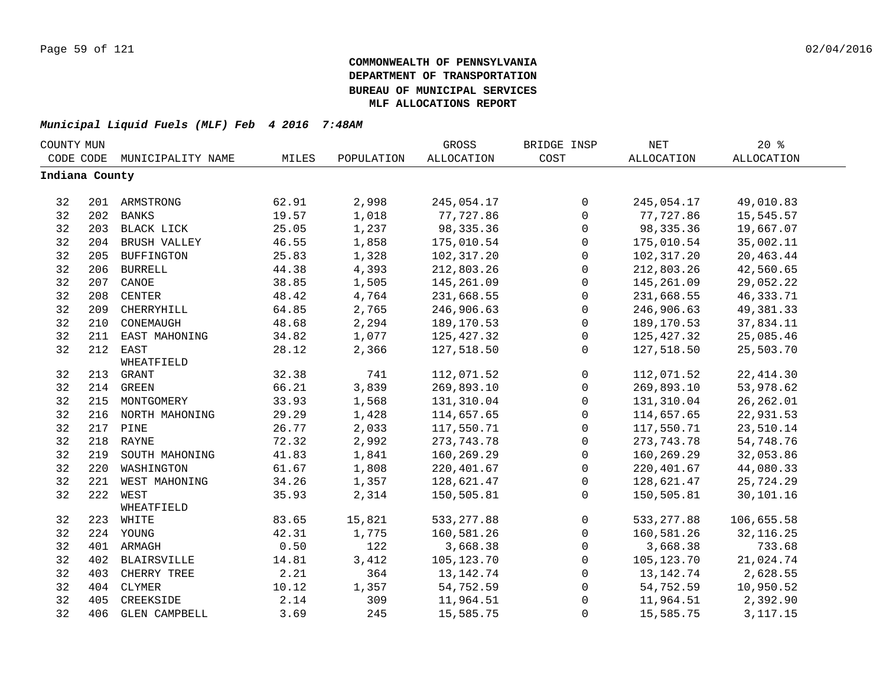| COUNTY MUN     |     |                      |       |            | GROSS        | BRIDGE INSP  | <b>NET</b>   | 20%               |  |
|----------------|-----|----------------------|-------|------------|--------------|--------------|--------------|-------------------|--|
| CODE CODE      |     | MUNICIPALITY NAME    | MILES | POPULATION | ALLOCATION   | COST         | ALLOCATION   | <b>ALLOCATION</b> |  |
| Indiana County |     |                      |       |            |              |              |              |                   |  |
|                |     |                      |       |            |              |              |              |                   |  |
| 32             |     | 201 ARMSTRONG        | 62.91 | 2,998      | 245,054.17   | $\mathbf 0$  | 245,054.17   | 49,010.83         |  |
| 32             |     | 202 BANKS            | 19.57 | 1,018      | 77,727.86    | $\mathbf 0$  | 77,727.86    | 15,545.57         |  |
| 32             |     | 203 BLACK LICK       | 25.05 | 1,237      | 98, 335.36   | $\mathbf 0$  | 98,335.36    | 19,667.07         |  |
| 32             |     | 204 BRUSH VALLEY     | 46.55 | 1,858      | 175,010.54   | $\mathbf 0$  | 175,010.54   | 35,002.11         |  |
| 32             | 205 | <b>BUFFINGTON</b>    | 25.83 | 1,328      | 102,317.20   | $\mathbf{0}$ | 102,317.20   | 20, 463. 44       |  |
| 32             | 206 | <b>BURRELL</b>       | 44.38 | 4,393      | 212,803.26   | $\mathbf 0$  | 212,803.26   | 42,560.65         |  |
| 32             | 207 | CANOE                | 38.85 | 1,505      | 145,261.09   | $\mathbf 0$  | 145,261.09   | 29,052.22         |  |
| 32             | 208 | CENTER               | 48.42 | 4,764      | 231,668.55   | $\mathbf 0$  | 231,668.55   | 46, 333. 71       |  |
| 32             | 209 | CHERRYHILL           | 64.85 | 2,765      | 246,906.63   | $\mathbf 0$  | 246,906.63   | 49,381.33         |  |
| 32             | 210 | CONEMAUGH            | 48.68 | 2,294      | 189,170.53   | $\mathbf{0}$ | 189,170.53   | 37,834.11         |  |
| 32             | 211 | EAST MAHONING        | 34.82 | 1,077      | 125, 427.32  | $\mathbf 0$  | 125,427.32   | 25,085.46         |  |
| 32             |     | 212 EAST             | 28.12 | 2,366      | 127,518.50   | $\mathbf 0$  | 127,518.50   | 25,503.70         |  |
|                |     | WHEATFIELD           |       |            |              |              |              |                   |  |
| 32             |     | 213 GRANT            | 32.38 | 741        | 112,071.52   | $\mathbf 0$  | 112,071.52   | 22, 414.30        |  |
| 32             |     | 214 GREEN            | 66.21 | 3,839      | 269,893.10   | $\mathbf 0$  | 269,893.10   | 53,978.62         |  |
| 32             |     | 215 MONTGOMERY       | 33.93 | 1,568      | 131,310.04   | $\mathbf 0$  | 131,310.04   | 26, 262.01        |  |
| 32             |     | 216 NORTH MAHONING   | 29.29 | 1,428      | 114,657.65   | $\mathbf 0$  | 114,657.65   | 22,931.53         |  |
| 32             |     | 217 PINE             | 26.77 | 2,033      | 117,550.71   | $\mathbf 0$  | 117,550.71   | 23,510.14         |  |
| 32             |     | 218 RAYNE            | 72.32 | 2,992      | 273, 743. 78 | $\mathbf 0$  | 273, 743. 78 | 54,748.76         |  |
| 32             | 219 | SOUTH MAHONING       | 41.83 | 1,841      | 160,269.29   | $\mathbf 0$  | 160,269.29   | 32,053.86         |  |
| 32             | 220 | WASHINGTON           | 61.67 | 1,808      | 220,401.67   | $\mathbf 0$  | 220,401.67   | 44,080.33         |  |
| 32             | 221 | WEST MAHONING        | 34.26 | 1,357      | 128,621.47   | $\mathbf{0}$ | 128,621.47   | 25,724.29         |  |
| 32             | 222 | WEST                 | 35.93 | 2,314      | 150,505.81   | $\Omega$     | 150,505.81   | 30,101.16         |  |
|                |     | WHEATFIELD           |       |            |              |              |              |                   |  |
| 32             |     | 223 WHITE            | 83.65 | 15,821     | 533, 277.88  | $\mathbf{0}$ | 533, 277.88  | 106,655.58        |  |
| 32             |     | 224 YOUNG            | 42.31 | 1,775      | 160,581.26   | $\mathbf 0$  | 160,581.26   | 32, 116.25        |  |
| 32             |     | 401 ARMAGH           | 0.50  | 122        | 3,668.38     | $\mathbf 0$  | 3,668.38     | 733.68            |  |
| 32             | 402 | BLAIRSVILLE          | 14.81 | 3,412      | 105,123.70   | $\mathbf 0$  | 105,123.70   | 21,024.74         |  |
| 32             | 403 | CHERRY TREE          | 2.21  | 364        | 13, 142. 74  | $\mathbf 0$  | 13,142.74    | 2,628.55          |  |
| 32             | 404 | CLYMER               | 10.12 | 1,357      | 54,752.59    | 0            | 54,752.59    | 10,950.52         |  |
| 32             | 405 | CREEKSIDE            | 2.14  | 309        | 11,964.51    | 0            | 11,964.51    | 2,392.90          |  |
| 32             | 406 | <b>GLEN CAMPBELL</b> | 3.69  | 245        | 15,585.75    | $\mathbf 0$  | 15,585.75    | 3, 117. 15        |  |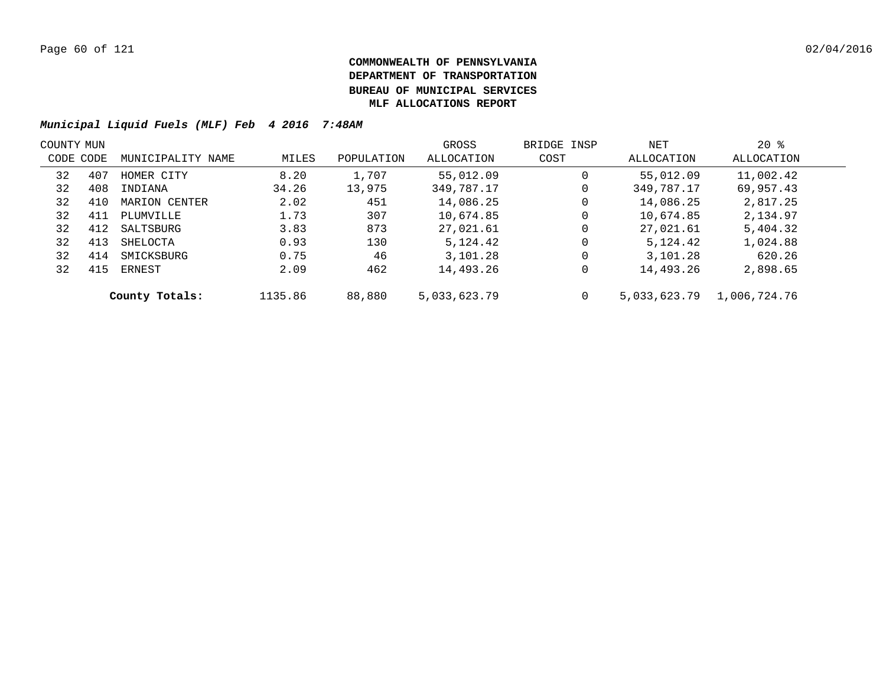|           | COUNTY MUN |                   |         |            | GROSS        | BRIDGE INSP | NET          | $20*$        |  |
|-----------|------------|-------------------|---------|------------|--------------|-------------|--------------|--------------|--|
| CODE CODE |            | MUNICIPALITY NAME | MILES   | POPULATION | ALLOCATION   | COST        | ALLOCATION   | ALLOCATION   |  |
| 32        | 407        | HOMER CITY        | 8.20    | 1,707      | 55,012.09    | $\mathbf 0$ | 55,012.09    | 11,002.42    |  |
| 32        | 408        | INDIANA           | 34.26   | 13,975     | 349,787.17   | 0           | 349,787.17   | 69,957.43    |  |
| 32        | 410        | MARION CENTER     | 2.02    | 451        | 14,086.25    | 0           | 14,086.25    | 2,817.25     |  |
| 32        | 411        | PLUMVILLE         | 1.73    | 307        | 10,674.85    | 0           | 10,674.85    | 2,134.97     |  |
| 32        | 412        | SALTSBURG         | 3.83    | 873        | 27,021.61    | $\mathbf 0$ | 27,021.61    | 5,404.32     |  |
| 32        | 413        | SHELOCTA          | 0.93    | 130        | 5,124.42     | $\mathbf 0$ | 5,124.42     | 1,024.88     |  |
| 32        | 414        | SMICKSBURG        | 0.75    | 46         | 3,101.28     | $\mathbf 0$ | 3,101.28     | 620.26       |  |
| 32        | 415        | ERNEST            | 2.09    | 462        | 14,493.26    | 0           | 14,493.26    | 2,898.65     |  |
|           |            | County Totals:    | 1135.86 | 88,880     | 5,033,623.79 | 0           | 5,033,623.79 | 1,006,724.76 |  |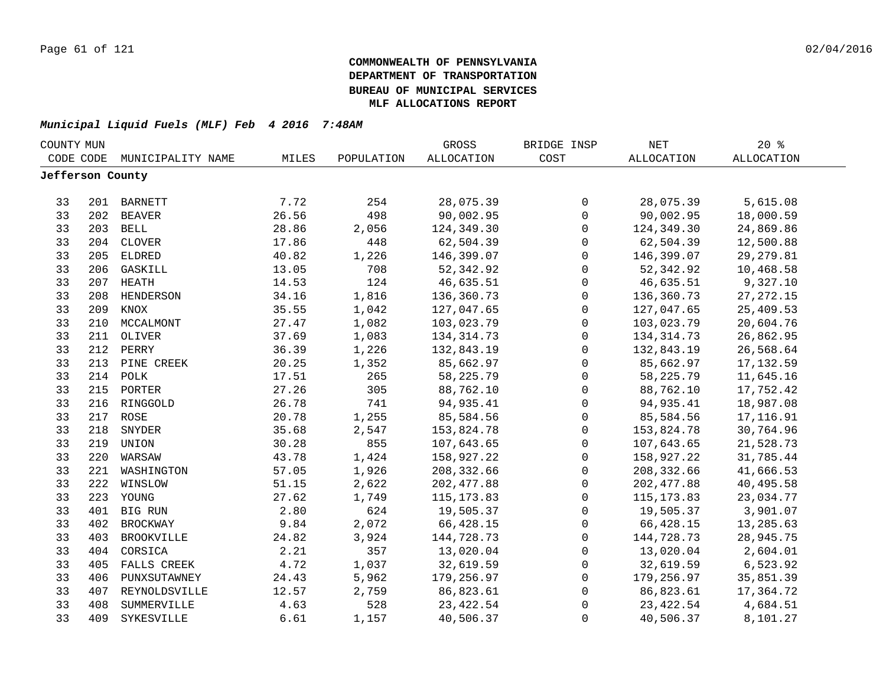| COUNTY MUN       |     |                   |       |            | GROSS             | BRIDGE INSP         | NET               | $20*$             |  |
|------------------|-----|-------------------|-------|------------|-------------------|---------------------|-------------------|-------------------|--|
| CODE CODE        |     | MUNICIPALITY NAME | MILES | POPULATION | <b>ALLOCATION</b> | COST                | <b>ALLOCATION</b> | <b>ALLOCATION</b> |  |
| Jefferson County |     |                   |       |            |                   |                     |                   |                   |  |
|                  |     |                   |       |            |                   |                     |                   |                   |  |
| 33               |     | 201 BARNETT       | 7.72  | 254        | 28,075.39         | $\mathsf{O}$        | 28,075.39         | 5,615.08          |  |
| 33               |     | 202 BEAVER        | 26.56 | 498        | 90,002.95         | $\mathsf{O}\xspace$ | 90,002.95         | 18,000.59         |  |
| 33               |     | 203 BELL          | 28.86 | 2,056      | 124,349.30        | $\mathsf{O}\xspace$ | 124,349.30        | 24,869.86         |  |
| 33               |     | 204 CLOVER        | 17.86 | 448        | 62,504.39         | $\mathsf{O}\xspace$ | 62,504.39         | 12,500.88         |  |
| 33               | 205 | <b>ELDRED</b>     | 40.82 | 1,226      | 146,399.07        | $\mathbf 0$         | 146,399.07        | 29, 279.81        |  |
| 33               | 206 | GASKILL           | 13.05 | 708        | 52, 342.92        | $\mathbf 0$         | 52, 342.92        | 10,468.58         |  |
| 33               | 207 | HEATH             | 14.53 | 124        | 46,635.51         | $\mathbf 0$         | 46,635.51         | 9,327.10          |  |
| 33               | 208 | HENDERSON         | 34.16 | 1,816      | 136,360.73        | $\mathbf 0$         | 136,360.73        | 27, 272. 15       |  |
| 33               | 209 | KNOX              | 35.55 | 1,042      | 127,047.65        | $\mathsf{O}$        | 127,047.65        | 25,409.53         |  |
| 33               | 210 | MCCALMONT         | 27.47 | 1,082      | 103,023.79        | $\mathsf{O}$        | 103,023.79        | 20,604.76         |  |
| 33               | 211 | OLIVER            | 37.69 | 1,083      | 134, 314.73       | $\mathsf{O}$        | 134, 314.73       | 26,862.95         |  |
| 33               | 212 | PERRY             | 36.39 | 1,226      | 132,843.19        | $\mathbf 0$         | 132,843.19        | 26,568.64         |  |
| 33               | 213 | PINE CREEK        | 20.25 | 1,352      | 85,662.97         | $\mathsf{O}$        | 85,662.97         | 17, 132.59        |  |
| 33               | 214 | POLK              | 17.51 | 265        | 58, 225. 79       | $\mathsf 0$         | 58, 225.79        | 11,645.16         |  |
| 33               | 215 | PORTER            | 27.26 | 305        | 88,762.10         | $\mathbf 0$         | 88,762.10         | 17,752.42         |  |
| 33               |     | 216 RINGGOLD      | 26.78 | 741        | 94, 935.41        | $\mathsf 0$         | 94, 935.41        | 18,987.08         |  |
| 33               |     | 217 ROSE          | 20.78 | 1,255      | 85,584.56         | $\mathsf 0$         | 85,584.56         | 17, 116.91        |  |
| 33               | 218 | SNYDER            | 35.68 | 2,547      | 153,824.78        | $\mathsf{O}\xspace$ | 153,824.78        | 30,764.96         |  |
| 33               |     | 219 UNION         | 30.28 | 855        | 107,643.65        | $\mathsf{O}\xspace$ | 107,643.65        | 21,528.73         |  |
| 33               | 220 | WARSAW            | 43.78 | 1,424      | 158,927.22        | $\mathsf{O}$        | 158,927.22        | 31,785.44         |  |
| 33               | 221 | WASHINGTON        | 57.05 | 1,926      | 208,332.66        | $\mathsf{O}$        | 208,332.66        | 41,666.53         |  |
| 33               | 222 | WINSLOW           | 51.15 | 2,622      | 202, 477.88       | $\mathbf 0$         | 202, 477.88       | 40,495.58         |  |
| 33               |     | 223 YOUNG         | 27.62 | 1,749      | 115, 173.83       | $\mathbf 0$         | 115, 173.83       | 23,034.77         |  |
| 33               |     | 401 BIG RUN       | 2.80  | 624        | 19,505.37         | $\mathsf{O}$        | 19,505.37         | 3,901.07          |  |
| 33               | 402 | <b>BROCKWAY</b>   | 9.84  | 2,072      | 66,428.15         | $\mathbf 0$         | 66,428.15         | 13,285.63         |  |
| 33               | 403 | <b>BROOKVILLE</b> | 24.82 | 3,924      | 144,728.73        | $\mathbf 0$         | 144,728.73        | 28,945.75         |  |
| 33               | 404 | CORSICA           | 2.21  | 357        | 13,020.04         | $\mathsf{O}$        | 13,020.04         | 2,604.01          |  |
| 33               | 405 | FALLS CREEK       | 4.72  | 1,037      | 32,619.59         | 0                   | 32,619.59         | 6,523.92          |  |
| 33               | 406 | PUNXSUTAWNEY      | 24.43 | 5,962      | 179,256.97        | $\mathsf{O}$        | 179,256.97        | 35,851.39         |  |
| 33               | 407 | REYNOLDSVILLE     | 12.57 | 2,759      | 86,823.61         | $\mathsf{O}$        | 86,823.61         | 17,364.72         |  |
| 33               | 408 | SUMMERVILLE       | 4.63  | 528        | 23, 422.54        | 0                   | 23, 422.54        | 4,684.51          |  |
| 33               | 409 | SYKESVILLE        | 6.61  | 1,157      | 40,506.37         | $\mathsf 0$         | 40,506.37         | 8,101.27          |  |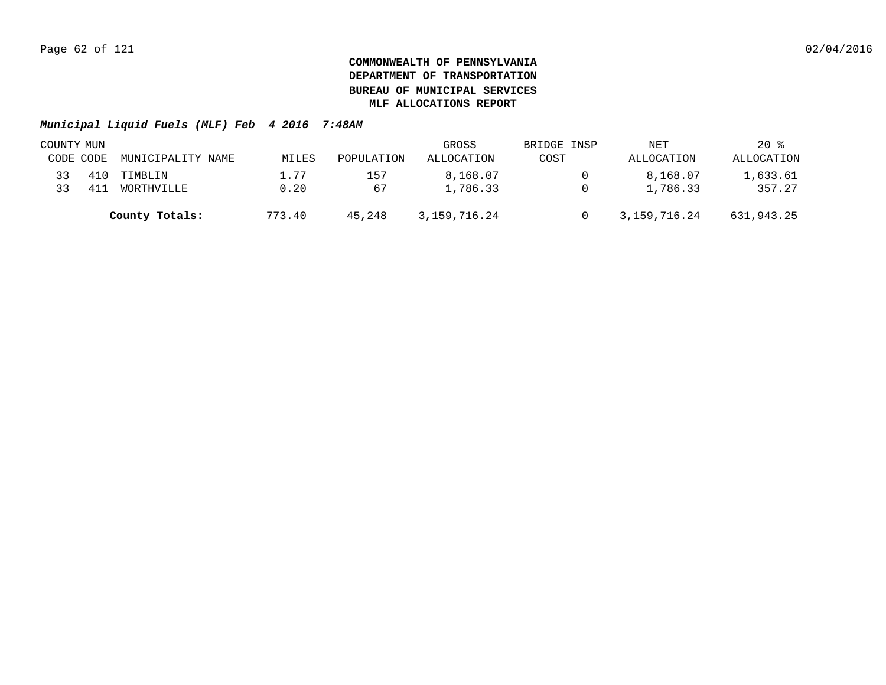|           | COUNTY MUN |                   |        |            | GROSS        | BRIDGE INSP | NET          | $20*$      |  |
|-----------|------------|-------------------|--------|------------|--------------|-------------|--------------|------------|--|
| CODE CODE |            | MUNICIPALITY NAME | MILES  | POPULATION | ALLOCATION   | COST        | ALLOCATION   | ALLOCATION |  |
| 33        | 410        | TIMBLIN           | 1.77   | 157        | 8,168.07     |             | 8,168.07     | 1,633.61   |  |
| 33        | 41.        | WORTHVILLE        | 0.20   | 67         | 1,786.33     |             | 1,786.33     | 357.27     |  |
|           |            | County Totals:    | 773.40 | 45,248     | 3,159,716.24 |             | 3,159,716.24 | 631,943.25 |  |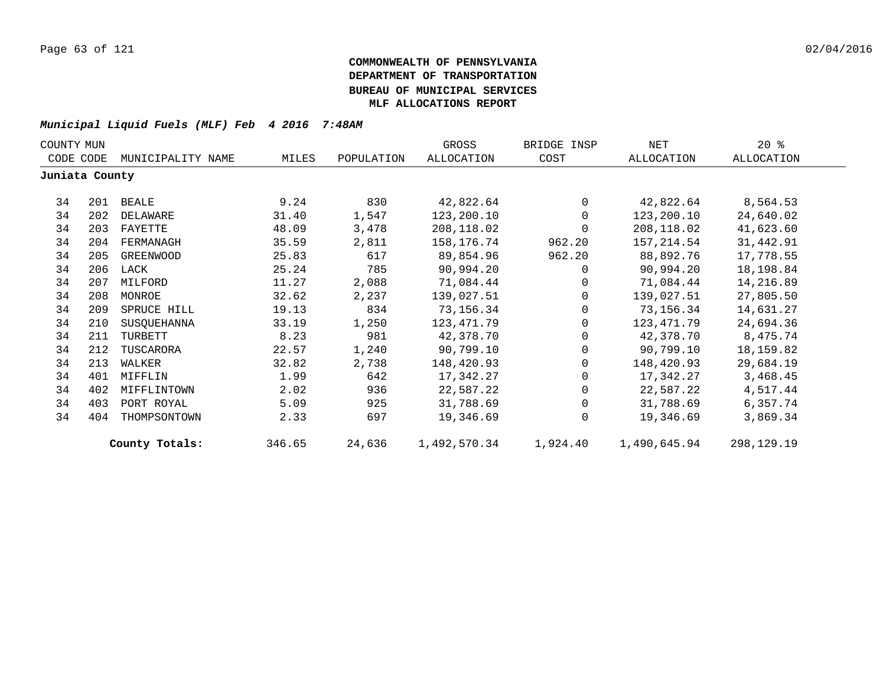| COUNTY MUN     |     |                   |        |            | GROSS        | BRIDGE INSP | NET          | $20*$      |
|----------------|-----|-------------------|--------|------------|--------------|-------------|--------------|------------|
| CODE CODE      |     | MUNICIPALITY NAME | MILES  | POPULATION | ALLOCATION   | COST        | ALLOCATION   | ALLOCATION |
| Juniata County |     |                   |        |            |              |             |              |            |
| 34             | 201 | BEALE             | 9.24   | 830        | 42,822.64    | $\mathbf 0$ | 42,822.64    | 8,564.53   |
| 34             | 202 | DELAWARE          | 31.40  | 1,547      | 123,200.10   | $\Omega$    | 123,200.10   | 24,640.02  |
| 34             | 203 | FAYETTE           | 48.09  | 3,478      | 208,118.02   | 0           | 208,118.02   | 41,623.60  |
| 34             | 204 | FERMANAGH         | 35.59  | 2,811      | 158,176.74   | 962.20      | 157,214.54   | 31,442.91  |
| 34             | 205 | GREENWOOD         | 25.83  | 617        | 89,854.96    | 962.20      | 88,892.76    | 17,778.55  |
| 34             |     | 206 LACK          | 25.24  | 785        | 90,994.20    | $\Omega$    | 90,994.20    | 18,198.84  |
| 34             | 207 | MILFORD           | 11.27  | 2,088      | 71,084.44    |             | 71,084.44    | 14,216.89  |
| 34             | 208 | MONROE            | 32.62  | 2,237      | 139,027.51   | 0           | 139,027.51   | 27,805.50  |
| 34             | 209 | SPRUCE HILL       | 19.13  | 834        | 73,156.34    | $\mathbf 0$ | 73,156.34    | 14,631.27  |
| 34             | 210 | SUSQUEHANNA       | 33.19  | 1,250      | 123, 471.79  | $\Omega$    | 123,471.79   | 24,694.36  |
| 34             | 211 | TURBETT           | 8.23   | 981        | 42,378.70    | $\Omega$    | 42,378.70    | 8,475.74   |
| 34             | 212 | TUSCARORA         | 22.57  | 1,240      | 90,799.10    | $\Omega$    | 90,799.10    | 18,159.82  |
| 34             | 213 | WALKER            | 32.82  | 2,738      | 148,420.93   | $\Omega$    | 148,420.93   | 29,684.19  |
| 34             | 401 | MIFFLIN           | 1.99   | 642        | 17,342.27    | 0           | 17,342.27    | 3,468.45   |
| 34             | 402 | MIFFLINTOWN       | 2.02   | 936        | 22,587.22    | $\Omega$    | 22,587.22    | 4,517.44   |
| 34             | 403 | PORT ROYAL        | 5.09   | 925        | 31,788.69    | $\Omega$    | 31,788.69    | 6,357.74   |
| 34             | 404 | THOMPSONTOWN      | 2.33   | 697        | 19,346.69    | $\Omega$    | 19,346.69    | 3,869.34   |
|                |     | County Totals:    | 346.65 | 24,636     | 1,492,570.34 | 1,924.40    | 1,490,645.94 | 298,129.19 |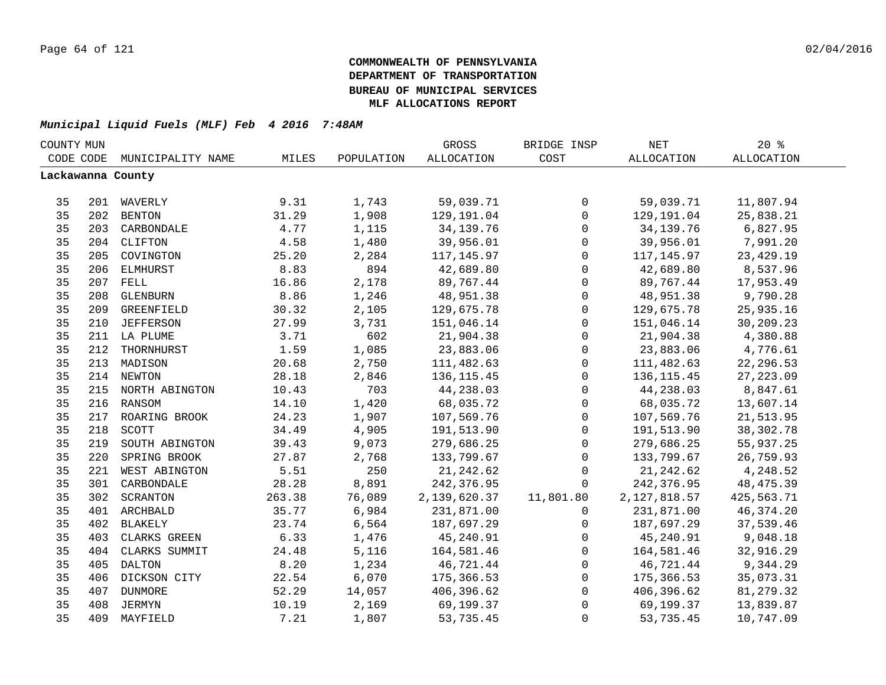| COUNTY MUN |     |                    |        |            | GROSS        | BRIDGE INSP  | NET          | 20%         |  |
|------------|-----|--------------------|--------|------------|--------------|--------------|--------------|-------------|--|
| CODE CODE  |     | MUNICIPALITY NAME  | MILES  | POPULATION | ALLOCATION   | COST         | ALLOCATION   | ALLOCATION  |  |
|            |     | Lackawanna County  |        |            |              |              |              |             |  |
|            |     |                    |        |            |              |              |              |             |  |
| 35         |     | 201 WAVERLY        | 9.31   | 1,743      | 59,039.71    | 0            | 59,039.71    | 11,807.94   |  |
| 35         |     | 202 BENTON         | 31.29  | 1,908      | 129,191.04   | 0            | 129,191.04   | 25,838.21   |  |
| 35         |     | 203 CARBONDALE     | 4.77   | 1,115      | 34, 139. 76  | $\mathbf 0$  | 34, 139. 76  | 6,827.95    |  |
| 35         |     | 204 CLIFTON        | 4.58   | 1,480      | 39,956.01    | $\mathsf 0$  | 39,956.01    | 7,991.20    |  |
| 35         | 205 | COVINGTON          | 25.20  | 2,284      | 117,145.97   | 0            | 117,145.97   | 23, 429.19  |  |
| 35         | 206 | ELMHURST           | 8.83   | 894        | 42,689.80    | $\mathsf{O}$ | 42,689.80    | 8,537.96    |  |
| 35         |     | 207 FELL           | 16.86  | 2,178      | 89,767.44    | $\mathbf 0$  | 89,767.44    | 17,953.49   |  |
| 35         | 208 | GLENBURN           | 8.86   | 1,246      | 48,951.38    | $\mathsf{O}$ | 48,951.38    | 9,790.28    |  |
| 35         | 209 | GREENFIELD         | 30.32  | 2,105      | 129,675.78   | $\mathbf 0$  | 129,675.78   | 25,935.16   |  |
| 35         | 210 | <b>JEFFERSON</b>   | 27.99  | 3,731      | 151,046.14   | $\mathbf 0$  | 151,046.14   | 30,209.23   |  |
| 35         |     | 211 LA PLUME       | 3.71   | 602        | 21,904.38    | $\mathbf 0$  | 21,904.38    | 4,380.88    |  |
| 35         | 212 | THORNHURST         | 1.59   | 1,085      | 23,883.06    | 0            | 23,883.06    | 4,776.61    |  |
| 35         |     | 213 MADISON        | 20.68  | 2,750      | 111,482.63   | $\mathbf 0$  | 111,482.63   | 22, 296.53  |  |
| 35         |     | 214 NEWTON         | 28.18  | 2,846      | 136, 115.45  | $\mathbf 0$  | 136, 115.45  | 27, 223.09  |  |
| 35         |     | 215 NORTH ABINGTON | 10.43  | 703        | 44,238.03    | $\mathbf 0$  | 44,238.03    | 8,847.61    |  |
| 35         |     | 216 RANSOM         | 14.10  | 1,420      | 68,035.72    | 0            | 68,035.72    | 13,607.14   |  |
| 35         |     | 217 ROARING BROOK  | 24.23  | 1,907      | 107,569.76   | $\mathsf 0$  | 107,569.76   | 21,513.95   |  |
| 35         |     | 218 SCOTT          | 34.49  | 4,905      | 191,513.90   | $\mathsf 0$  | 191,513.90   | 38, 302. 78 |  |
| 35         |     | 219 SOUTH ABINGTON | 39.43  | 9,073      | 279,686.25   | $\mathbf 0$  | 279,686.25   | 55,937.25   |  |
| 35         | 220 | SPRING BROOK       | 27.87  | 2,768      | 133,799.67   | $\mathbf 0$  | 133,799.67   | 26,759.93   |  |
| 35         |     | 221 WEST ABINGTON  | 5.51   | 250        | 21, 242.62   | $\mathbf 0$  | 21, 242.62   | 4,248.52    |  |
| 35         |     | 301 CARBONDALE     | 28.28  | 8,891      | 242,376.95   | $\Omega$     | 242,376.95   | 48, 475.39  |  |
| 35         |     | 302 SCRANTON       | 263.38 | 76,089     | 2,139,620.37 | 11,801.80    | 2,127,818.57 | 425,563.71  |  |
| 35         |     | 401 ARCHBALD       | 35.77  | 6,984      | 231,871.00   | $\Omega$     | 231,871.00   | 46, 374. 20 |  |
| 35         | 402 | BLAKELY            | 23.74  | 6,564      | 187,697.29   | 0            | 187,697.29   | 37,539.46   |  |
| 35         | 403 | CLARKS GREEN       | 6.33   | 1,476      | 45,240.91    | $\mathbf{0}$ | 45,240.91    | 9,048.18    |  |
| 35         | 404 | CLARKS SUMMIT      | 24.48  | 5,116      | 164,581.46   | $\mathbf 0$  | 164,581.46   | 32,916.29   |  |
| 35         | 405 | DALTON             | 8.20   | 1,234      | 46,721.44    | 0            | 46,721.44    | 9,344.29    |  |
| 35         |     | 406 DICKSON CITY   | 22.54  | 6,070      | 175,366.53   | 0            | 175,366.53   | 35,073.31   |  |
| 35         |     | 407 DUNMORE        | 52.29  | 14,057     | 406,396.62   | $\mathsf{O}$ | 406,396.62   | 81,279.32   |  |
| 35         |     | 408 JERMYN         | 10.19  | 2,169      | 69,199.37    | $\mathsf 0$  | 69,199.37    | 13,839.87   |  |
| 35         |     | 409 MAYFIELD       | 7.21   | 1,807      | 53,735.45    | $\mathbf 0$  | 53,735.45    | 10,747.09   |  |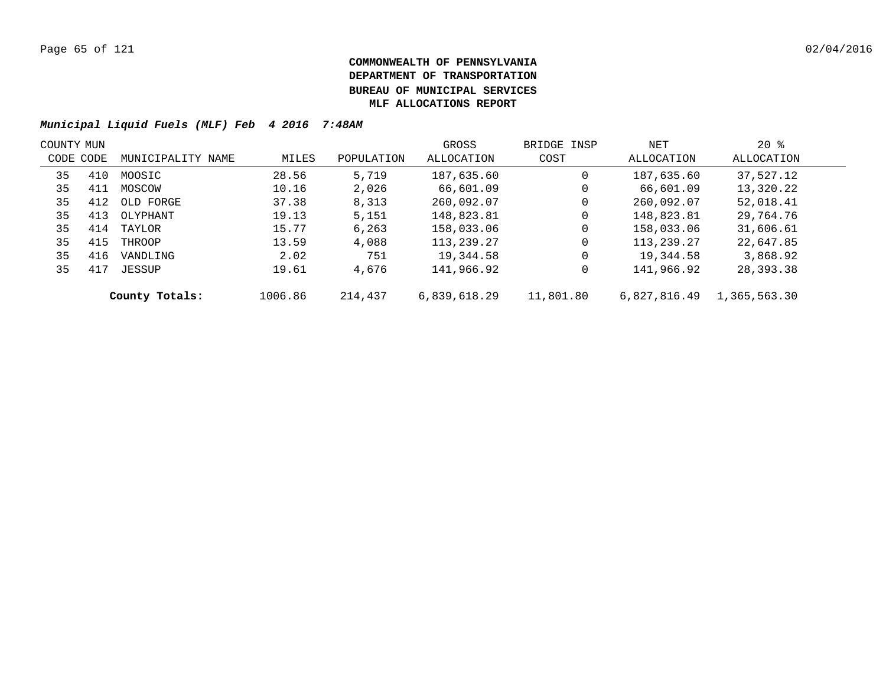| COUNTY MUN |     |                   |         |            | GROSS        | BRIDGE INSP | NET          | $20*$        |  |
|------------|-----|-------------------|---------|------------|--------------|-------------|--------------|--------------|--|
| CODE CODE  |     | MUNICIPALITY NAME | MILES   | POPULATION | ALLOCATION   | COST        | ALLOCATION   | ALLOCATION   |  |
| 35         | 410 | MOOSIC            | 28.56   | 5,719      | 187,635.60   | 0           | 187,635.60   | 37,527.12    |  |
| 35         | 411 | MOSCOW            | 10.16   | 2,026      | 66,601.09    | 0           | 66,601.09    | 13,320.22    |  |
| 35         | 412 | OLD FORGE         | 37.38   | 8,313      | 260,092.07   | 0           | 260,092.07   | 52,018.41    |  |
| 35         | 413 | OLYPHANT          | 19.13   | 5,151      | 148,823.81   | 0           | 148,823.81   | 29,764.76    |  |
| 35         | 414 | TAYLOR            | 15.77   | 6,263      | 158,033.06   | 0           | 158,033.06   | 31,606.61    |  |
| 35         | 415 | THROOP            | 13.59   | 4,088      | 113,239.27   | 0           | 113,239.27   | 22,647.85    |  |
| 35         | 416 | VANDLING          | 2.02    | 751        | 19,344.58    | 0           | 19,344.58    | 3,868.92     |  |
| 35         | 417 | JESSUP            | 19.61   | 4,676      | 141,966.92   | 0           | 141,966.92   | 28,393.38    |  |
|            |     | County Totals:    | 1006.86 | 214,437    | 6,839,618.29 | 11,801.80   | 6,827,816.49 | 1,365,563.30 |  |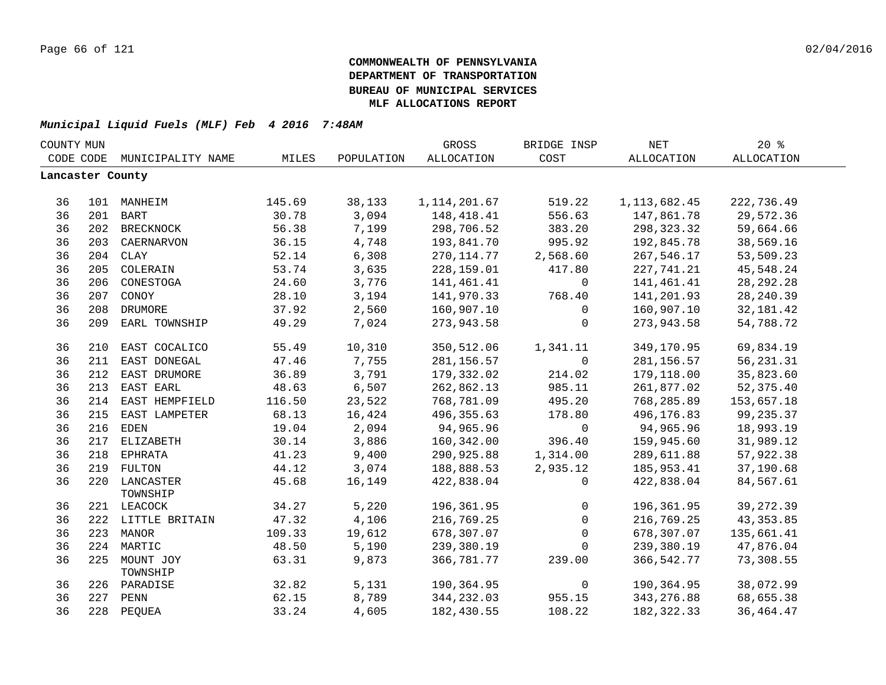| COUNTY MUN |                  |                       |        |            | GROSS             | BRIDGE INSP  | NET            | 20%               |  |
|------------|------------------|-----------------------|--------|------------|-------------------|--------------|----------------|-------------------|--|
| CODE CODE  |                  | MUNICIPALITY NAME     | MILES  | POPULATION | <b>ALLOCATION</b> | COST         | ALLOCATION     | <b>ALLOCATION</b> |  |
|            | Lancaster County |                       |        |            |                   |              |                |                   |  |
|            |                  |                       |        |            |                   |              |                |                   |  |
| 36         |                  | 101 MANHEIM           | 145.69 | 38,133     | 1, 114, 201.67    | 519.22       | 1, 113, 682.45 | 222,736.49        |  |
| 36         |                  | 201 BART              | 30.78  | 3,094      | 148, 418. 41      | 556.63       | 147,861.78     | 29,572.36         |  |
| 36         |                  | 202 BRECKNOCK         | 56.38  | 7,199      | 298,706.52        | 383.20       | 298, 323.32    | 59,664.66         |  |
| 36         | 203              | CAERNARVON            | 36.15  | 4,748      | 193,841.70        | 995.92       | 192,845.78     | 38,569.16         |  |
| 36         |                  | 204 CLAY              | 52.14  | 6,308      | 270,114.77        | 2,568.60     | 267,546.17     | 53,509.23         |  |
| 36         | 205              | COLERAIN              | 53.74  | 3,635      | 228,159.01        | 417.80       | 227,741.21     | 45,548.24         |  |
| 36         | 206              | CONESTOGA             | 24.60  | 3,776      | 141,461.41        | $\mathbf 0$  | 141,461.41     | 28, 292. 28       |  |
| 36         | 207              | CONOY                 | 28.10  | 3,194      | 141,970.33        | 768.40       | 141,201.93     | 28, 240.39        |  |
| 36         | 208              | DRUMORE               | 37.92  | 2,560      | 160,907.10        | $\mathbf 0$  | 160,907.10     | 32, 181.42        |  |
| 36         | 209              | EARL TOWNSHIP         | 49.29  | 7,024      | 273, 943.58       | $\mathbf 0$  | 273,943.58     | 54,788.72         |  |
| 36         | 210              | EAST COCALICO         | 55.49  | 10,310     | 350,512.06        | 1,341.11     | 349,170.95     | 69,834.19         |  |
| 36         | 211              | EAST DONEGAL          | 47.46  | 7,755      | 281, 156.57       | $\mathbf 0$  | 281, 156.57    | 56, 231.31        |  |
| 36         |                  | 212 EAST DRUMORE      | 36.89  | 3,791      | 179,332.02        | 214.02       | 179,118.00     | 35,823.60         |  |
| 36         | 213              | EAST EARL             | 48.63  | 6,507      | 262,862.13        | 985.11       | 261,877.02     | 52, 375.40        |  |
| 36         |                  | 214 EAST HEMPFIELD    | 116.50 | 23,522     | 768,781.09        | 495.20       | 768,285.89     | 153,657.18        |  |
| 36         | 215              | EAST LAMPETER         | 68.13  | 16,424     | 496, 355.63       | 178.80       | 496,176.83     | 99,235.37         |  |
| 36         | 216              | <b>EDEN</b>           | 19.04  | 2,094      | 94,965.96         | $\mathbf{0}$ | 94,965.96      | 18,993.19         |  |
| 36         |                  | 217 ELIZABETH         | 30.14  | 3,886      | 160,342.00        | 396.40       | 159,945.60     | 31,989.12         |  |
| 36         | 218              | <b>EPHRATA</b>        | 41.23  | 9,400      | 290,925.88        | 1,314.00     | 289,611.88     | 57,922.38         |  |
| 36         |                  | 219 FULTON            | 44.12  | 3,074      | 188,888.53        | 2,935.12     | 185,953.41     | 37,190.68         |  |
| 36         | 220              | LANCASTER<br>TOWNSHIP | 45.68  | 16,149     | 422,838.04        | $\mathbf{0}$ | 422,838.04     | 84,567.61         |  |
| 36         |                  | 221 LEACOCK           | 34.27  | 5,220      | 196,361.95        | $\mathbf 0$  | 196,361.95     | 39, 272.39        |  |
| 36         |                  | 222 LITTLE BRITAIN    | 47.32  | 4,106      | 216,769.25        | $\mathbf{0}$ | 216,769.25     | 43, 353.85        |  |
| 36         | 223              | MANOR                 | 109.33 | 19,612     | 678,307.07        | $\mathbf 0$  | 678,307.07     | 135,661.41        |  |
| 36         | 224              | MARTIC                | 48.50  | 5,190      | 239,380.19        | $\Omega$     | 239,380.19     | 47,876.04         |  |
| 36         | 225              | MOUNT JOY<br>TOWNSHIP | 63.31  | 9,873      | 366,781.77        | 239.00       | 366,542.77     | 73,308.55         |  |
| 36         |                  | 226 PARADISE          | 32.82  | 5,131      | 190,364.95        | $\mathbf 0$  | 190,364.95     | 38,072.99         |  |
| 36         | 227              | PENN                  | 62.15  | 8,789      | 344,232.03        | 955.15       | 343, 276.88    | 68,655.38         |  |
| 36         | 228              | PEQUEA                | 33.24  | 4,605      | 182,430.55        | 108.22       | 182, 322. 33   | 36, 464. 47       |  |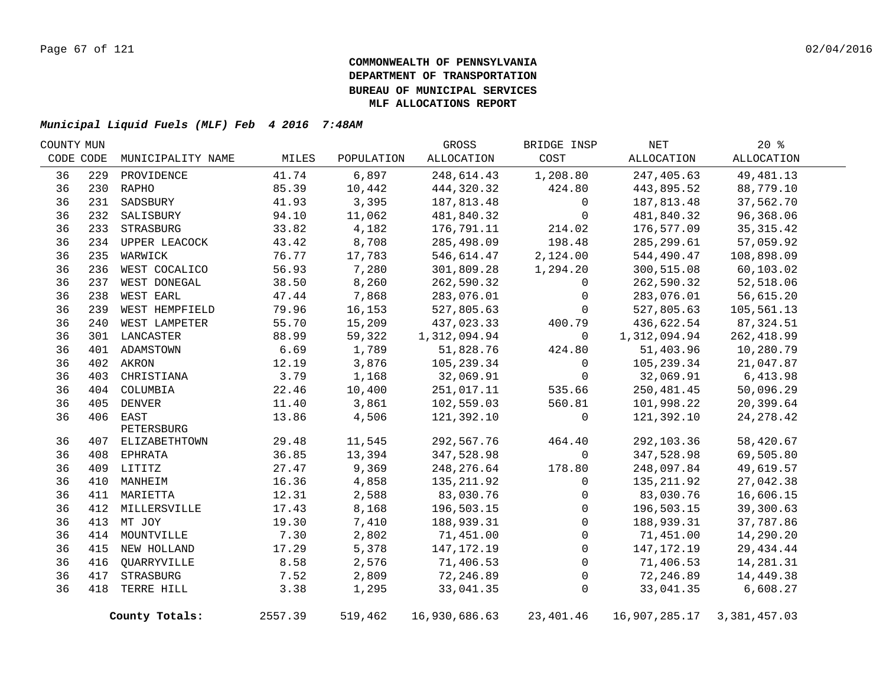| COUNTY MUN |     |                   |         |            | GROSS         | BRIDGE INSP  | NET           | $20*$        |  |
|------------|-----|-------------------|---------|------------|---------------|--------------|---------------|--------------|--|
| CODE CODE  |     | MUNICIPALITY NAME | MILES   | POPULATION | ALLOCATION    | COST         | ALLOCATION    | ALLOCATION   |  |
| 36         | 229 | PROVIDENCE        | 41.74   | 6,897      | 248,614.43    | 1,208.80     | 247,405.63    | 49, 481. 13  |  |
| 36         |     | 230 RAPHO         | 85.39   | 10,442     | 444,320.32    | 424.80       | 443,895.52    | 88,779.10    |  |
| 36         | 231 | SADSBURY          | 41.93   | 3,395      | 187,813.48    | $\mathbf 0$  | 187,813.48    | 37,562.70    |  |
| 36         |     | 232 SALISBURY     | 94.10   | 11,062     | 481,840.32    | $\Omega$     | 481,840.32    | 96,368.06    |  |
| 36         |     | 233 STRASBURG     | 33.82   | 4,182      | 176,791.11    | 214.02       | 176,577.09    | 35, 315.42   |  |
| 36         |     | 234 UPPER LEACOCK | 43.42   | 8,708      | 285,498.09    | 198.48       | 285, 299.61   | 57,059.92    |  |
| 36         |     | 235 WARWICK       | 76.77   | 17,783     | 546,614.47    | 2,124.00     | 544,490.47    | 108,898.09   |  |
| 36         | 236 | WEST COCALICO     | 56.93   | 7,280      | 301,809.28    | 1,294.20     | 300,515.08    | 60,103.02    |  |
| 36         | 237 | WEST DONEGAL      | 38.50   | 8,260      | 262,590.32    | $\mathbf 0$  | 262,590.32    | 52,518.06    |  |
| 36         | 238 | WEST EARL         | 47.44   | 7,868      | 283,076.01    | 0            | 283,076.01    | 56,615.20    |  |
| 36         | 239 | WEST HEMPFIELD    | 79.96   | 16,153     | 527,805.63    | $\mathbf 0$  | 527,805.63    | 105,561.13   |  |
| 36         | 240 | WEST LAMPETER     | 55.70   | 15,209     | 437,023.33    | 400.79       | 436,622.54    | 87, 324.51   |  |
| 36         |     | 301 LANCASTER     | 88.99   | 59,322     | 1,312,094.94  | $\mathbf 0$  | 1,312,094.94  | 262, 418.99  |  |
| 36         |     | 401 ADAMSTOWN     | 6.69    | 1,789      | 51,828.76     | 424.80       | 51,403.96     | 10,280.79    |  |
| 36         |     | 402 AKRON         | 12.19   | 3,876      | 105,239.34    | $\mathbf 0$  | 105,239.34    | 21,047.87    |  |
| 36         |     | 403 CHRISTIANA    | 3.79    | 1,168      | 32,069.91     | $\mathbf{0}$ | 32,069.91     | 6,413.98     |  |
| 36         |     | 404 COLUMBIA      | 22.46   | 10,400     | 251,017.11    | 535.66       | 250,481.45    | 50,096.29    |  |
| 36         |     | 405 DENVER        | 11.40   | 3,861      | 102,559.03    | 560.81       | 101,998.22    | 20,399.64    |  |
| 36         |     | 406 EAST          | 13.86   | 4,506      | 121,392.10    | $\mathbf 0$  | 121,392.10    | 24, 278.42   |  |
|            |     | PETERSBURG        |         |            |               |              |               |              |  |
| 36         |     | 407 ELIZABETHTOWN | 29.48   | 11,545     | 292,567.76    | 464.40       | 292,103.36    | 58,420.67    |  |
| 36         |     | 408 EPHRATA       | 36.85   | 13,394     | 347,528.98    | $\mathbf 0$  | 347,528.98    | 69,505.80    |  |
| 36         |     | 409 LITITZ        | 27.47   | 9,369      | 248, 276.64   | 178.80       | 248,097.84    | 49,619.57    |  |
| 36         |     | 410 MANHEIM       | 16.36   | 4,858      | 135, 211.92   | $\mathsf{O}$ | 135, 211.92   | 27,042.38    |  |
| 36         |     | 411 MARIETTA      | 12.31   | 2,588      | 83,030.76     | $\mathbf{0}$ | 83,030.76     | 16,606.15    |  |
| 36         |     | 412 MILLERSVILLE  | 17.43   | 8,168      | 196,503.15    | $\mathbf{0}$ | 196,503.15    | 39,300.63    |  |
| 36         |     | 413 MT JOY        | 19.30   | 7,410      | 188,939.31    | $\mathbf 0$  | 188,939.31    | 37,787.86    |  |
| 36         |     | 414 MOUNTVILLE    | 7.30    | 2,802      | 71,451.00     | $\Omega$     | 71,451.00     | 14,290.20    |  |
| 36         |     | 415 NEW HOLLAND   | 17.29   | 5,378      | 147,172.19    | $\mathbf 0$  | 147,172.19    | 29,434.44    |  |
| 36         | 416 | QUARRYVILLE       | 8.58    | 2,576      | 71,406.53     | $\Omega$     | 71,406.53     | 14,281.31    |  |
| 36         | 417 | STRASBURG         | 7.52    | 2,809      | 72,246.89     | 0            | 72,246.89     | 14,449.38    |  |
| 36         |     | 418 TERRE HILL    | 3.38    | 1,295      | 33,041.35     | $\mathbf 0$  | 33,041.35     | 6,608.27     |  |
|            |     | County Totals:    | 2557.39 | 519,462    | 16,930,686.63 | 23, 401.46   | 16,907,285.17 | 3,381,457.03 |  |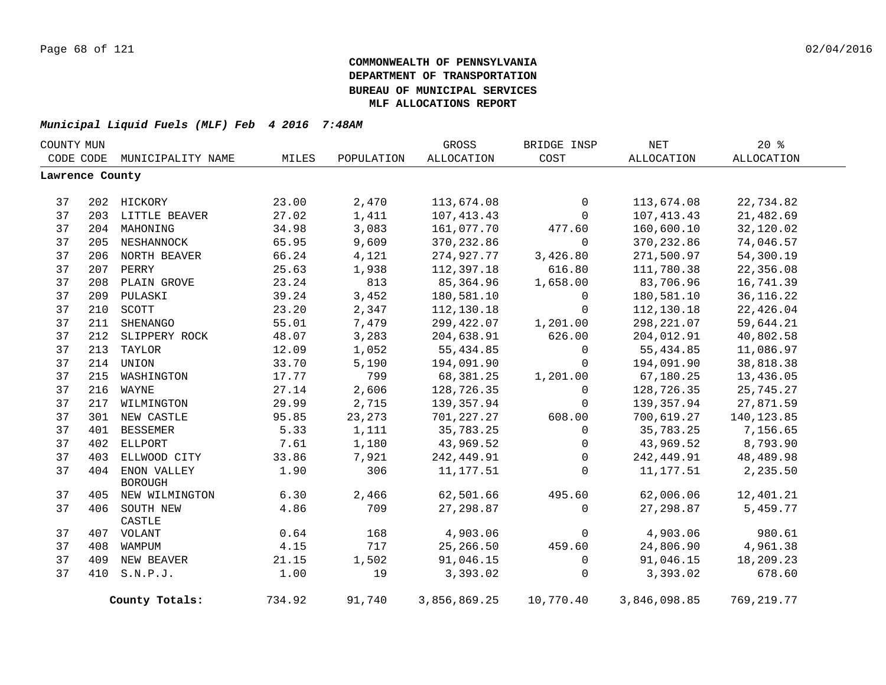|                 | COUNTY MUN |                    |        |            | GROSS        | BRIDGE INSP  | NET          | $20*$        |  |
|-----------------|------------|--------------------|--------|------------|--------------|--------------|--------------|--------------|--|
| CODE CODE       |            | MUNICIPALITY NAME  | MILES  | POPULATION | ALLOCATION   | COST         | ALLOCATION   | ALLOCATION   |  |
| Lawrence County |            |                    |        |            |              |              |              |              |  |
|                 |            |                    |        |            |              |              |              |              |  |
| 37              |            | 202 HICKORY        | 23.00  | 2,470      | 113,674.08   | $\mathbf{0}$ | 113,674.08   | 22,734.82    |  |
| 37              |            | 203 LITTLE BEAVER  | 27.02  | 1,411      | 107,413.43   | $\mathbf 0$  | 107,413.43   | 21,482.69    |  |
| 37              |            | 204 MAHONING       | 34.98  | 3,083      | 161,077.70   | 477.60       | 160,600.10   | 32,120.02    |  |
| 37              |            | 205 NESHANNOCK     | 65.95  | 9,609      | 370, 232.86  | $\mathbf 0$  | 370, 232.86  | 74,046.57    |  |
| 37              |            | 206 NORTH BEAVER   | 66.24  | 4,121      | 274,927.77   | 3,426.80     | 271,500.97   | 54,300.19    |  |
| 37              |            | 207 PERRY          | 25.63  | 1,938      | 112,397.18   | 616.80       | 111,780.38   | 22,356.08    |  |
| 37              |            | 208 PLAIN GROVE    | 23.24  | 813        | 85,364.96    | 1,658.00     | 83,706.96    | 16,741.39    |  |
| 37              |            | 209 PULASKI        | 39.24  | 3,452      | 180,581.10   | 0            | 180,581.10   | 36, 116.22   |  |
| 37              | 210        | SCOTT              | 23.20  | 2,347      | 112,130.18   | $\mathbf 0$  | 112,130.18   | 22,426.04    |  |
| 37              | 211        | SHENANGO           | 55.01  | 7,479      | 299,422.07   | 1,201.00     | 298, 221.07  | 59,644.21    |  |
| 37              | 212        | SLIPPERY ROCK      | 48.07  | 3,283      | 204,638.91   | 626.00       | 204,012.91   | 40,802.58    |  |
| 37              |            | 213 TAYLOR         | 12.09  | 1,052      | 55,434.85    | 0            | 55,434.85    | 11,086.97    |  |
| 37              |            | 214 UNION          | 33.70  | 5,190      | 194,091.90   | $\mathbf 0$  | 194,091.90   | 38,818.38    |  |
| 37              |            | 215 WASHINGTON     | 17.77  | 799        | 68,381.25    | 1,201.00     | 67,180.25    | 13,436.05    |  |
| 37              | 216        | WAYNE              | 27.14  | 2,606      | 128,726.35   | 0            | 128,726.35   | 25,745.27    |  |
| 37              | 217        | WILMINGTON         | 29.99  | 2,715      | 139,357.94   | 0            | 139,357.94   | 27,871.59    |  |
| 37              |            | 301 NEW CASTLE     | 95.85  | 23,273     | 701,227.27   | 608.00       | 700,619.27   | 140,123.85   |  |
| 37              | 401        | <b>BESSEMER</b>    | 5.33   | 1,111      | 35,783.25    | $\mathbf 0$  | 35,783.25    | 7,156.65     |  |
| 37              | 402        | ELLPORT            | 7.61   | 1,180      | 43,969.52    | 0            | 43,969.52    | 8,793.90     |  |
| 37              | 403        | ELLWOOD CITY       | 33.86  | 7,921      | 242,449.91   | 0            | 242,449.91   | 48,489.98    |  |
| 37              |            | 404 ENON VALLEY    | 1.90   | 306        | 11,177.51    | $\mathbf 0$  | 11,177.51    | 2,235.50     |  |
|                 |            | <b>BOROUGH</b>     |        |            |              |              |              |              |  |
| 37              |            | 405 NEW WILMINGTON | 6.30   | 2,466      | 62,501.66    | 495.60       | 62,006.06    | 12,401.21    |  |
| 37              |            | 406 SOUTH NEW      | 4.86   | 709        | 27,298.87    | 0            | 27, 298.87   | 5,459.77     |  |
|                 |            | CASTLE             |        |            |              |              |              |              |  |
| 37              |            | 407 VOLANT         | 0.64   | 168        | 4,903.06     | $\mathbf 0$  | 4,903.06     | 980.61       |  |
| 37              |            | 408 WAMPUM         | 4.15   | 717        | 25,266.50    | 459.60       | 24,806.90    | 4,961.38     |  |
| 37              |            | 409 NEW BEAVER     | 21.15  | 1,502      | 91,046.15    | 0            | 91,046.15    | 18,209.23    |  |
| 37              |            | 410 S.N.P.J.       | 1.00   | 19         | 3,393.02     | 0            | 3,393.02     | 678.60       |  |
|                 |            | County Totals:     | 734.92 | 91,740     | 3,856,869.25 | 10,770.40    | 3,846,098.85 | 769, 219. 77 |  |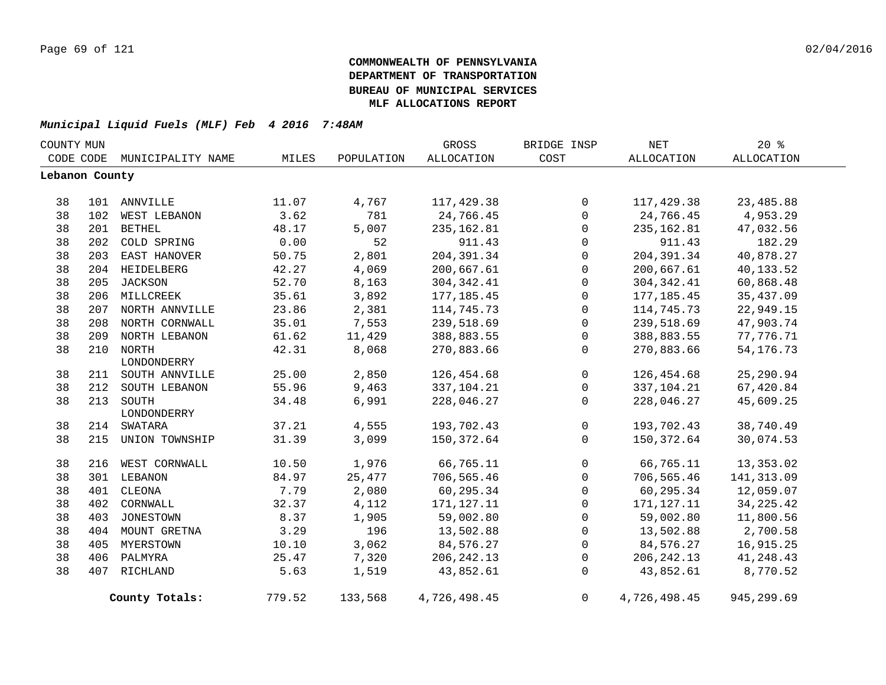|                | COUNTY MUN |                    |        |            | GROSS        | BRIDGE INSP  | <b>NET</b>   | 20%               |  |
|----------------|------------|--------------------|--------|------------|--------------|--------------|--------------|-------------------|--|
| CODE CODE      |            | MUNICIPALITY NAME  | MILES  | POPULATION | ALLOCATION   | COST         | ALLOCATION   | <b>ALLOCATION</b> |  |
| Lebanon County |            |                    |        |            |              |              |              |                   |  |
|                |            |                    |        |            |              |              |              |                   |  |
| 38             |            | 101 ANNVILLE       | 11.07  | 4,767      | 117,429.38   | $\Omega$     | 117,429.38   | 23,485.88         |  |
| 38             | 102        | WEST LEBANON       | 3.62   | 781        | 24,766.45    | $\mathbf 0$  | 24,766.45    | 4,953.29          |  |
| 38             | 201        | <b>BETHEL</b>      | 48.17  | 5,007      | 235, 162.81  | $\mathbf 0$  | 235, 162.81  | 47,032.56         |  |
| 38             | 202        | COLD SPRING        | 0.00   | 52         | 911.43       | $\mathbf 0$  | 911.43       | 182.29            |  |
| 38             |            | 203 EAST HANOVER   | 50.75  | 2,801      | 204, 391.34  | 0            | 204,391.34   | 40,878.27         |  |
| 38             |            | 204 HEIDELBERG     | 42.27  | 4,069      | 200,667.61   | $\mathbf 0$  | 200,667.61   | 40,133.52         |  |
| 38             |            | 205 JACKSON        | 52.70  | 8,163      | 304, 342.41  | $\mathbf 0$  | 304, 342.41  | 60,868.48         |  |
| 38             |            | 206 MILLCREEK      | 35.61  | 3,892      | 177,185.45   | $\Omega$     | 177,185.45   | 35,437.09         |  |
| 38             |            | 207 NORTH ANNVILLE | 23.86  | 2,381      | 114,745.73   | $\mathbf 0$  | 114,745.73   | 22,949.15         |  |
| 38             |            | 208 NORTH CORNWALL | 35.01  | 7,553      | 239,518.69   | $\mathbf 0$  | 239,518.69   | 47,903.74         |  |
| 38             |            | 209 NORTH LEBANON  | 61.62  | 11,429     | 388,883.55   | 0            | 388,883.55   | 77,776.71         |  |
| 38             |            | 210 NORTH          | 42.31  | 8,068      | 270,883.66   | 0            | 270,883.66   | 54, 176. 73       |  |
|                |            | LONDONDERRY        |        |            |              |              |              |                   |  |
| 38             |            | 211 SOUTH ANNVILLE | 25.00  | 2,850      | 126,454.68   | $\mathsf{O}$ | 126,454.68   | 25,290.94         |  |
| 38             |            | 212 SOUTH LEBANON  | 55.96  | 9,463      | 337,104.21   | $\mathbf 0$  | 337,104.21   | 67,420.84         |  |
| 38             | 213        | SOUTH              | 34.48  | 6,991      | 228,046.27   | $\mathbf 0$  | 228,046.27   | 45,609.25         |  |
|                |            | LONDONDERRY        |        |            |              |              |              |                   |  |
| 38             | 214        | SWATARA            | 37.21  | 4,555      | 193,702.43   | $\mathsf{O}$ | 193,702.43   | 38,740.49         |  |
| 38             |            | 215 UNION TOWNSHIP | 31.39  | 3,099      | 150,372.64   | $\Omega$     | 150,372.64   | 30,074.53         |  |
| 38             |            | 216 WEST CORNWALL  | 10.50  | 1,976      | 66,765.11    | $\mathbf 0$  | 66,765.11    | 13,353.02         |  |
| 38             |            | 301 LEBANON        | 84.97  | 25,477     | 706,565.46   | $\mathbf 0$  | 706,565.46   | 141, 313.09       |  |
| 38             | 401        | CLEONA             | 7.79   | 2,080      | 60,295.34    | $\mathbf 0$  | 60,295.34    | 12,059.07         |  |
| 38             | 402        | CORNWALL           | 32.37  | 4,112      | 171, 127. 11 | $\mathbf 0$  | 171,127.11   | 34, 225. 42       |  |
| 38             | 403        | JONESTOWN          | 8.37   | 1,905      | 59,002.80    | 0            | 59,002.80    | 11,800.56         |  |
| 38             |            | 404 MOUNT GRETNA   | 3.29   | 196        | 13,502.88    | 0            | 13,502.88    | 2,700.58          |  |
| 38             |            | 405 MYERSTOWN      | 10.10  | 3,062      | 84,576.27    | 0            | 84,576.27    | 16,915.25         |  |
| 38             |            | 406 PALMYRA        | 25.47  | 7,320      | 206, 242. 13 | $\Omega$     | 206, 242. 13 | 41,248.43         |  |
| 38             |            | 407 RICHLAND       | 5.63   | 1,519      | 43,852.61    | $\mathbf 0$  | 43,852.61    | 8,770.52          |  |
|                |            | County Totals:     | 779.52 | 133,568    | 4,726,498.45 | $\Omega$     | 4,726,498.45 | 945, 299.69       |  |
|                |            |                    |        |            |              |              |              |                   |  |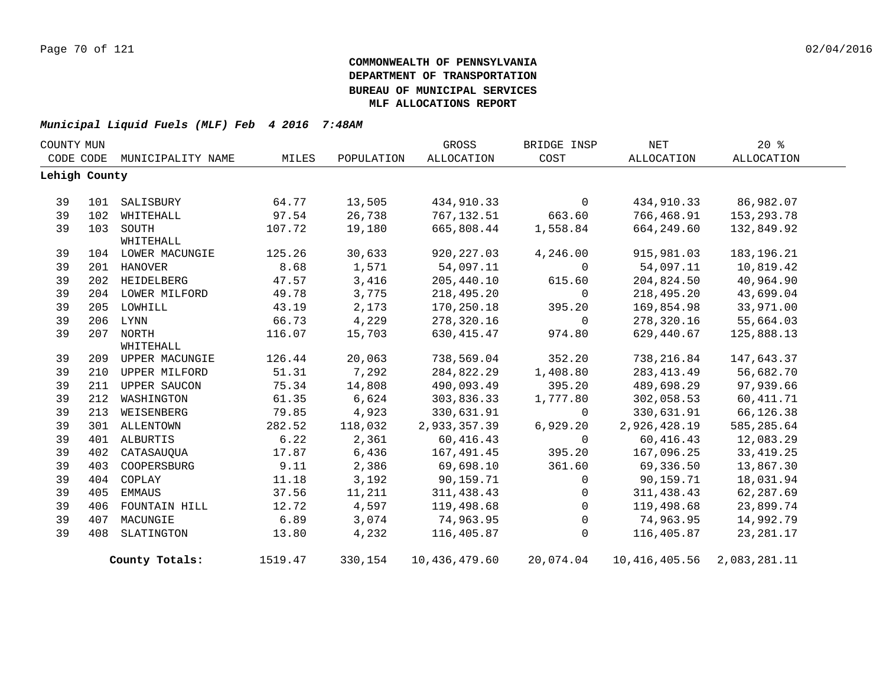| COUNTY MUN |               |                             |         |            | GROSS         | BRIDGE INSP  | <b>NET</b>    | 20%          |  |
|------------|---------------|-----------------------------|---------|------------|---------------|--------------|---------------|--------------|--|
|            |               | CODE CODE MUNICIPALITY NAME | MILES   | POPULATION | ALLOCATION    | COST         | ALLOCATION    | ALLOCATION   |  |
|            | Lehigh County |                             |         |            |               |              |               |              |  |
|            |               |                             |         |            |               |              |               |              |  |
| 39         | 101           | SALISBURY                   | 64.77   | 13,505     | 434,910.33    | $\mathbf 0$  | 434,910.33    | 86,982.07    |  |
| 39         |               | 102 WHITEHALL               | 97.54   | 26,738     | 767,132.51    | 663.60       | 766,468.91    | 153, 293. 78 |  |
| 39         |               | 103 SOUTH                   | 107.72  | 19,180     | 665,808.44    | 1,558.84     | 664,249.60    | 132,849.92   |  |
|            |               | WHITEHALL                   |         |            |               |              |               |              |  |
| 39         |               | 104 LOWER MACUNGIE          | 125.26  | 30,633     | 920, 227.03   | 4,246.00     | 915,981.03    | 183, 196. 21 |  |
| 39         |               | 201 HANOVER                 | 8.68    | 1,571      | 54,097.11     | $\mathbf 0$  | 54,097.11     | 10,819.42    |  |
| 39         | 202           | HEIDELBERG                  | 47.57   | 3,416      | 205,440.10    | 615.60       | 204,824.50    | 40,964.90    |  |
| 39         |               | 204 LOWER MILFORD           | 49.78   | 3,775      | 218,495.20    | $\mathbf 0$  | 218,495.20    | 43,699.04    |  |
| 39         |               | 205 LOWHILL                 | 43.19   | 2,173      | 170,250.18    | 395.20       | 169,854.98    | 33,971.00    |  |
| 39         |               | 206 LYNN                    | 66.73   | 4,229      | 278,320.16    | $\mathbf 0$  | 278,320.16    | 55,664.03    |  |
| 39         |               | 207 NORTH                   | 116.07  | 15,703     | 630, 415.47   | 974.80       | 629,440.67    | 125,888.13   |  |
|            |               | WHITEHALL                   |         |            |               |              |               |              |  |
| 39         |               | 209 UPPER MACUNGIE          | 126.44  | 20,063     | 738,569.04    | 352.20       | 738,216.84    | 147,643.37   |  |
| 39         | 210           | UPPER MILFORD               | 51.31   | 7,292      | 284,822.29    | 1,408.80     | 283, 413. 49  | 56,682.70    |  |
| 39         |               | 211 UPPER SAUCON            | 75.34   | 14,808     | 490,093.49    | 395.20       | 489,698.29    | 97,939.66    |  |
| 39         |               | 212 WASHINGTON              | 61.35   | 6,624      | 303,836.33    | 1,777.80     | 302,058.53    | 60, 411.71   |  |
| 39         |               | 213 WEISENBERG              | 79.85   | 4,923      | 330,631.91    | $\mathbf 0$  | 330,631.91    | 66,126.38    |  |
| 39         |               | 301 ALLENTOWN               | 282.52  | 118,032    | 2,933,357.39  | 6,929.20     | 2,926,428.19  | 585,285.64   |  |
| 39         |               | 401 ALBURTIS                | 6.22    | 2,361      | 60,416.43     | $\mathbf 0$  | 60,416.43     | 12,083.29    |  |
| 39         | 402           | CATASAUOUA                  | 17.87   | 6,436      | 167,491.45    | 395.20       | 167,096.25    | 33, 419. 25  |  |
| 39         | 403           | COOPERSBURG                 | 9.11    | 2,386      | 69,698.10     | 361.60       | 69,336.50     | 13,867.30    |  |
| 39         | 404           | COPLAY                      | 11.18   | 3,192      | 90,159.71     | $\mathbf 0$  | 90,159.71     | 18,031.94    |  |
| 39         | 405           | EMMAUS                      | 37.56   | 11,211     | 311,438.43    | $\mathbf 0$  | 311, 438.43   | 62,287.69    |  |
| 39         | 406           | FOUNTAIN HILL               | 12.72   | 4,597      | 119,498.68    | $\mathbf{0}$ | 119,498.68    | 23,899.74    |  |
| 39         | 407           | MACUNGIE                    | 6.89    | 3,074      | 74,963.95     | $\Omega$     | 74,963.95     | 14,992.79    |  |
| 39         | 408           | SLATINGTON                  | 13.80   | 4,232      | 116,405.87    | $\mathbf 0$  | 116,405.87    | 23, 281. 17  |  |
|            |               | County Totals:              | 1519.47 | 330,154    | 10,436,479.60 | 20,074.04    | 10,416,405.56 | 2,083,281.11 |  |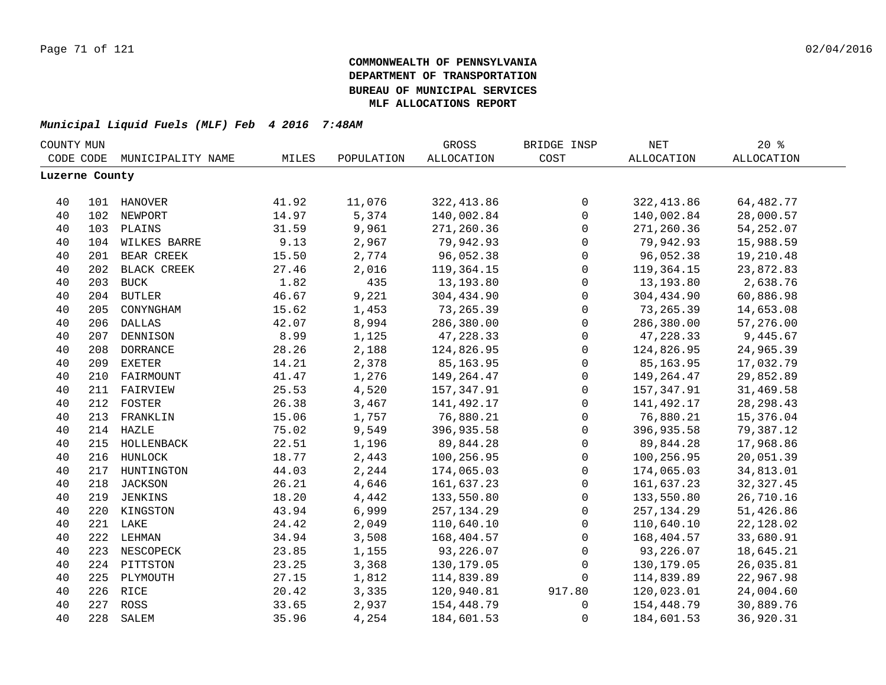| COUNTY MUN     |     |                   |       |            | GROSS             | BRIDGE INSP         | NET               | 20%               |  |
|----------------|-----|-------------------|-------|------------|-------------------|---------------------|-------------------|-------------------|--|
| CODE CODE      |     | MUNICIPALITY NAME | MILES | POPULATION | <b>ALLOCATION</b> | COST                | <b>ALLOCATION</b> | <b>ALLOCATION</b> |  |
| Luzerne County |     |                   |       |            |                   |                     |                   |                   |  |
|                |     |                   |       |            |                   |                     |                   |                   |  |
| 40             |     | 101 HANOVER       | 41.92 | 11,076     | 322, 413.86       | $\mathsf{O}$        | 322, 413.86       | 64,482.77         |  |
| 40             |     | 102 NEWPORT       | 14.97 | 5,374      | 140,002.84        | $\mathbf 0$         | 140,002.84        | 28,000.57         |  |
| 40             |     | 103 PLAINS        | 31.59 | 9,961      | 271,260.36        | $\mathbf 0$         | 271,260.36        | 54, 252.07        |  |
| 40             |     | 104 WILKES BARRE  | 9.13  | 2,967      | 79,942.93         | $\mathbf 0$         | 79,942.93         | 15,988.59         |  |
| 40             |     | 201 BEAR CREEK    | 15.50 | 2,774      | 96,052.38         | $\mathsf{O}\xspace$ | 96,052.38         | 19,210.48         |  |
| 40             |     | 202 BLACK CREEK   | 27.46 | 2,016      | 119,364.15        | $\mathsf{O}$        | 119,364.15        | 23,872.83         |  |
| 40             | 203 | <b>BUCK</b>       | 1.82  | 435        | 13,193.80         | $\mathbf 0$         | 13,193.80         | 2,638.76          |  |
| 40             |     | 204 BUTLER        | 46.67 | 9,221      | 304,434.90        | $\mathbf 0$         | 304,434.90        | 60,886.98         |  |
| 40             | 205 | CONYNGHAM         | 15.62 | 1,453      | 73, 265.39        | $\mathbf 0$         | 73, 265.39        | 14,653.08         |  |
| 40             | 206 | <b>DALLAS</b>     | 42.07 | 8,994      | 286,380.00        | $\mathbf 0$         | 286,380.00        | 57,276.00         |  |
| 40             | 207 | <b>DENNISON</b>   | 8.99  | 1,125      | 47,228.33         | $\mathbf 0$         | 47,228.33         | 9,445.67          |  |
| 40             | 208 | <b>DORRANCE</b>   | 28.26 | 2,188      | 124,826.95        | $\mathbf 0$         | 124,826.95        | 24,965.39         |  |
| 40             | 209 | <b>EXETER</b>     | 14.21 | 2,378      | 85,163.95         | 0                   | 85, 163.95        | 17,032.79         |  |
| 40             | 210 | FAIRMOUNT         | 41.47 | 1,276      | 149,264.47        | $\mathbf 0$         | 149,264.47        | 29,852.89         |  |
| 40             |     | 211 FAIRVIEW      | 25.53 | 4,520      | 157,347.91        | $\mathbf 0$         | 157,347.91        | 31,469.58         |  |
| 40             |     | 212 FOSTER        | 26.38 | 3,467      | 141,492.17        | $\mathbf 0$         | 141,492.17        | 28, 298.43        |  |
| 40             |     | 213 FRANKLIN      | 15.06 | 1,757      | 76,880.21         | $\mathsf 0$         | 76,880.21         | 15,376.04         |  |
| 40             |     | 214 HAZLE         | 75.02 | 9,549      | 396,935.58        | $\mathsf{O}\xspace$ | 396,935.58        | 79,387.12         |  |
| 40             |     | 215 HOLLENBACK    | 22.51 | 1,196      | 89,844.28         | $\mathsf{O}\xspace$ | 89,844.28         | 17,968.86         |  |
| 40             |     | 216 HUNLOCK       | 18.77 | 2,443      | 100,256.95        | $\mathsf{O}$        | 100,256.95        | 20,051.39         |  |
| 40             |     | 217 HUNTINGTON    | 44.03 | 2,244      | 174,065.03        | $\mathbf 0$         | 174,065.03        | 34,813.01         |  |
| 40             |     | 218 JACKSON       | 26.21 | 4,646      | 161,637.23        | $\mathbf 0$         | 161,637.23        | 32, 327.45        |  |
| 40             |     | 219 JENKINS       | 18.20 | 4,442      | 133,550.80        | $\mathbf 0$         | 133,550.80        | 26,710.16         |  |
| 40             | 220 | KINGSTON          | 43.94 | 6,999      | 257, 134.29       | $\mathbf 0$         | 257, 134.29       | 51,426.86         |  |
| 40             |     | 221 LAKE          | 24.42 | 2,049      | 110,640.10        | $\mathbf 0$         | 110,640.10        | 22, 128.02        |  |
| 40             |     | 222 LEHMAN        | 34.94 | 3,508      | 168,404.57        | $\mathbf 0$         | 168,404.57        | 33,680.91         |  |
| 40             | 223 | NESCOPECK         | 23.85 | 1,155      | 93,226.07         | $\mathbf 0$         | 93,226.07         | 18,645.21         |  |
| 40             |     | 224 PITTSTON      | 23.25 | 3,368      | 130,179.05        | $\mathbf 0$         | 130,179.05        | 26,035.81         |  |
| 40             | 225 | PLYMOUTH          | 27.15 | 1,812      | 114,839.89        | $\mathbf 0$         | 114,839.89        | 22,967.98         |  |
| 40             |     | 226 RICE          | 20.42 | 3,335      | 120,940.81        | 917.80              | 120,023.01        | 24,004.60         |  |
| 40             |     | 227 ROSS          | 33.65 | 2,937      | 154,448.79        | 0                   | 154,448.79        | 30,889.76         |  |
| 40             | 228 | SALEM             | 35.96 | 4,254      | 184,601.53        | $\mathbf 0$         | 184,601.53        | 36,920.31         |  |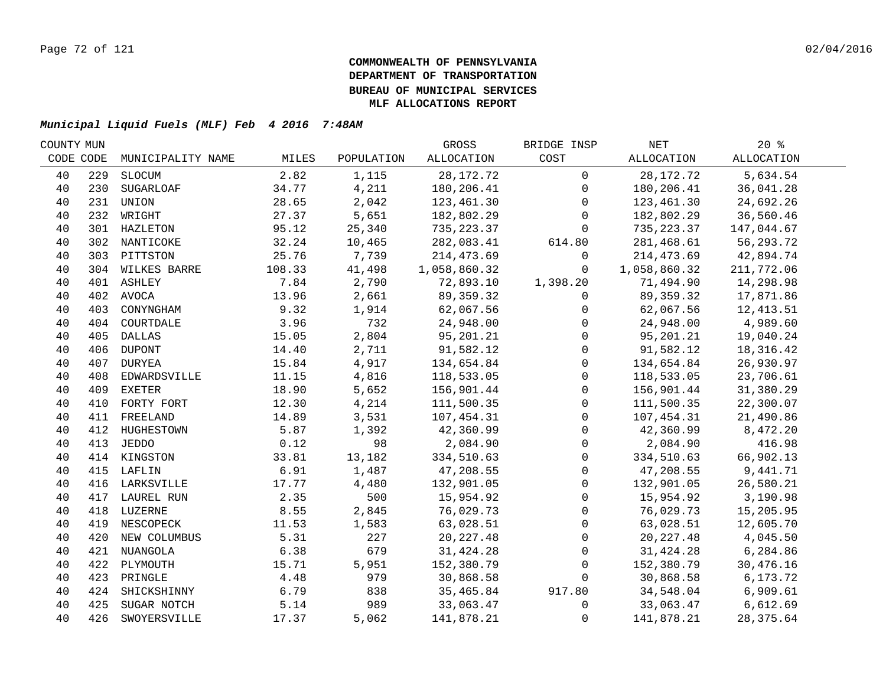| COUNTY MUN |     |                   |        |            | GROSS        | BRIDGE INSP  | NET          | $20*$       |  |
|------------|-----|-------------------|--------|------------|--------------|--------------|--------------|-------------|--|
| CODE CODE  |     | MUNICIPALITY NAME | MILES  | POPULATION | ALLOCATION   | COST         | ALLOCATION   | ALLOCATION  |  |
| 40         | 229 | SLOCUM            | 2.82   | 1,115      | 28, 172. 72  | $\mathbf 0$  | 28, 172. 72  | 5,634.54    |  |
| 40         |     | 230 SUGARLOAF     | 34.77  | 4,211      | 180,206.41   | $\mathbf 0$  | 180,206.41   | 36,041.28   |  |
| 40         | 231 | UNION             | 28.65  | 2,042      | 123,461.30   | $\Omega$     | 123,461.30   | 24,692.26   |  |
| 40         |     | 232 WRIGHT        | 27.37  | 5,651      | 182,802.29   | $\Omega$     | 182,802.29   | 36,560.46   |  |
| 40         |     | 301 HAZLETON      | 95.12  | 25,340     | 735,223.37   | $\Omega$     | 735,223.37   | 147,044.67  |  |
| 40         |     | 302 NANTICOKE     | 32.24  | 10,465     | 282,083.41   | 614.80       | 281,468.61   | 56,293.72   |  |
| 40         |     | 303 PITTSTON      | 25.76  | 7,739      | 214,473.69   | 0            | 214,473.69   | 42,894.74   |  |
| 40         |     | 304 WILKES BARRE  | 108.33 | 41,498     | 1,058,860.32 | $\mathbf 0$  | 1,058,860.32 | 211,772.06  |  |
| 40         |     | 401 ASHLEY        | 7.84   | 2,790      | 72,893.10    | 1,398.20     | 71,494.90    | 14,298.98   |  |
| 40         |     | 402 AVOCA         | 13.96  | 2,661      | 89, 359. 32  | 0            | 89, 359. 32  | 17,871.86   |  |
| 40         | 403 | CONYNGHAM         | 9.32   | 1,914      | 62,067.56    | $\mathbf 0$  | 62,067.56    | 12, 413.51  |  |
| 40         |     | 404 COURTDALE     | 3.96   | 732        | 24,948.00    | $\mathbf 0$  | 24,948.00    | 4,989.60    |  |
| 40         | 405 | DALLAS            | 15.05  | 2,804      | 95,201.21    | $\Omega$     | 95,201.21    | 19,040.24   |  |
| 40         | 406 | <b>DUPONT</b>     | 14.40  | 2,711      | 91,582.12    | $\mathsf 0$  | 91,582.12    | 18, 316. 42 |  |
| 40         | 407 | <b>DURYEA</b>     | 15.84  | 4,917      | 134,654.84   | $\mathbf 0$  | 134,654.84   | 26,930.97   |  |
| 40         | 408 | EDWARDSVILLE      | 11.15  | 4,816      | 118,533.05   | $\mathbf{0}$ | 118,533.05   | 23,706.61   |  |
| 40         | 409 | EXETER            | 18.90  | 5,652      | 156,901.44   | $\mathbf 0$  | 156,901.44   | 31,380.29   |  |
| 40         |     | 410 FORTY FORT    | 12.30  | 4,214      | 111,500.35   | $\mathbf 0$  | 111,500.35   | 22,300.07   |  |
| 40         |     | 411 FREELAND      | 14.89  | 3,531      | 107,454.31   | $\Omega$     | 107,454.31   | 21,490.86   |  |
| 40         |     | 412 HUGHESTOWN    | 5.87   | 1,392      | 42,360.99    | 0            | 42,360.99    | 8,472.20    |  |
| 40         |     | 413 JEDDO         | 0.12   | 98         | 2,084.90     | 0            | 2,084.90     | 416.98      |  |
| 40         |     | 414 KINGSTON      | 33.81  | 13,182     | 334,510.63   | 0            | 334,510.63   | 66,902.13   |  |
| 40         |     | 415 LAFLIN        | 6.91   | 1,487      | 47,208.55    | $\mathbf 0$  | 47,208.55    | 9,441.71    |  |
| 40         |     | 416 LARKSVILLE    | 17.77  | 4,480      | 132,901.05   | $\mathbf 0$  | 132,901.05   | 26,580.21   |  |
| 40         |     | 417 LAUREL RUN    | 2.35   | 500        | 15,954.92    | $\Omega$     | 15,954.92    | 3,190.98    |  |
| 40         |     | 418 LUZERNE       | 8.55   | 2,845      | 76,029.73    | 0            | 76,029.73    | 15,205.95   |  |
| 40         |     | 419 NESCOPECK     | 11.53  | 1,583      | 63,028.51    | $\Omega$     | 63,028.51    | 12,605.70   |  |
| 40         |     | 420 NEW COLUMBUS  | 5.31   | 227        | 20, 227.48   | $\Omega$     | 20, 227.48   | 4,045.50    |  |
| 40         |     | 421 NUANGOLA      | 6.38   | 679        | 31,424.28    | 0            | 31,424.28    | 6,284.86    |  |
| 40         |     | 422 PLYMOUTH      | 15.71  | 5,951      | 152,380.79   | $\mathbf 0$  | 152,380.79   | 30,476.16   |  |
| 40         |     | 423 PRINGLE       | 4.48   | 979        | 30,868.58    | $\mathbf 0$  | 30,868.58    | 6,173.72    |  |
| 40         |     | 424 SHICKSHINNY   | 6.79   | 838        | 35,465.84    | 917.80       | 34,548.04    | 6,909.61    |  |
| 40         | 425 | SUGAR NOTCH       | 5.14   | 989        | 33,063.47    | 0            | 33,063.47    | 6,612.69    |  |
| 40         | 426 | SWOYERSVILLE      | 17.37  | 5,062      | 141,878.21   | $\mathbf 0$  | 141,878.21   | 28, 375.64  |  |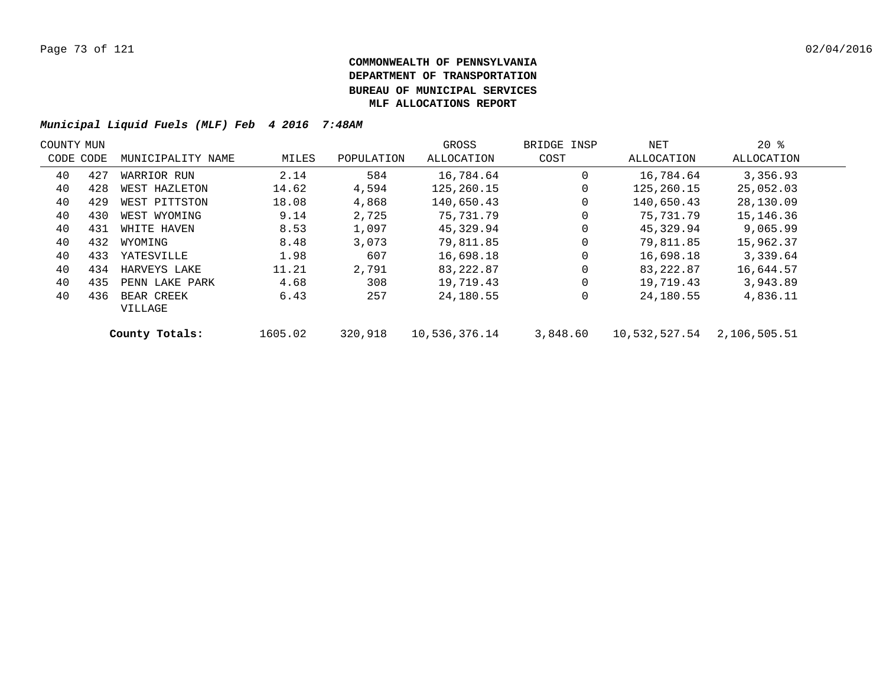| COUNTY MUN |     |                       |         |            | GROSS         | BRIDGE INSP | NET           | $20*$        |  |
|------------|-----|-----------------------|---------|------------|---------------|-------------|---------------|--------------|--|
| CODE CODE  |     | MUNICIPALITY NAME     | MILES   | POPULATION | ALLOCATION    | COST        | ALLOCATION    | ALLOCATION   |  |
| 40         | 427 | WARRIOR RUN           | 2.14    | 584        | 16,784.64     | 0           | 16,784.64     | 3,356.93     |  |
| 40         | 428 | WEST HAZLETON         | 14.62   | 4,594      | 125,260.15    | $\mathbf 0$ | 125,260.15    | 25,052.03    |  |
| 40         | 429 | WEST PITTSTON         | 18.08   | 4,868      | 140,650.43    | $\mathbf 0$ | 140,650.43    | 28,130.09    |  |
| 40         | 430 | WEST WYOMING          | 9.14    | 2,725      | 75,731.79     | 0           | 75,731.79     | 15,146.36    |  |
| 40         | 431 | WHITE HAVEN           | 8.53    | 1,097      | 45,329.94     | $\mathbf 0$ | 45,329.94     | 9,065.99     |  |
| 40         | 432 | WYOMING               | 8.48    | 3,073      | 79,811.85     | $\Omega$    | 79,811.85     | 15,962.37    |  |
| 40         | 433 | YATESVILLE            | 1.98    | 607        | 16,698.18     | $\mathbf 0$ | 16,698.18     | 3,339.64     |  |
| 40         | 434 | HARVEYS LAKE          | 11.21   | 2,791      | 83, 222.87    | $\mathbf 0$ | 83, 222.87    | 16,644.57    |  |
| 40         | 435 | PENN LAKE PARK        | 4.68    | 308        | 19,719.43     | $\mathbf 0$ | 19,719.43     | 3,943.89     |  |
| 40         | 436 | BEAR CREEK<br>VILLAGE | 6.43    | 257        | 24,180.55     | $\mathbf 0$ | 24,180.55     | 4,836.11     |  |
|            |     | County Totals:        | 1605.02 | 320,918    | 10,536,376.14 | 3,848.60    | 10,532,527.54 | 2,106,505.51 |  |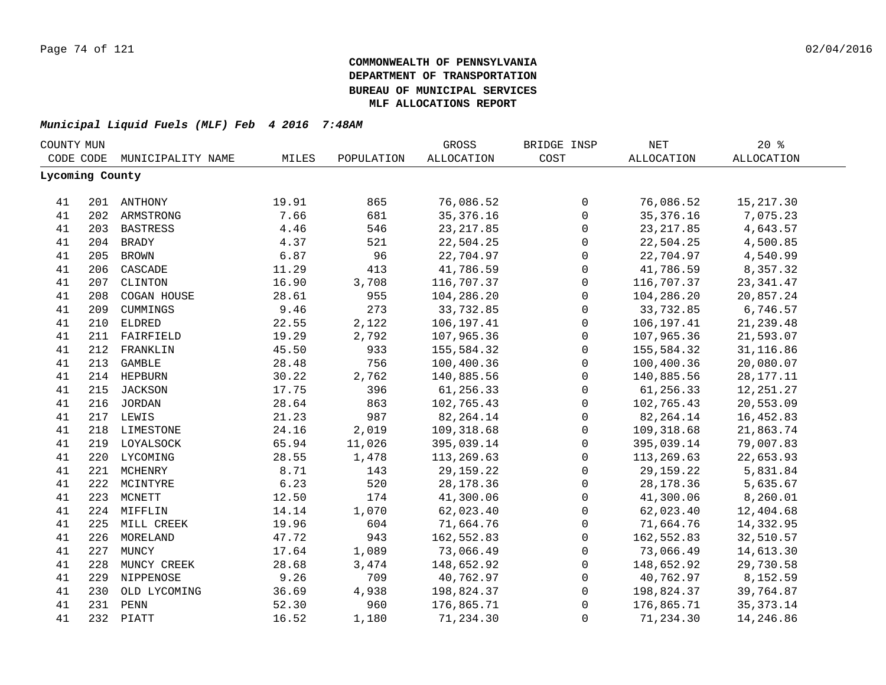| COUNTY MUN      |     |                   |       |            | GROSS             | BRIDGE INSP  | NET         | $20*$       |  |
|-----------------|-----|-------------------|-------|------------|-------------------|--------------|-------------|-------------|--|
| CODE CODE       |     | MUNICIPALITY NAME | MILES | POPULATION | <b>ALLOCATION</b> | COST         | ALLOCATION  | ALLOCATION  |  |
| Lycoming County |     |                   |       |            |                   |              |             |             |  |
|                 |     |                   |       |            |                   |              |             |             |  |
| 41              |     | 201 ANTHONY       | 19.91 | 865        | 76,086.52         | $\mathbf 0$  | 76,086.52   | 15,217.30   |  |
| 41              |     | 202 ARMSTRONG     | 7.66  | 681        | 35, 376. 16       | $\mathbf 0$  | 35, 376. 16 | 7,075.23    |  |
| 41              | 203 | <b>BASTRESS</b>   | 4.46  | 546        | 23, 217.85        | $\mathbf 0$  | 23, 217.85  | 4,643.57    |  |
| 41              | 204 | BRADY             | 4.37  | 521        | 22,504.25         | $\mathbf 0$  | 22,504.25   | 4,500.85    |  |
| 41              | 205 | <b>BROWN</b>      | 6.87  | 96         | 22,704.97         | $\mathbf 0$  | 22,704.97   | 4,540.99    |  |
| 41              | 206 | CASCADE           | 11.29 | 413        | 41,786.59         | $\mathbf 0$  | 41,786.59   | 8,357.32    |  |
| 41              | 207 | CLINTON           | 16.90 | 3,708      | 116,707.37        | $\mathbf 0$  | 116,707.37  | 23, 341.47  |  |
| 41              | 208 | COGAN HOUSE       | 28.61 | 955        | 104,286.20        | $\mathbf{0}$ | 104,286.20  | 20,857.24   |  |
| 41              | 209 | CUMMINGS          | 9.46  | 273        | 33,732.85         | $\mathbf{0}$ | 33,732.85   | 6,746.57    |  |
| 41              | 210 | <b>ELDRED</b>     | 22.55 | 2,122      | 106,197.41        | $\mathbf 0$  | 106,197.41  | 21, 239.48  |  |
| 41              | 211 | FAIRFIELD         | 19.29 | 2,792      | 107,965.36        | $\mathbf{0}$ | 107,965.36  | 21,593.07   |  |
| 41              | 212 | FRANKLIN          | 45.50 | 933        | 155,584.32        | $\mathbf 0$  | 155,584.32  | 31, 116.86  |  |
| 41              | 213 | <b>GAMBLE</b>     | 28.48 | 756        | 100,400.36        | $\mathbf 0$  | 100,400.36  | 20,080.07   |  |
| 41              | 214 | HEPBURN           | 30.22 | 2,762      | 140,885.56        | $\mathbf 0$  | 140,885.56  | 28, 177. 11 |  |
| 41              | 215 | <b>JACKSON</b>    | 17.75 | 396        | 61,256.33         | $\mathsf 0$  | 61,256.33   | 12, 251.27  |  |
| 41              |     | 216 JORDAN        | 28.64 | 863        | 102,765.43        | $\mathbf{0}$ | 102,765.43  | 20,553.09   |  |
| 41              |     | 217 LEWIS         | 21.23 | 987        | 82, 264. 14       | $\mathsf 0$  | 82, 264. 14 | 16,452.83   |  |
| 41              |     | 218 LIMESTONE     | 24.16 | 2,019      | 109,318.68        | $\mathbf 0$  | 109,318.68  | 21,863.74   |  |
| 41              |     | 219 LOYALSOCK     | 65.94 | 11,026     | 395,039.14        | $\mathbf 0$  | 395,039.14  | 79,007.83   |  |
| 41              |     | 220 LYCOMING      | 28.55 | 1,478      | 113,269.63        | $\mathbf 0$  | 113,269.63  | 22,653.93   |  |
| 41              |     | 221 MCHENRY       | 8.71  | 143        | 29, 159. 22       | $\mathbf{0}$ | 29, 159. 22 | 5,831.84    |  |
| 41              |     | 222 MCINTYRE      | 6.23  | 520        | 28, 178. 36       | $\mathbf 0$  | 28, 178.36  | 5,635.67    |  |
| 41              |     | 223 MCNETT        | 12.50 | 174        | 41,300.06         | $\mathbf 0$  | 41,300.06   | 8,260.01    |  |
| 41              |     | 224 MIFFLIN       | 14.14 | 1,070      | 62,023.40         | $\mathbf{0}$ | 62,023.40   | 12,404.68   |  |
| 41              |     | 225 MILL CREEK    | 19.96 | 604        | 71,664.76         | $\mathbf{0}$ | 71,664.76   | 14,332.95   |  |
| 41              | 226 | MORELAND          | 47.72 | 943        | 162,552.83        | $\mathbf 0$  | 162,552.83  | 32,510.57   |  |
| 41              | 227 | MUNCY             | 17.64 | 1,089      | 73,066.49         | $\mathbf 0$  | 73,066.49   | 14,613.30   |  |
| 41              | 228 | MUNCY CREEK       | 28.68 | 3,474      | 148,652.92        | 0            | 148,652.92  | 29,730.58   |  |
| 41              | 229 | NIPPENOSE         | 9.26  | 709        | 40,762.97         | $\mathbf 0$  | 40,762.97   | 8,152.59    |  |
| 41              | 230 | OLD LYCOMING      | 36.69 | 4,938      | 198,824.37        | $\mathbf 0$  | 198,824.37  | 39,764.87   |  |
| 41              |     | 231 PENN          | 52.30 | 960        | 176,865.71        | $\mathbf 0$  | 176,865.71  | 35, 373. 14 |  |
|                 |     |                   |       |            |                   |              |             |             |  |
| 41              |     | 232 PIATT         | 16.52 | 1,180      | 71,234.30         | $\mathbf 0$  | 71,234.30   | 14,246.86   |  |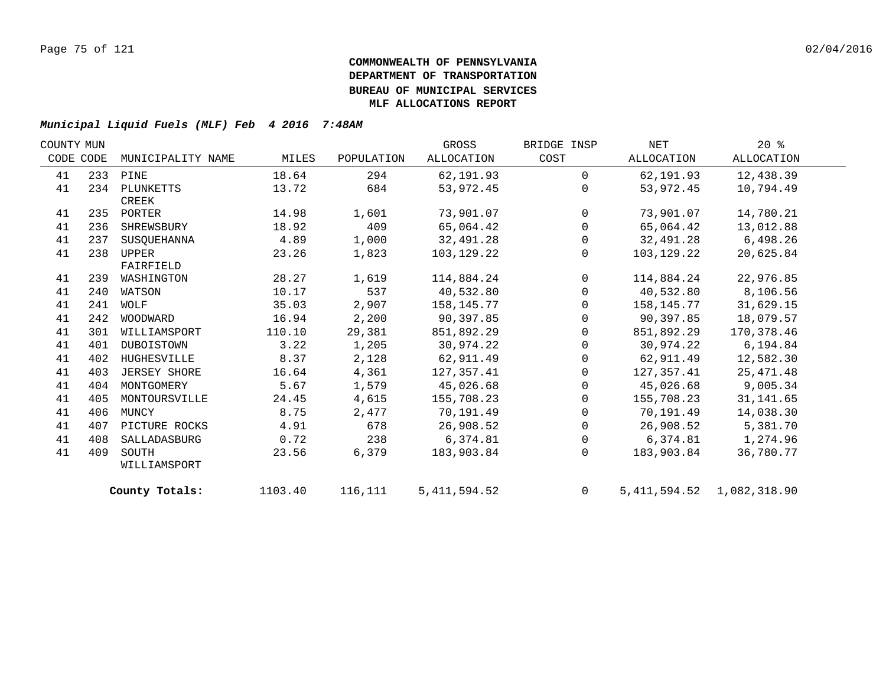| COUNTY MUN |     |                   |         |            | GROSS             | BRIDGE INSP    | NET        | $20*$                         |  |
|------------|-----|-------------------|---------|------------|-------------------|----------------|------------|-------------------------------|--|
| CODE CODE  |     | MUNICIPALITY NAME | MILES   | POPULATION | <b>ALLOCATION</b> | COST           | ALLOCATION | ALLOCATION                    |  |
| 41         |     | 233 PINE          | 18.64   | 294        | 62,191.93         | $\Omega$       | 62,191.93  | 12,438.39                     |  |
| 41         |     | 234 PLUNKETTS     | 13.72   | 684        | 53,972.45         | $\Omega$       | 53,972.45  | 10,794.49                     |  |
|            |     | CREEK             |         |            |                   |                |            |                               |  |
| 41         |     | 235 PORTER        | 14.98   | 1,601      | 73,901.07         | $\Omega$       | 73,901.07  | 14,780.21                     |  |
| 41         | 236 | SHREWSBURY        | 18.92   | 409        | 65,064.42         | $\mathbf 0$    | 65,064.42  | 13,012.88                     |  |
| 41         | 237 | SUSOUEHANNA       | 4.89    | 1,000      | 32,491.28         | $\mathbf 0$    | 32,491.28  | 6,498.26                      |  |
| 41         | 238 | UPPER             | 23.26   | 1,823      | 103,129.22        | $\mathbf 0$    | 103,129.22 | 20,625.84                     |  |
|            |     | FAIRFIELD         |         |            |                   |                |            |                               |  |
| 41         | 239 | WASHINGTON        | 28.27   | 1,619      | 114,884.24        | $\mathbf 0$    | 114,884.24 | 22,976.85                     |  |
| 41         | 240 | WATSON            | 10.17   | 537        | 40,532.80         | $\mathbf 0$    | 40,532.80  | 8,106.56                      |  |
| 41         | 241 | WOLF              | 35.03   | 2,907      | 158,145.77        | $\Omega$       | 158,145.77 | 31,629.15                     |  |
| 41         |     | 242 WOODWARD      | 16.94   | 2,200      | 90,397.85         | $\Omega$       | 90,397.85  | 18,079.57                     |  |
| 41         | 301 | WILLIAMSPORT      | 110.10  | 29,381     | 851,892.29        | $\Omega$       | 851,892.29 | 170,378.46                    |  |
| 41         | 401 | DUBOISTOWN        | 3.22    | 1,205      | 30,974.22         | $\mathbf 0$    | 30,974.22  | 6,194.84                      |  |
| 41         | 402 | HUGHESVILLE       | 8.37    | 2,128      | 62,911.49         | $\mathbf 0$    | 62,911.49  | 12,582.30                     |  |
| 41         | 403 | JERSEY SHORE      | 16.64   | 4,361      | 127,357.41        | $\Omega$       | 127,357.41 | 25, 471.48                    |  |
| 41         | 404 | MONTGOMERY        | 5.67    | 1,579      | 45,026.68         | $\Omega$       | 45,026.68  | 9,005.34                      |  |
| 41         | 405 | MONTOURSVILLE     | 24.45   | 4,615      | 155,708.23        | $\Omega$       | 155,708.23 | 31, 141.65                    |  |
| 41         | 406 | MUNCY             | 8.75    | 2,477      | 70,191.49         | $\mathbf 0$    | 70,191.49  | 14,038.30                     |  |
| 41         | 407 | PICTURE ROCKS     | 4.91    | 678        | 26,908.52         | $\mathbf 0$    | 26,908.52  | 5,381.70                      |  |
| 41         | 408 | SALLADASBURG      | 0.72    | 238        | 6,374.81          | $\mathbf 0$    | 6,374.81   | 1,274.96                      |  |
| 41         | 409 | SOUTH             | 23.56   | 6,379      | 183,903.84        | $\Omega$       | 183,903.84 | 36,780.77                     |  |
|            |     | WILLIAMSPORT      |         |            |                   |                |            |                               |  |
|            |     | County Totals:    | 1103.40 | 116,111    | 5, 411, 594.52    | $\overline{0}$ |            | 5, 411, 594.52 1, 082, 318.90 |  |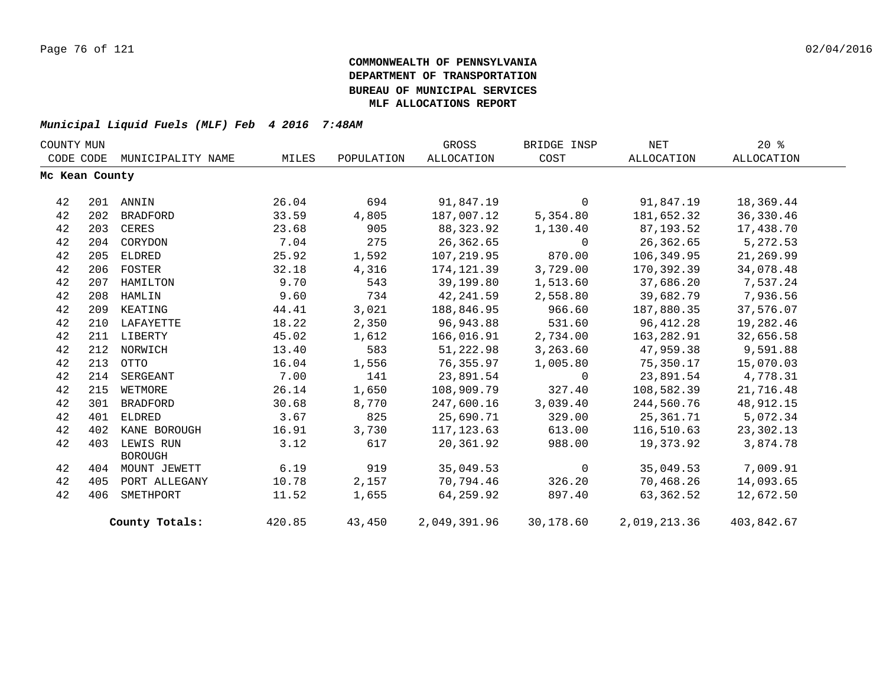| COUNTY MUN |                |                   |        |            | GROSS             | BRIDGE INSP    | NET          | $20*$      |  |
|------------|----------------|-------------------|--------|------------|-------------------|----------------|--------------|------------|--|
| CODE CODE  |                | MUNICIPALITY NAME | MILES  | POPULATION | <b>ALLOCATION</b> | COST           | ALLOCATION   | ALLOCATION |  |
|            | Mc Kean County |                   |        |            |                   |                |              |            |  |
| 42         |                | 201 ANNIN         | 26.04  | 694        | 91,847.19         | $\mathbf 0$    | 91,847.19    | 18,369.44  |  |
| 42         | 202            | BRADFORD          | 33.59  | 4,805      | 187,007.12        | 5,354.80       | 181,652.32   | 36, 330.46 |  |
| 42         |                | 203 CERES         | 23.68  | 905        | 88,323.92         | 1,130.40       | 87,193.52    | 17,438.70  |  |
| 42         |                | 204 CORYDON       | 7.04   | 275        | 26,362.65         | $\overline{0}$ | 26,362.65    | 5,272.53   |  |
| 42         | 205            | ELDRED            | 25.92  | 1,592      | 107,219.95        | 870.00         | 106,349.95   | 21,269.99  |  |
| 42         |                | 206 FOSTER        | 32.18  | 4,316      | 174,121.39        | 3,729.00       | 170,392.39   | 34,078.48  |  |
| 42         |                | 207 HAMILTON      | 9.70   | 543        | 39,199.80         | 1,513.60       | 37,686.20    | 7,537.24   |  |
| 42         |                | 208 HAMLIN        | 9.60   | 734        | 42,241.59         | 2,558.80       | 39,682.79    | 7,936.56   |  |
| 42         | 209            | KEATING           | 44.41  | 3,021      | 188,846.95        | 966.60         | 187,880.35   | 37,576.07  |  |
| 42         |                | 210 LAFAYETTE     | 18.22  | 2,350      | 96,943.88         | 531.60         | 96,412.28    | 19,282.46  |  |
| 42         |                | 211 LIBERTY       | 45.02  | 1,612      | 166,016.91        | 2,734.00       | 163,282.91   | 32,656.58  |  |
| 42         |                | 212 NORWICH       | 13.40  | 583        | 51,222.98         | 3,263.60       | 47,959.38    | 9,591.88   |  |
| 42         | 213            | OTTO              | 16.04  | 1,556      | 76,355.97         | 1,005.80       | 75,350.17    | 15,070.03  |  |
| 42         | 214            | SERGEANT          | 7.00   | 141        | 23,891.54         | $\overline{0}$ | 23,891.54    | 4,778.31   |  |
| 42         | 215            | WETMORE           | 26.14  | 1,650      | 108,909.79        | 327.40         | 108,582.39   | 21,716.48  |  |
| 42         | 301            | BRADFORD          | 30.68  | 8,770      | 247,600.16        | 3,039.40       | 244,560.76   | 48,912.15  |  |
| 42         | 401            | ELDRED            | 3.67   | 825        | 25,690.71         | 329.00         | 25,361.71    | 5,072.34   |  |
| 42         | 402            | KANE BOROUGH      | 16.91  | 3,730      | 117,123.63        | 613.00         | 116,510.63   | 23,302.13  |  |
| 42         |                | 403 LEWIS RUN     | 3.12   | 617        | 20,361.92         | 988.00         | 19,373.92    | 3,874.78   |  |
|            |                | <b>BOROUGH</b>    |        |            |                   |                |              |            |  |
| 42         |                | 404 MOUNT JEWETT  | 6.19   | 919        | 35,049.53         | $\mathbf 0$    | 35,049.53    | 7,009.91   |  |
| 42         | 405            | PORT ALLEGANY     | 10.78  | 2,157      | 70,794.46         | 326.20         | 70,468.26    | 14,093.65  |  |
| 42         | 406            | SMETHPORT         | 11.52  | 1,655      | 64,259.92         | 897.40         | 63,362.52    | 12,672.50  |  |
|            |                | County Totals:    | 420.85 | 43,450     | 2,049,391.96      | 30,178.60      | 2,019,213.36 | 403,842.67 |  |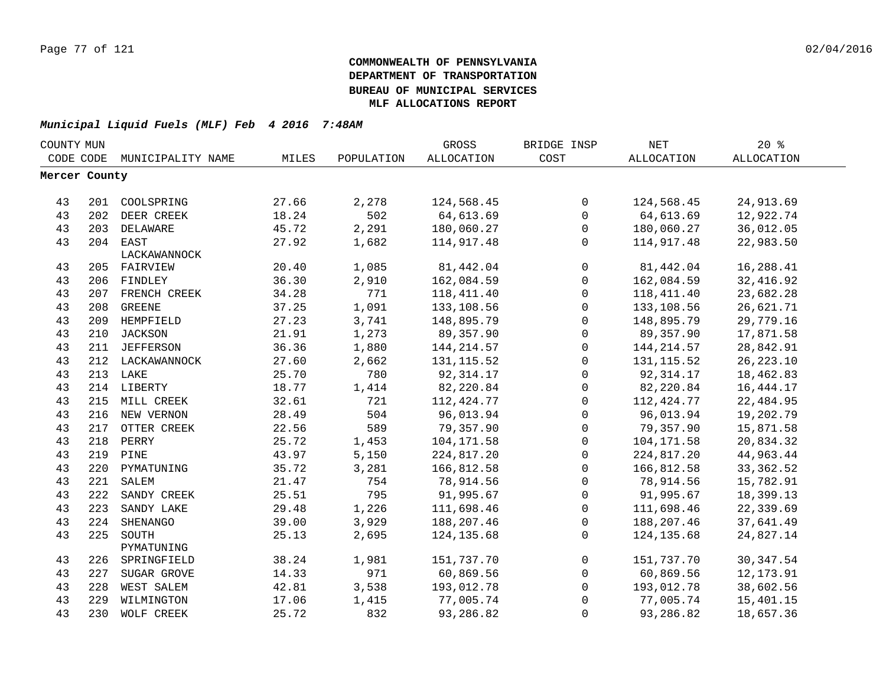| COUNTY MUN    |     |                   |       |            | GROSS       | BRIDGE INSP  | <b>NET</b>  | 20%               |  |
|---------------|-----|-------------------|-------|------------|-------------|--------------|-------------|-------------------|--|
| CODE CODE     |     | MUNICIPALITY NAME | MILES | POPULATION | ALLOCATION  | COST         | ALLOCATION  | <b>ALLOCATION</b> |  |
| Mercer County |     |                   |       |            |             |              |             |                   |  |
|               |     |                   |       |            |             |              |             |                   |  |
| 43            |     | 201 COOLSPRING    | 27.66 | 2,278      | 124,568.45  | $\mathbf 0$  | 124,568.45  | 24,913.69         |  |
| 43            |     | 202 DEER CREEK    | 18.24 | 502        | 64,613.69   | $\mathbf 0$  | 64,613.69   | 12,922.74         |  |
| 43            | 203 | DELAWARE          | 45.72 | 2,291      | 180,060.27  | $\mathsf{O}$ | 180,060.27  | 36,012.05         |  |
| 43            |     | 204 EAST          | 27.92 | 1,682      | 114,917.48  | $\mathbf 0$  | 114,917.48  | 22,983.50         |  |
|               |     | LACKAWANNOCK      |       |            |             |              |             |                   |  |
| 43            |     | 205 FAIRVIEW      | 20.40 | 1,085      | 81,442.04   | $\mathbf 0$  | 81,442.04   | 16,288.41         |  |
| 43            |     | 206 FINDLEY       | 36.30 | 2,910      | 162,084.59  | $\mathbf 0$  | 162,084.59  | 32,416.92         |  |
| 43            |     | 207 FRENCH CREEK  | 34.28 | 771        | 118,411.40  | 0            | 118,411.40  | 23,682.28         |  |
| 43            | 208 | GREENE            | 37.25 | 1,091      | 133,108.56  | $\mathbf 0$  | 133,108.56  | 26,621.71         |  |
| 43            | 209 | HEMPFIELD         | 27.23 | 3,741      | 148,895.79  | $\mathsf{O}$ | 148,895.79  | 29,779.16         |  |
| 43            | 210 | <b>JACKSON</b>    | 21.91 | 1,273      | 89,357.90   | $\mathbf 0$  | 89,357.90   | 17,871.58         |  |
| 43            |     | 211 JEFFERSON     | 36.36 | 1,880      | 144, 214.57 | $\mathbf 0$  | 144, 214.57 | 28,842.91         |  |
| 43            |     | 212 LACKAWANNOCK  | 27.60 | 2,662      | 131, 115.52 | $\mathbf 0$  | 131, 115.52 | 26, 223. 10       |  |
| 43            |     | 213 LAKE          | 25.70 | 780        | 92, 314.17  | $\mathbf 0$  | 92,314.17   | 18,462.83         |  |
| 43            |     | 214 LIBERTY       | 18.77 | 1,414      | 82,220.84   | $\mathbf 0$  | 82,220.84   | 16, 444. 17       |  |
| 43            | 215 | MILL CREEK        | 32.61 | 721        | 112, 424.77 | $\mathbf 0$  | 112, 424.77 | 22,484.95         |  |
| 43            |     | 216 NEW VERNON    | 28.49 | 504        | 96,013.94   | $\mathbf 0$  | 96,013.94   | 19,202.79         |  |
| 43            |     | 217 OTTER CREEK   | 22.56 | 589        | 79,357.90   | $\mathbf 0$  | 79,357.90   | 15,871.58         |  |
| 43            | 218 | PERRY             | 25.72 | 1,453      | 104, 171.58 | $\mathbf 0$  | 104, 171.58 | 20,834.32         |  |
| 43            |     | 219 PINE          | 43.97 | 5,150      | 224,817.20  | $\mathbf 0$  | 224,817.20  | 44,963.44         |  |
| 43            |     | 220 PYMATUNING    | 35.72 | 3,281      | 166,812.58  | $\mathbf 0$  | 166,812.58  | 33, 362.52        |  |
| 43            | 221 | SALEM             | 21.47 | 754        | 78,914.56   | $\mathbf 0$  | 78,914.56   | 15,782.91         |  |
| 43            | 222 | SANDY CREEK       | 25.51 | 795        | 91,995.67   | $\mathbf 0$  | 91,995.67   | 18,399.13         |  |
| 43            | 223 | SANDY LAKE        | 29.48 | 1,226      | 111,698.46  | $\mathbf 0$  | 111,698.46  | 22,339.69         |  |
| 43            | 224 | SHENANGO          | 39.00 | 3,929      | 188,207.46  | $\mathbf 0$  | 188,207.46  | 37,641.49         |  |
| 43            | 225 | SOUTH             | 25.13 | 2,695      | 124,135.68  | $\mathbf 0$  | 124,135.68  | 24,827.14         |  |
|               |     | PYMATUNING        |       |            |             |              |             |                   |  |
| 43            | 226 | SPRINGFIELD       | 38.24 | 1,981      | 151,737.70  | $\mathbf 0$  | 151,737.70  | 30, 347.54        |  |
| 43            | 227 | SUGAR GROVE       | 14.33 | 971        | 60,869.56   | $\mathbf 0$  | 60,869.56   | 12,173.91         |  |
| 43            | 228 | WEST SALEM        | 42.81 | 3,538      | 193,012.78  | $\mathsf{O}$ | 193,012.78  | 38,602.56         |  |
| 43            | 229 | WILMINGTON        | 17.06 | 1,415      | 77,005.74   | $\Omega$     | 77,005.74   | 15,401.15         |  |
| 43            | 230 | WOLF CREEK        | 25.72 | 832        | 93,286.82   | $\Omega$     | 93,286.82   | 18,657.36         |  |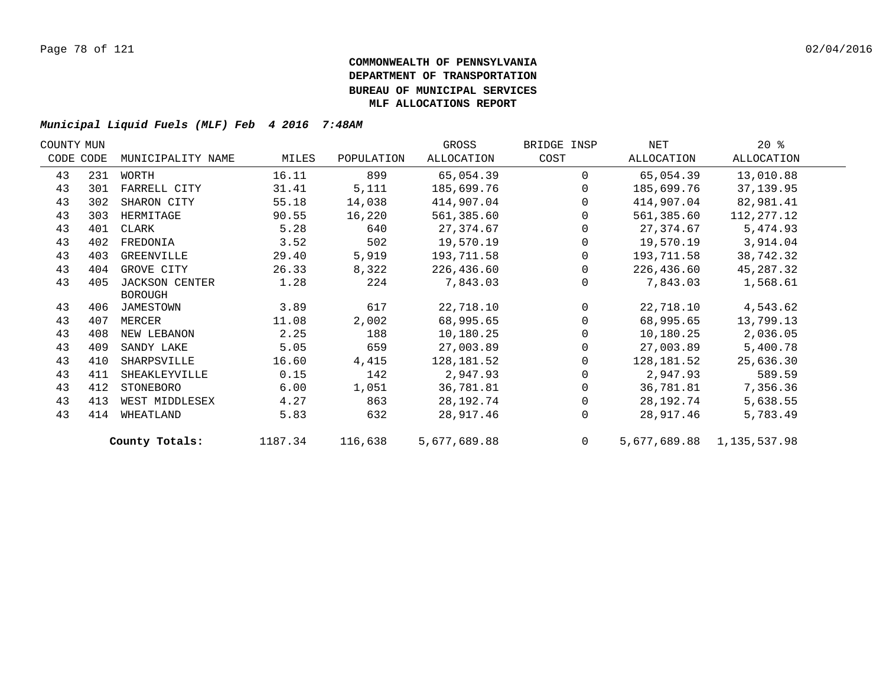| COUNTY MUN |           |                       |         |            | GROSS        | BRIDGE INSP | NET        | $20*$                     |  |
|------------|-----------|-----------------------|---------|------------|--------------|-------------|------------|---------------------------|--|
|            | CODE CODE | MUNICIPALITY NAME     | MILES   | POPULATION | ALLOCATION   | COST        | ALLOCATION | ALLOCATION                |  |
| 43         | 231       | WORTH                 | 16.11   | 899        | 65,054.39    | $\Omega$    | 65,054.39  | 13,010.88                 |  |
| 43         | 301       | FARRELL CITY          | 31.41   | 5,111      | 185,699.76   | $\Omega$    | 185,699.76 | 37, 139.95                |  |
| 43         | 302       | SHARON CITY           | 55.18   | 14,038     | 414,907.04   | $\Omega$    | 414,907.04 | 82,981.41                 |  |
| 43         | 303       | HERMITAGE             | 90.55   | 16,220     | 561,385.60   | $\Omega$    | 561,385.60 | 112, 277.12               |  |
| 43         | 401       | CLARK                 | 5.28    | 640        | 27,374.67    | $\Omega$    | 27,374.67  | 5,474.93                  |  |
| 43         | 402       | FREDONIA              | 3.52    | 502        | 19,570.19    | 0           | 19,570.19  | 3,914.04                  |  |
| 43         | 403       | GREENVILLE            | 29.40   | 5,919      | 193,711.58   | $\Omega$    | 193,711.58 | 38,742.32                 |  |
| 43         | 404       | GROVE CITY            | 26.33   | 8,322      | 226,436.60   | $\Omega$    | 226,436.60 | 45,287.32                 |  |
| 43         | 405       | <b>JACKSON CENTER</b> | 1.28    | 224        | 7,843.03     | $\Omega$    | 7,843.03   | 1,568.61                  |  |
|            |           | <b>BOROUGH</b>        |         |            |              |             |            |                           |  |
| 43         |           | 406 JAMESTOWN         | 3.89    | 617        | 22,718.10    | $\Omega$    | 22,718.10  | 4,543.62                  |  |
| 43         | 407       | MERCER                | 11.08   | 2,002      | 68,995.65    | $\Omega$    | 68,995.65  | 13,799.13                 |  |
| 43         | 408       | NEW LEBANON           | 2.25    | 188        | 10,180.25    |             | 10,180.25  | 2,036.05                  |  |
| 43         | 409       | SANDY LAKE            | 5.05    | 659        | 27,003.89    | $\Omega$    | 27,003.89  | 5,400.78                  |  |
| 43         | 410       | SHARPSVILLE           | 16.60   | 4,415      | 128,181.52   | $\Omega$    | 128,181.52 | 25,636.30                 |  |
| 43         | 411       | SHEAKLEYVILLE         | 0.15    | 142        | 2,947.93     | $\Omega$    | 2,947.93   | 589.59                    |  |
| 43         | 412       | STONEBORO             | 6.00    | 1,051      | 36,781.81    | $\Omega$    | 36,781.81  | 7,356.36                  |  |
| 43         | 413       | WEST MIDDLESEX        | 4.27    | 863        | 28, 192. 74  | $\Omega$    | 28,192.74  | 5,638.55                  |  |
| 43         | 414       | WHEATLAND             | 5.83    | 632        | 28,917.46    | $\Omega$    | 28,917.46  | 5,783.49                  |  |
|            |           | County Totals:        | 1187.34 | 116,638    | 5,677,689.88 | $\Omega$    |            | 5,677,689.88 1,135,537.98 |  |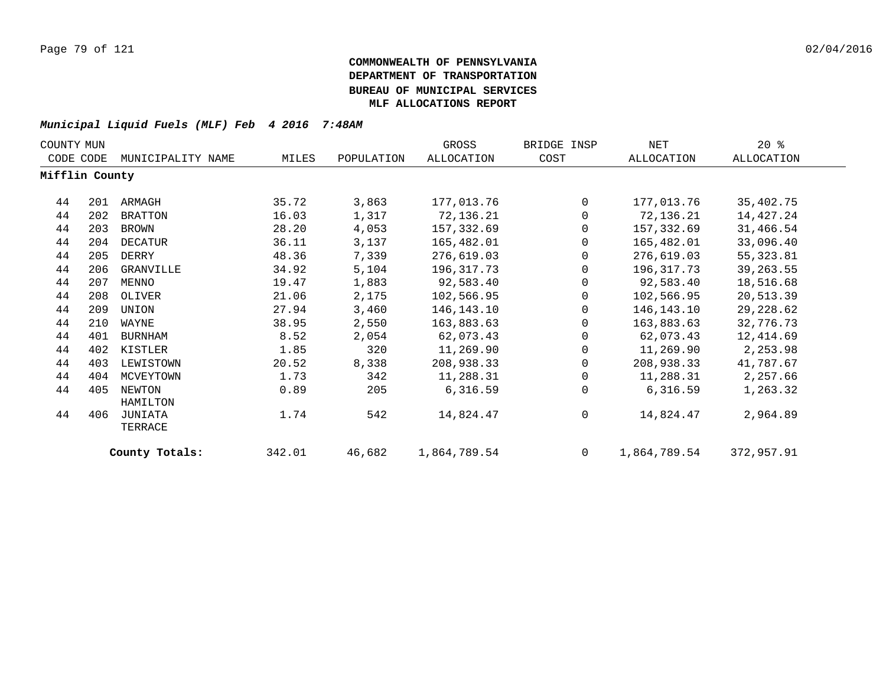|                | COUNTY MUN |                    |        |            | GROSS        | BRIDGE INSP | NET          | $20*$      |
|----------------|------------|--------------------|--------|------------|--------------|-------------|--------------|------------|
| CODE CODE      |            | MUNICIPALITY NAME  | MILES  | POPULATION | ALLOCATION   | COST        | ALLOCATION   | ALLOCATION |
| Mifflin County |            |                    |        |            |              |             |              |            |
| 44             | 201        | ARMAGH             | 35.72  | 3,863      | 177,013.76   | $\Omega$    | 177,013.76   | 35,402.75  |
| 44             | 202        | BRATTON            | 16.03  | 1,317      | 72,136.21    | $\Omega$    | 72,136.21    | 14,427.24  |
| 44             | 203        | BROWN              | 28.20  | 4,053      | 157,332.69   | $\Omega$    | 157,332.69   | 31,466.54  |
| 44             | 204        | DECATUR            | 36.11  | 3,137      | 165,482.01   | $\Omega$    | 165,482.01   | 33,096.40  |
| 44             | 205        | DERRY              | 48.36  | 7,339      | 276,619.03   | $\Omega$    | 276,619.03   | 55, 323.81 |
| 44             | 206        | GRANVILLE          | 34.92  | 5,104      | 196, 317.73  | $\Omega$    | 196,317.73   | 39, 263.55 |
| 44             | 207        | MENNO              | 19.47  | 1,883      | 92,583.40    | 0           | 92,583.40    | 18,516.68  |
| 44             | 208        | OLIVER             | 21.06  | 2,175      | 102,566.95   | $\mathbf 0$ | 102,566.95   | 20,513.39  |
| 44             | 209        | UNION              | 27.94  | 3,460      | 146,143.10   | $\mathbf 0$ | 146,143.10   | 29, 228.62 |
| 44             | 210        | WAYNE              | 38.95  | 2,550      | 163,883.63   | $\Omega$    | 163,883.63   | 32,776.73  |
| 44             | 401        | BURNHAM            | 8.52   | 2,054      | 62,073.43    | $\Omega$    | 62,073.43    | 12,414.69  |
| 44             | 402        | KISTLER            | 1.85   | 320        | 11,269.90    | $\Omega$    | 11,269.90    | 2,253.98   |
| 44             | 403        | LEWISTOWN          | 20.52  | 8,338      | 208,938.33   | $\Omega$    | 208,938.33   | 41,787.67  |
| 44             | 404        | MCVEYTOWN          | 1.73   | 342        | 11,288.31    | $\Omega$    | 11,288.31    | 2,257.66   |
| 44             | 405        | NEWTON<br>HAMILTON | 0.89   | 205        | 6,316.59     | $\Omega$    | 6,316.59     | 1,263.32   |
| 44             | 406        | JUNIATA<br>TERRACE | 1.74   | 542        | 14,824.47    | $\Omega$    | 14,824.47    | 2,964.89   |
|                |            | County Totals:     | 342.01 | 46,682     | 1,864,789.54 | $\Omega$    | 1,864,789.54 | 372,957.91 |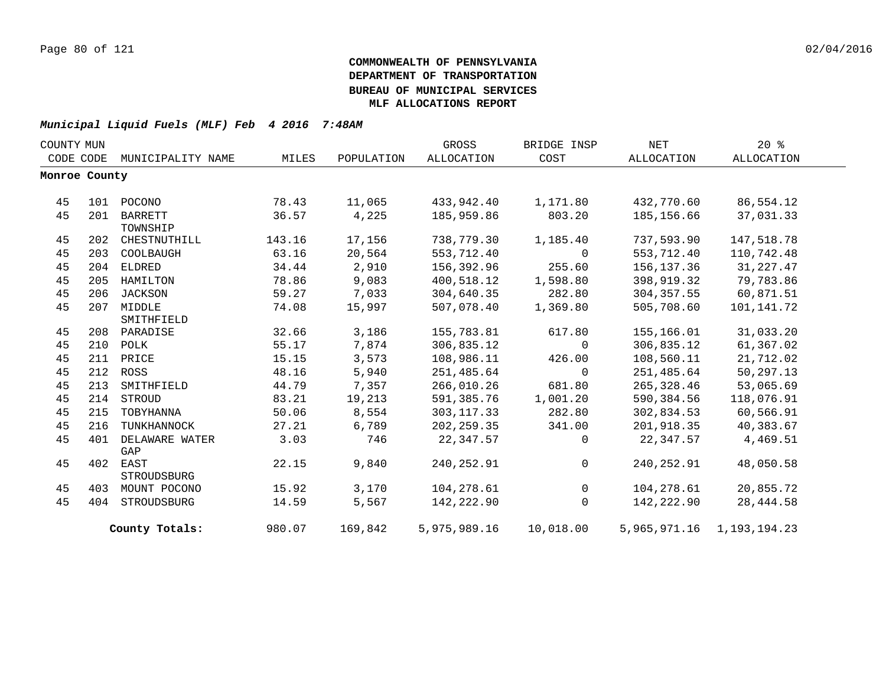|               | COUNTY MUN |                   |        |            | GROSS        | BRIDGE INSP  | NET         | $20*$                     |  |
|---------------|------------|-------------------|--------|------------|--------------|--------------|-------------|---------------------------|--|
| CODE CODE     |            | MUNICIPALITY NAME | MILES  | POPULATION | ALLOCATION   | COST         | ALLOCATION  | ALLOCATION                |  |
| Monroe County |            |                   |        |            |              |              |             |                           |  |
|               |            |                   |        |            |              |              |             |                           |  |
| 45            |            | 101 POCONO        | 78.43  | 11,065     | 433,942.40   | 1,171.80     | 432,770.60  | 86,554.12                 |  |
| 45            | 201        | <b>BARRETT</b>    | 36.57  | 4,225      | 185,959.86   | 803.20       | 185,156.66  | 37,031.33                 |  |
|               |            | TOWNSHIP          |        |            |              |              |             |                           |  |
| 45            | 202        | CHESTNUTHILL      | 143.16 | 17,156     | 738,779.30   | 1,185.40     | 737,593.90  | 147,518.78                |  |
| 45            | 203        | COOLBAUGH         | 63.16  | 20,564     | 553,712.40   | $\mathbf 0$  | 553,712.40  | 110,742.48                |  |
| 45            |            | 204 ELDRED        | 34.44  | 2,910      | 156,392.96   | 255.60       | 156,137.36  | 31, 227.47                |  |
| 45            | 205        | HAMILTON          | 78.86  | 9,083      | 400,518.12   | 1,598.80     | 398,919.32  | 79,783.86                 |  |
| 45            | 206        | JACKSON           | 59.27  | 7,033      | 304,640.35   | 282.80       | 304, 357.55 | 60,871.51                 |  |
| 45            | 207        | MIDDLE            | 74.08  | 15,997     | 507,078.40   | 1,369.80     | 505,708.60  | 101,141.72                |  |
|               |            | SMITHFIELD        |        |            |              |              |             |                           |  |
| 45            |            | 208 PARADISE      | 32.66  | 3,186      | 155,783.81   | 617.80       | 155,166.01  | 31,033.20                 |  |
| 45            |            | 210 POLK          | 55.17  | 7,874      | 306,835.12   | $\mathbf 0$  | 306,835.12  | 61,367.02                 |  |
| 45            |            | 211 PRICE         | 15.15  | 3,573      | 108,986.11   | 426.00       | 108,560.11  | 21,712.02                 |  |
| 45            |            | 212 ROSS          | 48.16  | 5,940      | 251,485.64   | $\mathbf 0$  | 251,485.64  | 50,297.13                 |  |
| 45            | 213        | SMITHFIELD        | 44.79  | 7,357      | 266,010.26   | 681.80       | 265, 328.46 | 53,065.69                 |  |
| 45            | 214        | STROUD            | 83.21  | 19,213     | 591,385.76   | 1,001.20     | 590,384.56  | 118,076.91                |  |
| 45            | 215        | TOBYHANNA         | 50.06  | 8,554      | 303, 117.33  | 282.80       | 302,834.53  | 60,566.91                 |  |
| 45            | 216        | TUNKHANNOCK       | 27.21  | 6,789      | 202, 259.35  | 341.00       | 201,918.35  | 40,383.67                 |  |
| 45            | 401        | DELAWARE WATER    | 3.03   | 746        | 22,347.57    | $\Omega$     | 22,347.57   | 4,469.51                  |  |
|               |            | GAP               |        |            |              |              |             |                           |  |
| 45            |            | 402 EAST          | 22.15  | 9,840      | 240, 252.91  | $\mathbf 0$  | 240, 252.91 | 48,050.58                 |  |
|               |            | STROUDSBURG       |        |            |              |              |             |                           |  |
| 45            | 403        | MOUNT POCONO      | 15.92  | 3,170      | 104,278.61   | $\mathsf{O}$ | 104,278.61  | 20,855.72                 |  |
| 45            | 404        | STROUDSBURG       | 14.59  | 5,567      | 142,222.90   | $\mathbf{0}$ | 142,222.90  | 28, 444.58                |  |
|               |            | County Totals:    | 980.07 | 169,842    | 5,975,989.16 | 10,018.00    |             | 5,965,971.16 1,193,194.23 |  |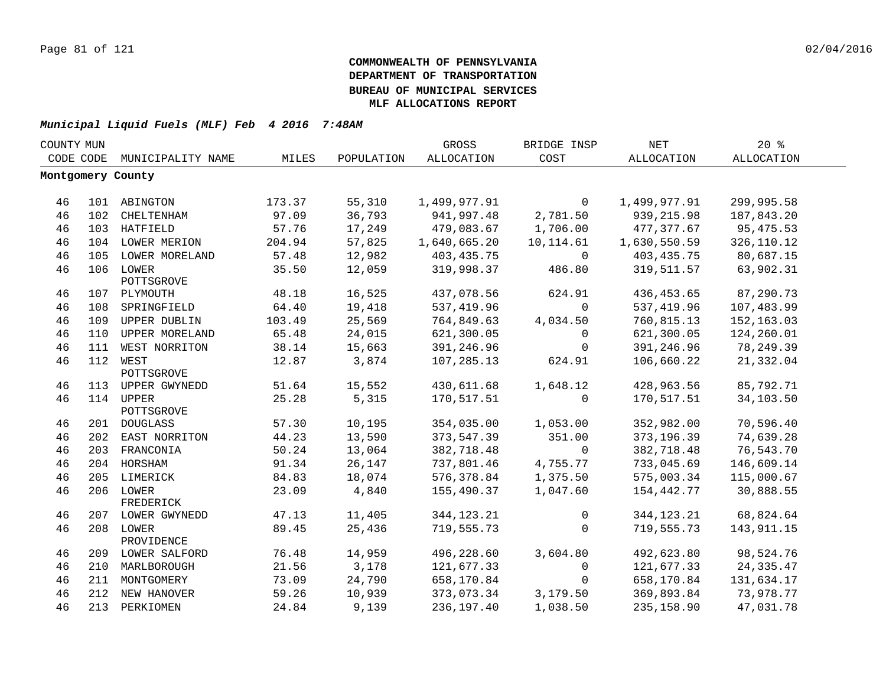| COUNTY MUN |            |                             |                |                  | GROSS                    | BRIDGE INSP          | <b>NET</b>               | 20%                     |  |
|------------|------------|-----------------------------|----------------|------------------|--------------------------|----------------------|--------------------------|-------------------------|--|
| CODE CODE  |            | MUNICIPALITY NAME           | MILES          | POPULATION       | ALLOCATION               | COST                 | <b>ALLOCATION</b>        | ALLOCATION              |  |
|            |            | Montgomery County           |                |                  |                          |                      |                          |                         |  |
|            |            |                             |                |                  |                          |                      |                          |                         |  |
| 46         |            | 101 ABINGTON                | 173.37         | 55,310           | 1,499,977.91             | $\mathbf 0$          | 1,499,977.91             | 299,995.58              |  |
| 46         |            | 102 CHELTENHAM              | 97.09          | 36,793           | 941,997.48               | 2,781.50             | 939, 215.98              | 187,843.20              |  |
| 46         |            | 103 HATFIELD                | 57.76          | 17,249           | 479,083.67               | 1,706.00             | 477,377.67               | 95, 475.53              |  |
| 46         |            | 104 LOWER MERION            | 204.94         | 57,825           | 1,640,665.20             | 10,114.61            | 1,630,550.59             | 326,110.12              |  |
| 46         |            | 105 LOWER MORELAND          | 57.48          | 12,982           | 403, 435.75              | $\mathbf 0$          | 403,435.75               | 80,687.15               |  |
| 46         |            | 106 LOWER                   | 35.50          | 12,059           | 319,998.37               | 486.80               | 319,511.57               | 63,902.31               |  |
|            |            | POTTSGROVE                  |                |                  |                          |                      |                          |                         |  |
| 46         |            | 107 PLYMOUTH                | 48.18<br>64.40 | 16,525           | 437,078.56<br>537,419.96 | 624.91               | 436, 453.65              | 87,290.73<br>107,483.99 |  |
| 46<br>46   | 108<br>109 | SPRINGFIELD<br>UPPER DUBLIN | 103.49         | 19,418<br>25,569 | 764,849.63               | $\Omega$<br>4,034.50 | 537,419.96<br>760,815.13 | 152, 163.03             |  |
| 46         | 110        | UPPER MORELAND              | 65.48          | 24,015           | 621,300.05               |                      | 621,300.05               | 124,260.01              |  |
| 46         |            | 111 WEST NORRITON           | 38.14          | 15,663           | 391,246.96               | 0<br>0               | 391,246.96               | 78,249.39               |  |
| 46         |            | 112 WEST                    | 12.87          | 3,874            | 107,285.13               | 624.91               | 106,660.22               | 21,332.04               |  |
|            |            | POTTSGROVE                  |                |                  |                          |                      |                          |                         |  |
| 46         |            | 113 UPPER GWYNEDD           | 51.64          | 15,552           | 430,611.68               | 1,648.12             | 428,963.56               | 85,792.71               |  |
| 46         |            | 114 UPPER                   | 25.28          | 5,315            | 170,517.51               | $\mathbf 0$          | 170,517.51               | 34,103.50               |  |
|            |            | POTTSGROVE                  |                |                  |                          |                      |                          |                         |  |
| 46         |            | 201 DOUGLASS                | 57.30          | 10,195           | 354,035.00               | 1,053.00             | 352,982.00               | 70,596.40               |  |
| 46         |            | 202 EAST NORRITON           | 44.23          | 13,590           | 373,547.39               | 351.00               | 373, 196.39              | 74,639.28               |  |
| 46         |            | 203 FRANCONIA               | 50.24          | 13,064           | 382,718.48               | $\mathbf 0$          | 382,718.48               | 76,543.70               |  |
| 46         |            | 204 HORSHAM                 | 91.34          | 26,147           | 737,801.46               | 4,755.77             | 733,045.69               | 146,609.14              |  |
| 46         |            | 205 LIMERICK                | 84.83          | 18,074           | 576,378.84               | 1,375.50             | 575,003.34               | 115,000.67              |  |
| 46         |            | 206 LOWER<br>FREDERICK      | 23.09          | 4,840            | 155,490.37               | 1,047.60             | 154,442.77               | 30,888.55               |  |
| 46         |            | 207 LOWER GWYNEDD           | 47.13          | 11,405           | 344, 123. 21             | 0                    | 344, 123. 21             | 68,824.64               |  |
| 46         |            | 208 LOWER<br>PROVIDENCE     | 89.45          | 25,436           | 719,555.73               | $\Omega$             | 719,555.73               | 143, 911. 15            |  |
| 46         |            | 209 LOWER SALFORD           | 76.48          | 14,959           | 496,228.60               | 3,604.80             | 492,623.80               | 98,524.76               |  |
| 46         |            | 210 MARLBOROUGH             | 21.56          | 3,178            | 121,677.33               | $\mathbf 0$          | 121,677.33               | 24, 335.47              |  |
| 46         | 211        | MONTGOMERY                  | 73.09          | 24,790           | 658,170.84               | $\mathbf 0$          | 658,170.84               | 131,634.17              |  |
| 46         |            | 212 NEW HANOVER             | 59.26          | 10,939           | 373,073.34               | 3,179.50             | 369,893.84               | 73,978.77               |  |
| 46         |            | 213 PERKIOMEN               | 24.84          | 9,139            | 236,197.40               | 1,038.50             | 235,158.90               | 47,031.78               |  |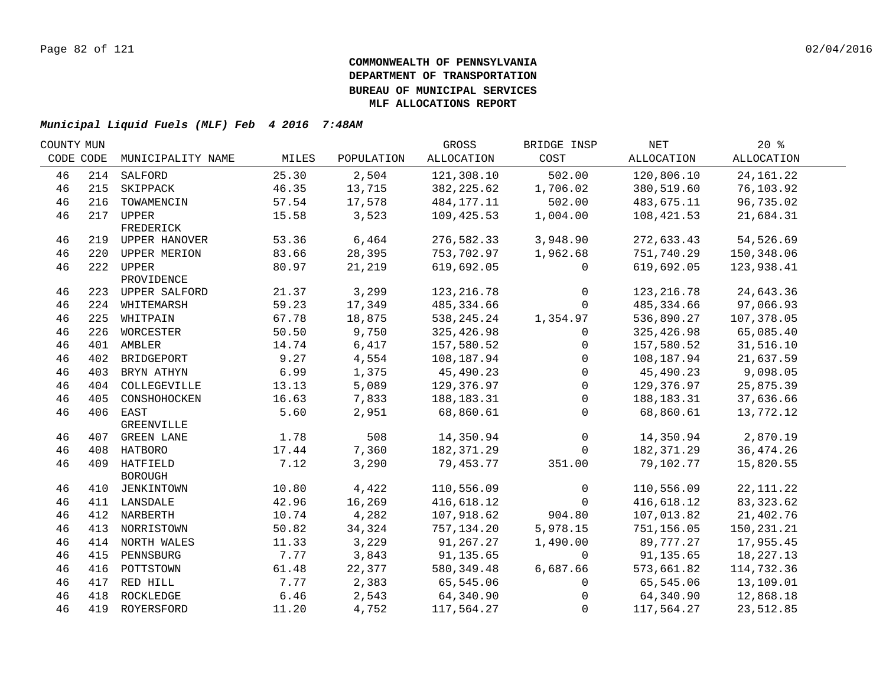| COUNTY MUN |     |                   |       |            | GROSS        | BRIDGE INSP  | NET         | $20*$        |  |
|------------|-----|-------------------|-------|------------|--------------|--------------|-------------|--------------|--|
| CODE CODE  |     | MUNICIPALITY NAME | MILES | POPULATION | ALLOCATION   | COST         | ALLOCATION  | ALLOCATION   |  |
| 46         |     | 214 SALFORD       | 25.30 | 2,504      | 121,308.10   | 502.00       | 120,806.10  | 24, 161. 22  |  |
| 46         | 215 | SKIPPACK          | 46.35 | 13,715     | 382, 225.62  | 1,706.02     | 380,519.60  | 76,103.92    |  |
| 46         | 216 | TOWAMENCIN        | 57.54 | 17,578     | 484,177.11   | 502.00       | 483,675.11  | 96,735.02    |  |
| 46         |     | 217 UPPER         | 15.58 | 3,523      | 109,425.53   | 1,004.00     | 108,421.53  | 21,684.31    |  |
|            |     | FREDERICK         |       |            |              |              |             |              |  |
| 46         |     | 219 UPPER HANOVER | 53.36 | 6,464      | 276,582.33   | 3,948.90     | 272,633.43  | 54,526.69    |  |
| 46         |     | 220 UPPER MERION  | 83.66 | 28,395     | 753,702.97   | 1,962.68     | 751,740.29  | 150,348.06   |  |
| 46         |     | 222 UPPER         | 80.97 | 21,219     | 619,692.05   | $\mathbf{0}$ | 619,692.05  | 123,938.41   |  |
|            |     | PROVIDENCE        |       |            |              |              |             |              |  |
| 46         |     | 223 UPPER SALFORD | 21.37 | 3,299      | 123, 216.78  | $\mathbf{0}$ | 123, 216.78 | 24,643.36    |  |
| 46         |     | 224 WHITEMARSH    | 59.23 | 17,349     | 485, 334.66  | $\Omega$     | 485,334.66  | 97,066.93    |  |
| 46         |     | 225 WHITPAIN      | 67.78 | 18,875     | 538,245.24   | 1,354.97     | 536,890.27  | 107,378.05   |  |
| 46         |     | 226 WORCESTER     | 50.50 | 9,750      | 325,426.98   | 0            | 325, 426.98 | 65,085.40    |  |
| 46         | 401 | AMBLER            | 14.74 | 6,417      | 157,580.52   | 0            | 157,580.52  | 31,516.10    |  |
| 46         | 402 | BRIDGEPORT        | 9.27  | 4,554      | 108,187.94   | $\Omega$     | 108,187.94  | 21,637.59    |  |
| 46         | 403 | BRYN ATHYN        | 6.99  | 1,375      | 45,490.23    | $\Omega$     | 45,490.23   | 9,098.05     |  |
| 46         | 404 | COLLEGEVILLE      | 13.13 | 5,089      | 129,376.97   | $\mathbf{0}$ | 129,376.97  | 25,875.39    |  |
| 46         | 405 | CONSHOHOCKEN      | 16.63 | 7,833      | 188, 183. 31 | $\mathbf 0$  | 188,183.31  | 37,636.66    |  |
| 46         |     | 406 EAST          | 5.60  | 2,951      | 68,860.61    | $\Omega$     | 68,860.61   | 13,772.12    |  |
|            |     | GREENVILLE        |       |            |              |              |             |              |  |
| 46         |     | 407 GREEN LANE    | 1.78  | 508        | 14,350.94    | $\mathsf{O}$ | 14,350.94   | 2,870.19     |  |
| 46         |     | 408 HATBORO       | 17.44 | 7,360      | 182, 371.29  | $\Omega$     | 182, 371.29 | 36, 474.26   |  |
| 46         |     | 409 HATFIELD      | 7.12  | 3,290      | 79,453.77    | 351.00       | 79,102.77   | 15,820.55    |  |
|            |     | <b>BOROUGH</b>    |       |            |              |              |             |              |  |
| 46         |     | 410 JENKINTOWN    | 10.80 | 4,422      | 110,556.09   | $\mathbf 0$  | 110,556.09  | 22, 111.22   |  |
| 46         |     | 411 LANSDALE      | 42.96 | 16,269     | 416,618.12   | $\Omega$     | 416,618.12  | 83, 323.62   |  |
| 46         |     | 412 NARBERTH      | 10.74 | 4,282      | 107,918.62   | 904.80       | 107,013.82  | 21,402.76    |  |
| 46         |     | 413 NORRISTOWN    | 50.82 | 34,324     | 757,134.20   | 5,978.15     | 751,156.05  | 150, 231. 21 |  |
| 46         |     | 414 NORTH WALES   | 11.33 | 3,229      | 91,267.27    | 1,490.00     | 89,777.27   | 17,955.45    |  |
| 46         | 415 | PENNSBURG         | 7.77  | 3,843      | 91,135.65    | $\Omega$     | 91,135.65   | 18, 227. 13  |  |
| 46         | 416 | POTTSTOWN         | 61.48 | 22,377     | 580, 349.48  | 6,687.66     | 573,661.82  | 114,732.36   |  |
| 46         | 417 | RED HILL          | 7.77  | 2,383      | 65,545.06    | $\mathbf{0}$ | 65,545.06   | 13,109.01    |  |
| 46         | 418 | ROCKLEDGE         | 6.46  | 2,543      | 64,340.90    | $\mathbf{0}$ | 64,340.90   | 12,868.18    |  |
| 46         |     | 419 ROYERSFORD    | 11.20 | 4,752      | 117,564.27   | $\mathbf 0$  | 117,564.27  | 23,512.85    |  |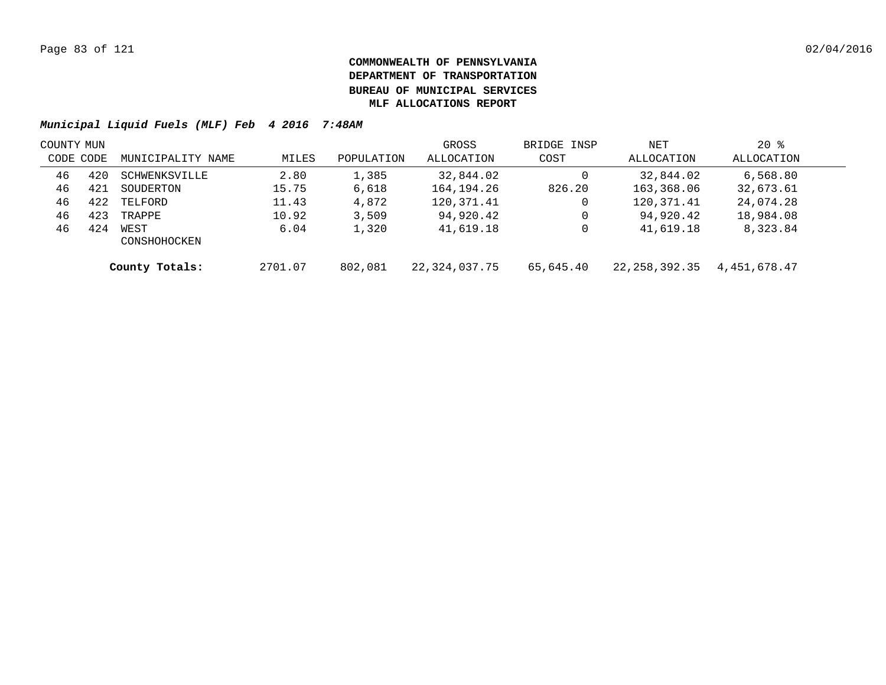| COUNTY MUN |     |                      |         |            | GROSS         | BRIDGE INSP | NET           | $20*$        |  |
|------------|-----|----------------------|---------|------------|---------------|-------------|---------------|--------------|--|
| CODE CODE  |     | MUNICIPALITY NAME    | MILES   | POPULATION | ALLOCATION    | COST        | ALLOCATION    | ALLOCATION   |  |
| 46         | 420 | SCHWENKSVILLE        | 2.80    | 1,385      | 32,844.02     |             | 32,844.02     | 6,568.80     |  |
| 46         | 421 | SOUDERTON            | 15.75   | 6,618      | 164,194.26    | 826.20      | 163,368.06    | 32,673.61    |  |
| 46         | 422 | TELFORD              | 11.43   | 4,872      | 120,371.41    | 0           | 120,371.41    | 24,074.28    |  |
| 46         | 423 | TRAPPE               | 10.92   | 3,509      | 94,920.42     |             | 94,920.42     | 18,984.08    |  |
| 46         | 424 | WEST<br>CONSHOHOCKEN | 6.04    | 1,320      | 41,619.18     |             | 41,619.18     | 8,323.84     |  |
|            |     | County Totals:       | 2701.07 | 802,081    | 22,324,037.75 | 65,645.40   | 22,258,392.35 | 4,451,678.47 |  |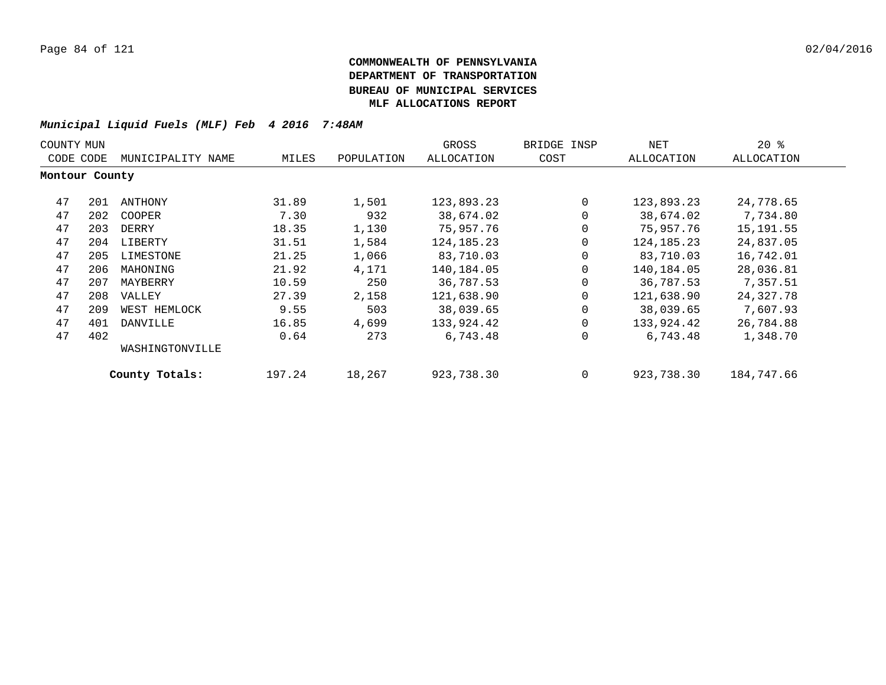| COUNTY MUN     |     |                   |        |            | GROSS        | BRIDGE INSP | NET        | $20*$      |
|----------------|-----|-------------------|--------|------------|--------------|-------------|------------|------------|
| CODE CODE      |     | MUNICIPALITY NAME | MILES  | POPULATION | ALLOCATION   | COST        | ALLOCATION | ALLOCATION |
| Montour County |     |                   |        |            |              |             |            |            |
| 47             | 201 | ANTHONY           | 31.89  | 1,501      | 123,893.23   | $\Omega$    | 123,893.23 | 24,778.65  |
| 47             | 202 | COOPER            | 7.30   | 932        | 38,674.02    | 0           | 38,674.02  | 7,734.80   |
| 47             | 203 | DERRY             | 18.35  | 1,130      | 75,957.76    | 0           | 75,957.76  | 15, 191.55 |
| 47             | 204 | LIBERTY           | 31.51  | 1,584      | 124, 185. 23 | 0           | 124,185.23 | 24,837.05  |
| 47             | 205 | LIMESTONE         | 21.25  | 1,066      | 83,710.03    | 0           | 83,710.03  | 16,742.01  |
| 47             | 206 | MAHONING          | 21.92  | 4,171      | 140,184.05   | 0           | 140,184.05 | 28,036.81  |
| 47             | 207 | MAYBERRY          | 10.59  | 250        | 36,787.53    | 0           | 36,787.53  | 7,357.51   |
| 47             | 208 | VALLEY            | 27.39  | 2,158      | 121,638.90   | 0           | 121,638.90 | 24,327.78  |
| 47             | 209 | WEST HEMLOCK      | 9.55   | 503        | 38,039.65    | 0           | 38,039.65  | 7,607.93   |
| 47             | 401 | DANVILLE          | 16.85  | 4,699      | 133,924.42   | 0           | 133,924.42 | 26,784.88  |
| 47             | 402 |                   | 0.64   | 273        | 6,743.48     | $\mathbf 0$ | 6,743.48   | 1,348.70   |
|                |     | WASHINGTONVILLE   |        |            |              |             |            |            |
|                |     | County Totals:    | 197.24 | 18,267     | 923,738.30   | 0           | 923,738.30 | 184,747.66 |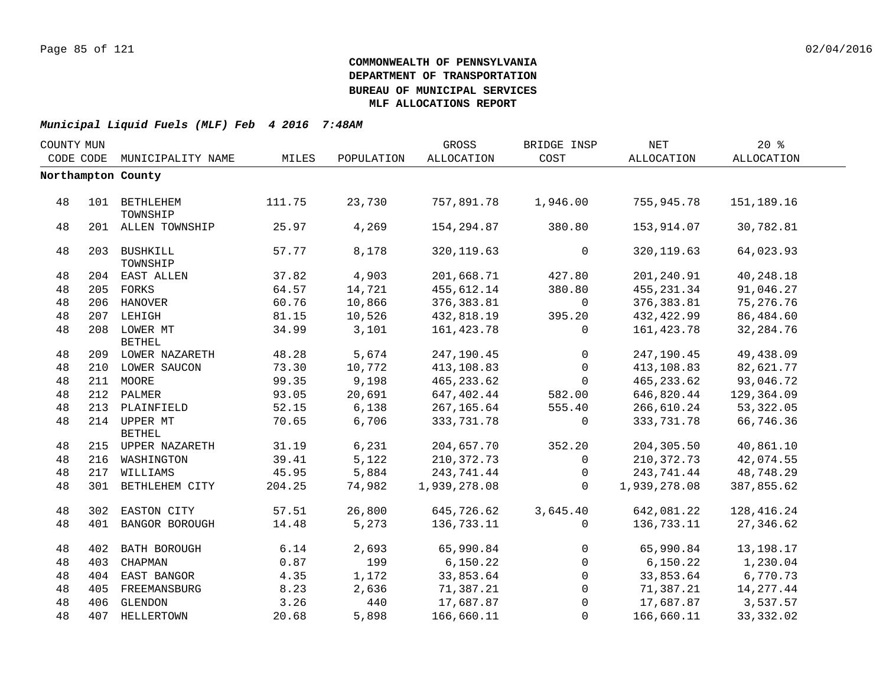| COUNTY MUN |     |                           |        |            | GROSS        | BRIDGE INSP  | $\operatorname{NET}$ | $20*$             |  |
|------------|-----|---------------------------|--------|------------|--------------|--------------|----------------------|-------------------|--|
| CODE CODE  |     | MUNICIPALITY NAME         | MILES  | POPULATION | ALLOCATION   | COST         | <b>ALLOCATION</b>    | <b>ALLOCATION</b> |  |
|            |     | Northampton County        |        |            |              |              |                      |                   |  |
|            |     |                           |        |            |              |              |                      |                   |  |
| 48         |     | 101 BETHLEHEM<br>TOWNSHIP | 111.75 | 23,730     | 757,891.78   | 1,946.00     | 755,945.78           | 151,189.16        |  |
| 48         |     | 201 ALLEN TOWNSHIP        | 25.97  | 4,269      | 154,294.87   | 380.80       | 153,914.07           | 30,782.81         |  |
| 48         |     | 203 BUSHKILL<br>TOWNSHIP  | 57.77  | 8,178      | 320, 119.63  | $\mathbf{0}$ | 320, 119.63          | 64,023.93         |  |
| 48         |     | 204 EAST ALLEN            | 37.82  | 4,903      | 201,668.71   | 427.80       | 201,240.91           | 40,248.18         |  |
| 48         |     | 205 FORKS                 | 64.57  | 14,721     | 455,612.14   | 380.80       | 455, 231.34          | 91,046.27         |  |
| 48         |     | 206 HANOVER               | 60.76  | 10,866     | 376,383.81   | $\mathbf 0$  | 376, 383.81          | 75, 276.76        |  |
| 48         |     | 207 LEHIGH                | 81.15  | 10,526     | 432,818.19   | 395.20       | 432,422.99           | 86,484.60         |  |
| 48         |     | 208 LOWER MT              | 34.99  | 3,101      | 161,423.78   | 0            | 161,423.78           | 32, 284. 76       |  |
|            |     | <b>BETHEL</b>             |        |            |              |              |                      |                   |  |
| 48         |     | 209 LOWER NAZARETH        | 48.28  | 5,674      | 247,190.45   | $\mathbf 0$  | 247,190.45           | 49,438.09         |  |
| 48         |     | 210 LOWER SAUCON          | 73.30  | 10,772     | 413,108.83   | $\mathbf{0}$ | 413,108.83           | 82,621.77         |  |
| 48         |     | 211 MOORE                 | 99.35  | 9,198      | 465, 233.62  | $\mathbf 0$  | 465, 233.62          | 93,046.72         |  |
| 48         |     | 212 PALMER                | 93.05  | 20,691     | 647,402.44   | 582.00       | 646,820.44           | 129,364.09        |  |
| 48         |     | 213 PLAINFIELD            | 52.15  | 6,138      | 267,165.64   | 555.40       | 266,610.24           | 53, 322.05        |  |
| 48         |     | 214 UPPER MT              | 70.65  | 6,706      | 333,731.78   | $\mathbf 0$  | 333, 731. 78         | 66,746.36         |  |
|            |     | <b>BETHEL</b>             |        |            |              |              |                      |                   |  |
| 48         |     | 215 UPPER NAZARETH        | 31.19  | 6,231      | 204,657.70   | 352.20       | 204,305.50           | 40,861.10         |  |
| 48         |     | 216 WASHINGTON            | 39.41  | 5,122      | 210, 372. 73 | $\mathbf{0}$ | 210, 372.73          | 42,074.55         |  |
| 48         |     | 217 WILLIAMS              | 45.95  | 5,884      | 243,741.44   | 0            | 243,741.44           | 48,748.29         |  |
| 48         |     | 301 BETHLEHEM CITY        | 204.25 | 74,982     | 1,939,278.08 | $\Omega$     | 1,939,278.08         | 387,855.62        |  |
| 48         |     | 302 EASTON CITY           | 57.51  | 26,800     | 645,726.62   | 3,645.40     | 642,081.22           | 128,416.24        |  |
| 48         | 401 | BANGOR BOROUGH            | 14.48  | 5,273      | 136,733.11   | $\mathbf 0$  | 136,733.11           | 27,346.62         |  |
| 48         |     | 402 BATH BOROUGH          | 6.14   | 2,693      | 65,990.84    | $\mathbf{0}$ | 65,990.84            | 13,198.17         |  |
| 48         | 403 | CHAPMAN                   | 0.87   | 199        | 6, 150.22    | 0            | 6,150.22             | 1,230.04          |  |
| 48         |     | 404 EAST BANGOR           | 4.35   | 1,172      | 33,853.64    | 0            | 33,853.64            | 6,770.73          |  |
| 48         |     | 405 FREEMANSBURG          | 8.23   | 2,636      | 71,387.21    | $\mathbf 0$  | 71,387.21            | 14, 277.44        |  |
| 48         | 406 | GLENDON                   | 3.26   | 440        | 17,687.87    | 0            | 17,687.87            | 3,537.57          |  |
| 48         |     | 407 HELLERTOWN            | 20.68  | 5,898      | 166,660.11   | $\Omega$     | 166,660.11           | 33, 332.02        |  |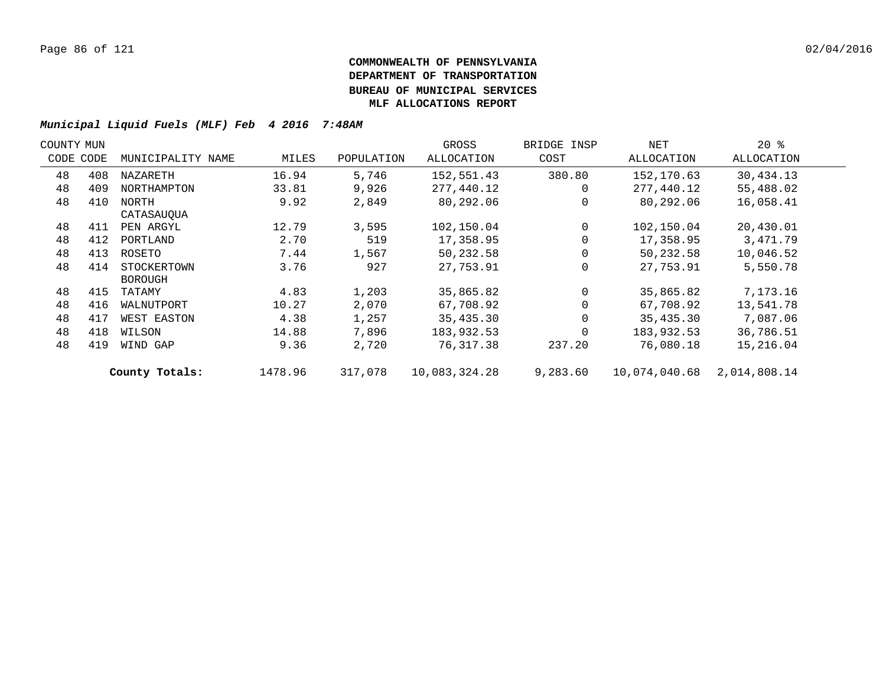| COUNTY MUN |     |                   |         |            | GROSS         | BRIDGE INSP | NET           | $20*$        |  |
|------------|-----|-------------------|---------|------------|---------------|-------------|---------------|--------------|--|
| CODE CODE  |     | MUNICIPALITY NAME | MILES   | POPULATION | ALLOCATION    | COST        | ALLOCATION    | ALLOCATION   |  |
| 48         | 408 | NAZARETH          | 16.94   | 5,746      | 152,551.43    | 380.80      | 152,170.63    | 30,434.13    |  |
| 48         | 409 | NORTHAMPTON       | 33.81   | 9,926      | 277,440.12    | $\Omega$    | 277,440.12    | 55,488.02    |  |
| 48         | 410 | NORTH             | 9.92    | 2,849      | 80,292.06     | 0           | 80,292.06     | 16,058.41    |  |
|            |     | CATASAUQUA        |         |            |               |             |               |              |  |
| 48         | 411 | PEN ARGYL         | 12.79   | 3,595      | 102,150.04    | $\Omega$    | 102,150.04    | 20,430.01    |  |
| 48         | 412 | PORTLAND          | 2.70    | 519        | 17,358.95     | $\Omega$    | 17,358.95     | 3,471.79     |  |
| 48         | 413 | ROSETO            | 7.44    | 1,567      | 50,232.58     |             | 50,232.58     | 10,046.52    |  |
| 48         | 414 | STOCKERTOWN       | 3.76    | 927        | 27,753.91     | 0           | 27,753.91     | 5,550.78     |  |
|            |     | <b>BOROUGH</b>    |         |            |               |             |               |              |  |
| 48         | 415 | TATAMY            | 4.83    | 1,203      | 35,865.82     | $\Omega$    | 35,865.82     | 7,173.16     |  |
| 48         | 416 | WALNUTPORT        | 10.27   | 2,070      | 67,708.92     |             | 67,708.92     | 13,541.78    |  |
| 48         | 417 | WEST EASTON       | 4.38    | 1,257      | 35,435.30     |             | 35,435.30     | 7,087.06     |  |
| 48         | 418 | WILSON            | 14.88   | 7,896      | 183,932.53    | 0           | 183,932.53    | 36,786.51    |  |
| 48         | 419 | WIND GAP          | 9.36    | 2,720      | 76,317.38     | 237.20      | 76,080.18     | 15,216.04    |  |
|            |     | County Totals:    | 1478.96 | 317,078    | 10,083,324.28 | 9,283.60    | 10,074,040.68 | 2,014,808.14 |  |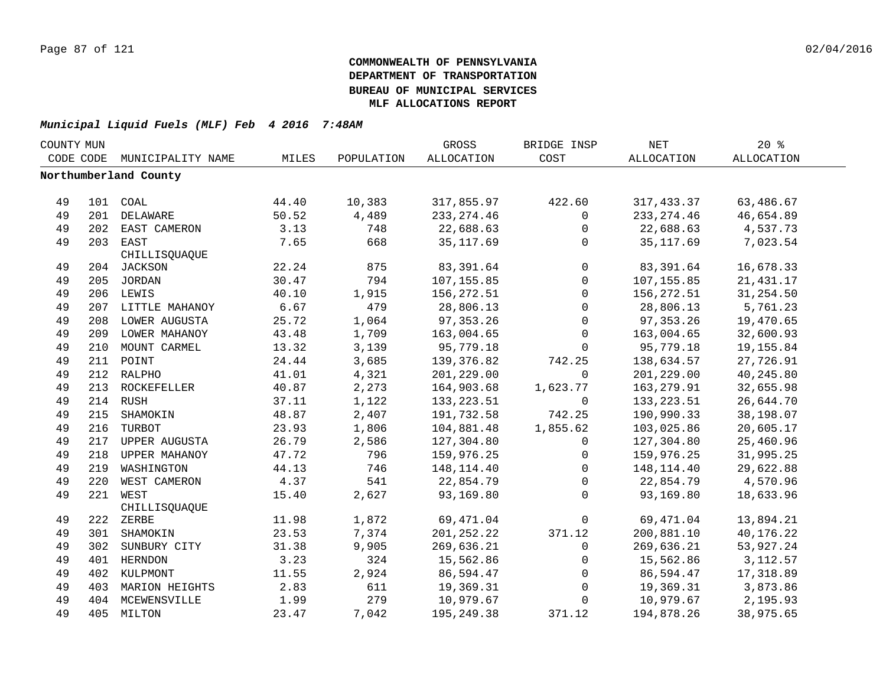| COUNTY MUN |     |                       |       |            | GROSS             | BRIDGE INSP         | NET         | $20*$             |  |
|------------|-----|-----------------------|-------|------------|-------------------|---------------------|-------------|-------------------|--|
| CODE CODE  |     | MUNICIPALITY NAME     | MILES | POPULATION | <b>ALLOCATION</b> | COST                | ALLOCATION  | <b>ALLOCATION</b> |  |
|            |     | Northumberland County |       |            |                   |                     |             |                   |  |
|            |     |                       |       |            |                   |                     |             |                   |  |
| 49         |     | 101 COAL              | 44.40 | 10,383     | 317,855.97        | 422.60              | 317,433.37  | 63,486.67         |  |
| 49         |     | 201 DELAWARE          | 50.52 | 4,489      | 233, 274.46       | $\mathbf 0$         | 233, 274.46 | 46,654.89         |  |
| 49         |     | 202 EAST CAMERON      | 3.13  | 748        | 22,688.63         | 0                   | 22,688.63   | 4,537.73          |  |
| 49         |     | 203 EAST              | 7.65  | 668        | 35, 117.69        | $\mathbf 0$         | 35, 117.69  | 7,023.54          |  |
|            |     | CHILLISQUAQUE         |       |            |                   |                     |             |                   |  |
| 49         |     | 204 JACKSON           | 22.24 | 875        | 83,391.64         | $\mathbf 0$         | 83,391.64   | 16,678.33         |  |
| 49         |     | 205 JORDAN            | 30.47 | 794        | 107,155.85        | $\mathsf{O}\xspace$ | 107,155.85  | 21, 431.17        |  |
| 49         |     | 206 LEWIS             | 40.10 | 1,915      | 156, 272.51       | $\mathsf{O}$        | 156, 272.51 | 31,254.50         |  |
| 49         | 207 | LITTLE MAHANOY        | 6.67  | 479        | 28,806.13         | $\mathbf 0$         | 28,806.13   | 5,761.23          |  |
| 49         | 208 | LOWER AUGUSTA         | 25.72 | 1,064      | 97, 353. 26       | $\mathbf 0$         | 97,353.26   | 19,470.65         |  |
| 49         | 209 | LOWER MAHANOY         | 43.48 | 1,709      | 163,004.65        | $\mathbf 0$         | 163,004.65  | 32,600.93         |  |
| 49         | 210 | MOUNT CARMEL          | 13.32 | 3,139      | 95,779.18         | $\Omega$            | 95,779.18   | 19,155.84         |  |
| 49         |     | 211 POINT             | 24.44 | 3,685      | 139,376.82        | 742.25              | 138,634.57  | 27,726.91         |  |
| 49         |     | 212 RALPHO            | 41.01 | 4,321      | 201,229.00        | $\mathbf 0$         | 201,229.00  | 40,245.80         |  |
| 49         |     | 213 ROCKEFELLER       | 40.87 | 2,273      | 164,903.68        | 1,623.77            | 163,279.91  | 32,655.98         |  |
| 49         |     | 214 RUSH              | 37.11 | 1,122      | 133, 223.51       | $\mathbf 0$         | 133, 223.51 | 26,644.70         |  |
| 49         |     | 215 SHAMOKIN          | 48.87 | 2,407      | 191,732.58        | 742.25              | 190,990.33  | 38,198.07         |  |
| 49         |     | 216 TURBOT            | 23.93 | 1,806      | 104,881.48        | 1,855.62            | 103,025.86  | 20,605.17         |  |
| 49         |     | 217 UPPER AUGUSTA     | 26.79 | 2,586      | 127,304.80        | 0                   | 127,304.80  | 25,460.96         |  |
| 49         |     | 218 UPPER MAHANOY     | 47.72 | 796        | 159,976.25        | 0                   | 159,976.25  | 31,995.25         |  |
| 49         | 219 | WASHINGTON            | 44.13 | 746        | 148,114.40        | $\mathbf 0$         | 148,114.40  | 29,622.88         |  |
| 49         | 220 | WEST CAMERON          | 4.37  | 541        | 22,854.79         | $\Omega$            | 22,854.79   | 4,570.96          |  |
| 49         |     | 221 WEST              | 15.40 | 2,627      | 93,169.80         | $\Omega$            | 93,169.80   | 18,633.96         |  |
|            |     | CHILLISQUAQUE         |       |            |                   |                     |             |                   |  |
| 49         |     | 222 ZERBE             | 11.98 | 1,872      | 69,471.04         | $\Omega$            | 69,471.04   | 13,894.21         |  |
| 49         |     | 301 SHAMOKIN          | 23.53 | 7,374      | 201,252.22        | 371.12              | 200,881.10  | 40,176.22         |  |
| 49         |     | 302 SUNBURY CITY      | 31.38 | 9,905      | 269,636.21        | $\mathbf 0$         | 269,636.21  | 53, 927. 24       |  |
| 49         |     | 401 HERNDON           | 3.23  | 324        | 15,562.86         | $\mathbf 0$         | 15,562.86   | 3, 112.57         |  |
| 49         |     | 402 KULPMONT          | 11.55 | 2,924      | 86,594.47         | $\mathbf 0$         | 86,594.47   | 17,318.89         |  |
| 49         | 403 | MARION HEIGHTS        | 2.83  | 611        | 19,369.31         | $\mathbf 0$         | 19,369.31   | 3,873.86          |  |
| 49         |     | 404 MCEWENSVILLE      | 1.99  | 279        | 10,979.67         | $\Omega$            | 10,979.67   | 2,195.93          |  |
| 49         |     | 405 MILTON            | 23.47 | 7,042      | 195,249.38        | 371.12              | 194,878.26  | 38,975.65         |  |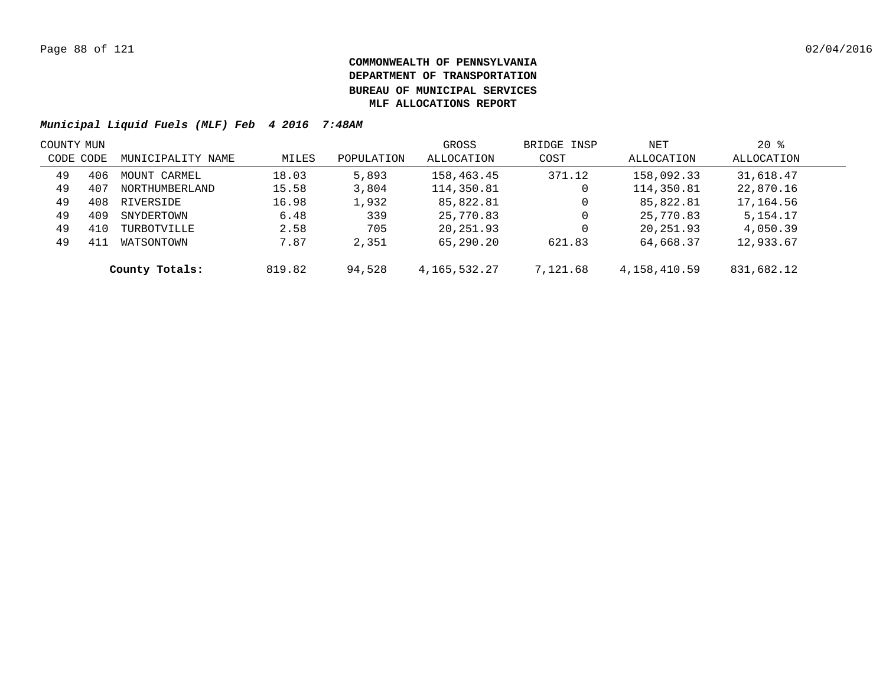| COUNTY MUN |     |                   |        |            | GROSS        | BRIDGE INSP | NET          | $20*$      |  |
|------------|-----|-------------------|--------|------------|--------------|-------------|--------------|------------|--|
| CODE CODE  |     | MUNICIPALITY NAME | MILES  | POPULATION | ALLOCATION   | COST        | ALLOCATION   | ALLOCATION |  |
| 49         | 406 | MOUNT CARMEL      | 18.03  | 5,893      | 158,463.45   | 371.12      | 158,092.33   | 31,618.47  |  |
| 49         | 407 | NORTHUMBERLAND    | 15.58  | 3,804      | 114,350.81   | 0           | 114,350.81   | 22,870.16  |  |
| 49         | 408 | RIVERSIDE         | 16.98  | 1,932      | 85,822.81    | 0           | 85,822.81    | 17,164.56  |  |
| 49         | 409 | SNYDERTOWN        | 6.48   | 339        | 25,770.83    | 0           | 25,770.83    | 5, 154. 17 |  |
| 49         | 410 | TURBOTVILLE       | 2.58   | 705        | 20,251.93    |             | 20,251.93    | 4,050.39   |  |
| 49         | 411 | WATSONTOWN        | 7.87   | 2,351      | 65,290.20    | 621.83      | 64,668.37    | 12,933.67  |  |
|            |     | County Totals:    | 819.82 | 94,528     | 4,165,532.27 | 7,121.68    | 4,158,410.59 | 831,682.12 |  |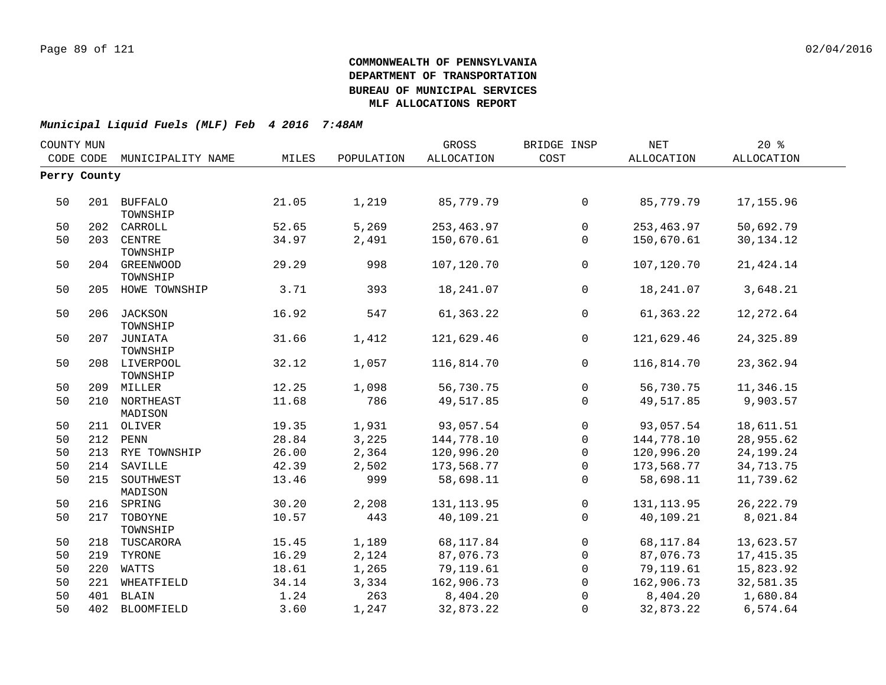| COUNTY MUN |              |                           |       |            | GROSS       | BRIDGE INSP    | <b>NET</b>  | 20%               |
|------------|--------------|---------------------------|-------|------------|-------------|----------------|-------------|-------------------|
|            | CODE CODE    | MUNICIPALITY NAME         | MILES | POPULATION | ALLOCATION  | COST           | ALLOCATION  | <b>ALLOCATION</b> |
|            | Perry County |                           |       |            |             |                |             |                   |
|            |              |                           |       |            |             |                |             |                   |
| 50         |              | 201 BUFFALO<br>TOWNSHIP   | 21.05 | 1,219      | 85,779.79   | $\overline{0}$ | 85,779.79   | 17,155.96         |
| 50         | 202          | CARROLL                   | 52.65 | 5,269      | 253,463.97  | $\mathbf{0}$   | 253,463.97  | 50,692.79         |
| 50         | 203          | CENTRE<br>TOWNSHIP        | 34.97 | 2,491      | 150,670.61  | $\mathsf{O}$   | 150,670.61  | 30, 134. 12       |
| 50         |              | 204 GREENWOOD<br>TOWNSHIP | 29.29 | 998        | 107,120.70  | $\mathbf 0$    | 107,120.70  | 21, 424.14        |
| 50         |              | 205 HOWE TOWNSHIP         | 3.71  | 393        | 18,241.07   | $\mathsf{O}$   | 18, 241.07  | 3,648.21          |
| 50         |              | 206 JACKSON<br>TOWNSHIP   | 16.92 | 547        | 61, 363. 22 | $\mathbf{0}$   | 61,363.22   | 12,272.64         |
| 50         |              | 207 JUNIATA<br>TOWNSHIP   | 31.66 | 1,412      | 121,629.46  | $\mathbf 0$    | 121,629.46  | 24, 325.89        |
| 50         |              | 208 LIVERPOOL<br>TOWNSHIP | 32.12 | 1,057      | 116,814.70  | $\mathbf 0$    | 116,814.70  | 23, 362.94        |
| 50         |              | 209 MILLER                | 12.25 | 1,098      | 56,730.75   | $\overline{0}$ | 56,730.75   | 11,346.15         |
| 50         |              | 210 NORTHEAST<br>MADISON  | 11.68 | 786        | 49,517.85   | $\mathbf 0$    | 49,517.85   | 9,903.57          |
| 50         |              | 211 OLIVER                | 19.35 | 1,931      | 93,057.54   | $\mathbf 0$    | 93,057.54   | 18,611.51         |
| 50         |              | 212 PENN                  | 28.84 | 3,225      | 144,778.10  | $\mathsf{O}$   | 144,778.10  | 28,955.62         |
| 50         |              | 213 RYE TOWNSHIP          | 26.00 | 2,364      | 120,996.20  | $\mathbf 0$    | 120,996.20  | 24, 199. 24       |
| 50         | 214          | SAVILLE                   | 42.39 | 2,502      | 173,568.77  | $\mathbf 0$    | 173,568.77  | 34,713.75         |
| 50         | 215          | SOUTHWEST<br>MADISON      | 13.46 | 999        | 58,698.11   | $\Omega$       | 58,698.11   | 11,739.62         |
| 50         |              | 216 SPRING                | 30.20 | 2,208      | 131, 113.95 | $\mathsf{O}$   | 131, 113.95 | 26, 222.79        |
| 50         | 217          | TOBOYNE<br>TOWNSHIP       | 10.57 | 443        | 40,109.21   | $\Omega$       | 40,109.21   | 8,021.84          |
| 50         | 218          | TUSCARORA                 | 15.45 | 1,189      | 68,117.84   | $\mathbf{0}$   | 68,117.84   | 13,623.57         |
| 50         | 219          | TYRONE                    | 16.29 | 2,124      | 87,076.73   | $\mathsf{O}$   | 87,076.73   | 17, 415.35        |
| 50         | 220          | WATTS                     | 18.61 | 1,265      | 79,119.61   | $\overline{0}$ | 79,119.61   | 15,823.92         |
| 50         | 221          | WHEATFIELD                | 34.14 | 3,334      | 162,906.73  | $\Omega$       | 162,906.73  | 32,581.35         |
| 50         | 401          | BLAIN                     | 1.24  | 263        | 8,404.20    | $\Omega$       | 8,404.20    | 1,680.84          |
| 50         |              | 402 BLOOMFIELD            | 3.60  | 1,247      | 32,873.22   | $\Omega$       | 32,873.22   | 6,574.64          |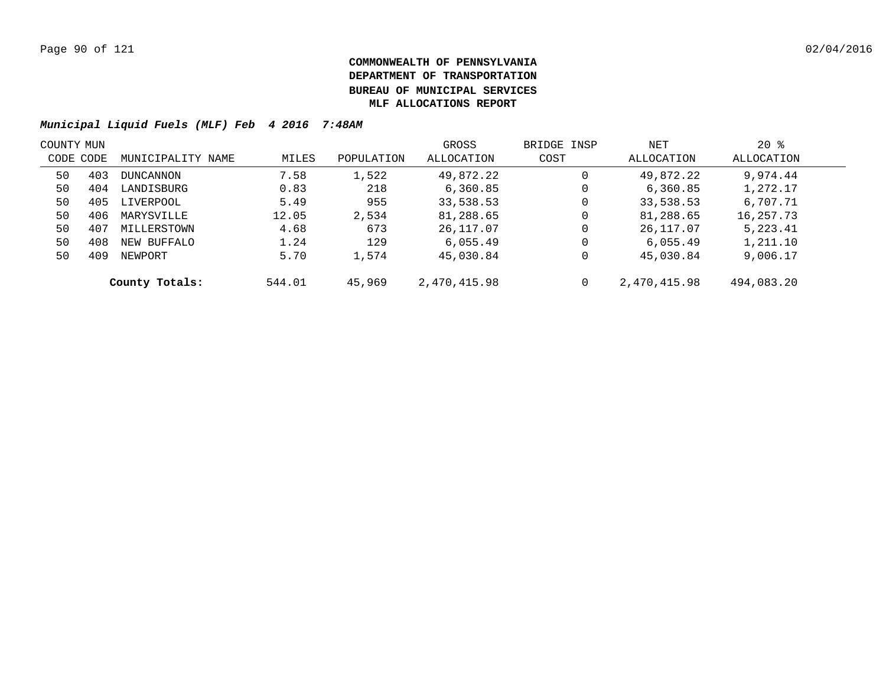|           | COUNTY MUN |                   |        |            | GROSS        | BRIDGE INSP | NET          | $20*$      |  |
|-----------|------------|-------------------|--------|------------|--------------|-------------|--------------|------------|--|
| CODE CODE |            | MUNICIPALITY NAME | MILES  | POPULATION | ALLOCATION   | COST        | ALLOCATION   | ALLOCATION |  |
| 50        | 403        | <b>DUNCANNON</b>  | 7.58   | 1,522      | 49,872.22    | 0           | 49,872.22    | 9,974.44   |  |
| 50        | 404        | LANDISBURG        | 0.83   | 218        | 6,360.85     | 0           | 6,360.85     | 1,272.17   |  |
| 50        | 405        | LIVERPOOL         | 5.49   | 955        | 33,538.53    | 0           | 33,538.53    | 6,707.71   |  |
| 50        | 406        | MARYSVILLE        | 12.05  | 2,534      | 81,288.65    | 0           | 81,288.65    | 16,257.73  |  |
| 50        | 407        | MILLERSTOWN       | 4.68   | 673        | 26,117.07    | 0           | 26,117.07    | 5,223.41   |  |
| 50        | 408        | NEW BUFFALO       | 1.24   | 129        | 6,055.49     | 0           | 6,055.49     | 1,211.10   |  |
| 50        | 409        | NEWPORT           | 5.70   | 1,574      | 45,030.84    | 0           | 45,030.84    | 9,006.17   |  |
|           |            | County Totals:    | 544.01 | 45,969     | 2,470,415.98 | 0           | 2,470,415.98 | 494,083.20 |  |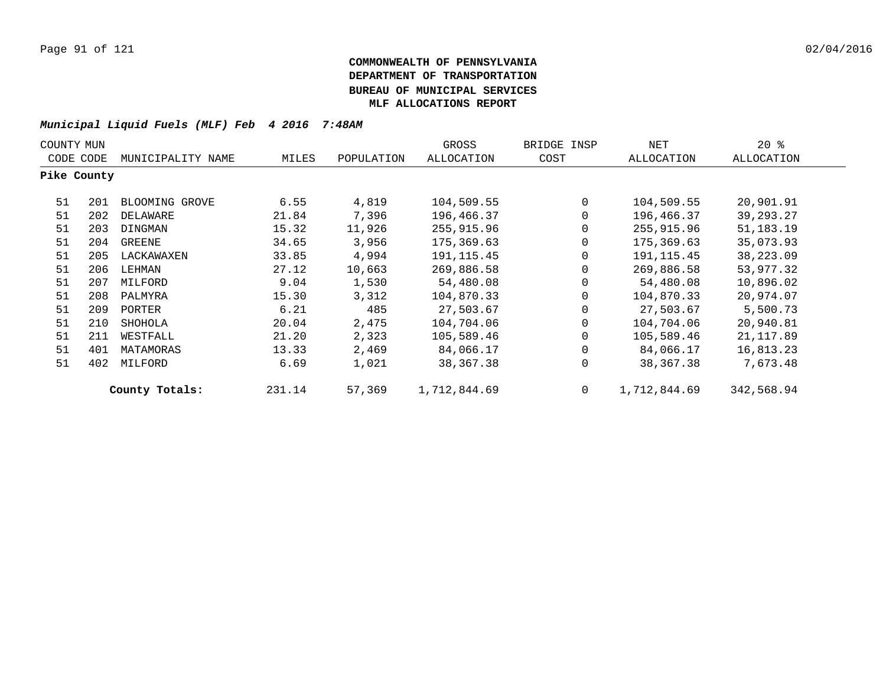| COUNTY MUN  |           |                   |        |            | GROSS        | BRIDGE INSP | NET          | 20%         |
|-------------|-----------|-------------------|--------|------------|--------------|-------------|--------------|-------------|
|             | CODE CODE | MUNICIPALITY NAME | MILES  | POPULATION | ALLOCATION   | COST        | ALLOCATION   | ALLOCATION  |
| Pike County |           |                   |        |            |              |             |              |             |
| 51          | 201       | BLOOMING GROVE    | 6.55   | 4,819      | 104,509.55   | $\mathbf 0$ | 104,509.55   | 20,901.91   |
| 51          | 202       | DELAWARE          | 21.84  | 7,396      | 196,466.37   | 0           | 196,466.37   | 39, 293. 27 |
| 51          | 203       | DINGMAN           | 15.32  | 11,926     | 255,915.96   | 0           | 255,915.96   | 51,183.19   |
| 51          | 204       | GREENE            | 34.65  | 3,956      | 175,369.63   | 0           | 175,369.63   | 35,073.93   |
| 51          | 205       | LACKAWAXEN        | 33.85  | 4,994      | 191, 115.45  | 0           | 191, 115.45  | 38,223.09   |
| 51          | 206       | LEHMAN            | 27.12  | 10,663     | 269,886.58   | 0           | 269,886.58   | 53,977.32   |
| 51          | 207       | MILFORD           | 9.04   | 1,530      | 54,480.08    | 0           | 54,480.08    | 10,896.02   |
| 51          | 208       | PALMYRA           | 15.30  | 3,312      | 104,870.33   | 0           | 104,870.33   | 20,974.07   |
| 51          | 209       | PORTER            | 6.21   | 485        | 27,503.67    | 0           | 27,503.67    | 5,500.73    |
| 51          | 210       | SHOHOLA           | 20.04  | 2,475      | 104,704.06   | $\Omega$    | 104,704.06   | 20,940.81   |
| 51          | 211       | WESTFALL          | 21.20  | 2,323      | 105,589.46   | $\Omega$    | 105,589.46   | 21, 117.89  |
| 51          | 401       | MATAMORAS         | 13.33  | 2,469      | 84,066.17    | 0           | 84,066.17    | 16,813.23   |
| 51          | 402       | MILFORD           | 6.69   | 1,021      | 38,367.38    | 0           | 38,367.38    | 7,673.48    |
|             |           | County Totals:    | 231.14 | 57,369     | 1,712,844.69 | 0           | 1,712,844.69 | 342,568.94  |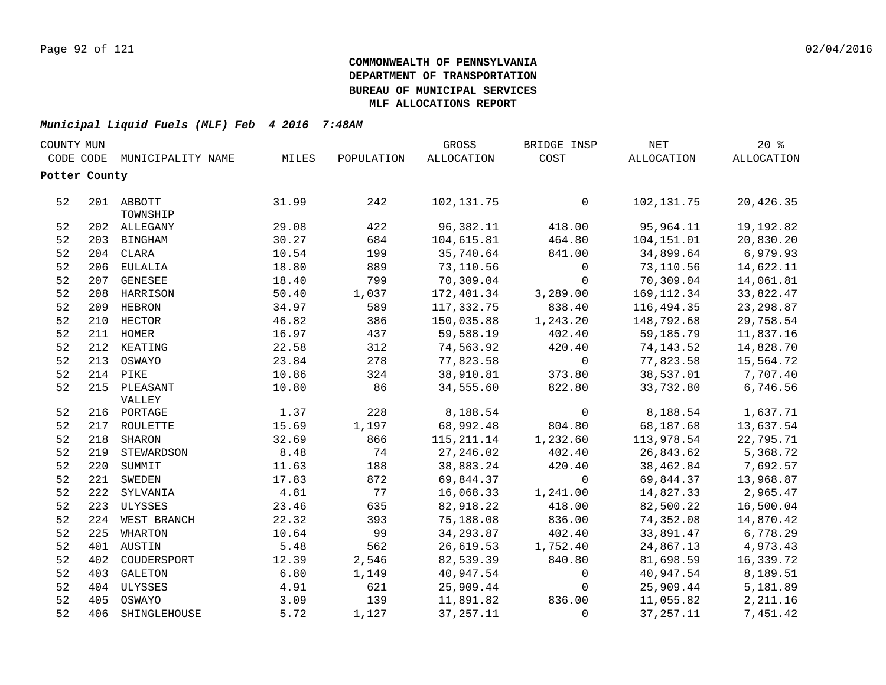| COUNTY MUN    |     |                   |       |            | GROSS        | BRIDGE INSP | NET         | 20%        |  |
|---------------|-----|-------------------|-------|------------|--------------|-------------|-------------|------------|--|
| CODE CODE     |     | MUNICIPALITY NAME | MILES | POPULATION | ALLOCATION   | COST        | ALLOCATION  | ALLOCATION |  |
| Potter County |     |                   |       |            |              |             |             |            |  |
|               |     |                   |       |            |              |             |             |            |  |
| 52            |     | 201 ABBOTT        | 31.99 | 242        | 102, 131.75  | $\mathbf 0$ | 102,131.75  | 20,426.35  |  |
|               |     | TOWNSHIP          |       |            |              |             |             |            |  |
| 52            |     | 202 ALLEGANY      | 29.08 | 422        | 96,382.11    | 418.00      | 95,964.11   | 19,192.82  |  |
| 52            |     | 203 BINGHAM       | 30.27 | 684        | 104,615.81   | 464.80      | 104,151.01  | 20,830.20  |  |
| 52            |     | 204 CLARA         | 10.54 | 199        | 35,740.64    | 841.00      | 34,899.64   | 6,979.93   |  |
| 52            |     | 206 EULALIA       | 18.80 | 889        | 73,110.56    | $\mathbf 0$ | 73,110.56   | 14,622.11  |  |
| 52            |     | 207 GENESEE       | 18.40 | 799        | 70,309.04    | 0           | 70,309.04   | 14,061.81  |  |
| 52            |     | 208 HARRISON      | 50.40 | 1,037      | 172,401.34   | 3,289.00    | 169, 112.34 | 33,822.47  |  |
| 52            | 209 | HEBRON            | 34.97 | 589        | 117,332.75   | 838.40      | 116,494.35  | 23, 298.87 |  |
| 52            | 210 | HECTOR            | 46.82 | 386        | 150,035.88   | 1,243.20    | 148,792.68  | 29,758.54  |  |
| 52            |     | 211 HOMER         | 16.97 | 437        | 59,588.19    | 402.40      | 59,185.79   | 11,837.16  |  |
| 52            |     | 212 KEATING       | 22.58 | 312        | 74,563.92    | 420.40      | 74, 143.52  | 14,828.70  |  |
| 52            |     | 213 OSWAYO        | 23.84 | 278        | 77,823.58    | $\mathbf 0$ | 77,823.58   | 15,564.72  |  |
| 52            |     | 214 PIKE          | 10.86 | 324        | 38,910.81    | 373.80      | 38,537.01   | 7,707.40   |  |
| 52            |     | 215 PLEASANT      | 10.80 | 86         | 34,555.60    | 822.80      | 33,732.80   | 6,746.56   |  |
|               |     | VALLEY            |       |            |              |             |             |            |  |
| 52            |     | 216 PORTAGE       | 1.37  | 228        | 8,188.54     | $\mathbf 0$ | 8,188.54    | 1,637.71   |  |
| 52            |     | 217 ROULETTE      | 15.69 | 1,197      | 68,992.48    | 804.80      | 68,187.68   | 13,637.54  |  |
| 52            |     | 218 SHARON        | 32.69 | 866        | 115, 211. 14 | 1,232.60    | 113,978.54  | 22,795.71  |  |
| 52            |     | 219 STEWARDSON    | 8.48  | 74         | 27,246.02    | 402.40      | 26,843.62   | 5,368.72   |  |
| 52            |     | 220 SUMMIT        | 11.63 | 188        | 38,883.24    | 420.40      | 38,462.84   | 7,692.57   |  |
| 52            |     | 221 SWEDEN        | 17.83 | 872        | 69,844.37    | $\mathbf 0$ | 69,844.37   | 13,968.87  |  |
| 52            |     | 222 SYLVANIA      | 4.81  | 77         | 16,068.33    | 1,241.00    | 14,827.33   | 2,965.47   |  |
| 52            |     | 223 ULYSSES       | 23.46 | 635        | 82,918.22    | 418.00      | 82,500.22   | 16,500.04  |  |
| 52            |     | 224 WEST BRANCH   | 22.32 | 393        | 75,188.08    | 836.00      | 74,352.08   | 14,870.42  |  |
| 52            |     | 225 WHARTON       | 10.64 | 99         | 34, 293.87   | 402.40      | 33,891.47   | 6,778.29   |  |
| 52            |     | 401 AUSTIN        | 5.48  | 562        | 26,619.53    | 1,752.40    | 24,867.13   | 4,973.43   |  |
| 52            |     | 402 COUDERSPORT   | 12.39 | 2,546      | 82,539.39    | 840.80      | 81,698.59   | 16,339.72  |  |
| 52            |     | 403 GALETON       | 6.80  | 1,149      | 40,947.54    | 0           | 40,947.54   | 8,189.51   |  |
| 52            |     | 404 ULYSSES       | 4.91  | 621        | 25,909.44    | 0           | 25,909.44   | 5,181.89   |  |
| 52            | 405 | OSWAYO            | 3.09  | 139        | 11,891.82    | 836.00      | 11,055.82   | 2,211.16   |  |
| 52            |     | 406 SHINGLEHOUSE  | 5.72  | 1,127      | 37, 257. 11  | $\mathbf 0$ | 37, 257. 11 | 7,451.42   |  |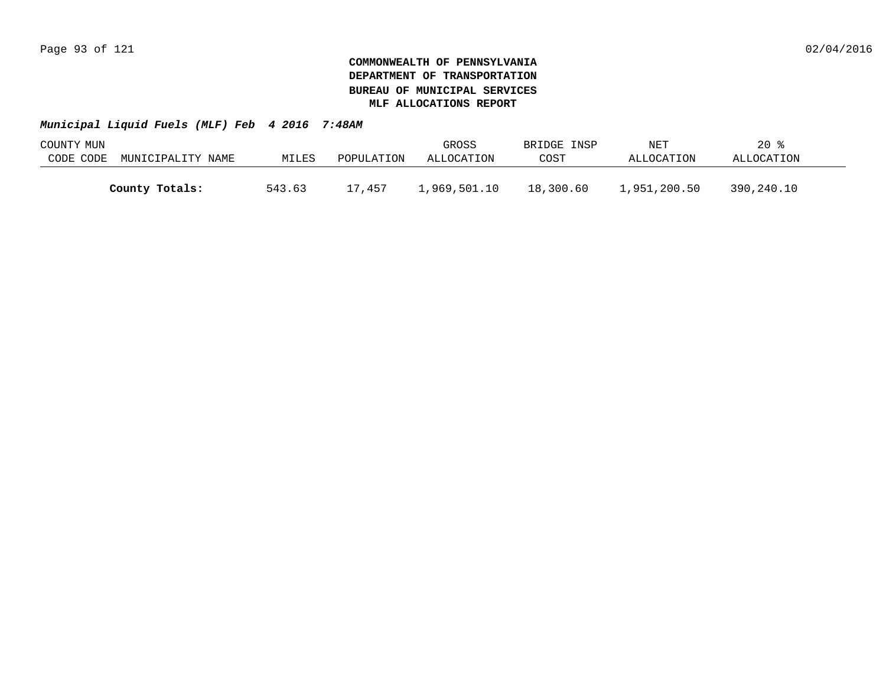| COUNTY MUN |                   |        |            | GROSS        | BRIDGE INSP | NET          | $20*$      |  |
|------------|-------------------|--------|------------|--------------|-------------|--------------|------------|--|
| CODE CODE  | MUNICIPALITY NAME | MILES  | POPULATION | ALLOCATION   | COST        | ALLOCATION   | ALLOCATION |  |
|            |                   |        |            |              |             |              |            |  |
|            | County Totals:    | 543.63 | 17,457     | 969,501.10 . | 18,300.60   | 1,951,200.50 | 390,240.10 |  |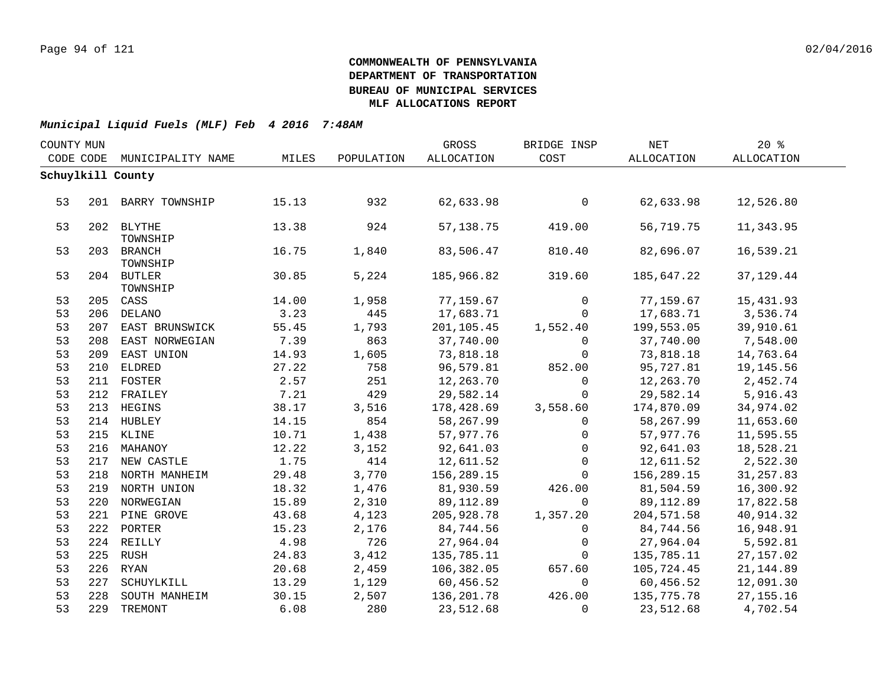| COUNTY MUN |     |                        |       |            | GROSS      | BRIDGE INSP | NET        | 20%         |  |
|------------|-----|------------------------|-------|------------|------------|-------------|------------|-------------|--|
| CODE CODE  |     | MUNICIPALITY NAME      | MILES | POPULATION | ALLOCATION | COST        | ALLOCATION | ALLOCATION  |  |
|            |     | Schuylkill County      |       |            |            |             |            |             |  |
|            |     |                        |       |            |            |             |            |             |  |
| 53         |     | 201 BARRY TOWNSHIP     | 15.13 | 932        | 62,633.98  | $\mathbf 0$ | 62,633.98  | 12,526.80   |  |
|            |     |                        |       |            |            |             |            |             |  |
| 53         |     | 202 BLYTHE             | 13.38 | 924        | 57, 138.75 | 419.00      | 56,719.75  | 11,343.95   |  |
|            |     | TOWNSHIP               |       |            |            |             |            |             |  |
| 53         |     | 203 BRANCH             | 16.75 | 1,840      | 83,506.47  | 810.40      | 82,696.07  | 16,539.21   |  |
| 53         |     | TOWNSHIP<br>204 BUTLER | 30.85 | 5,224      | 185,966.82 | 319.60      | 185,647.22 | 37, 129.44  |  |
|            |     | TOWNSHIP               |       |            |            |             |            |             |  |
| 53         |     | 205 CASS               | 14.00 | 1,958      | 77,159.67  | $\Omega$    | 77,159.67  | 15,431.93   |  |
| 53         |     | 206 DELANO             | 3.23  | 445        | 17,683.71  | $\mathbf 0$ | 17,683.71  | 3,536.74    |  |
| 53         |     | 207 EAST BRUNSWICK     | 55.45 | 1,793      | 201,105.45 | 1,552.40    | 199,553.05 | 39,910.61   |  |
| 53         |     | 208 EAST NORWEGIAN     | 7.39  | 863        | 37,740.00  | $\Omega$    | 37,740.00  | 7,548.00    |  |
| 53         |     | 209 EAST UNION         | 14.93 | 1,605      | 73,818.18  | $\mathbf 0$ | 73,818.18  | 14,763.64   |  |
| 53         |     | 210 ELDRED             | 27.22 | 758        | 96,579.81  | 852.00      | 95,727.81  | 19,145.56   |  |
| 53         |     | 211 FOSTER             | 2.57  | 251        | 12,263.70  | $\mathbf 0$ | 12,263.70  | 2,452.74    |  |
| 53         |     | 212 FRAILEY            | 7.21  | 429        | 29,582.14  | $\mathbf 0$ | 29,582.14  | 5,916.43    |  |
| 53         |     | 213 HEGINS             | 38.17 | 3,516      | 178,428.69 | 3,558.60    | 174,870.09 | 34,974.02   |  |
| 53         |     | 214 HUBLEY             | 14.15 | 854        | 58,267.99  | $\Omega$    | 58,267.99  | 11,653.60   |  |
| 53         |     | 215 KLINE              | 10.71 | 1,438      | 57,977.76  | $\mathbf 0$ | 57,977.76  | 11,595.55   |  |
| 53         |     | 216 MAHANOY            | 12.22 | 3,152      | 92,641.03  | $\mathbf 0$ | 92,641.03  | 18,528.21   |  |
| 53         |     | 217 NEW CASTLE         | 1.75  | 414        | 12,611.52  | $\mathbf 0$ | 12,611.52  | 2,522.30    |  |
| 53         |     | 218 NORTH MANHEIM      | 29.48 | 3,770      | 156,289.15 | $\Omega$    | 156,289.15 | 31, 257.83  |  |
| 53         |     | 219 NORTH UNION        | 18.32 | 1,476      | 81,930.59  | 426.00      | 81,504.59  | 16,300.92   |  |
| 53         |     | 220 NORWEGIAN          | 15.89 | 2,310      | 89,112.89  | $\Omega$    | 89,112.89  | 17,822.58   |  |
| 53         |     | 221 PINE GROVE         | 43.68 | 4,123      | 205,928.78 | 1,357.20    | 204,571.58 | 40,914.32   |  |
| 53         |     | 222 PORTER             | 15.23 | 2,176      | 84,744.56  | $\mathbf 0$ | 84,744.56  | 16,948.91   |  |
| 53         |     | 224 REILLY             | 4.98  | 726        | 27,964.04  | 0           | 27,964.04  | 5,592.81    |  |
| 53         |     | 225 RUSH               | 24.83 | 3,412      | 135,785.11 | $\Omega$    | 135,785.11 | 27, 157.02  |  |
| 53         |     | 226 RYAN               | 20.68 | 2,459      | 106,382.05 | 657.60      | 105,724.45 | 21, 144.89  |  |
| 53         | 227 | SCHUYLKILL             | 13.29 | 1,129      | 60,456.52  | $\mathbf 0$ | 60,456.52  | 12,091.30   |  |
| 53         |     | 228 SOUTH MANHEIM      | 30.15 | 2,507      | 136,201.78 | 426.00      | 135,775.78 | 27, 155. 16 |  |
| 53         |     | 229 TREMONT            | 6.08  | 280        | 23,512.68  | $\Omega$    | 23,512.68  | 4,702.54    |  |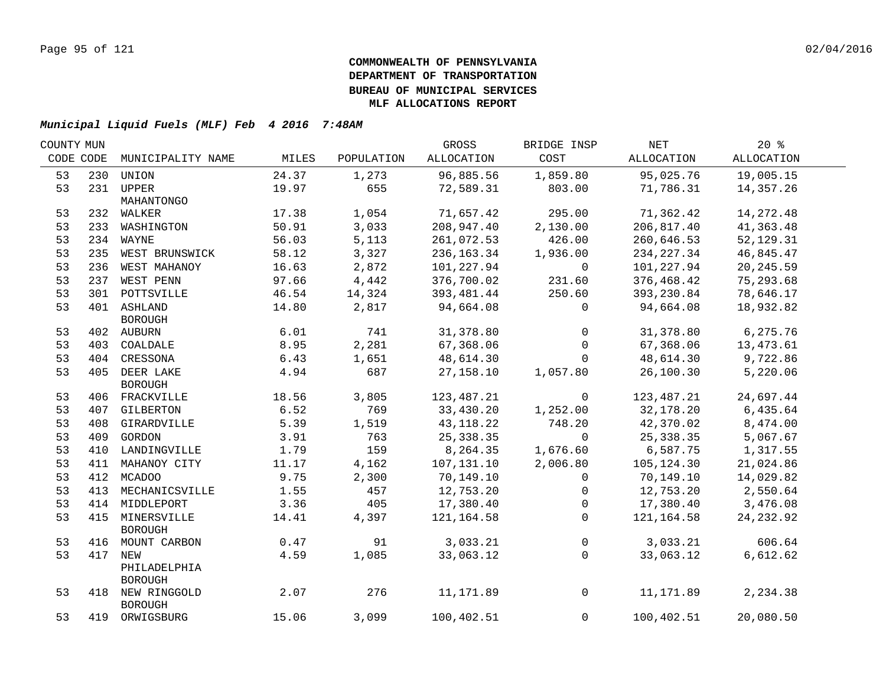| COUNTY MUN |     |                    |       |            | GROSS      | BRIDGE INSP         | NET         | $20*$       |  |
|------------|-----|--------------------|-------|------------|------------|---------------------|-------------|-------------|--|
| CODE CODE  |     | MUNICIPALITY NAME  | MILES | POPULATION | ALLOCATION | COST                | ALLOCATION  | ALLOCATION  |  |
| 53         | 230 | UNION              | 24.37 | 1,273      | 96,885.56  | 1,859.80            | 95,025.76   | 19,005.15   |  |
| 53         |     | 231 UPPER          | 19.97 | 655        | 72,589.31  | 803.00              | 71,786.31   | 14,357.26   |  |
|            |     | MAHANTONGO         |       |            |            |                     |             |             |  |
| 53         |     | 232 WALKER         | 17.38 | 1,054      | 71,657.42  | 295.00              | 71,362.42   | 14, 272.48  |  |
| 53         |     | 233 WASHINGTON     | 50.91 | 3,033      | 208,947.40 | 2,130.00            | 206,817.40  | 41,363.48   |  |
| 53         |     | 234 WAYNE          | 56.03 | 5,113      | 261,072.53 | 426.00              | 260,646.53  | 52, 129. 31 |  |
| 53         |     | 235 WEST BRUNSWICK | 58.12 | 3,327      | 236,163.34 | 1,936.00            | 234, 227.34 | 46,845.47   |  |
| 53         |     | 236 WEST MAHANOY   | 16.63 | 2,872      | 101,227.94 | $\mathbf 0$         | 101,227.94  | 20, 245.59  |  |
| 53         |     | 237 WEST PENN      | 97.66 | 4,442      | 376,700.02 | 231.60              | 376,468.42  | 75,293.68   |  |
| 53         |     | 301 POTTSVILLE     | 46.54 | 14,324     | 393,481.44 | 250.60              | 393,230.84  | 78,646.17   |  |
| 53         |     | 401 ASHLAND        | 14.80 | 2,817      | 94,664.08  | 0                   | 94,664.08   | 18,932.82   |  |
|            |     | <b>BOROUGH</b>     |       |            |            |                     |             |             |  |
| 53         |     | 402 AUBURN         | 6.01  | 741        | 31,378.80  | $\mathbf 0$         | 31,378.80   | 6,275.76    |  |
| 53         |     | 403 COALDALE       | 8.95  | 2,281      | 67,368.06  | $\mathbf 0$         | 67,368.06   | 13, 473.61  |  |
| 53         |     | 404 CRESSONA       | 6.43  | 1,651      | 48,614.30  | $\Omega$            | 48,614.30   | 9,722.86    |  |
| 53         |     | 405 DEER LAKE      | 4.94  | 687        | 27,158.10  | 1,057.80            | 26,100.30   | 5,220.06    |  |
|            |     | <b>BOROUGH</b>     |       |            |            |                     |             |             |  |
| 53         |     | 406 FRACKVILLE     | 18.56 | 3,805      | 123,487.21 | 0                   | 123,487.21  | 24,697.44   |  |
| 53         |     | 407 GILBERTON      | 6.52  | 769        | 33,430.20  | 1,252.00            | 32,178.20   | 6,435.64    |  |
| 53         |     | 408 GIRARDVILLE    | 5.39  | 1,519      | 43, 118.22 | 748.20              | 42,370.02   | 8,474.00    |  |
| 53         |     | 409 GORDON         | 3.91  | 763        | 25, 338.35 | $\mathbf 0$         | 25, 338.35  | 5,067.67    |  |
| 53         |     | 410 LANDINGVILLE   | 1.79  | 159        | 8,264.35   | 1,676.60            | 6,587.75    | 1,317.55    |  |
| 53         |     | 411 MAHANOY CITY   | 11.17 | 4,162      | 107,131.10 | 2,006.80            | 105,124.30  | 21,024.86   |  |
| 53         |     | 412 MCADOO         | 9.75  | 2,300      | 70,149.10  | 0                   | 70,149.10   | 14,029.82   |  |
| 53         |     | 413 MECHANICSVILLE | 1.55  | 457        | 12,753.20  | $\mathbf 0$         | 12,753.20   | 2,550.64    |  |
| 53         |     | 414 MIDDLEPORT     | 3.36  | 405        | 17,380.40  | 0                   | 17,380.40   | 3,476.08    |  |
| 53         |     | 415 MINERSVILLE    | 14.41 | 4,397      | 121,164.58 | $\mathbf 0$         | 121,164.58  | 24, 232.92  |  |
|            |     | <b>BOROUGH</b>     |       |            |            |                     |             |             |  |
| 53         |     | 416 MOUNT CARBON   | 0.47  | 91         | 3,033.21   | $\mathsf{O}\xspace$ | 3,033.21    | 606.64      |  |
| 53         |     | 417 NEW            | 4.59  | 1,085      | 33,063.12  | $\Omega$            | 33,063.12   | 6,612.62    |  |
|            |     | PHILADELPHIA       |       |            |            |                     |             |             |  |
|            |     | <b>BOROUGH</b>     |       |            |            |                     |             |             |  |
| 53         |     | 418 NEW RINGGOLD   | 2.07  | 276        | 11,171.89  | $\mathsf{O}$        | 11,171.89   | 2,234.38    |  |
|            |     | <b>BOROUGH</b>     |       |            |            |                     |             |             |  |
| 53         |     | 419 ORWIGSBURG     | 15.06 | 3,099      | 100,402.51 | $\mathbf 0$         | 100,402.51  | 20,080.50   |  |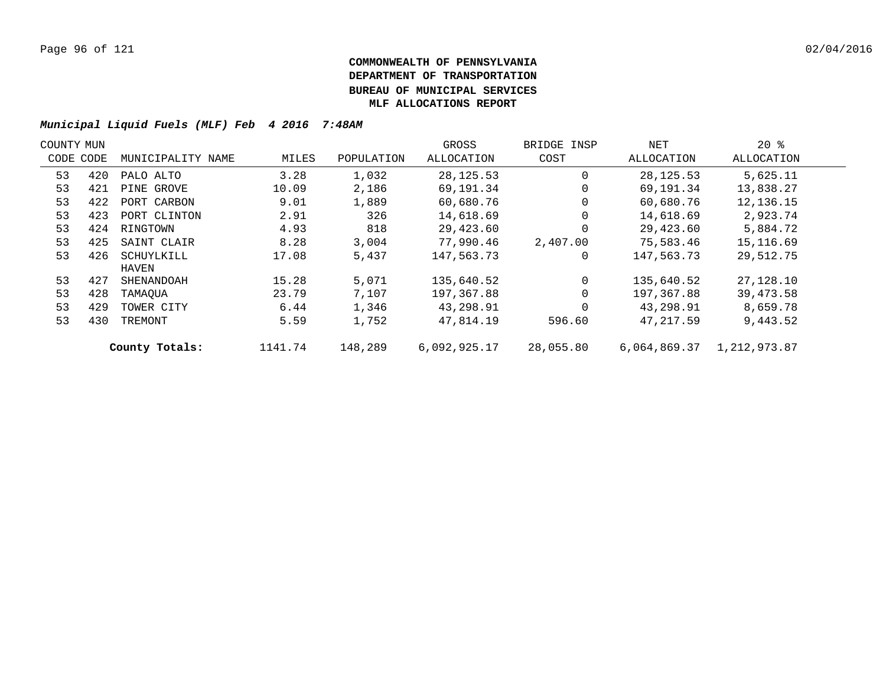| COUNTY MUN |     |                   |         |            | GROSS        | BRIDGE INSP | NET          | $20*$        |  |
|------------|-----|-------------------|---------|------------|--------------|-------------|--------------|--------------|--|
| CODE CODE  |     | MUNICIPALITY NAME | MILES   | POPULATION | ALLOCATION   | COST        | ALLOCATION   | ALLOCATION   |  |
| 53         | 420 | PALO ALTO         | 3.28    | 1,032      | 28, 125. 53  | 0           | 28, 125. 53  | 5,625.11     |  |
| 53         | 421 | PINE GROVE        | 10.09   | 2,186      | 69,191.34    | $\Omega$    | 69,191.34    | 13,838.27    |  |
| 53         | 422 | PORT CARBON       | 9.01    | 1,889      | 60,680.76    | $\mathbf 0$ | 60,680.76    | 12,136.15    |  |
| 53         | 423 | PORT CLINTON      | 2.91    | 326        | 14,618.69    | 0           | 14,618.69    | 2,923.74     |  |
| 53         | 424 | RINGTOWN          | 4.93    | 818        | 29,423.60    | $\Omega$    | 29,423.60    | 5,884.72     |  |
| 53         | 425 | SAINT CLAIR       | 8.28    | 3,004      | 77,990.46    | 2,407.00    | 75,583.46    | 15,116.69    |  |
| 53         | 426 | SCHUYLKILL        | 17.08   | 5,437      | 147,563.73   | 0           | 147,563.73   | 29,512.75    |  |
|            |     | HAVEN             |         |            |              |             |              |              |  |
| 53         | 427 | SHENANDOAH        | 15.28   | 5,071      | 135,640.52   | $\Omega$    | 135,640.52   | 27,128.10    |  |
| 53         | 428 | TAMAOUA           | 23.79   | 7,107      | 197,367.88   | $\Omega$    | 197,367.88   | 39,473.58    |  |
| 53         | 429 | TOWER CITY        | 6.44    | 1,346      | 43,298.91    | $\Omega$    | 43,298.91    | 8,659.78     |  |
| 53         | 430 | TREMONT           | 5.59    | 1,752      | 47,814.19    | 596.60      | 47,217.59    | 9,443.52     |  |
|            |     | County Totals:    | 1141.74 | 148,289    | 6,092,925.17 | 28,055.80   | 6,064,869.37 | 1,212,973.87 |  |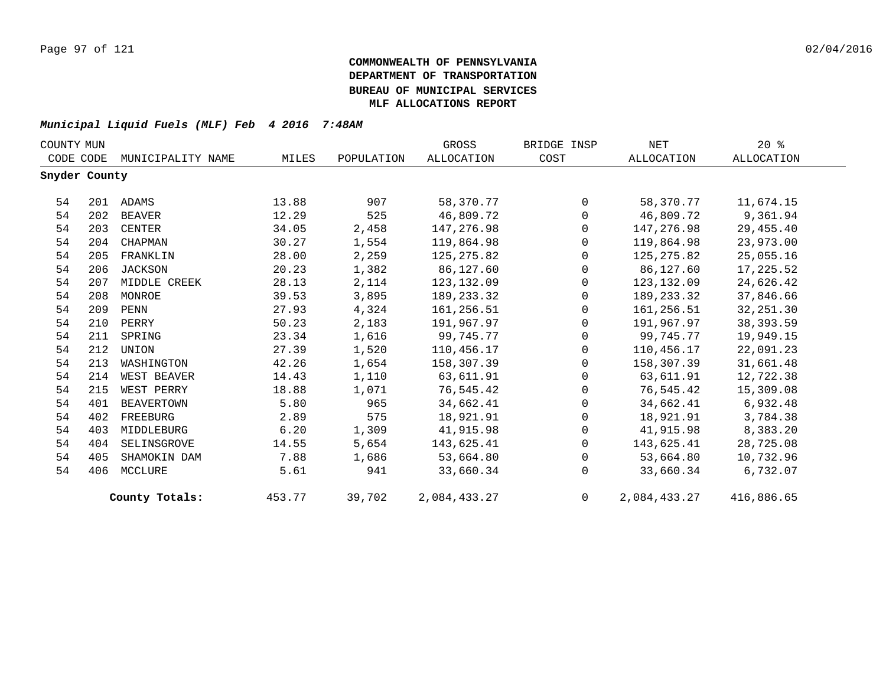| COUNTY MUN    |     |                   |        |            | GROSS             | BRIDGE INSP    | NET          | $20*$      |
|---------------|-----|-------------------|--------|------------|-------------------|----------------|--------------|------------|
| CODE CODE     |     | MUNICIPALITY NAME | MILES  | POPULATION | <b>ALLOCATION</b> | COST           | ALLOCATION   | ALLOCATION |
| Snyder County |     |                   |        |            |                   |                |              |            |
| 54            |     | 201 ADAMS         | 13.88  | 907        | 58,370.77         | $\mathbf 0$    | 58,370.77    | 11,674.15  |
| 54            | 202 | BEAVER            | 12.29  | 525        | 46,809.72         | $\mathbf 0$    | 46,809.72    | 9,361.94   |
| 54            | 203 | CENTER            | 34.05  | 2,458      | 147,276.98        | $\Omega$       | 147,276.98   | 29,455.40  |
| 54            | 204 | CHAPMAN           | 30.27  | 1,554      | 119,864.98        | $\Omega$       | 119,864.98   | 23,973.00  |
| 54            | 205 | FRANKLIN          | 28.00  | 2,259      | 125,275.82        | $\Omega$       | 125,275.82   | 25,055.16  |
| 54            | 206 | JACKSON           | 20.23  | 1,382      | 86,127.60         | $\mathbf 0$    | 86,127.60    | 17,225.52  |
| 54            | 207 | MIDDLE CREEK      | 28.13  | 2,114      | 123,132.09        | $\mathbf 0$    | 123,132.09   | 24,626.42  |
| 54            | 208 | MONROE            | 39.53  | 3,895      | 189, 233.32       | $\Omega$       | 189,233.32   | 37,846.66  |
| 54            | 209 | PENN              | 27.93  | 4,324      | 161,256.51        | $\Omega$       | 161,256.51   | 32, 251.30 |
| 54            | 210 | PERRY             | 50.23  | 2,183      | 191,967.97        | $\mathbf 0$    | 191,967.97   | 38,393.59  |
| 54            | 211 | SPRING            | 23.34  | 1,616      | 99,745.77         | $\mathbf 0$    | 99,745.77    | 19,949.15  |
| 54            | 212 | UNION             | 27.39  | 1,520      | 110,456.17        | $\mathbf 0$    | 110,456.17   | 22,091.23  |
| 54            | 213 | WASHINGTON        | 42.26  | 1,654      | 158,307.39        | $\Omega$       | 158,307.39   | 31,661.48  |
| 54            | 214 | WEST BEAVER       | 14.43  | 1,110      | 63,611.91         | $\mathbf 0$    | 63,611.91    | 12,722.38  |
| 54            | 215 | WEST PERRY        | 18.88  | 1,071      | 76,545.42         | 0              | 76,545.42    | 15,309.08  |
| 54            | 401 | BEAVERTOWN        | 5.80   | 965        | 34,662.41         | $\mathbf 0$    | 34,662.41    | 6,932.48   |
| 54            | 402 | FREEBURG          | 2.89   | 575        | 18,921.91         | $\Omega$       | 18,921.91    | 3,784.38   |
| 54            | 403 | MIDDLEBURG        | 6.20   | 1,309      | 41,915.98         | $\mathbf 0$    | 41,915.98    | 8,383.20   |
| 54            | 404 | SELINSGROVE       | 14.55  | 5,654      | 143,625.41        | $\mathbf 0$    | 143,625.41   | 28,725.08  |
| 54            | 405 | SHAMOKIN DAM      | 7.88   | 1,686      | 53,664.80         | $\mathbf 0$    | 53,664.80    | 10,732.96  |
| 54            | 406 | MCCLURE           | 5.61   | 941        | 33,660.34         | $\Omega$       | 33,660.34    | 6,732.07   |
|               |     | County Totals:    | 453.77 | 39,702     | 2,084,433.27      | $\overline{0}$ | 2,084,433.27 | 416,886.65 |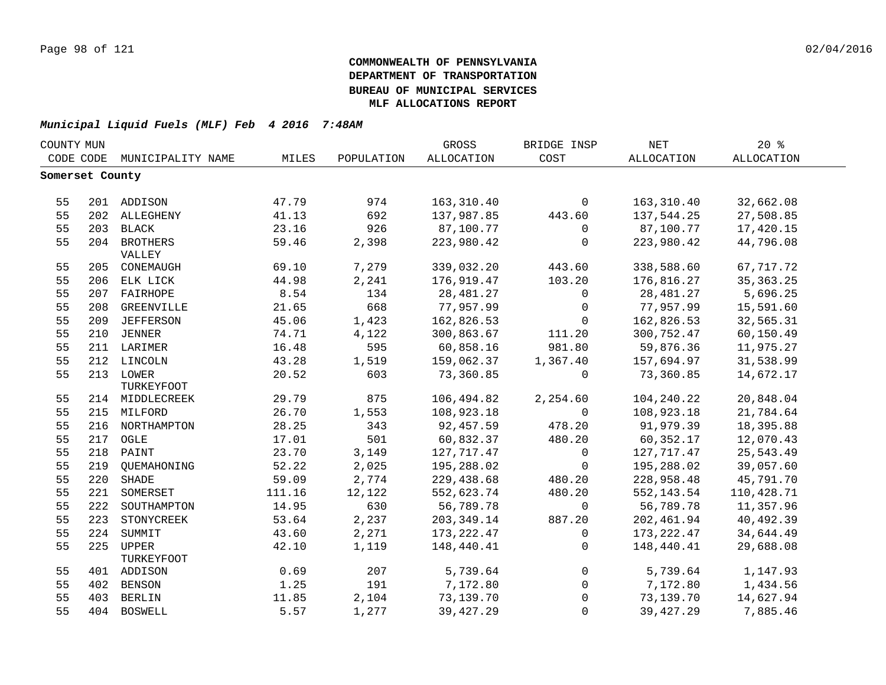| COUNTY MUN      |     |                   |        |            | GROSS        | BRIDGE INSP  | <b>NET</b>  | 20%         |  |
|-----------------|-----|-------------------|--------|------------|--------------|--------------|-------------|-------------|--|
| CODE CODE       |     | MUNICIPALITY NAME | MILES  | POPULATION | ALLOCATION   | COST         | ALLOCATION  | ALLOCATION  |  |
| Somerset County |     |                   |        |            |              |              |             |             |  |
|                 |     |                   |        |            |              |              |             |             |  |
| 55              |     | 201 ADDISON       | 47.79  | 974        | 163,310.40   | $\mathbf 0$  | 163,310.40  | 32,662.08   |  |
| 55              |     | 202 ALLEGHENY     | 41.13  | 692        | 137,987.85   | 443.60       | 137,544.25  | 27,508.85   |  |
| 55              |     | 203 BLACK         | 23.16  | 926        | 87,100.77    | 0            | 87,100.77   | 17,420.15   |  |
| 55              |     | 204 BROTHERS      | 59.46  | 2,398      | 223,980.42   | $\mathbf 0$  | 223,980.42  | 44,796.08   |  |
|                 |     | VALLEY            |        |            |              |              |             |             |  |
| 55              |     | 205 CONEMAUGH     | 69.10  | 7,279      | 339,032.20   | 443.60       | 338,588.60  | 67,717.72   |  |
| 55              |     | 206 ELK LICK      | 44.98  | 2,241      | 176,919.47   | 103.20       | 176,816.27  | 35, 363. 25 |  |
| 55              |     | 207 FAIRHOPE      | 8.54   | 134        | 28, 481. 27  | $\mathbf 0$  | 28,481.27   | 5,696.25    |  |
| 55              | 208 | GREENVILLE        | 21.65  | 668        | 77,957.99    | 0            | 77,957.99   | 15,591.60   |  |
| 55              | 209 | JEFFERSON         | 45.06  | 1,423      | 162,826.53   | $\mathbf 0$  | 162,826.53  | 32,565.31   |  |
| 55              |     | 210 JENNER        | 74.71  | 4,122      | 300,863.67   | 111.20       | 300,752.47  | 60,150.49   |  |
| 55              |     | 211 LARIMER       | 16.48  | 595        | 60,858.16    | 981.80       | 59,876.36   | 11,975.27   |  |
| 55              |     | 212 LINCOLN       | 43.28  | 1,519      | 159,062.37   | 1,367.40     | 157,694.97  | 31,538.99   |  |
| 55              |     | 213 LOWER         | 20.52  | 603        | 73,360.85    | $\mathbf 0$  | 73,360.85   | 14,672.17   |  |
|                 |     | TURKEYFOOT        |        |            |              |              |             |             |  |
| 55              |     | 214 MIDDLECREEK   | 29.79  | 875        | 106,494.82   | 2,254.60     | 104,240.22  | 20,848.04   |  |
| 55              |     | 215 MILFORD       | 26.70  | 1,553      | 108,923.18   | $\Omega$     | 108,923.18  | 21,784.64   |  |
| 55              |     | 216 NORTHAMPTON   | 28.25  | 343        | 92,457.59    | 478.20       | 91,979.39   | 18,395.88   |  |
| 55              | 217 | OGLE              | 17.01  | 501        | 60,832.37    | 480.20       | 60,352.17   | 12,070.43   |  |
| 55              |     | 218 PAINT         | 23.70  | 3,149      | 127, 717. 47 | $\mathbf{0}$ | 127,717.47  | 25, 543.49  |  |
| 55              |     | 219 QUEMAHONING   | 52.22  | 2,025      | 195,288.02   | $\mathbf 0$  | 195,288.02  | 39,057.60   |  |
| 55              | 220 | SHADE             | 59.09  | 2,774      | 229,438.68   | 480.20       | 228,958.48  | 45,791.70   |  |
| 55              | 221 | SOMERSET          | 111.16 | 12,122     | 552,623.74   | 480.20       | 552, 143.54 | 110,428.71  |  |
| 55              | 222 | SOUTHAMPTON       | 14.95  | 630        | 56,789.78    | $\mathbf 0$  | 56,789.78   | 11,357.96   |  |
| 55              | 223 | STONYCREEK        | 53.64  | 2,237      | 203, 349.14  | 887.20       | 202,461.94  | 40,492.39   |  |
| 55              | 224 | SUMMIT            | 43.60  | 2,271      | 173, 222.47  | $\mathbf 0$  | 173, 222.47 | 34,644.49   |  |
| 55              |     | 225 UPPER         | 42.10  | 1,119      | 148,440.41   | $\mathbf 0$  | 148,440.41  | 29,688.08   |  |
|                 |     | TURKEYFOOT        |        |            |              |              |             |             |  |
| 55              |     | 401 ADDISON       | 0.69   | 207        | 5,739.64     | $\mathsf{O}$ | 5,739.64    | 1,147.93    |  |
| 55              |     | 402 BENSON        | 1.25   | 191        | 7,172.80     | $\mathbf 0$  | 7,172.80    | 1,434.56    |  |
| 55              | 403 | <b>BERLIN</b>     | 11.85  | 2,104      | 73,139.70    | $\Omega$     | 73,139.70   | 14,627.94   |  |
| 55              |     | 404 BOSWELL       | 5.57   | 1,277      | 39,427.29    | $\mathbf 0$  | 39, 427.29  | 7,885.46    |  |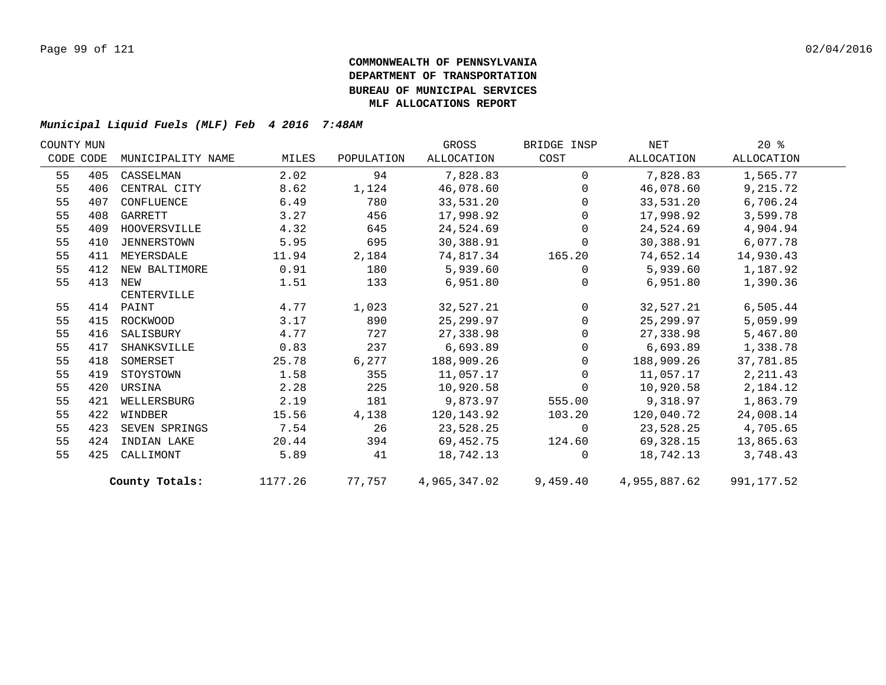| COUNTY MUN |           |                   |         |            | GROSS               | BRIDGE INSP    | NET          | $20*$      |  |
|------------|-----------|-------------------|---------|------------|---------------------|----------------|--------------|------------|--|
|            | CODE CODE | MUNICIPALITY NAME | MILES   | POPULATION | ALLOCATION          | COST           | ALLOCATION   | ALLOCATION |  |
| 55         | 405       | CASSELMAN         | 2.02    | 94         | 7,828.83            | $\Omega$       | 7,828.83     | 1,565.77   |  |
| 55         | 406       | CENTRAL CITY      | 8.62    | 1,124      | 46,078.60           | $\Omega$       | 46,078.60    | 9,215.72   |  |
| 55         | 407       | CONFLUENCE        | 6.49    | 780        | 33,531.20           | $\Omega$       | 33,531.20    | 6,706.24   |  |
| 55         | 408       | GARRETT           | 3.27    | 456        | 17,998.92           | $\mathbf{0}$   | 17,998.92    | 3,599.78   |  |
| 55         | 409       | HOOVERSVILLE      | 4.32    | 645        | 24,524.69           | $\mathbf 0$    | 24,524.69    | 4,904.94   |  |
| 55         | 410       | JENNERSTOWN       | 5.95    | 695        | 30,388.91           | $\mathbf 0$    | 30,388.91    | 6,077.78   |  |
| 55         | 411       | MEYERSDALE        | 11.94   | 2,184      | 74,817.34           | 165.20         | 74,652.14    | 14,930.43  |  |
| 55         | 412       | NEW BALTIMORE     | 0.91    | 180        | 5,939.60            | $\mathbf{0}$   | 5,939.60     | 1,187.92   |  |
| 55         | 413       | NEW               | 1.51    | 133        | 6,951.80            | $\Omega$       | 6,951.80     | 1,390.36   |  |
|            |           | CENTERVILLE       |         |            |                     |                |              |            |  |
| 55         |           | 414 PAINT         | 4.77    | 1,023      | 32,527.21           | $\mathbf 0$    | 32,527.21    | 6,505.44   |  |
| 55         |           | 415 ROCKWOOD      | 3.17    | 890        | 25, 299.97          | $\mathbf 0$    | 25,299.97    | 5,059.99   |  |
| 55         | 416       | SALISBURY         | 4.77    | 727        | 27,338.98           | $\Omega$       | 27,338.98    | 5,467.80   |  |
| 55         | 417       | SHANKSVILLE       | 0.83    | 237        | 6,693.89            | $\Omega$       | 6,693.89     | 1,338.78   |  |
| 55         | 418       | SOMERSET          | 25.78   | 6,277      | 188,909.26          | $\Omega$       | 188,909.26   | 37,781.85  |  |
| 55         | 419       | STOYSTOWN         | 1.58    | 355        | 11,057.17           | $\mathbf 0$    | 11,057.17    | 2, 211.43  |  |
| 55         | 420       | URSINA            | 2.28    | 225        | 10,920.58           | $\mathbf 0$    | 10,920.58    | 2,184.12   |  |
| 55         | 421       | WELLERSBURG       | 2.19    | 181        | 9,873.97            | 555.00         | 9,318.97     | 1,863.79   |  |
| 55         | 422       | WINDBER           | 15.56   | 4,138      | 120,143.92          | 103.20         | 120,040.72   | 24,008.14  |  |
| 55         | 423       | SEVEN SPRINGS     | 7.54    | 26         | 23,528.25           | $\overline{0}$ | 23,528.25    | 4,705.65   |  |
| 55         | 424       | INDIAN LAKE       | 20.44   | 394        | 69,452.75           | 124.60         | 69,328.15    | 13,865.63  |  |
| 55         | 425       | CALLIMONT         | 5.89    | 41         | 18,742.13           | $\Omega$       | 18,742.13    | 3,748.43   |  |
|            |           | County Totals:    | 1177.26 |            | 77,757 4,965,347.02 | 9,459.40       | 4,955,887.62 | 991,177.52 |  |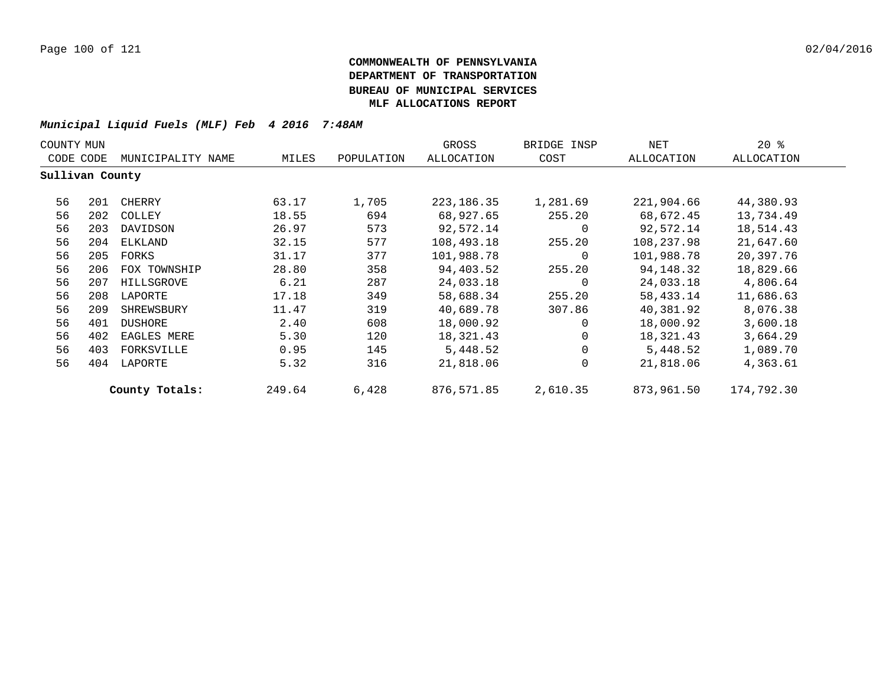| COUNTY MUN      |     |                   |        |            | GROSS        | BRIDGE INSP | NET        | $20*$      |
|-----------------|-----|-------------------|--------|------------|--------------|-------------|------------|------------|
| CODE CODE       |     | MUNICIPALITY NAME | MILES  | POPULATION | ALLOCATION   | COST        | ALLOCATION | ALLOCATION |
| Sullivan County |     |                   |        |            |              |             |            |            |
| 56              | 201 | CHERRY            | 63.17  | 1,705      | 223, 186. 35 | 1,281.69    | 221,904.66 | 44,380.93  |
| 56              | 202 | COLLEY            | 18.55  | 694        | 68,927.65    | 255.20      | 68,672.45  | 13,734.49  |
| 56              | 203 | DAVIDSON          | 26.97  | 573        | 92,572.14    | 0           | 92,572.14  | 18,514.43  |
| 56              | 204 | ELKLAND           | 32.15  | 577        | 108,493.18   | 255.20      | 108,237.98 | 21,647.60  |
| 56              | 205 | FORKS             | 31.17  | 377        | 101,988.78   | 0           | 101,988.78 | 20,397.76  |
| 56              | 206 | FOX TOWNSHIP      | 28.80  | 358        | 94,403.52    | 255.20      | 94,148.32  | 18,829.66  |
| 56              | 207 | HILLSGROVE        | 6.21   | 287        | 24,033.18    | $\mathbf 0$ | 24,033.18  | 4,806.64   |
| 56              | 208 | LAPORTE           | 17.18  | 349        | 58,688.34    | 255.20      | 58,433.14  | 11,686.63  |
| 56              | 209 | SHREWSBURY        | 11.47  | 319        | 40,689.78    | 307.86      | 40,381.92  | 8,076.38   |
| 56              | 401 | DUSHORE           | 2.40   | 608        | 18,000.92    | $\Omega$    | 18,000.92  | 3,600.18   |
| 56              | 402 | EAGLES MERE       | 5.30   | 120        | 18,321.43    | $\mathbf 0$ | 18,321.43  | 3,664.29   |
| 56              | 403 | FORKSVILLE        | 0.95   | 145        | 5,448.52     | 0           | 5,448.52   | 1,089.70   |
| 56              | 404 | LAPORTE           | 5.32   | 316        | 21,818.06    | $\Omega$    | 21,818.06  | 4,363.61   |
|                 |     | County Totals:    | 249.64 | 6,428      | 876,571.85   | 2,610.35    | 873,961.50 | 174,792.30 |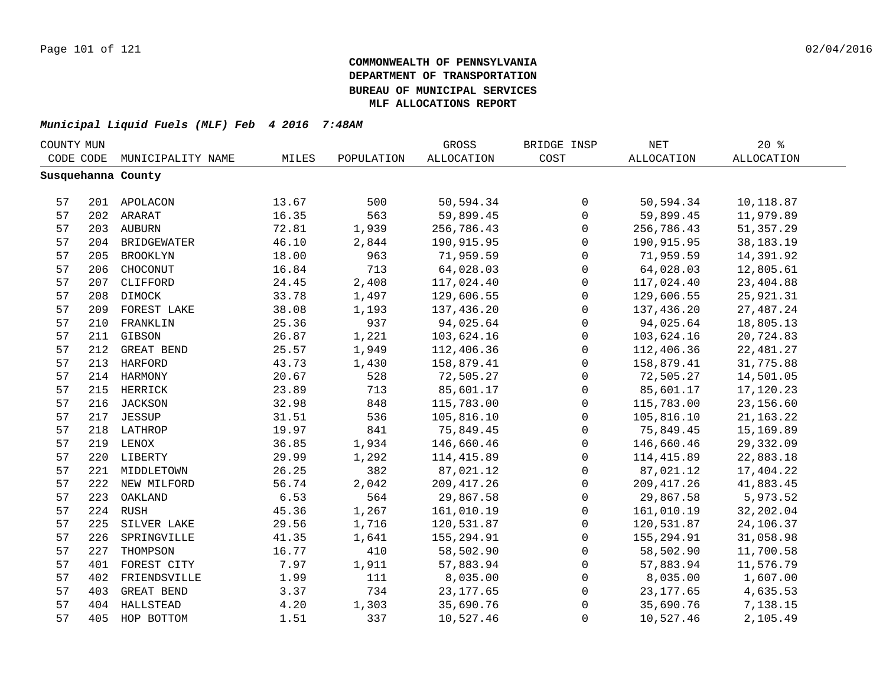| COUNTY MUN |     |                    |       |            | GROSS             | BRIDGE INSP  | NET               | 20%               |  |
|------------|-----|--------------------|-------|------------|-------------------|--------------|-------------------|-------------------|--|
| CODE CODE  |     | MUNICIPALITY NAME  | MILES | POPULATION | <b>ALLOCATION</b> | COST         | <b>ALLOCATION</b> | <b>ALLOCATION</b> |  |
|            |     | Susquehanna County |       |            |                   |              |                   |                   |  |
|            |     |                    |       |            |                   |              |                   |                   |  |
| 57         |     | 201 APOLACON       | 13.67 | 500        | 50,594.34         | 0            | 50,594.34         | 10,118.87         |  |
| 57         |     | 202 ARARAT         | 16.35 | 563        | 59,899.45         | $\mathbf 0$  | 59,899.45         | 11,979.89         |  |
| 57         |     | 203 AUBURN         | 72.81 | 1,939      | 256,786.43        | $\mathsf 0$  | 256,786.43        | 51, 357.29        |  |
| 57         |     | 204 BRIDGEWATER    | 46.10 | 2,844      | 190,915.95        | 0            | 190,915.95        | 38,183.19         |  |
| 57         | 205 | <b>BROOKLYN</b>    | 18.00 | 963        | 71,959.59         | $\mathbf 0$  | 71,959.59         | 14,391.92         |  |
| 57         | 206 | CHOCONUT           | 16.84 | 713        | 64,028.03         | $\mathbf 0$  | 64,028.03         | 12,805.61         |  |
| 57         | 207 | CLIFFORD           | 24.45 | 2,408      | 117,024.40        | $\mathbf 0$  | 117,024.40        | 23,404.88         |  |
| 57         | 208 | DIMOCK             | 33.78 | 1,497      | 129,606.55        | $\mathbf 0$  | 129,606.55        | 25,921.31         |  |
| 57         | 209 | FOREST LAKE        | 38.08 | 1,193      | 137,436.20        | $\mathbf 0$  | 137,436.20        | 27,487.24         |  |
| 57         | 210 | FRANKLIN           | 25.36 | 937        | 94,025.64         | $\mathbf{0}$ | 94,025.64         | 18,805.13         |  |
| 57         | 211 | GIBSON             | 26.87 | 1,221      | 103,624.16        | $\mathbf 0$  | 103,624.16        | 20,724.83         |  |
| 57         | 212 | GREAT BEND         | 25.57 | 1,949      | 112,406.36        | $\mathbf 0$  | 112,406.36        | 22, 481.27        |  |
| 57         | 213 | HARFORD            | 43.73 | 1,430      | 158,879.41        | $\mathbf 0$  | 158,879.41        | 31,775.88         |  |
| 57         |     | 214 HARMONY        | 20.67 | 528        | 72,505.27         | $\mathbf 0$  | 72,505.27         | 14,501.05         |  |
| 57         |     | 215 HERRICK        | 23.89 | 713        | 85,601.17         | $\mathbf 0$  | 85,601.17         | 17,120.23         |  |
| 57         |     | 216 JACKSON        | 32.98 | 848        | 115,783.00        | $\mathbf 0$  | 115,783.00        | 23,156.60         |  |
| 57         |     | 217 JESSUP         | 31.51 | 536        | 105,816.10        | $\mathbf 0$  | 105,816.10        | 21, 163. 22       |  |
| 57         |     | 218 LATHROP        | 19.97 | 841        | 75,849.45         | $\mathbf 0$  | 75,849.45         | 15,169.89         |  |
| 57         |     | 219 LENOX          | 36.85 | 1,934      | 146,660.46        | $\mathbf 0$  | 146,660.46        | 29,332.09         |  |
| 57         |     | 220 LIBERTY        | 29.99 | 1,292      | 114, 415.89       | $\mathbf 0$  | 114,415.89        | 22,883.18         |  |
| 57         |     | 221 MIDDLETOWN     | 26.25 | 382        | 87,021.12         | $\mathbf{0}$ | 87,021.12         | 17,404.22         |  |
| 57         |     | 222 NEW MILFORD    | 56.74 | 2,042      | 209, 417.26       | $\mathbf{0}$ | 209, 417.26       | 41,883.45         |  |
| 57         | 223 | OAKLAND            | 6.53  | 564        | 29,867.58         | $\mathbf{0}$ | 29,867.58         | 5,973.52          |  |
| 57         |     | 224 RUSH           | 45.36 | 1,267      | 161,010.19        | $\mathbf 0$  | 161,010.19        | 32,202.04         |  |
| 57         | 225 | SILVER LAKE        | 29.56 | 1,716      | 120,531.87        | $\mathbf 0$  | 120,531.87        | 24,106.37         |  |
| 57         | 226 | SPRINGVILLE        | 41.35 | 1,641      | 155,294.91        | $\mathbf 0$  | 155,294.91        | 31,058.98         |  |
| 57         | 227 | THOMPSON           | 16.77 | 410        | 58,502.90         | $\mathbf 0$  | 58,502.90         | 11,700.58         |  |
| 57         | 401 | FOREST CITY        | 7.97  | 1,911      | 57,883.94         | $\mathbf 0$  | 57,883.94         | 11,576.79         |  |
| 57         | 402 | FRIENDSVILLE       | 1.99  | 111        | 8,035.00          | $\mathbf 0$  | 8,035.00          | 1,607.00          |  |
| 57         | 403 | GREAT BEND         | 3.37  | 734        | 23, 177.65        | 0            | 23, 177.65        | 4,635.53          |  |
| 57         |     | 404 HALLSTEAD      | 4.20  | 1,303      | 35,690.76         | $\mathsf 0$  | 35,690.76         | 7,138.15          |  |
| 57         | 405 | HOP BOTTOM         | 1.51  | 337        | 10,527.46         | $\mathbf{0}$ | 10,527.46         | 2,105.49          |  |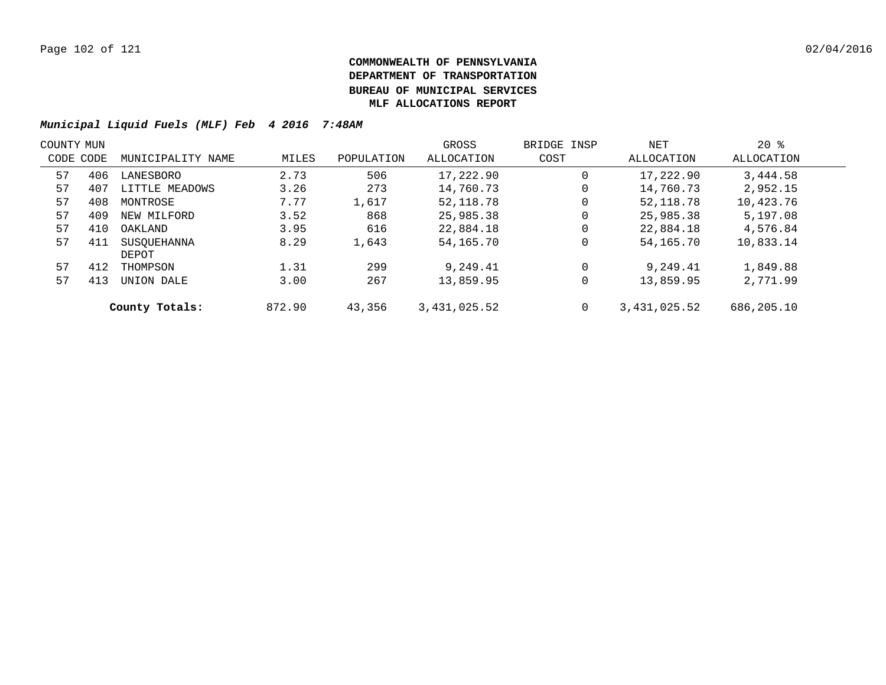| COUNTY MUN |     |                   |        |            | GROSS          | BRIDGE INSP | NET            | $20*$      |  |
|------------|-----|-------------------|--------|------------|----------------|-------------|----------------|------------|--|
| CODE CODE  |     | MUNICIPALITY NAME | MILES  | POPULATION | ALLOCATION     | COST        | ALLOCATION     | ALLOCATION |  |
| 57         | 406 | LANESBORO         | 2.73   | 506        | 17,222.90      | 0           | 17,222.90      | 3,444.58   |  |
| 57         | 407 | LITTLE MEADOWS    | 3.26   | 273        | 14,760.73      | 0           | 14,760.73      | 2,952.15   |  |
| 57         | 408 | MONTROSE          | 7.77   | 1,617      | 52,118.78      | 0           | 52, 118.78     | 10,423.76  |  |
| 57         | 409 | NEW MILFORD       | 3.52   | 868        | 25,985.38      | 0           | 25,985.38      | 5,197.08   |  |
| 57         | 410 | OAKLAND           | 3.95   | 616        | 22,884.18      | 0           | 22,884.18      | 4,576.84   |  |
| 57         | 411 | SUSOUEHANNA       | 8.29   | 1,643      | 54,165.70      | 0           | 54,165.70      | 10,833.14  |  |
|            |     | DEPOT             |        |            |                |             |                |            |  |
| 57         | 412 | THOMPSON          | 1.31   | 299        | 9,249.41       | $\mathbf 0$ | 9,249.41       | 1,849.88   |  |
| 57         | 413 | UNION DALE        | 3.00   | 267        | 13,859.95      | 0           | 13,859.95      | 2,771.99   |  |
|            |     | County Totals:    | 872.90 | 43,356     | 3, 431, 025.52 | 0           | 3, 431, 025.52 | 686,205.10 |  |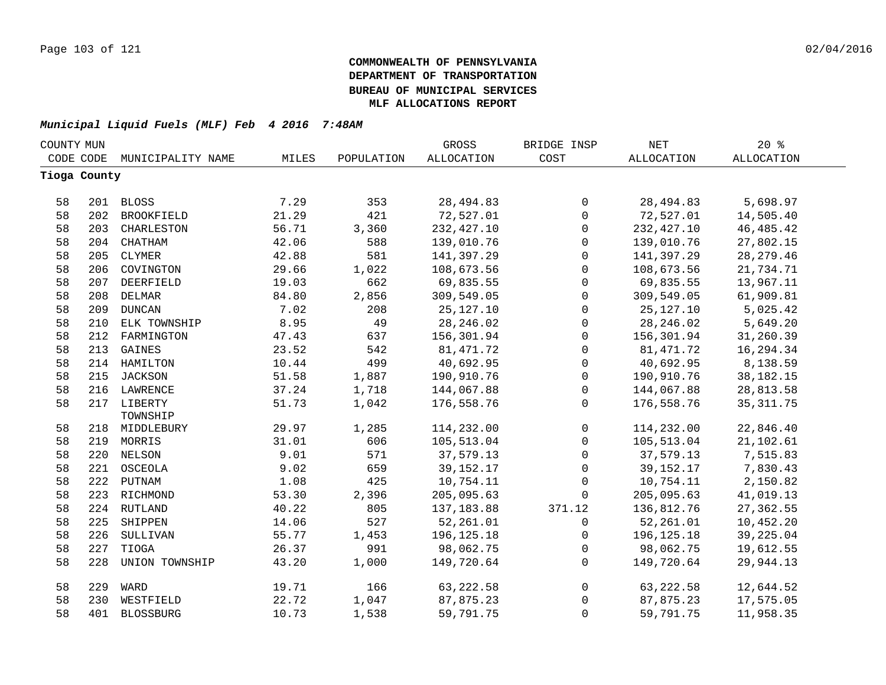| COUNTY MUN |              |                   |       |            | GROSS             | BRIDGE INSP    | NET         | 20%               |  |
|------------|--------------|-------------------|-------|------------|-------------------|----------------|-------------|-------------------|--|
|            | CODE CODE    | MUNICIPALITY NAME | MILES | POPULATION | <b>ALLOCATION</b> | COST           | ALLOCATION  | <b>ALLOCATION</b> |  |
|            | Tioga County |                   |       |            |                   |                |             |                   |  |
|            |              |                   |       |            |                   |                |             |                   |  |
| 58         |              | 201 BLOSS         | 7.29  | 353        | 28, 494.83        | $\mathsf{O}$   | 28,494.83   | 5,698.97          |  |
| 58         | 202          | <b>BROOKFIELD</b> | 21.29 | 421        | 72,527.01         | $\mathsf{O}$   | 72,527.01   | 14,505.40         |  |
| 58         | 203          | CHARLESTON        | 56.71 | 3,360      | 232,427.10        | $\mathsf{O}$   | 232, 427.10 | 46, 485. 42       |  |
| 58         |              | 204 CHATHAM       | 42.06 | 588        | 139,010.76        | $\mathsf{O}$   | 139,010.76  | 27,802.15         |  |
| 58         | 205          | CLYMER            | 42.88 | 581        | 141,397.29        | 0              | 141,397.29  | 28, 279.46        |  |
| 58         | 206          | COVINGTON         | 29.66 | 1,022      | 108,673.56        | $\mathsf{O}$   | 108,673.56  | 21,734.71         |  |
| 58         | 207          | DEERFIELD         | 19.03 | 662        | 69,835.55         | $\mathsf{O}$   | 69,835.55   | 13,967.11         |  |
| 58         | 208          | DELMAR            | 84.80 | 2,856      | 309,549.05        | $\mathsf{O}$   | 309,549.05  | 61,909.81         |  |
| 58         | 209          | <b>DUNCAN</b>     | 7.02  | 208        | 25, 127. 10       | $\mathsf{O}$   | 25,127.10   | 5,025.42          |  |
| 58         | 210          | ELK TOWNSHIP      | 8.95  | 49         | 28, 246.02        | $\mathsf{O}$   | 28, 246.02  | 5,649.20          |  |
| 58         | 212          | FARMINGTON        | 47.43 | 637        | 156,301.94        | $\mathsf 0$    | 156,301.94  | 31,260.39         |  |
| 58         | 213          | GAINES            | 23.52 | 542        | 81, 471. 72       | $\mathsf 0$    | 81,471.72   | 16,294.34         |  |
| 58         |              | 214 HAMILTON      | 10.44 | 499        | 40,692.95         | $\mathsf{O}$   | 40,692.95   | 8,138.59          |  |
| 58         |              | 215 JACKSON       | 51.58 | 1,887      | 190,910.76        | $\mathsf{O}$   | 190,910.76  | 38, 182. 15       |  |
| 58         |              | 216 LAWRENCE      | 37.24 | 1,718      | 144,067.88        | $\mathsf{O}$   | 144,067.88  | 28,813.58         |  |
| 58         |              | 217 LIBERTY       | 51.73 | 1,042      | 176,558.76        | $\overline{0}$ | 176,558.76  | 35, 311.75        |  |
|            |              | TOWNSHIP          |       |            |                   |                |             |                   |  |
| 58         |              | 218 MIDDLEBURY    | 29.97 | 1,285      | 114,232.00        | $\mathsf{O}$   | 114,232.00  | 22,846.40         |  |
| 58         |              | 219 MORRIS        | 31.01 | 606        | 105,513.04        | $\mathsf{O}$   | 105,513.04  | 21,102.61         |  |
| 58         |              | 220 NELSON        | 9.01  | 571        | 37,579.13         | 0              | 37,579.13   | 7,515.83          |  |
| 58         |              | 221 OSCEOLA       | 9.02  | 659        | 39, 152. 17       | $\mathsf{O}$   | 39, 152. 17 | 7,830.43          |  |
| 58         |              | 222 PUTNAM        | 1.08  | 425        | 10,754.11         | $\mathbf 0$    | 10,754.11   | 2,150.82          |  |
| 58         |              | 223 RICHMOND      | 53.30 | 2,396      | 205,095.63        | $\mathbf 0$    | 205,095.63  | 41,019.13         |  |
| 58         |              | 224 RUTLAND       | 40.22 | 805        | 137,183.88        | 371.12         | 136,812.76  | 27, 362.55        |  |
| 58         | 225          | SHIPPEN           | 14.06 | 527        | 52,261.01         | $\mathsf{O}$   | 52,261.01   | 10,452.20         |  |
| 58         | 226          | SULLIVAN          | 55.77 | 1,453      | 196, 125. 18      | $\mathsf{O}$   | 196,125.18  | 39,225.04         |  |
| 58         | 227          | TIOGA             | 26.37 | 991        | 98,062.75         | 0              | 98,062.75   | 19,612.55         |  |
| 58         | 228          | UNION TOWNSHIP    | 43.20 | 1,000      | 149,720.64        | $\mathsf{O}$   | 149,720.64  | 29,944.13         |  |
| 58         | 229          | WARD              | 19.71 | 166        | 63, 222.58        | $\overline{0}$ | 63,222.58   | 12,644.52         |  |
| 58         | 230          | WESTFIELD         | 22.72 | 1,047      | 87,875.23         | $\mathsf{O}$   | 87,875.23   | 17,575.05         |  |
| 58         | 401          | <b>BLOSSBURG</b>  | 10.73 | 1,538      | 59,791.75         | 0              | 59,791.75   | 11,958.35         |  |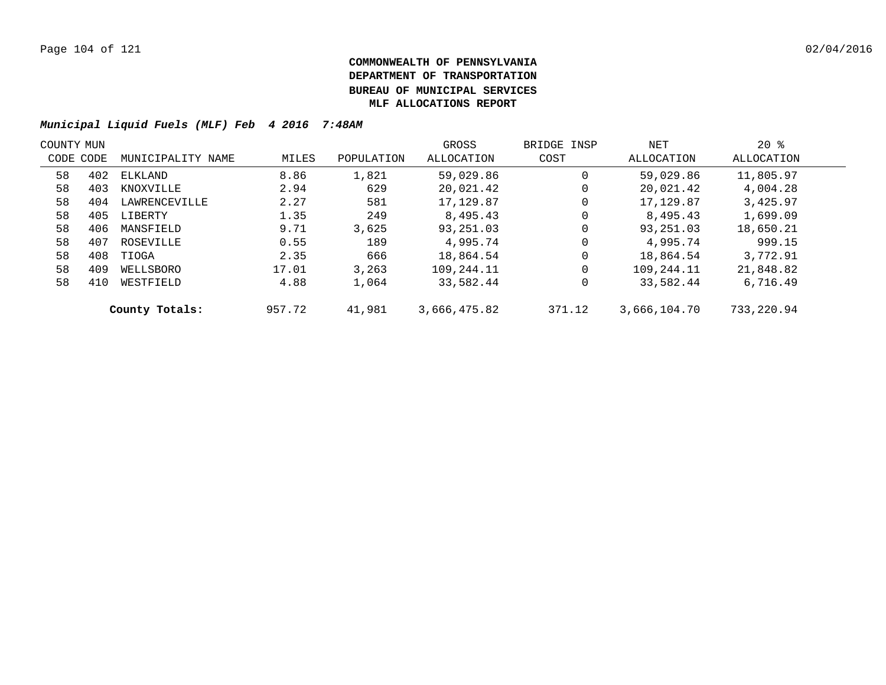| COUNTY MUN |           |                   |        |            | GROSS        | BRIDGE INSP | NET          | $20*$      |  |
|------------|-----------|-------------------|--------|------------|--------------|-------------|--------------|------------|--|
|            | CODE CODE | MUNICIPALITY NAME | MILES  | POPULATION | ALLOCATION   | COST        | ALLOCATION   | ALLOCATION |  |
| 58         | 402       | ELKLAND           | 8.86   | 1,821      | 59,029.86    | $\mathbf 0$ | 59,029.86    | 11,805.97  |  |
| 58         | 403       | KNOXVILLE         | 2.94   | 629        | 20,021.42    | 0           | 20,021.42    | 4,004.28   |  |
| 58         | 404       | LAWRENCEVILLE     | 2.27   | 581        | 17, 129.87   | 0           | 17,129.87    | 3,425.97   |  |
| 58         | 405       | LIBERTY           | 1.35   | 249        | 8,495.43     | 0           | 8,495.43     | 1,699.09   |  |
| 58         | 406       | MANSFIELD         | 9.71   | 3.625      | 93,251.03    | 0           | 93, 251, 03  | 18,650.21  |  |
| 58         | 407       | ROSEVILLE         | 0.55   | 189        | 4,995.74     | 0           | 4,995.74     | 999.15     |  |
| 58         | 408       | TIOGA             | 2.35   | 666        | 18,864.54    | $\mathbf 0$ | 18,864.54    | 3,772.91   |  |
| 58         | 409       | WELLSBORO         | 17.01  | 3,263      | 109,244.11   | $\mathbf 0$ | 109,244.11   | 21,848.82  |  |
| 58         | 410       | WESTFIELD         | 4.88   | 1,064      | 33,582.44    | 0           | 33,582.44    | 6,716.49   |  |
|            |           | County Totals:    | 957.72 | 41,981     | 3,666,475.82 | 371.12      | 3,666,104.70 | 733,220.94 |  |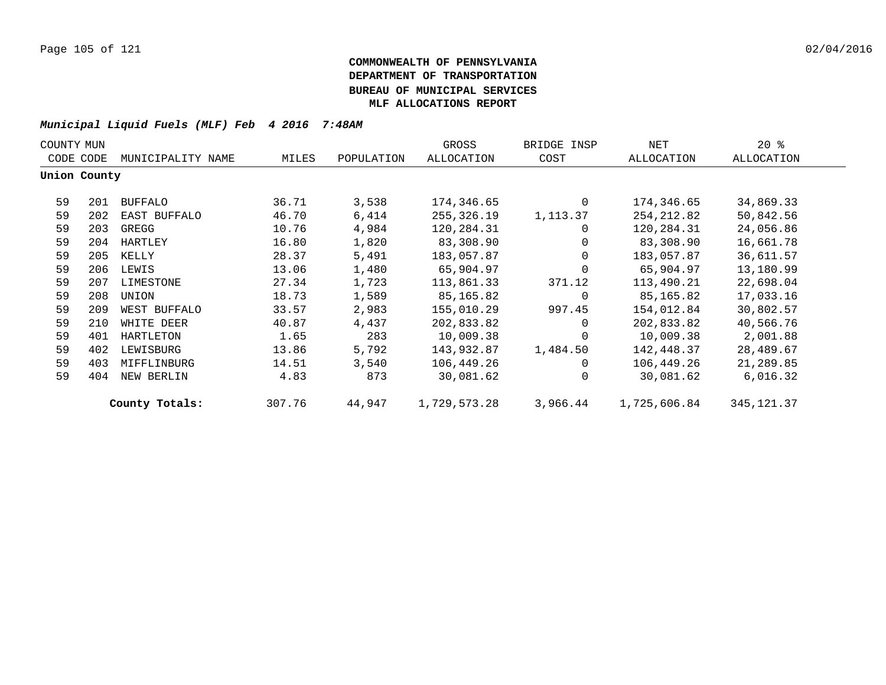| COUNTY MUN   |     |                   |        |            | GROSS        | BRIDGE INSP | NET          | $20*$             |  |
|--------------|-----|-------------------|--------|------------|--------------|-------------|--------------|-------------------|--|
| CODE CODE    |     | MUNICIPALITY NAME | MILES  | POPULATION | ALLOCATION   | COST        | ALLOCATION   | <b>ALLOCATION</b> |  |
| Union County |     |                   |        |            |              |             |              |                   |  |
| 59           | 201 | BUFFALO           | 36.71  | 3,538      | 174,346.65   | $\Omega$    | 174,346.65   | 34,869.33         |  |
| 59           | 202 | EAST BUFFALO      | 46.70  | 6,414      | 255,326.19   | 1,113.37    | 254,212.82   | 50,842.56         |  |
| 59           | 203 | GREGG             | 10.76  | 4,984      | 120,284.31   | 0           | 120,284.31   | 24,056.86         |  |
| 59           | 204 | HARTLEY           | 16.80  | 1,820      | 83,308.90    | $\mathbf 0$ | 83,308.90    | 16,661.78         |  |
| 59           | 205 | KELLY             | 28.37  | 5,491      | 183,057.87   | $\Omega$    | 183,057.87   | 36,611.57         |  |
| 59           | 206 | LEWIS             | 13.06  | 1,480      | 65,904.97    | 0           | 65,904.97    | 13,180.99         |  |
| 59           | 207 | LIMESTONE         | 27.34  | 1,723      | 113,861.33   | 371.12      | 113,490.21   | 22,698.04         |  |
| 59           | 208 | UNION             | 18.73  | 1,589      | 85,165.82    | $\Omega$    | 85,165.82    | 17,033.16         |  |
| 59           | 209 | WEST BUFFALO      | 33.57  | 2,983      | 155,010.29   | 997.45      | 154,012.84   | 30,802.57         |  |
| 59           | 210 | WHITE DEER        | 40.87  | 4,437      | 202,833.82   | $\Omega$    | 202,833.82   | 40,566.76         |  |
| 59           | 401 | HARTLETON         | 1.65   | 283        | 10,009.38    | $\Omega$    | 10,009.38    | 2,001.88          |  |
| 59           | 402 | LEWISBURG         | 13.86  | 5,792      | 143,932.87   | 1,484.50    | 142,448.37   | 28,489.67         |  |
| 59           | 403 | MIFFLINBURG       | 14.51  | 3,540      | 106,449.26   | $\Omega$    | 106,449.26   | 21,289.85         |  |
| 59           | 404 | NEW BERLIN        | 4.83   | 873        | 30,081.62    | $\Omega$    | 30,081.62    | 6,016.32          |  |
|              |     | County Totals:    | 307.76 | 44,947     | 1,729,573.28 | 3,966.44    | 1,725,606.84 | 345, 121.37       |  |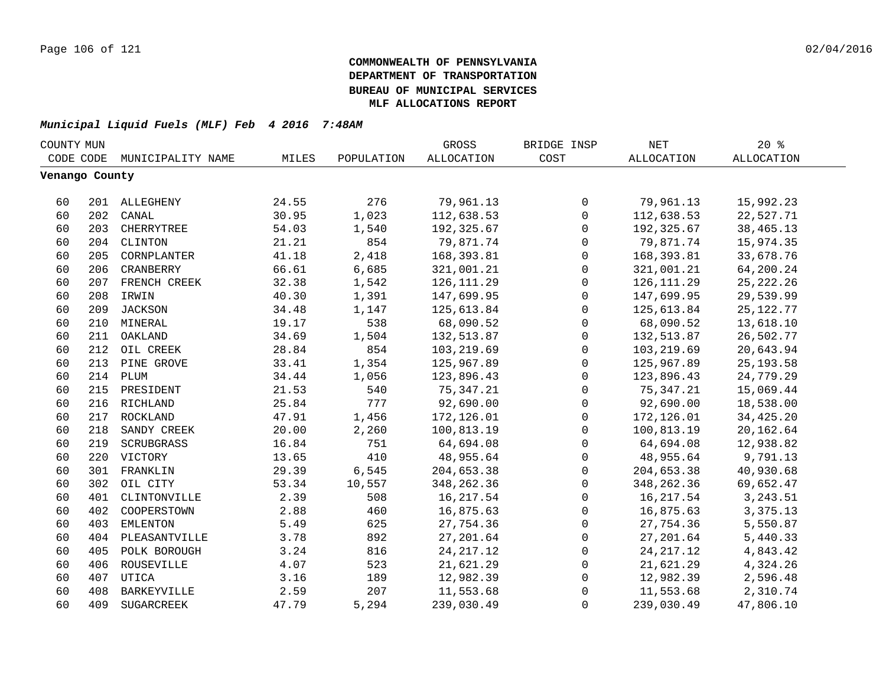| COUNTY MUN     |     |                    |       |            | GROSS             | BRIDGE INSP         | <b>NET</b>  | $20*$             |  |
|----------------|-----|--------------------|-------|------------|-------------------|---------------------|-------------|-------------------|--|
| CODE CODE      |     | MUNICIPALITY NAME  | MILES | POPULATION | <b>ALLOCATION</b> | COST                | ALLOCATION  | <b>ALLOCATION</b> |  |
| Venango County |     |                    |       |            |                   |                     |             |                   |  |
|                |     |                    |       |            |                   |                     |             |                   |  |
| 60             |     | 201 ALLEGHENY      | 24.55 | 276        | 79,961.13         | 0                   | 79,961.13   | 15,992.23         |  |
| 60             | 202 | CANAL              | 30.95 | 1,023      | 112,638.53        | $\mathbf 0$         | 112,638.53  | 22,527.71         |  |
| 60             | 203 | CHERRYTREE         | 54.03 | 1,540      | 192,325.67        | $\mathbf 0$         | 192,325.67  | 38, 465. 13       |  |
| 60             | 204 | CLINTON            | 21.21 | 854        | 79,871.74         | $\mathbf 0$         | 79,871.74   | 15,974.35         |  |
| 60             | 205 | CORNPLANTER        | 41.18 | 2,418      | 168,393.81        | 0                   | 168,393.81  | 33,678.76         |  |
| 60             | 206 | CRANBERRY          | 66.61 | 6,685      | 321,001.21        | 0                   | 321,001.21  | 64,200.24         |  |
| 60             |     | 207 FRENCH CREEK   | 32.38 | 1,542      | 126, 111.29       | 0                   | 126,111.29  | 25, 222. 26       |  |
| 60             |     | 208 IRWIN          | 40.30 | 1,391      | 147,699.95        | $\mathsf{O}$        | 147,699.95  | 29,539.99         |  |
| 60             |     | 209 JACKSON        | 34.48 | 1,147      | 125,613.84        | $\mathsf{O}$        | 125,613.84  | 25, 122. 77       |  |
| 60             |     | 210 MINERAL        | 19.17 | 538        | 68,090.52         | $\mathsf{O}$        | 68,090.52   | 13,618.10         |  |
| 60             | 211 | OAKLAND            | 34.69 | 1,504      | 132,513.87        | $\mathsf{O}$        | 132,513.87  | 26,502.77         |  |
| 60             | 212 | OIL CREEK          | 28.84 | 854        | 103,219.69        | $\mathsf{O}$        | 103,219.69  | 20,643.94         |  |
| 60             | 213 | PINE GROVE         | 33.41 | 1,354      | 125,967.89        | $\mathsf{O}$        | 125,967.89  | 25, 193.58        |  |
| 60             | 214 | PLUM               | 34.44 | 1,056      | 123,896.43        | 0                   | 123,896.43  | 24,779.29         |  |
| 60             | 215 | PRESIDENT          | 21.53 | 540        | 75, 347.21        | 0                   | 75,347.21   | 15,069.44         |  |
| 60             |     | 216 RICHLAND       | 25.84 | 777        | 92,690.00         | 0                   | 92,690.00   | 18,538.00         |  |
| 60             | 217 | ROCKLAND           | 47.91 | 1,456      | 172,126.01        | $\mathsf{O}\xspace$ | 172,126.01  | 34, 425. 20       |  |
| 60             | 218 | SANDY CREEK        | 20.00 | 2,260      | 100,813.19        | $\mathsf{O}$        | 100,813.19  | 20,162.64         |  |
| 60             | 219 | SCRUBGRASS         | 16.84 | 751        | 64,694.08         | $\mathsf{O}$        | 64,694.08   | 12,938.82         |  |
| 60             | 220 | VICTORY            | 13.65 | 410        | 48,955.64         | 0                   | 48,955.64   | 9,791.13          |  |
| 60             | 301 | FRANKLIN           | 29.39 | 6,545      | 204,653.38        | $\mathsf{O}$        | 204,653.38  | 40,930.68         |  |
| 60             | 302 | OIL CITY           | 53.34 | 10,557     | 348, 262.36       | $\mathbf 0$         | 348, 262.36 | 69,652.47         |  |
| 60             |     | 401 CLINTONVILLE   | 2.39  | 508        | 16, 217.54        | 0                   | 16, 217.54  | 3, 243.51         |  |
| 60             | 402 | COOPERSTOWN        | 2.88  | 460        | 16,875.63         | $\mathsf{O}\xspace$ | 16,875.63   | 3, 375.13         |  |
| 60             | 403 | <b>EMLENTON</b>    | 5.49  | 625        | 27,754.36         | $\mathsf{O}\xspace$ | 27,754.36   | 5,550.87          |  |
| 60             | 404 | PLEASANTVILLE      | 3.78  | 892        | 27, 201.64        | $\mathbf 0$         | 27, 201.64  | 5,440.33          |  |
| 60             | 405 | POLK BOROUGH       | 3.24  | 816        | 24, 217. 12       | $\mathsf{O}$        | 24, 217. 12 | 4,843.42          |  |
| 60             | 406 | ROUSEVILLE         | 4.07  | 523        | 21,621.29         | $\mathsf{O}$        | 21,621.29   | 4,324.26          |  |
| 60             | 407 | UTICA              | 3.16  | 189        | 12,982.39         | $\mathsf{O}$        | 12,982.39   | 2,596.48          |  |
| 60             | 408 | <b>BARKEYVILLE</b> | 2.59  | 207        | 11,553.68         | $\mathbf 0$         | 11,553.68   | 2,310.74          |  |
| 60             | 409 | SUGARCREEK         | 47.79 | 5,294      | 239,030.49        | $\mathbf 0$         | 239,030.49  | 47,806.10         |  |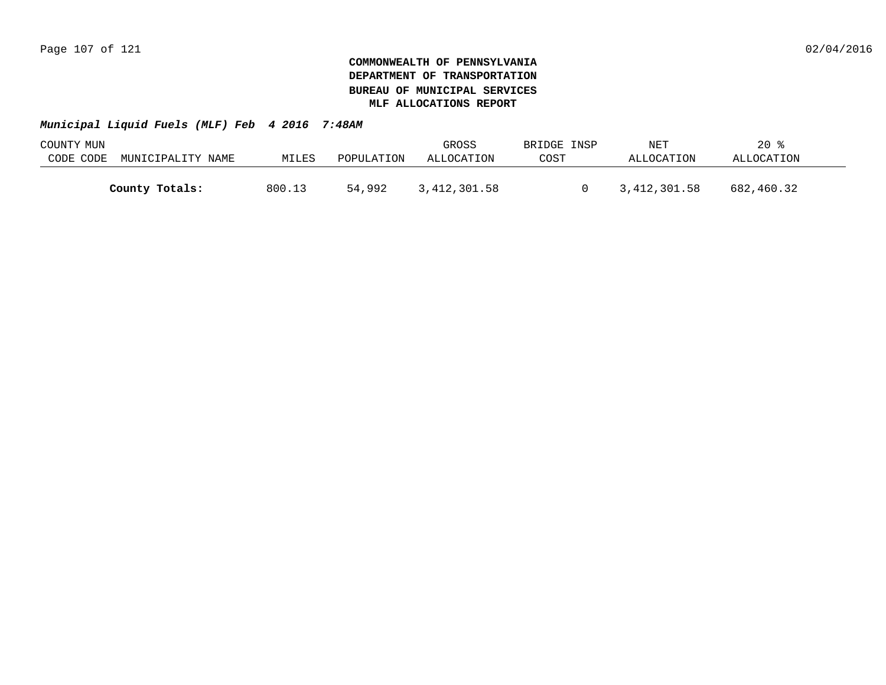| COUNTY MUN |                   |        |            | GROSS        | BRIDGE INSP | NET          | $20*$      |  |
|------------|-------------------|--------|------------|--------------|-------------|--------------|------------|--|
| CODE CODE  | MUNICIPALITY NAME | MILES  | POPULATION | ALLOCATION   | COST        | ALLOCATION   | ALLOCATION |  |
|            |                   |        |            |              |             |              |            |  |
|            | County Totals:    | 800.13 | 54,992     | 3,412,301.58 |             | 3,412,301.58 | 682,460.32 |  |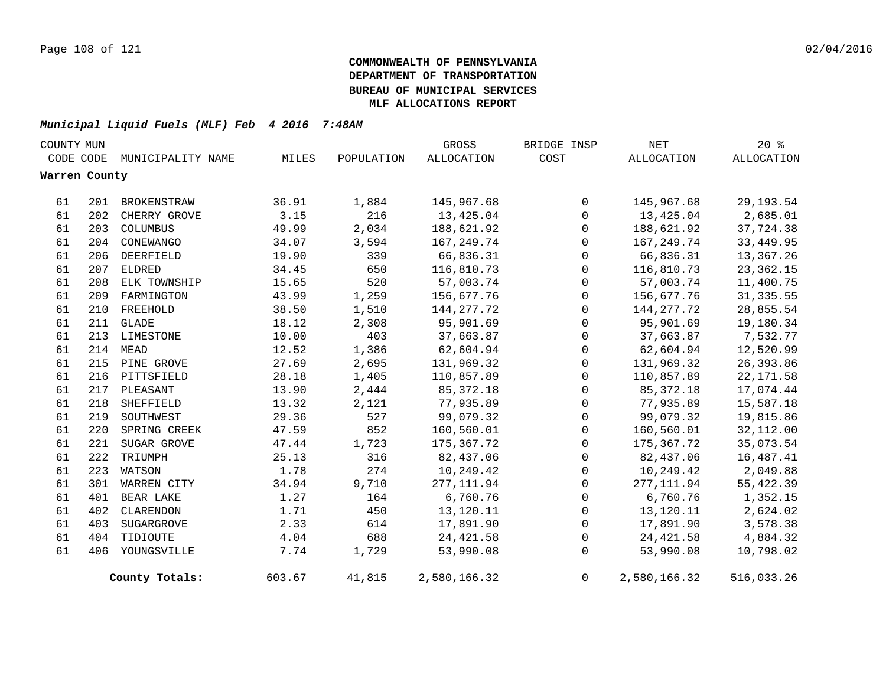|               | COUNTY MUN |                   |        |            | GROSS        | BRIDGE INSP    | NET          | $20*$       |
|---------------|------------|-------------------|--------|------------|--------------|----------------|--------------|-------------|
| CODE CODE     |            | MUNICIPALITY NAME | MILES  | POPULATION | ALLOCATION   | COST           | ALLOCATION   | ALLOCATION  |
| Warren County |            |                   |        |            |              |                |              |             |
| 61            | 201        | BROKENSTRAW       | 36.91  | 1,884      | 145,967.68   | 0              | 145,967.68   | 29, 193.54  |
| 61            | 202        | CHERRY GROVE      | 3.15   | 216        | 13,425.04    | $\mathsf{O}$   | 13,425.04    | 2,685.01    |
| 61            | 203        | COLUMBUS          | 49.99  | 2,034      | 188,621.92   | $\mathsf{O}$   | 188,621.92   | 37,724.38   |
| 61            | 204        | CONEWANGO         | 34.07  | 3,594      | 167,249.74   | $\mathbf 0$    | 167,249.74   | 33, 449.95  |
| 61            | 206        | DEERFIELD         | 19.90  | 339        | 66,836.31    | $\mathsf{O}$   | 66,836.31    | 13,367.26   |
| 61            | 207        | <b>ELDRED</b>     | 34.45  | 650        | 116,810.73   | $\mathsf{O}$   | 116,810.73   | 23, 362. 15 |
| 61            | 208        | ELK TOWNSHIP      | 15.65  | 520        | 57,003.74    | $\mathsf{O}$   | 57,003.74    | 11,400.75   |
| 61            | 209        | FARMINGTON        | 43.99  | 1,259      | 156,677.76   | $\mathbf 0$    | 156,677.76   | 31, 335.55  |
| 61            | 210        | FREEHOLD          | 38.50  | 1,510      | 144, 277. 72 | $\mathbf 0$    | 144,277.72   | 28,855.54   |
| 61            |            | 211 GLADE         | 18.12  | 2,308      | 95,901.69    | $\mathsf{O}$   | 95,901.69    | 19,180.34   |
| 61            | 213        | LIMESTONE         | 10.00  | 403        | 37,663.87    | $\mathbf 0$    | 37,663.87    | 7,532.77    |
| 61            | 214        | MEAD              | 12.52  | 1,386      | 62,604.94    | $\mathsf{O}$   | 62,604.94    | 12,520.99   |
| 61            | 215        | PINE GROVE        | 27.69  | 2,695      | 131,969.32   | $\mathbf 0$    | 131,969.32   | 26,393.86   |
| 61            | 216        | PITTSFIELD        | 28.18  | 1,405      | 110,857.89   | $\mathsf{O}$   | 110,857.89   | 22, 171.58  |
| 61            | 217        | PLEASANT          | 13.90  | 2,444      | 85, 372. 18  | $\mathsf{O}$   | 85, 372. 18  | 17,074.44   |
| 61            | 218        | SHEFFIELD         | 13.32  | 2,121      | 77,935.89    | $\mathbf 0$    | 77,935.89    | 15,587.18   |
| 61            | 219        | SOUTHWEST         | 29.36  | 527        | 99,079.32    | $\mathbf 0$    | 99,079.32    | 19,815.86   |
| 61            | 220        | SPRING CREEK      | 47.59  | 852        | 160,560.01   | $\mathsf{O}$   | 160,560.01   | 32,112.00   |
| 61            | 221        | SUGAR GROVE       | 47.44  | 1,723      | 175,367.72   | $\mathsf{O}$   | 175,367.72   | 35,073.54   |
| 61            | 222        | TRIUMPH           | 25.13  | 316        | 82,437.06    | $\mathbf{0}$   | 82,437.06    | 16,487.41   |
| 61            | 223        | WATSON            | 1.78   | 274        | 10,249.42    | $\mathbf 0$    | 10,249.42    | 2,049.88    |
| 61            | 301        | WARREN CITY       | 34.94  | 9,710      | 277, 111.94  | $\mathbf 0$    | 277,111.94   | 55,422.39   |
| 61            | 401        | BEAR LAKE         | 1.27   | 164        | 6,760.76     | 0              | 6,760.76     | 1,352.15    |
| 61            | 402        | CLARENDON         | 1.71   | 450        | 13,120.11    | $\mathbf 0$    | 13,120.11    | 2,624.02    |
| 61            | 403        | SUGARGROVE        | 2.33   | 614        | 17,891.90    | $\mathbf 0$    | 17,891.90    | 3,578.38    |
| 61            | 404        | TIDIOUTE          | 4.04   | 688        | 24, 421.58   | $\mathbf 0$    | 24,421.58    | 4,884.32    |
| 61            | 406        | YOUNGSVILLE       | 7.74   | 1,729      | 53,990.08    | 0              | 53,990.08    | 10,798.02   |
|               |            | County Totals:    | 603.67 | 41,815     | 2,580,166.32 | $\overline{0}$ | 2,580,166.32 | 516,033.26  |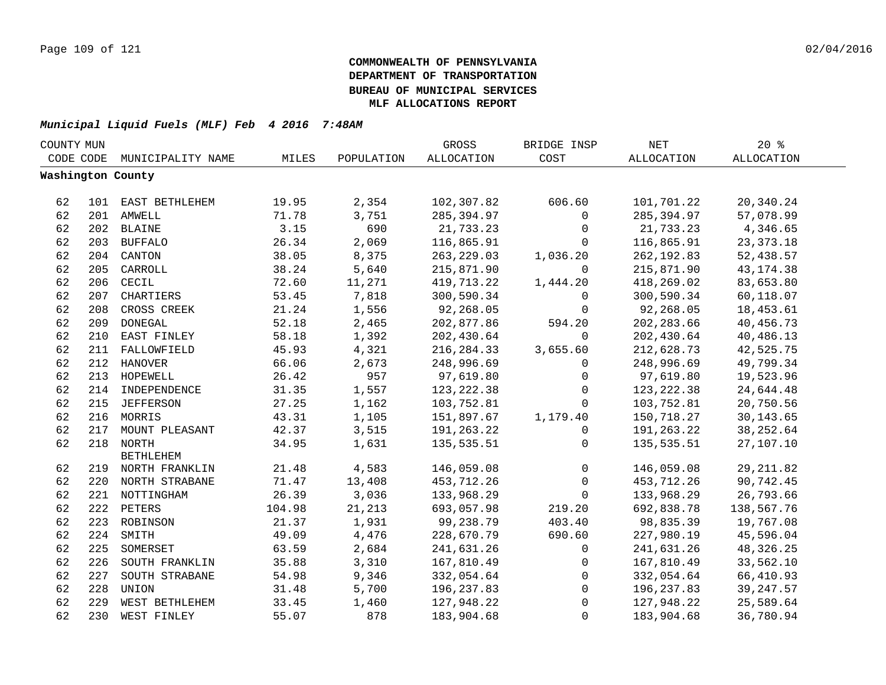| COUNTY MUN |     |                    |        |            | GROSS             | BRIDGE INSP  | <b>NET</b>        | 20%         |  |
|------------|-----|--------------------|--------|------------|-------------------|--------------|-------------------|-------------|--|
| CODE CODE  |     | MUNICIPALITY NAME  | MILES  | POPULATION | <b>ALLOCATION</b> | COST         | <b>ALLOCATION</b> | ALLOCATION  |  |
|            |     | Washington County  |        |            |                   |              |                   |             |  |
|            |     |                    |        |            |                   |              |                   |             |  |
| 62         |     | 101 EAST BETHLEHEM | 19.95  | 2,354      | 102,307.82        | 606.60       | 101,701.22        | 20,340.24   |  |
| 62         |     | 201 AMWELL         | 71.78  | 3,751      | 285, 394.97       | $\mathsf{O}$ | 285, 394.97       | 57,078.99   |  |
| 62         |     | 202 BLAINE         | 3.15   | 690        | 21,733.23         | 0            | 21,733.23         | 4,346.65    |  |
| 62         | 203 | <b>BUFFALO</b>     | 26.34  | 2,069      | 116,865.91        | $\mathbf 0$  | 116,865.91        | 23, 373. 18 |  |
| 62         | 204 | CANTON             | 38.05  | 8,375      | 263, 229.03       | 1,036.20     | 262, 192.83       | 52,438.57   |  |
| 62         | 205 | CARROLL            | 38.24  | 5,640      | 215,871.90        | $\Omega$     | 215,871.90        | 43, 174. 38 |  |
| 62         | 206 | CECIL              | 72.60  | 11,271     | 419,713.22        | 1,444.20     | 418,269.02        | 83,653.80   |  |
| 62         | 207 | CHARTIERS          | 53.45  | 7,818      | 300,590.34        | 0            | 300,590.34        | 60,118.07   |  |
| 62         | 208 | CROSS CREEK        | 21.24  | 1,556      | 92,268.05         | $\mathbf 0$  | 92,268.05         | 18,453.61   |  |
| 62         | 209 | <b>DONEGAL</b>     | 52.18  | 2,465      | 202,877.86        | 594.20       | 202, 283.66       | 40,456.73   |  |
| 62         | 210 | EAST FINLEY        | 58.18  | 1,392      | 202,430.64        | $\mathbf 0$  | 202,430.64        | 40,486.13   |  |
| 62         |     | 211 FALLOWFIELD    | 45.93  | 4,321      | 216, 284.33       | 3,655.60     | 212,628.73        | 42,525.75   |  |
| 62         |     | 212 HANOVER        | 66.06  | 2,673      | 248,996.69        | $\mathbf 0$  | 248,996.69        | 49,799.34   |  |
| 62         |     | 213 HOPEWELL       | 26.42  | 957        | 97,619.80         | 0            | 97,619.80         | 19,523.96   |  |
| 62         |     | 214 INDEPENDENCE   | 31.35  | 1,557      | 123, 222.38       | 0            | 123, 222.38       | 24,644.48   |  |
| 62         |     | 215 JEFFERSON      | 27.25  | 1,162      | 103,752.81        | 0            | 103,752.81        | 20,750.56   |  |
| 62         |     | 216 MORRIS         | 43.31  | 1,105      | 151,897.67        | 1,179.40     | 150,718.27        | 30, 143.65  |  |
| 62         | 217 | MOUNT PLEASANT     | 42.37  | 3,515      | 191,263.22        | 0            | 191,263.22        | 38, 252.64  |  |
| 62         |     | 218 NORTH          | 34.95  | 1,631      | 135,535.51        | $\Omega$     | 135,535.51        | 27,107.10   |  |
|            |     | <b>BETHLEHEM</b>   |        |            |                   |              |                   |             |  |
| 62         |     | 219 NORTH FRANKLIN | 21.48  | 4,583      | 146,059.08        | $\mathsf{O}$ | 146,059.08        | 29, 211.82  |  |
| 62         |     | 220 NORTH STRABANE | 71.47  | 13,408     | 453,712.26        | $\mathsf{O}$ | 453,712.26        | 90,742.45   |  |
| 62         |     | 221 NOTTINGHAM     | 26.39  | 3,036      | 133,968.29        | $\mathbf 0$  | 133,968.29        | 26,793.66   |  |
| 62         |     | 222 PETERS         | 104.98 | 21,213     | 693,057.98        | 219.20       | 692,838.78        | 138,567.76  |  |
| 62         |     | 223 ROBINSON       | 21.37  | 1,931      | 99,238.79         | 403.40       | 98,835.39         | 19,767.08   |  |
| 62         | 224 | SMITH              | 49.09  | 4,476      | 228,670.79        | 690.60       | 227,980.19        | 45,596.04   |  |
| 62         | 225 | SOMERSET           | 63.59  | 2,684      | 241,631.26        | $\mathsf{O}$ | 241,631.26        | 48, 326. 25 |  |
| 62         | 226 | SOUTH FRANKLIN     | 35.88  | 3,310      | 167,810.49        | 0            | 167,810.49        | 33,562.10   |  |
| 62         | 227 | SOUTH STRABANE     | 54.98  | 9,346      | 332,054.64        | $\mathsf{O}$ | 332,054.64        | 66,410.93   |  |
| 62         | 228 | UNION              | 31.48  | 5,700      | 196, 237.83       | 0            | 196,237.83        | 39, 247.57  |  |
| 62         | 229 | WEST BETHLEHEM     | 33.45  | 1,460      | 127,948.22        | 0            | 127,948.22        | 25,589.64   |  |
| 62         | 230 | WEST FINLEY        | 55.07  | 878        | 183,904.68        | $\mathbf 0$  | 183,904.68        | 36,780.94   |  |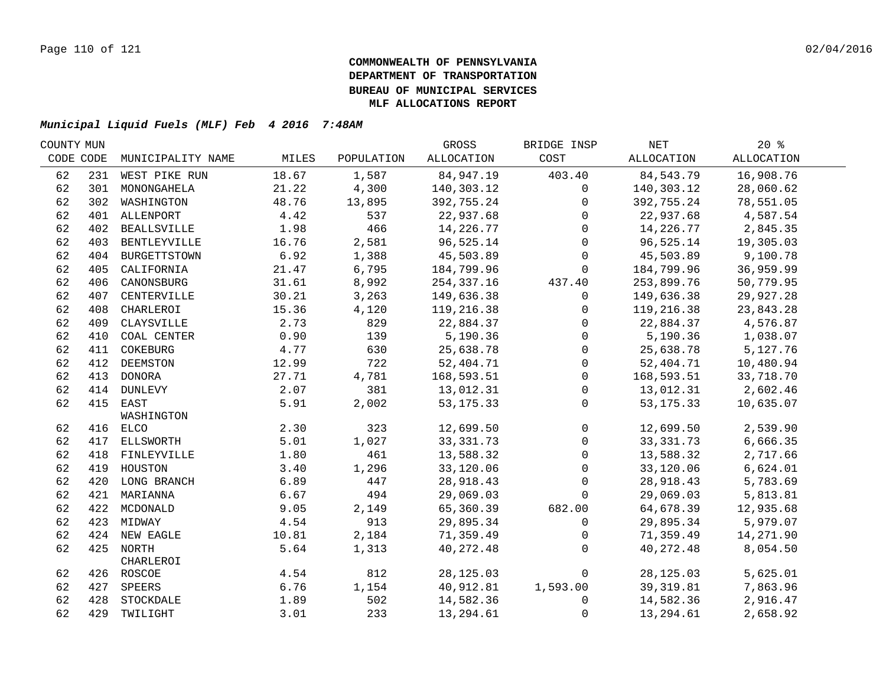| COUNTY MUN |               |                                                                                                                                                                                                                                                                                                                                                                                          |                                                              |                                                                 | BRIDGE INSP                                                                                                      | NET                        |                                                                                           |                                                                                                                                                                      |
|------------|---------------|------------------------------------------------------------------------------------------------------------------------------------------------------------------------------------------------------------------------------------------------------------------------------------------------------------------------------------------------------------------------------------------|--------------------------------------------------------------|-----------------------------------------------------------------|------------------------------------------------------------------------------------------------------------------|----------------------------|-------------------------------------------------------------------------------------------|----------------------------------------------------------------------------------------------------------------------------------------------------------------------|
|            |               | MILES                                                                                                                                                                                                                                                                                                                                                                                    | POPULATION                                                   | ALLOCATION                                                      | COST                                                                                                             | ALLOCATION                 | ALLOCATION                                                                                |                                                                                                                                                                      |
|            | WEST PIKE RUN | 18.67                                                                                                                                                                                                                                                                                                                                                                                    | 1,587                                                        | 84,947.19                                                       | 403.40                                                                                                           | 84,543.79                  | 16,908.76                                                                                 |                                                                                                                                                                      |
|            |               | 21.22                                                                                                                                                                                                                                                                                                                                                                                    | 4,300                                                        | 140,303.12                                                      | $\Omega$                                                                                                         | 140,303.12                 | 28,060.62                                                                                 |                                                                                                                                                                      |
|            |               | 48.76                                                                                                                                                                                                                                                                                                                                                                                    | 13,895                                                       | 392,755.24                                                      | $\mathbf 0$                                                                                                      | 392,755.24                 | 78,551.05                                                                                 |                                                                                                                                                                      |
|            |               | 4.42                                                                                                                                                                                                                                                                                                                                                                                     | 537                                                          | 22,937.68                                                       | $\Omega$                                                                                                         | 22,937.68                  | 4,587.54                                                                                  |                                                                                                                                                                      |
|            |               | 1.98                                                                                                                                                                                                                                                                                                                                                                                     | 466                                                          | 14,226.77                                                       | $\mathbf 0$                                                                                                      | 14,226.77                  | 2,845.35                                                                                  |                                                                                                                                                                      |
|            |               | 16.76                                                                                                                                                                                                                                                                                                                                                                                    | 2,581                                                        | 96,525.14                                                       | $\mathsf{O}$                                                                                                     | 96,525.14                  | 19,305.03                                                                                 |                                                                                                                                                                      |
|            |               | 6.92                                                                                                                                                                                                                                                                                                                                                                                     | 1,388                                                        | 45,503.89                                                       | $\mathbf 0$                                                                                                      | 45,503.89                  | 9,100.78                                                                                  |                                                                                                                                                                      |
| 405        | CALIFORNIA    | 21.47                                                                                                                                                                                                                                                                                                                                                                                    | 6,795                                                        | 184,799.96                                                      | $\mathbf 0$                                                                                                      | 184,799.96                 | 36,959.99                                                                                 |                                                                                                                                                                      |
| 406        | CANONSBURG    | 31.61                                                                                                                                                                                                                                                                                                                                                                                    | 8,992                                                        | 254,337.16                                                      | 437.40                                                                                                           | 253,899.76                 | 50,779.95                                                                                 |                                                                                                                                                                      |
| 407        | CENTERVILLE   | 30.21                                                                                                                                                                                                                                                                                                                                                                                    | 3,263                                                        | 149,636.38                                                      | $\Omega$                                                                                                         | 149,636.38                 | 29,927.28                                                                                 |                                                                                                                                                                      |
| 408        | CHARLEROI     | 15.36                                                                                                                                                                                                                                                                                                                                                                                    | 4,120                                                        | 119,216.38                                                      | $\mathbf 0$                                                                                                      | 119,216.38                 | 23,843.28                                                                                 |                                                                                                                                                                      |
| 409        | CLAYSVILLE    | 2.73                                                                                                                                                                                                                                                                                                                                                                                     | 829                                                          | 22,884.37                                                       | $\Omega$                                                                                                         | 22,884.37                  | 4,576.87                                                                                  |                                                                                                                                                                      |
| 410        | COAL CENTER   | 0.90                                                                                                                                                                                                                                                                                                                                                                                     | 139                                                          | 5,190.36                                                        | $\mathbf 0$                                                                                                      |                            | 1,038.07                                                                                  |                                                                                                                                                                      |
| 411        | COKEBURG      | 4.77                                                                                                                                                                                                                                                                                                                                                                                     | 630                                                          | 25,638.78                                                       | $\overline{0}$                                                                                                   | 25,638.78                  | 5,127.76                                                                                  |                                                                                                                                                                      |
| 412        | DEEMSTON      | 12.99                                                                                                                                                                                                                                                                                                                                                                                    | 722                                                          | 52,404.71                                                       | $\mathsf{O}$                                                                                                     | 52,404.71                  | 10,480.94                                                                                 |                                                                                                                                                                      |
| 413        | <b>DONORA</b> | 27.71                                                                                                                                                                                                                                                                                                                                                                                    | 4,781                                                        | 168,593.51                                                      | $\overline{0}$                                                                                                   | 168,593.51                 | 33,718.70                                                                                 |                                                                                                                                                                      |
|            |               | 2.07                                                                                                                                                                                                                                                                                                                                                                                     | 381                                                          | 13,012.31                                                       | 0                                                                                                                | 13,012.31                  | 2,602.46                                                                                  |                                                                                                                                                                      |
|            |               | 5.91                                                                                                                                                                                                                                                                                                                                                                                     | 2,002                                                        | 53, 175. 33                                                     | $\mathbf 0$                                                                                                      | 53, 175. 33                | 10,635.07                                                                                 |                                                                                                                                                                      |
|            | WASHINGTON    |                                                                                                                                                                                                                                                                                                                                                                                          |                                                              |                                                                 |                                                                                                                  |                            |                                                                                           |                                                                                                                                                                      |
|            |               |                                                                                                                                                                                                                                                                                                                                                                                          |                                                              |                                                                 | 0                                                                                                                |                            |                                                                                           |                                                                                                                                                                      |
|            |               |                                                                                                                                                                                                                                                                                                                                                                                          |                                                              |                                                                 | $\mathsf{O}$                                                                                                     |                            |                                                                                           |                                                                                                                                                                      |
|            |               |                                                                                                                                                                                                                                                                                                                                                                                          |                                                              |                                                                 | $\mathsf{O}$                                                                                                     |                            |                                                                                           |                                                                                                                                                                      |
|            |               | 3.40                                                                                                                                                                                                                                                                                                                                                                                     | 1,296                                                        |                                                                 | $\mathbf 0$                                                                                                      |                            |                                                                                           |                                                                                                                                                                      |
|            |               |                                                                                                                                                                                                                                                                                                                                                                                          |                                                              |                                                                 | $\mathbf{0}$                                                                                                     |                            |                                                                                           |                                                                                                                                                                      |
|            |               |                                                                                                                                                                                                                                                                                                                                                                                          |                                                              | 29,069.03                                                       | $\mathbf{0}$                                                                                                     |                            |                                                                                           |                                                                                                                                                                      |
|            |               | 9.05                                                                                                                                                                                                                                                                                                                                                                                     | 2,149                                                        | 65,360.39                                                       | 682.00                                                                                                           | 64,678.39                  | 12,935.68                                                                                 |                                                                                                                                                                      |
|            |               | 4.54                                                                                                                                                                                                                                                                                                                                                                                     | 913                                                          | 29,895.34                                                       | $\Omega$                                                                                                         | 29,895.34                  | 5,979.07                                                                                  |                                                                                                                                                                      |
|            |               | 10.81                                                                                                                                                                                                                                                                                                                                                                                    | 2,184                                                        | 71,359.49                                                       | $\Omega$                                                                                                         |                            | 14,271.90                                                                                 |                                                                                                                                                                      |
|            |               | 5.64                                                                                                                                                                                                                                                                                                                                                                                     | 1,313                                                        | 40, 272.48                                                      | $\Omega$                                                                                                         | 40,272.48                  | 8,054.50                                                                                  |                                                                                                                                                                      |
|            | CHARLEROI     |                                                                                                                                                                                                                                                                                                                                                                                          |                                                              |                                                                 |                                                                                                                  |                            |                                                                                           |                                                                                                                                                                      |
|            |               |                                                                                                                                                                                                                                                                                                                                                                                          |                                                              |                                                                 |                                                                                                                  |                            |                                                                                           |                                                                                                                                                                      |
|            | SPEERS        |                                                                                                                                                                                                                                                                                                                                                                                          |                                                              |                                                                 |                                                                                                                  |                            |                                                                                           |                                                                                                                                                                      |
|            | STOCKDALE     |                                                                                                                                                                                                                                                                                                                                                                                          |                                                              |                                                                 | $\Omega$                                                                                                         |                            |                                                                                           |                                                                                                                                                                      |
|            |               | 3.01                                                                                                                                                                                                                                                                                                                                                                                     |                                                              | 13,294.61                                                       | $\mathbf 0$                                                                                                      | 13,294.61                  | 2,658.92                                                                                  |                                                                                                                                                                      |
|            |               | CODE CODE MUNICIPALITY NAME<br>231<br>301 MONONGAHELA<br>302 WASHINGTON<br>401 ALLENPORT<br>402 BEALLSVILLE<br>403 BENTLEYVILLE<br>404 BURGETTSTOWN<br>414 DUNLEVY<br>415 EAST<br>416 ELCO<br>417 ELLSWORTH<br>418 FINLEYVILLE<br>419 HOUSTON<br>420 LONG BRANCH<br>421 MARIANNA<br>422 MCDONALD<br>423 MIDWAY<br>424 NEW EAGLE<br>425 NORTH<br>426 ROSCOE<br>427<br>428<br>429 TWILIGHT | 2.30<br>5.01<br>1.80<br>6.89<br>6.67<br>4.54<br>6.76<br>1.89 | 323<br>1,027<br>461<br>447<br>494<br>812<br>1,154<br>502<br>233 | GROSS<br>12,699.50<br>33, 331. 73<br>13,588.32<br>33,120.06<br>28,918.43<br>28, 125.03<br>40,912.81<br>14,582.36 | $\overline{0}$<br>1,593.00 | 12,699.50<br>33, 331. 73<br>13,588.32<br>33,120.06<br>28,918.43<br>29,069.03<br>28,125.03 | $20*$<br>5,190.36<br>2,539.90<br>6,666.35<br>2,717.66<br>6,624.01<br>5,783.69<br>5,813.81<br>71,359.49<br>5,625.01<br>39,319.81<br>7,863.96<br>14,582.36<br>2,916.47 |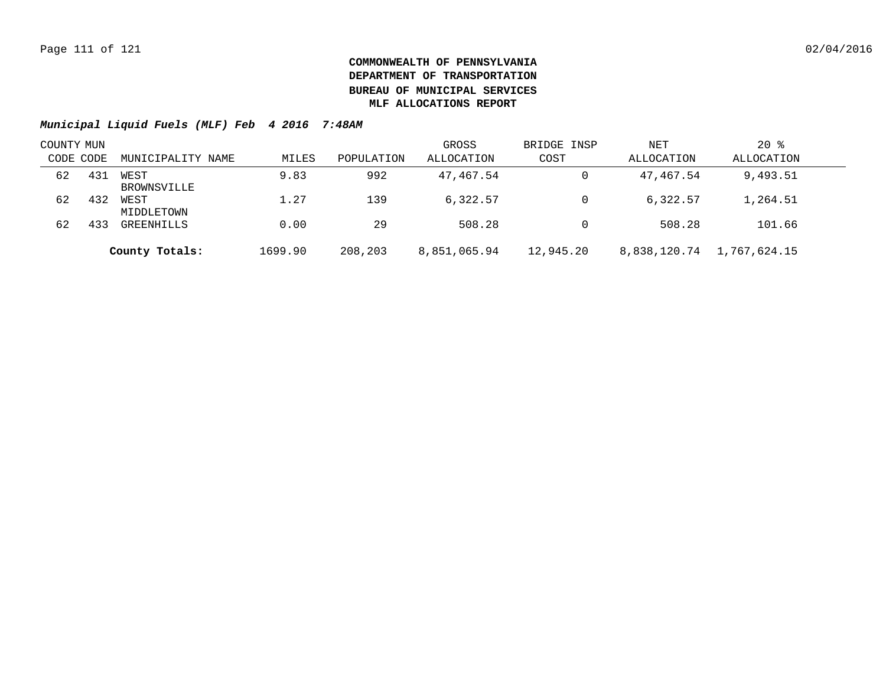| COUNTY MUN |     |                     |         |            | GROSS        | BRIDGE INSP | NET        | $20*$                     |  |
|------------|-----|---------------------|---------|------------|--------------|-------------|------------|---------------------------|--|
| CODE CODE  |     | MUNICIPALITY NAME   | MILES   | POPULATION | ALLOCATION   | COST        | ALLOCATION | ALLOCATION                |  |
| 62         | 431 | WEST<br>BROWNSVILLE | 9.83    | 992        | 47,467.54    | 0           | 47,467.54  | 9,493.51                  |  |
| 62         | 432 | WEST<br>MIDDLETOWN  | 1.27    | 139        | 6,322.57     |             | 6,322.57   | 1,264.51                  |  |
| 62         | 433 | GREENHILLS          | 0.00    | 29         | 508.28       |             | 508.28     | 101.66                    |  |
|            |     | County Totals:      | 1699.90 | 208,203    | 8,851,065.94 | 12,945.20   |            | 8,838,120.74 1,767,624.15 |  |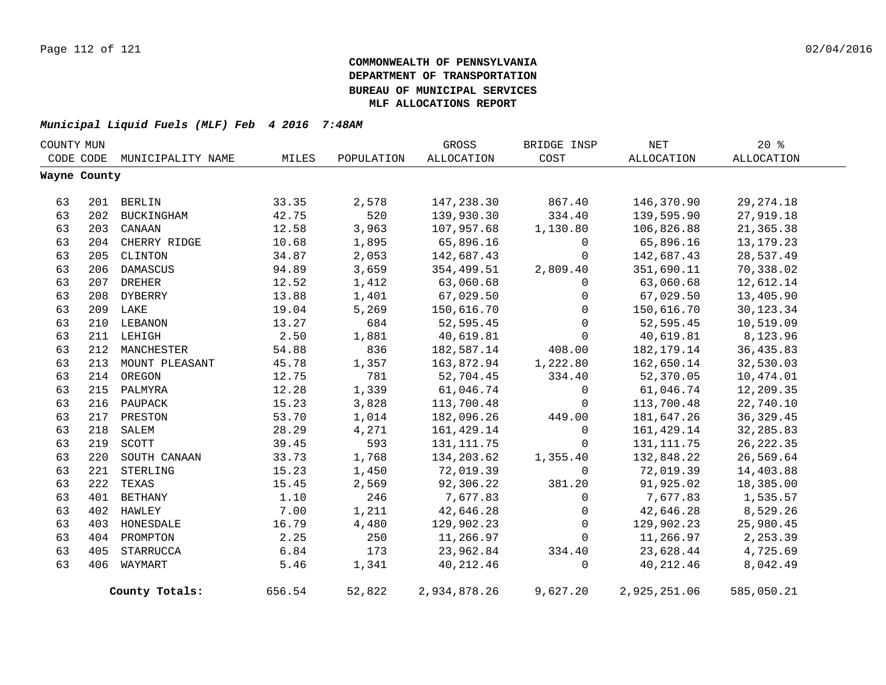| COUNTY MUN |              |                   |        |            | GROSS        | BRIDGE INSP  | NET          | 20%               |  |
|------------|--------------|-------------------|--------|------------|--------------|--------------|--------------|-------------------|--|
|            | CODE CODE    | MUNICIPALITY NAME | MILES  | POPULATION | ALLOCATION   | COST         | ALLOCATION   | <b>ALLOCATION</b> |  |
|            | Wayne County |                   |        |            |              |              |              |                   |  |
|            |              |                   |        |            |              |              |              |                   |  |
| 63         |              | 201 BERLIN        | 33.35  | 2,578      | 147,238.30   | 867.40       | 146,370.90   | 29, 274. 18       |  |
| 63         | 202          | BUCKINGHAM        | 42.75  | 520        | 139,930.30   | 334.40       | 139,595.90   | 27,919.18         |  |
| 63         | 203          | CANAAN            | 12.58  | 3,963      | 107,957.68   | 1,130.80     | 106,826.88   | 21,365.38         |  |
| 63         |              | 204 CHERRY RIDGE  | 10.68  | 1,895      | 65,896.16    | $\mathbf 0$  | 65,896.16    | 13, 179. 23       |  |
| 63         | 205          | CLINTON           | 34.87  | 2,053      | 142,687.43   | $\mathbf{0}$ | 142,687.43   | 28,537.49         |  |
| 63         | 206          | DAMASCUS          | 94.89  | 3,659      | 354,499.51   | 2,809.40     | 351,690.11   | 70,338.02         |  |
| 63         | 207          | <b>DREHER</b>     | 12.52  | 1,412      | 63,060.68    | $\mathbf 0$  | 63,060.68    | 12,612.14         |  |
| 63         | 208          | <b>DYBERRY</b>    | 13.88  | 1,401      | 67,029.50    | 0            | 67,029.50    | 13,405.90         |  |
| 63         |              | 209 LAKE          | 19.04  | 5,269      | 150,616.70   | $\mathbf 0$  | 150,616.70   | 30, 123. 34       |  |
| 63         |              | 210 LEBANON       | 13.27  | 684        | 52,595.45    | $\mathbf 0$  | 52,595.45    | 10,519.09         |  |
| 63         |              | 211 LEHIGH        | 2.50   | 1,881      | 40,619.81    | $\mathbf 0$  | 40,619.81    | 8,123.96          |  |
| 63         | 212          | MANCHESTER        | 54.88  | 836        | 182,587.14   | 408.00       | 182, 179. 14 | 36, 435.83        |  |
| 63         | 213          | MOUNT PLEASANT    | 45.78  | 1,357      | 163,872.94   | 1,222.80     | 162,650.14   | 32,530.03         |  |
| 63         |              | 214 OREGON        | 12.75  | 781        | 52,704.45    | 334.40       | 52,370.05    | 10,474.01         |  |
| 63         |              | 215 PALMYRA       | 12.28  | 1,339      | 61,046.74    | $\mathbf 0$  | 61,046.74    | 12,209.35         |  |
| 63         | 216          | PAUPACK           | 15.23  | 3,828      | 113,700.48   | $\mathbf{0}$ | 113,700.48   | 22,740.10         |  |
| 63         | 217          | PRESTON           | 53.70  | 1,014      | 182,096.26   | 449.00       | 181,647.26   | 36, 329.45        |  |
| 63         | 218          | SALEM             | 28.29  | 4,271      | 161,429.14   | $\mathbf 0$  | 161,429.14   | 32, 285.83        |  |
| 63         | 219          | SCOTT             | 39.45  | 593        | 131, 111.75  | $\mathbf{0}$ | 131, 111.75  | 26, 222.35        |  |
| 63         | 220          | SOUTH CANAAN      | 33.73  | 1,768      | 134,203.62   | 1,355.40     | 132,848.22   | 26,569.64         |  |
| 63         | 221          | STERLING          | 15.23  | 1,450      | 72,019.39    | $\mathbf{0}$ | 72,019.39    | 14,403.88         |  |
| 63         | 222          | TEXAS             | 15.45  | 2,569      | 92,306.22    | 381.20       | 91,925.02    | 18,385.00         |  |
| 63         | 401          | <b>BETHANY</b>    | 1.10   | 246        | 7,677.83     | $\mathbf{0}$ | 7,677.83     | 1,535.57          |  |
| 63         | 402          | HAWLEY            | 7.00   | 1,211      | 42,646.28    | $\mathbf 0$  | 42,646.28    | 8,529.26          |  |
| 63         | 403          | HONESDALE         | 16.79  | 4,480      | 129,902.23   | $\mathsf{O}$ | 129,902.23   | 25,980.45         |  |
| 63         | 404          | PROMPTON          | 2.25   | 250        | 11,266.97    | $\mathbf 0$  | 11,266.97    | 2,253.39          |  |
| 63         | 405          | STARRUCCA         | 6.84   | 173        | 23,962.84    | 334.40       | 23,628.44    | 4,725.69          |  |
| 63         | 406          | WAYMART           | 5.46   | 1,341      | 40, 212.46   | $\mathbf 0$  | 40,212.46    | 8,042.49          |  |
|            |              | County Totals:    | 656.54 | 52,822     | 2,934,878.26 | 9,627.20     | 2,925,251.06 | 585,050.21        |  |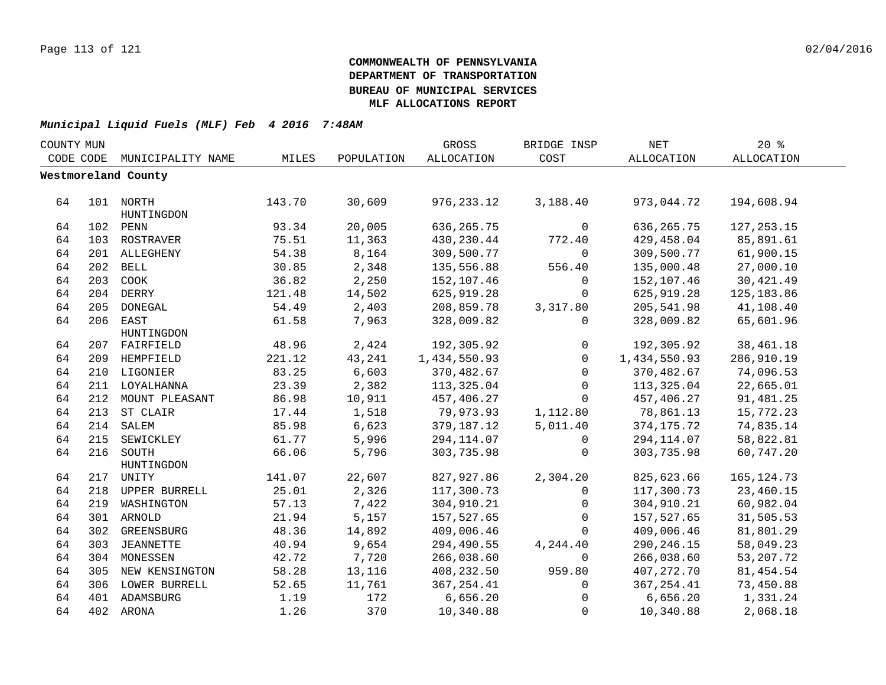| COUNTY MUN |     |                     |        |            | GROSS        | BRIDGE INSP  | $\operatorname{NET}$ | 20%          |  |
|------------|-----|---------------------|--------|------------|--------------|--------------|----------------------|--------------|--|
| CODE CODE  |     | MUNICIPALITY NAME   | MILES  | POPULATION | ALLOCATION   | COST         | ALLOCATION           | ALLOCATION   |  |
|            |     | Westmoreland County |        |            |              |              |                      |              |  |
|            |     |                     |        |            |              |              |                      |              |  |
| 64         |     | 101 NORTH           | 143.70 | 30,609     | 976, 233.12  | 3,188.40     | 973,044.72           | 194,608.94   |  |
|            |     | HUNTINGDON          |        |            |              |              |                      |              |  |
| 64         |     | 102 PENN            | 93.34  | 20,005     | 636, 265.75  | $\mathsf{O}$ | 636, 265.75          | 127, 253. 15 |  |
| 64         |     | 103 ROSTRAVER       | 75.51  | 11,363     | 430,230.44   | 772.40       | 429,458.04           | 85,891.61    |  |
| 64         |     | 201 ALLEGHENY       | 54.38  | 8,164      | 309,500.77   | $\mathbf 0$  | 309,500.77           | 61,900.15    |  |
| 64         |     | 202 BELL            | 30.85  | 2,348      | 135,556.88   | 556.40       | 135,000.48           | 27,000.10    |  |
| 64         | 203 | COOK                | 36.82  | 2,250      | 152,107.46   | $\mathbf 0$  | 152,107.46           | 30,421.49    |  |
| 64         |     | 204 DERRY           | 121.48 | 14,502     | 625,919.28   | $\mathbf 0$  | 625,919.28           | 125,183.86   |  |
| 64         | 205 | DONEGAL             | 54.49  | 2,403      | 208,859.78   | 3,317.80     | 205,541.98           | 41,108.40    |  |
| 64         |     | 206 EAST            | 61.58  | 7,963      | 328,009.82   | $\Omega$     | 328,009.82           | 65,601.96    |  |
|            |     | HUNTINGDON          |        |            |              |              |                      |              |  |
| 64         |     | 207 FAIRFIELD       | 48.96  | 2,424      | 192,305.92   | $\mathbf 0$  | 192,305.92           | 38,461.18    |  |
| 64         |     | 209 HEMPFIELD       | 221.12 | 43,241     | 1,434,550.93 | $\mathbf 0$  | 1,434,550.93         | 286,910.19   |  |
| 64         |     | 210 LIGONIER        | 83.25  | 6,603      | 370,482.67   | $\Omega$     | 370,482.67           | 74,096.53    |  |
| 64         | 211 | LOYALHANNA          | 23.39  | 2,382      | 113,325.04   | $\mathbf 0$  | 113,325.04           | 22,665.01    |  |
| 64         |     | 212 MOUNT PLEASANT  | 86.98  | 10,911     | 457,406.27   | $\Omega$     | 457,406.27           | 91,481.25    |  |
| 64         |     | 213 ST CLAIR        | 17.44  | 1,518      | 79,973.93    | 1,112.80     | 78,861.13            | 15,772.23    |  |
| 64         |     | 214 SALEM           | 85.98  | 6,623      | 379,187.12   | 5,011.40     | 374, 175. 72         | 74,835.14    |  |
| 64         |     | 215 SEWICKLEY       | 61.77  | 5,996      | 294, 114.07  | 0            | 294, 114.07          | 58,822.81    |  |
| 64         |     | 216 SOUTH           | 66.06  | 5,796      | 303,735.98   | $\mathbf 0$  | 303,735.98           | 60,747.20    |  |
|            |     | HUNTINGDON          |        |            |              |              |                      |              |  |
| 64         |     | 217 UNITY           | 141.07 | 22,607     | 827,927.86   | 2,304.20     | 825,623.66           | 165, 124. 73 |  |
| 64         |     | 218 UPPER BURRELL   | 25.01  | 2,326      | 117,300.73   | $\mathbf 0$  | 117,300.73           | 23,460.15    |  |
| 64         | 219 | WASHINGTON          | 57.13  | 7,422      | 304,910.21   | $\mathbf 0$  | 304,910.21           | 60,982.04    |  |
| 64         |     | 301 ARNOLD          | 21.94  | 5,157      | 157,527.65   | $\mathbf 0$  | 157,527.65           | 31,505.53    |  |
| 64         |     | 302 GREENSBURG      | 48.36  | 14,892     | 409,006.46   | $\Omega$     | 409,006.46           | 81,801.29    |  |
| 64         | 303 | <b>JEANNETTE</b>    | 40.94  | 9,654      | 294,490.55   | 4,244.40     | 290,246.15           | 58,049.23    |  |
| 64         |     | 304 MONESSEN        | 42.72  | 7,720      | 266,038.60   | 0            | 266,038.60           | 53, 207. 72  |  |
| 64         | 305 | NEW KENSINGTON      | 58.28  | 13,116     | 408,232.50   | 959.80       | 407,272.70           | 81,454.54    |  |
| 64         | 306 | LOWER BURRELL       | 52.65  | 11,761     | 367, 254.41  | 0            | 367,254.41           | 73,450.88    |  |
| 64         |     | 401 ADAMSBURG       | 1.19   | 172        | 6,656.20     | $\mathbf 0$  | 6,656.20             | 1,331.24     |  |
| 64         |     | 402 ARONA           | 1.26   | 370        | 10,340.88    | $\mathbf 0$  | 10,340.88            | 2,068.18     |  |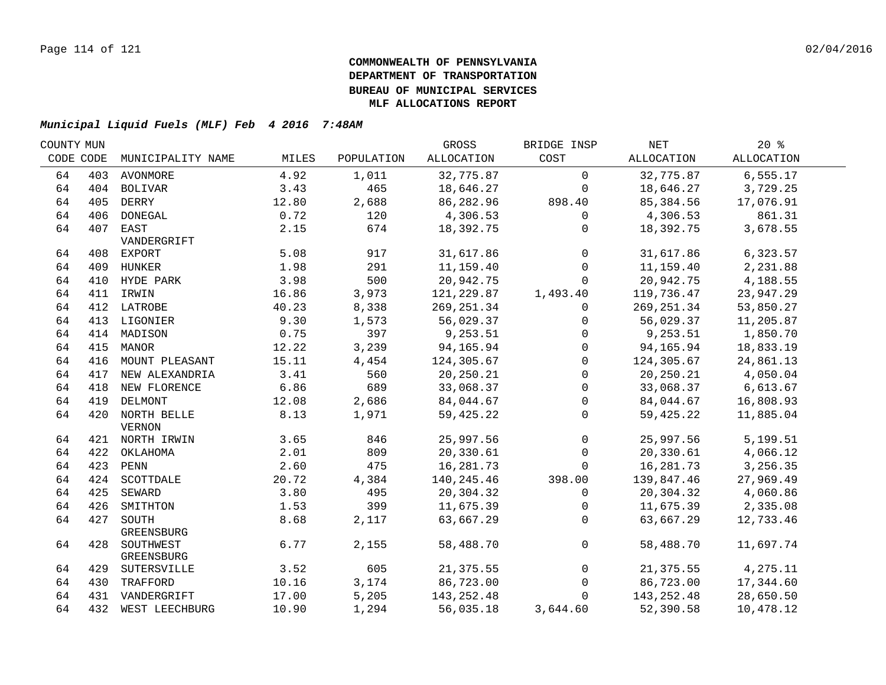| COUNTY MUN |           |                    |       |            | GROSS      | BRIDGE INSP  | NET         | $20*$              |  |
|------------|-----------|--------------------|-------|------------|------------|--------------|-------------|--------------------|--|
|            | CODE CODE | MUNICIPALITY NAME  | MILES | POPULATION | ALLOCATION | COST         | ALLOCATION  | ALLOCATION         |  |
| 64         |           | 403 AVONMORE       | 4.92  | 1,011      | 32,775.87  | $\mathbf 0$  | 32,775.87   | 6, 555.17          |  |
| 64         |           | 404 BOLIVAR        | 3.43  | 465        | 18,646.27  | $\mathbf 0$  | 18,646.27   | 3,729.25           |  |
| 64         |           | 405 DERRY          | 12.80 | 2,688      | 86,282.96  | 898.40       | 85,384.56   | 17,076.91          |  |
| 64         |           | 406 DONEGAL        | 0.72  | 120        | 4,306.53   | $\mathbf 0$  | 4,306.53    | 861.31             |  |
| 64         |           | 407 EAST           | 2.15  | 674        | 18,392.75  | $\mathbf{0}$ | 18,392.75   | 3,678.55           |  |
|            |           | VANDERGRIFT        |       |            |            |              |             |                    |  |
| 64         |           | 408 EXPORT         | 5.08  | 917        | 31,617.86  | $\mathbf 0$  | 31,617.86   | 6,323.57           |  |
| 64         |           | 409 HUNKER         | 1.98  | 291        | 11,159.40  | $\mathsf{O}$ | 11,159.40   | 2,231.88           |  |
| 64         |           | 410 HYDE PARK      | 3.98  | 500        | 20,942.75  | $\mathbf 0$  | 20,942.75   | 4,188.55           |  |
| 64         |           | 411 IRWIN          | 16.86 | 3,973      | 121,229.87 | 1,493.40     | 119,736.47  | 23,947.29          |  |
| 64         |           | 412 LATROBE        | 40.23 | 8,338      | 269,251.34 | $\mathbf{0}$ | 269, 251.34 | 53,850.27          |  |
| 64         | 413       | LIGONIER           | 9.30  | 1,573      | 56,029.37  | $\Omega$     | 56,029.37   | 11,205.87          |  |
| 64         | 414       | MADISON            | 0.75  | 397        | 9,253.51   | 0            | 9,253.51    | 1,850.70           |  |
| 64         | 415       | MANOR              | 12.22 | 3,239      | 94,165.94  | $\mathbf 0$  | 94,165.94   | 18,833.19          |  |
| 64         | 416       | MOUNT PLEASANT     | 15.11 | 4,454      | 124,305.67 | $\Omega$     | 124,305.67  | 24,861.13          |  |
| 64         |           | 417 NEW ALEXANDRIA | 3.41  | 560        | 20,250.21  | $\mathbf{0}$ | 20,250.21   | 4,050.04           |  |
| 64         |           | 418 NEW FLORENCE   | 6.86  | 689        | 33,068.37  | $\mathbf 0$  | 33,068.37   | 6,613.67           |  |
| 64         |           | 419 DELMONT        | 12.08 | 2,686      | 84,044.67  | $\mathbf 0$  | 84,044.67   | 16,808.93          |  |
| 64         |           | 420 NORTH BELLE    | 8.13  | 1,971      | 59,425.22  | $\mathbf{0}$ | 59,425.22   | 11,885.04          |  |
|            |           | VERNON             |       |            |            |              |             |                    |  |
| 64         |           | 421 NORTH IRWIN    | 3.65  | 846        | 25,997.56  | $\mathbf 0$  | 25,997.56   | 5,199.51           |  |
| 64         |           | 422 OKLAHOMA       | 2.01  | 809        | 20,330.61  | $\mathsf{O}$ | 20,330.61   | 4,066.12           |  |
| 64         |           | 423 PENN           | 2.60  | 475        | 16,281.73  | $\Omega$     | 16,281.73   | 3,256.35           |  |
| 64         |           | 424 SCOTTDALE      | 20.72 | 4,384      | 140,245.46 | 398.00       | 139,847.46  | 27,969.49          |  |
| 64         |           | 425 SEWARD         | 3.80  | 495        | 20,304.32  | $\mathbf 0$  | 20,304.32   | 4,060.86           |  |
| 64         | 426       | SMITHTON           | 1.53  | 399        | 11,675.39  | $\mathbf 0$  |             | 11,675.39 2,335.08 |  |
| 64         | 427       | SOUTH              | 8.68  | 2,117      | 63,667.29  | $\Omega$     | 63,667.29   | 12,733.46          |  |
|            |           | GREENSBURG         |       |            |            |              |             |                    |  |
| 64         |           | 428 SOUTHWEST      | 6.77  | 2,155      | 58,488.70  | $\Omega$     | 58,488.70   | 11,697.74          |  |
|            |           | GREENSBURG         |       |            |            |              |             |                    |  |
| 64         |           | 429 SUTERSVILLE    | 3.52  | 605        | 21, 375.55 | $\mathbf 0$  | 21, 375.55  | 4,275.11           |  |
| 64         |           | 430 TRAFFORD       | 10.16 | 3,174      | 86,723.00  | $\mathbf 0$  | 86,723.00   | 17,344.60          |  |
| 64         |           | 431 VANDERGRIFT    | 17.00 | 5,205      | 143,252.48 | $\Omega$     | 143,252.48  | 28,650.50          |  |
| 64         |           | 432 WEST LEECHBURG | 10.90 | 1,294      | 56,035.18  | 3,644.60     | 52,390.58   | 10,478.12          |  |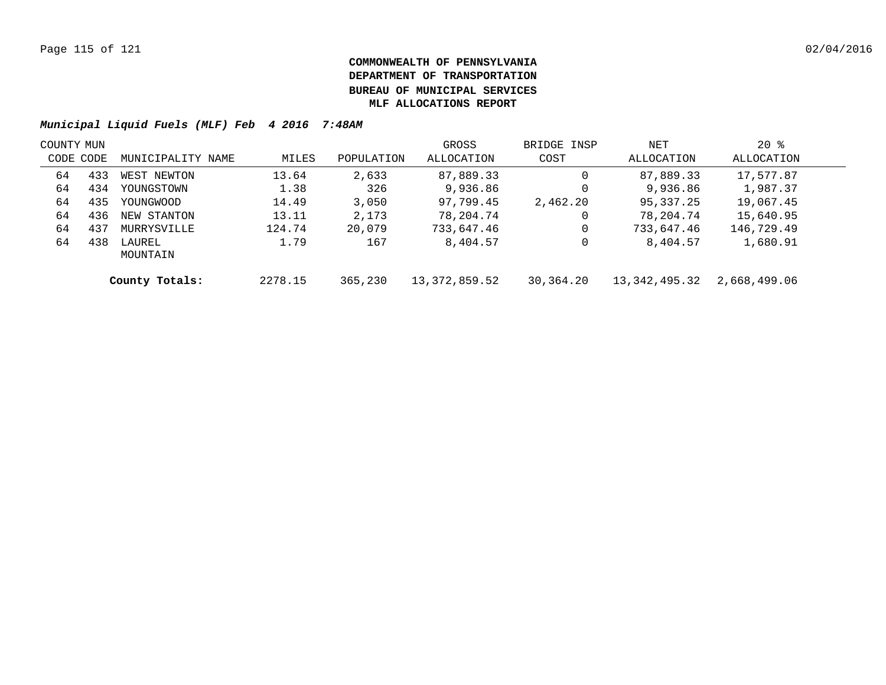| COUNTY MUN |     |                    |         |            | GROSS           | BRIDGE INSP | NET           | $20*$        |  |
|------------|-----|--------------------|---------|------------|-----------------|-------------|---------------|--------------|--|
| CODE CODE  |     | MUNICIPALITY NAME  | MILES   | POPULATION | ALLOCATION      | COST        | ALLOCATION    | ALLOCATION   |  |
| 64         | 433 | WEST NEWTON        | 13.64   | 2,633      | 87,889.33       | 0           | 87,889.33     | 17,577.87    |  |
| 64         | 434 | YOUNGSTOWN         | 1.38    | 326        | 9,936.86        | 0           | 9,936.86      | 1,987.37     |  |
| 64         | 435 | YOUNGWOOD          | 14.49   | 3,050      | 97,799.45       | 2,462.20    | 95,337.25     | 19,067.45    |  |
| 64         | 436 | NEW STANTON        | 13.11   | 2,173      | 78,204.74       | 0           | 78,204.74     | 15,640.95    |  |
| 64         | 437 | MURRYSVILLE        | 124.74  | 20,079     | 733,647.46      | 0           | 733,647.46    | 146,729.49   |  |
| 64         | 438 | LAUREL<br>MOUNTAIN | 1.79    | 167        | 8,404.57        | 0           | 8,404.57      | 1,680.91     |  |
|            |     | County Totals:     | 2278.15 | 365,230    | 13, 372, 859.52 | 30,364.20   | 13,342,495.32 | 2,668,499.06 |  |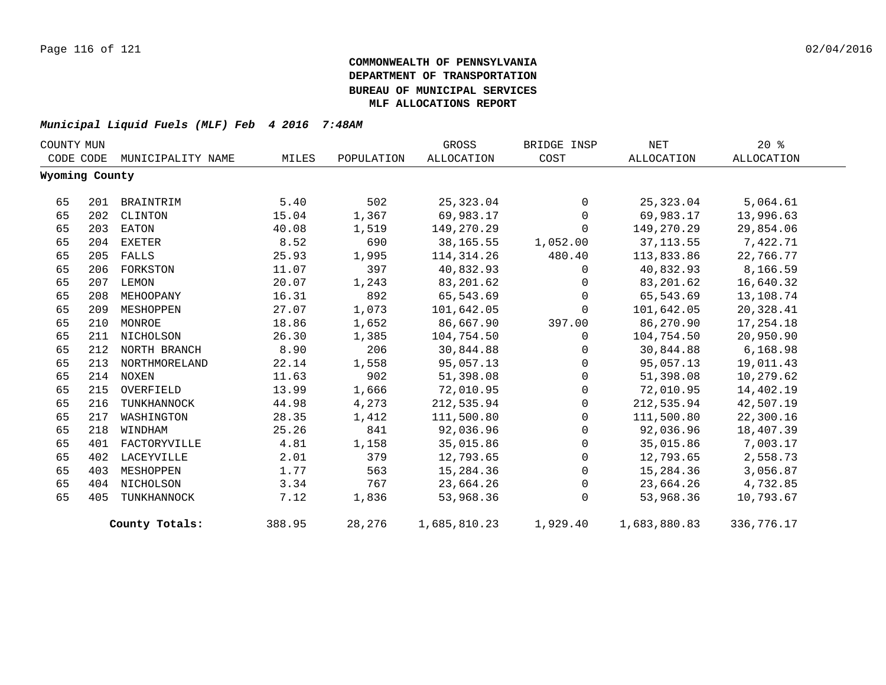| COUNTY MUN |                |                   |        | GROSS      | BRIDGE INSP       | $\operatorname{NET}$ | 20%          |            |
|------------|----------------|-------------------|--------|------------|-------------------|----------------------|--------------|------------|
|            | CODE CODE      | MUNICIPALITY NAME | MILES  | POPULATION | <b>ALLOCATION</b> | COST                 | ALLOCATION   | ALLOCATION |
|            | Wyoming County |                   |        |            |                   |                      |              |            |
| 65         | 201            | BRAINTRIM         | 5.40   | 502        | 25, 323.04        | $\Omega$             | 25, 323.04   | 5,064.61   |
| 65         | 202            | CLINTON           | 15.04  | 1,367      | 69,983.17         | $\Omega$             | 69,983.17    | 13,996.63  |
| 65         | 203            | EATON             | 40.08  | 1,519      | 149,270.29        | $\Omega$             | 149,270.29   | 29,854.06  |
| 65         | 204            | EXETER            | 8.52   | 690        | 38,165.55         | 1,052.00             | 37,113.55    | 7,422.71   |
| 65         | 205            | FALLS             | 25.93  | 1,995      | 114, 314. 26      | 480.40               | 113,833.86   | 22,766.77  |
| 65         | 206            | FORKSTON          | 11.07  | 397        | 40,832.93         | 0                    | 40,832.93    | 8,166.59   |
| 65         | 207            | LEMON             | 20.07  | 1,243      | 83,201.62         | 0                    | 83,201.62    | 16,640.32  |
| 65         | 208            | MEHOOPANY         | 16.31  | 892        | 65,543.69         | $\Omega$             | 65,543.69    | 13,108.74  |
| 65         | 209            | MESHOPPEN         | 27.07  | 1,073      | 101,642.05        | $\Omega$             | 101,642.05   | 20,328.41  |
| 65         | 210            | MONROE            | 18.86  | 1,652      | 86,667.90         | 397.00               | 86,270.90    | 17,254.18  |
| 65         | 211            | NICHOLSON         | 26.30  | 1,385      | 104,754.50        | $\mathbf 0$          | 104,754.50   | 20,950.90  |
| 65         |                | 212 NORTH BRANCH  | 8.90   | 206        | 30,844.88         | $\Omega$             | 30,844.88    | 6,168.98   |
| 65         |                | 213 NORTHMORELAND | 22.14  | 1,558      | 95,057.13         | $\mathbf 0$          | 95,057.13    | 19,011.43  |
| 65         |                | 214 NOXEN         | 11.63  | 902        | 51,398.08         | $\mathbf 0$          | 51,398.08    | 10,279.62  |
| 65         | 215            | OVERFIELD         | 13.99  | 1,666      | 72,010.95         | $\mathbf 0$          | 72,010.95    | 14,402.19  |
| 65         | 216            | TUNKHANNOCK       | 44.98  | 4,273      | 212,535.94        | $\mathbf 0$          | 212,535.94   | 42,507.19  |
| 65         | 217            | WASHINGTON        | 28.35  | 1,412      | 111,500.80        | $\mathbf 0$          | 111,500.80   | 22,300.16  |
| 65         | 218            | WINDHAM           | 25.26  | 841        | 92,036.96         | 0                    | 92,036.96    | 18,407.39  |
| 65         | 401            | FACTORYVILLE      | 4.81   | 1,158      | 35,015.86         | $\mathbf 0$          | 35,015.86    | 7,003.17   |
| 65         | 402            | LACEYVILLE        | 2.01   | 379        | 12,793.65         | 0                    | 12,793.65    | 2,558.73   |
| 65         | 403            | MESHOPPEN         | 1.77   | 563        | 15,284.36         | $\mathbf 0$          | 15,284.36    | 3,056.87   |
| 65         | 404            | NICHOLSON         | 3.34   | 767        | 23,664.26         | 0                    | 23,664.26    | 4,732.85   |
| 65         | 405            | TUNKHANNOCK       | 7.12   | 1,836      | 53,968.36         | $\Omega$             | 53,968.36    | 10,793.67  |
|            |                | County Totals:    | 388.95 | 28,276     | 1,685,810.23      | 1,929.40             | 1,683,880.83 | 336,776.17 |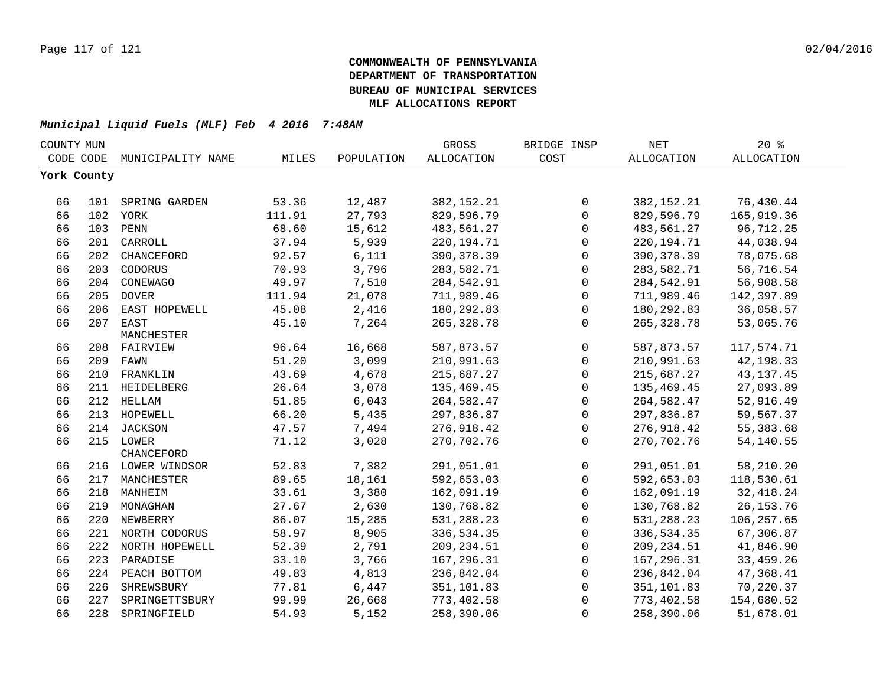| COUNTY MUN  |     |                    |        |            | GROSS        | BRIDGE INSP  | <b>NET</b>   | $20*$             |  |
|-------------|-----|--------------------|--------|------------|--------------|--------------|--------------|-------------------|--|
| CODE CODE   |     | MUNICIPALITY NAME  | MILES  | POPULATION | ALLOCATION   | COST         | ALLOCATION   | <b>ALLOCATION</b> |  |
| York County |     |                    |        |            |              |              |              |                   |  |
|             |     |                    |        |            |              |              |              |                   |  |
| 66          |     | 101 SPRING GARDEN  | 53.36  | 12,487     | 382, 152. 21 | 0            | 382, 152. 21 | 76,430.44         |  |
| 66          |     | 102 YORK           | 111.91 | 27,793     | 829,596.79   | 0            | 829,596.79   | 165,919.36        |  |
| 66          |     | 103 PENN           | 68.60  | 15,612     | 483,561.27   | 0            | 483,561.27   | 96,712.25         |  |
| 66          | 201 | CARROLL            | 37.94  | 5,939      | 220, 194. 71 | 0            | 220, 194. 71 | 44,038.94         |  |
| 66          | 202 | CHANCEFORD         | 92.57  | 6,111      | 390, 378.39  | $\mathsf{O}$ | 390, 378.39  | 78,075.68         |  |
| 66          | 203 | CODORUS            | 70.93  | 3,796      | 283,582.71   | $\mathbf 0$  | 283,582.71   | 56,716.54         |  |
| 66          | 204 | CONEWAGO           | 49.97  | 7,510      | 284,542.91   | $\mathbf 0$  | 284,542.91   | 56,908.58         |  |
| 66          | 205 | <b>DOVER</b>       | 111.94 | 21,078     | 711,989.46   | 0            | 711,989.46   | 142,397.89        |  |
| 66          | 206 | EAST HOPEWELL      | 45.08  | 2,416      | 180,292.83   | $\mathbf 0$  | 180,292.83   | 36,058.57         |  |
| 66          | 207 | EAST               | 45.10  | 7,264      | 265, 328.78  | 0            | 265, 328.78  | 53,065.76         |  |
|             |     | MANCHESTER         |        |            |              |              |              |                   |  |
| 66          |     | 208 FAIRVIEW       | 96.64  | 16,668     | 587,873.57   | $\mathbf 0$  | 587,873.57   | 117,574.71        |  |
| 66          | 209 | FAWN               | 51.20  | 3,099      | 210,991.63   | $\mathbf 0$  | 210,991.63   | 42,198.33         |  |
| 66          | 210 | FRANKLIN           | 43.69  | 4,678      | 215,687.27   | 0            | 215,687.27   | 43, 137. 45       |  |
| 66          | 211 | HEIDELBERG         | 26.64  | 3,078      | 135,469.45   | $\Omega$     | 135,469.45   | 27,093.89         |  |
| 66          |     | 212 HELLAM         | 51.85  | 6,043      | 264,582.47   | 0            | 264,582.47   | 52,916.49         |  |
| 66          |     | 213 HOPEWELL       | 66.20  | 5,435      | 297,836.87   | 0            | 297,836.87   | 59,567.37         |  |
| 66          |     | 214 JACKSON        | 47.57  | 7,494      | 276,918.42   | 0            | 276,918.42   | 55, 383.68        |  |
| 66          |     | 215 LOWER          | 71.12  | 3,028      | 270,702.76   | 0            | 270,702.76   | 54,140.55         |  |
|             |     | <b>CHANCEFORD</b>  |        |            |              |              |              |                   |  |
| 66          |     | 216 LOWER WINDSOR  | 52.83  | 7,382      | 291,051.01   | 0            | 291,051.01   | 58,210.20         |  |
| 66          |     | 217 MANCHESTER     | 89.65  | 18,161     | 592,653.03   | 0            | 592,653.03   | 118,530.61        |  |
| 66          |     | 218 MANHEIM        | 33.61  | 3,380      | 162,091.19   | $\mathsf{O}$ | 162,091.19   | 32, 418.24        |  |
| 66          |     | 219 MONAGHAN       | 27.67  | 2,630      | 130,768.82   | $\mathsf{O}$ | 130,768.82   | 26, 153. 76       |  |
| 66          |     | 220 NEWBERRY       | 86.07  | 15,285     | 531,288.23   | 0            | 531,288.23   | 106,257.65        |  |
| 66          |     | 221 NORTH CODORUS  | 58.97  | 8,905      | 336,534.35   | $\mathbf 0$  | 336,534.35   | 67,306.87         |  |
| 66          |     | 222 NORTH HOPEWELL | 52.39  | 2,791      | 209, 234.51  | 0            | 209, 234.51  | 41,846.90         |  |
| 66          |     | 223 PARADISE       | 33.10  | 3,766      | 167,296.31   | $\Omega$     | 167,296.31   | 33, 459. 26       |  |
| 66          |     | 224 PEACH BOTTOM   | 49.83  | 4,813      | 236,842.04   | 0            | 236,842.04   | 47,368.41         |  |
| 66          | 226 | SHREWSBURY         | 77.81  | 6,447      | 351,101.83   | $\mathbf 0$  | 351,101.83   | 70,220.37         |  |
| 66          | 227 | SPRINGETTSBURY     | 99.99  | 26,668     | 773,402.58   | $\Omega$     | 773,402.58   | 154,680.52        |  |
| 66          | 228 | SPRINGFIELD        | 54.93  | 5,152      | 258,390.06   | $\Omega$     | 258,390.06   | 51,678.01         |  |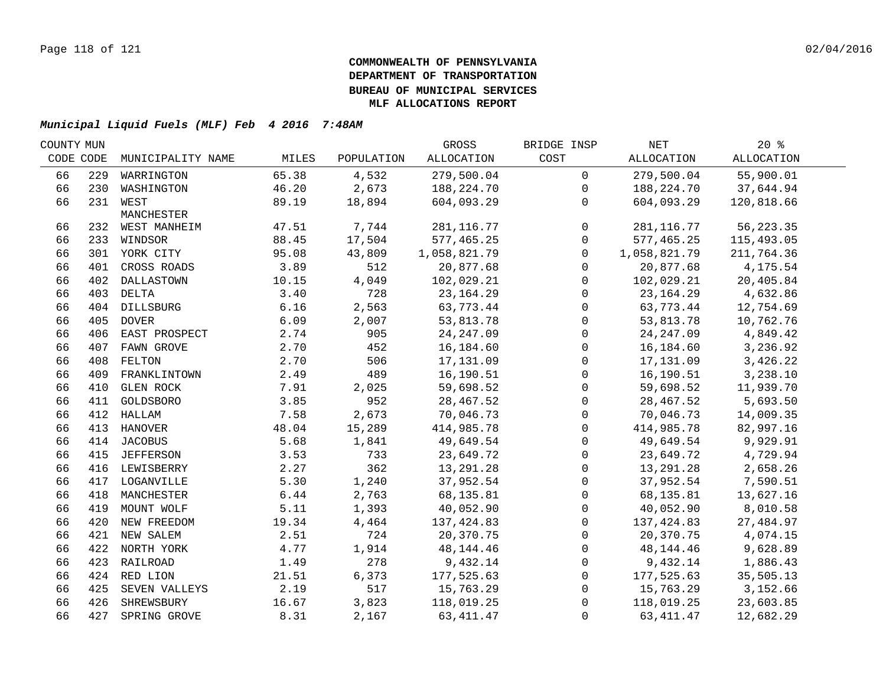| COUNTY MUN |     |                   |       |            | GROSS        | BRIDGE INSP         | NET               | 20%               |  |
|------------|-----|-------------------|-------|------------|--------------|---------------------|-------------------|-------------------|--|
| CODE CODE  |     | MUNICIPALITY NAME | MILES | POPULATION | ALLOCATION   | COST                | <b>ALLOCATION</b> | <b>ALLOCATION</b> |  |
| 66         | 229 | WARRINGTON        | 65.38 | 4,532      | 279,500.04   | $\overline{0}$      | 279,500.04        | 55,900.01         |  |
| 66         |     | 230 WASHINGTON    | 46.20 | 2,673      | 188,224.70   | $\mathbf 0$         | 188,224.70        | 37,644.94         |  |
| 66         |     | 231 WEST          | 89.19 | 18,894     | 604,093.29   | $\Omega$            | 604,093.29        | 120,818.66        |  |
|            |     | MANCHESTER        |       |            |              |                     |                   |                   |  |
| 66         |     | 232 WEST MANHEIM  | 47.51 | 7,744      | 281, 116.77  | $\mathbf 0$         | 281, 116.77       | 56, 223.35        |  |
| 66         |     | 233 WINDSOR       | 88.45 | 17,504     | 577,465.25   | $\mathbf 0$         | 577,465.25        | 115,493.05        |  |
| 66         |     | 301 YORK CITY     | 95.08 | 43,809     | 1,058,821.79 | $\Omega$            | 1,058,821.79      | 211,764.36        |  |
| 66         | 401 | CROSS ROADS       | 3.89  | 512        | 20,877.68    | $\mathbf{0}$        | 20,877.68         | 4,175.54          |  |
| 66         |     | 402 DALLASTOWN    | 10.15 | 4,049      | 102,029.21   | $\mathbf 0$         | 102,029.21        | 20,405.84         |  |
| 66         |     | 403 DELTA         | 3.40  | 728        | 23, 164. 29  | 0                   | 23, 164. 29       | 4,632.86          |  |
| 66         |     | 404 DILLSBURG     | 6.16  | 2,563      | 63,773.44    | 0                   | 63,773.44         | 12,754.69         |  |
| 66         |     | 405 DOVER         | 6.09  | 2,007      | 53,813.78    | $\mathsf{O}\xspace$ | 53,813.78         | 10,762.76         |  |
| 66         |     | 406 EAST PROSPECT | 2.74  | 905        | 24, 247.09   | $\mathsf{O}$        | 24, 247.09        | 4,849.42          |  |
| 66         | 407 | FAWN GROVE        | 2.70  | 452        | 16,184.60    | $\mathsf{O}$        | 16,184.60         | 3,236.92          |  |
| 66         | 408 | FELTON            | 2.70  | 506        | 17,131.09    | $\mathsf{O}$        | 17,131.09         | 3,426.22          |  |
| 66         | 409 | FRANKLINTOWN      | 2.49  | 489        | 16,190.51    | $\mathbf 0$         | 16,190.51         | 3,238.10          |  |
| 66         | 410 | <b>GLEN ROCK</b>  | 7.91  | 2,025      | 59,698.52    | 0                   | 59,698.52         | 11,939.70         |  |
| 66         | 411 | GOLDSBORO         | 3.85  | 952        | 28,467.52    | $\mathbf 0$         | 28,467.52         | 5,693.50          |  |
| 66         | 412 | HALLAM            | 7.58  | 2,673      | 70,046.73    | $\mathbf 0$         | 70,046.73         | 14,009.35         |  |
| 66         |     | 413 HANOVER       | 48.04 | 15,289     | 414,985.78   | $\mathbf 0$         | 414,985.78        | 82,997.16         |  |
| 66         |     | 414 JACOBUS       | 5.68  | 1,841      | 49,649.54    | 0                   | 49,649.54         | 9,929.91          |  |
| 66         |     | 415 JEFFERSON     | 3.53  | 733        | 23,649.72    | 0                   | 23,649.72         | 4,729.94          |  |
| 66         |     | 416 LEWISBERRY    | 2.27  | 362        | 13,291.28    | $\mathsf{O}$        | 13,291.28         | 2,658.26          |  |
| 66         |     | 417 LOGANVILLE    | 5.30  | 1,240      | 37,952.54    | 0                   | 37,952.54         | 7,590.51          |  |
| 66         |     | 418 MANCHESTER    | 6.44  | 2,763      | 68,135.81    | $\mathsf{O}\xspace$ | 68,135.81         | 13,627.16         |  |
| 66         |     | 419 MOUNT WOLF    | 5.11  | 1,393      | 40,052.90    | $\mathbf 0$         | 40,052.90         | 8,010.58          |  |
| 66         |     | 420 NEW FREEDOM   | 19.34 | 4,464      | 137, 424.83  | $\overline{0}$      | 137,424.83        | 27,484.97         |  |
| 66         |     | 421 NEW SALEM     | 2.51  | 724        | 20,370.75    | $\mathbf 0$         | 20,370.75         | 4,074.15          |  |
| 66         |     | 422 NORTH YORK    | 4.77  | 1,914      | 48, 144. 46  | $\mathbf 0$         | 48,144.46         | 9,628.89          |  |
| 66         |     | 423 RAILROAD      | 1.49  | 278        | 9,432.14     | $\mathbf 0$         | 9,432.14          | 1,886.43          |  |
| 66         |     | 424 RED LION      | 21.51 | 6,373      | 177,525.63   | 0                   | 177,525.63        | 35,505.13         |  |
| 66         |     | 425 SEVEN VALLEYS | 2.19  | 517        | 15,763.29    | $\mathbf 0$         | 15,763.29         | 3,152.66          |  |
| 66         |     | 426 SHREWSBURY    | 16.67 | 3,823      | 118,019.25   | $\Omega$            | 118,019.25        | 23,603.85         |  |
| 66         |     | 427 SPRING GROVE  | 8.31  | 2,167      | 63, 411.47   | $\Omega$            | 63, 411.47        | 12,682.29         |  |
|            |     |                   |       |            |              |                     |                   |                   |  |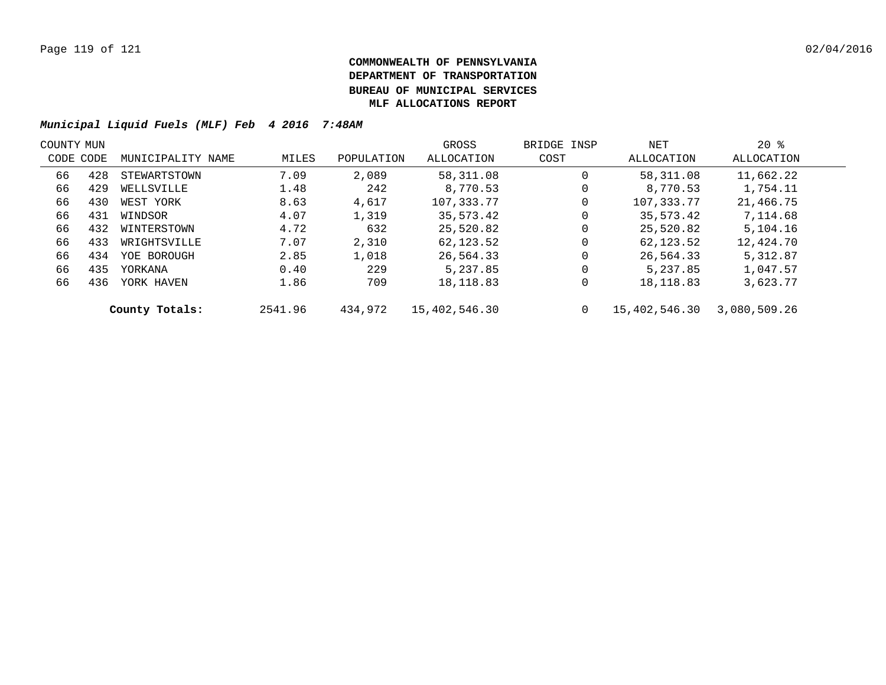| COUNTY MUN |           |                   |         |            | GROSS         | BRIDGE INSP | NET           | $20*$        |  |
|------------|-----------|-------------------|---------|------------|---------------|-------------|---------------|--------------|--|
|            | CODE CODE | MUNICIPALITY NAME | MILES   | POPULATION | ALLOCATION    | COST        | ALLOCATION    | ALLOCATION   |  |
| 66         | 428       | STEWARTSTOWN      | 7.09    | 2,089      | 58,311.08     | 0           | 58,311.08     | 11,662.22    |  |
| 66         | 429       | WELLSVILLE        | 1.48    | 242        | 8,770.53      | 0           | 8,770.53      | 1,754.11     |  |
| 66         | 430       | WEST YORK         | 8.63    | 4,617      | 107, 333, 77  | 0           | 107,333.77    | 21,466.75    |  |
| 66         | 431       | WINDSOR           | 4.07    | 1,319      | 35,573.42     | 0           | 35,573.42     | 7,114.68     |  |
| 66         | 432       | WINTERSTOWN       | 4.72    | 632        | 25,520.82     | 0           | 25,520.82     | 5,104.16     |  |
| 66         | 433       | WRIGHTSVILLE      | 7.07    | 2,310      | 62,123.52     | 0           | 62,123.52     | 12,424.70    |  |
| 66         | 434       | YOE BOROUGH       | 2.85    | 1,018      | 26,564.33     | 0           | 26,564.33     | 5,312.87     |  |
| 66         | 435       | YORKANA           | 0.40    | 229        | 5,237.85      | 0           | 5,237.85      | 1,047.57     |  |
| 66         | 436       | YORK HAVEN        | 1.86    | 709        | 18, 118.83    | 0           | 18, 118.83    | 3,623.77     |  |
|            |           | County Totals:    | 2541.96 | 434,972    | 15,402,546.30 | 0           | 15,402,546.30 | 3,080,509.26 |  |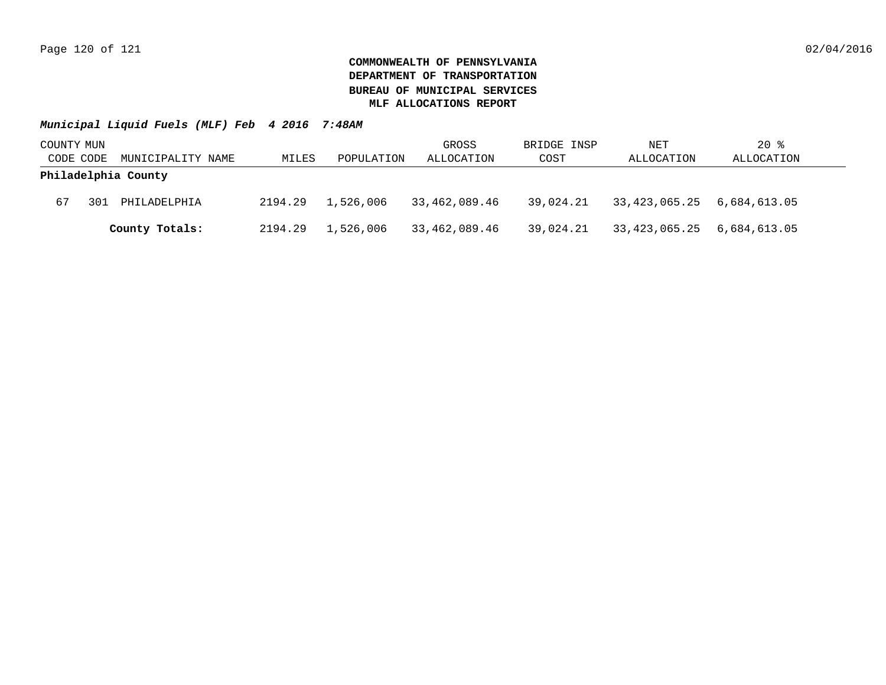| COUNTY MUN |     |                     |         |            | GROSS         | BRIDGE INSP | NET                        | $20$ %     |
|------------|-----|---------------------|---------|------------|---------------|-------------|----------------------------|------------|
| CODE CODE  |     | MUNICIPALITY NAME   | MILES   | POPULATION | ALLOCATION    | COST        | ALLOCATION                 | ALLOCATION |
|            |     | Philadelphia County |         |            |               |             |                            |            |
| 67         | 301 | PHILADELPHIA        | 2194.29 | 1,526,006  | 33,462,089.46 | 39,024.21   | 33,423,065.25 6,684,613.05 |            |
|            |     | County Totals:      | 2194.29 | 1,526,006  | 33,462,089.46 | 39,024.21   | 33,423,065.25 6,684,613.05 |            |